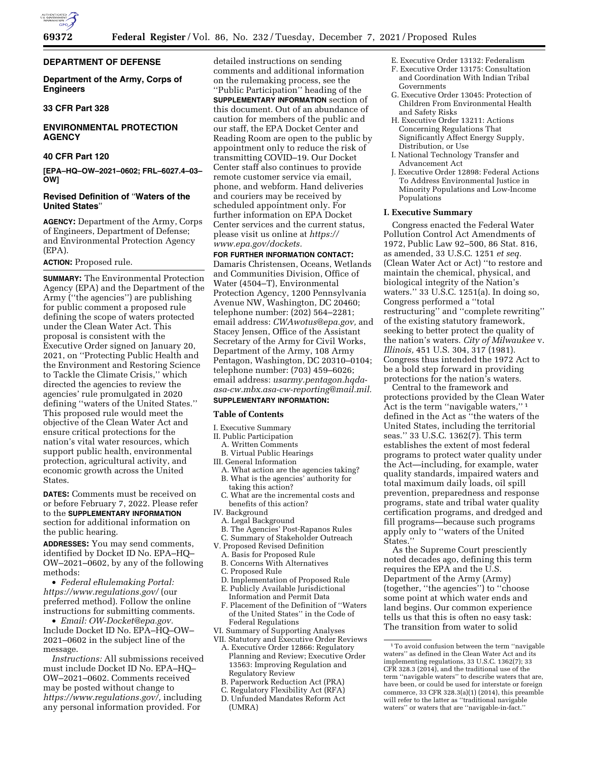

**DEPARTMENT OF DEFENSE** 

**Department of the Army, Corps of Engineers** 

## **33 CFR Part 328**

# **ENVIRONMENTAL PROTECTION AGENCY**

### **40 CFR Part 120**

**[EPA–HQ–OW–2021–0602; FRL–6027.4–03– OW]** 

# **Revised Definition of** ''**Waters of the United States**''

**AGENCY:** Department of the Army, Corps of Engineers, Department of Defense; and Environmental Protection Agency (EPA).

#### **ACTION:** Proposed rule.

**SUMMARY:** The Environmental Protection Agency (EPA) and the Department of the Army (''the agencies'') are publishing for public comment a proposed rule defining the scope of waters protected under the Clean Water Act. This proposal is consistent with the Executive Order signed on January 20, 2021, on ''Protecting Public Health and the Environment and Restoring Science to Tackle the Climate Crisis,'' which directed the agencies to review the agencies' rule promulgated in 2020 defining ''waters of the United States.'' This proposed rule would meet the objective of the Clean Water Act and ensure critical protections for the nation's vital water resources, which support public health, environmental protection, agricultural activity, and economic growth across the United States.

**DATES:** Comments must be received on or before February 7, 2022. Please refer to the **SUPPLEMENTARY INFORMATION** section for additional information on the public hearing.

**ADDRESSES:** You may send comments, identified by Docket ID No. EPA–HQ– OW–2021–0602, by any of the following methods:

• *Federal eRulemaking Portal: <https://www.regulations.gov/>*(our preferred method). Follow the online instructions for submitting comments.

• *Email: [OW-Docket@epa.gov.](mailto:OW-Docket@epa.gov)*  Include Docket ID No. EPA–HQ–OW– 2021–0602 in the subject line of the message.

*Instructions:* All submissions received must include Docket ID No. EPA–HQ– OW–2021–0602. Comments received may be posted without change to *[https://www.regulations.gov/,](https://www.regulations.gov/)* including any personal information provided. For

detailed instructions on sending comments and additional information on the rulemaking process, see the ''Public Participation'' heading of the **SUPPLEMENTARY INFORMATION** section of this document. Out of an abundance of caution for members of the public and our staff, the EPA Docket Center and Reading Room are open to the public by appointment only to reduce the risk of transmitting COVID–19. Our Docket Center staff also continues to provide remote customer service via email, phone, and webform. Hand deliveries and couriers may be received by scheduled appointment only. For further information on EPA Docket Center services and the current status, please visit us online at *[https://](https://www.epa.gov/dockets) [www.epa.gov/dockets.](https://www.epa.gov/dockets)* 

**FOR FURTHER INFORMATION CONTACT:**  Damaris Christensen, Oceans, Wetlands and Communities Division, Office of Water (4504–T), Environmental Protection Agency, 1200 Pennsylvania Avenue NW, Washington, DC 20460; telephone number: (202) 564–2281; email address: *[CWAwotus@epa.gov,](mailto:CWAwotus@epa.gov)* and Stacey Jensen, Office of the Assistant Secretary of the Army for Civil Works, Department of the Army, 108 Army Pentagon, Washington, DC 20310–0104; telephone number: (703) 459–6026; email address: *[usarmy.pentagon.hqda](mailto:usarmy.pentagon.hqda-asa-cw.mbx.asa-cw-reporting@mail.mil)[asa-cw.mbx.asa-cw-reporting@mail.mil.](mailto:usarmy.pentagon.hqda-asa-cw.mbx.asa-cw-reporting@mail.mil)*  **SUPPLEMENTARY INFORMATION:** 

# **Table of Contents**

- I. Executive Summary
- II. Public Participation
- A. Written Comments
- B. Virtual Public Hearings
- III. General Information
- A. What action are the agencies taking?
- B. What is the agencies' authority for taking this action?
- C. What are the incremental costs and benefits of this action?
- IV. Background
	- A. Legal Background
	- B. The Agencies' Post-Rapanos Rules
	- C. Summary of Stakeholder Outreach
- V. Proposed Revised Definition
	- A. Basis for Proposed Rule
	- B. Concerns With Alternatives
	- C. Proposed Rule
	- D. Implementation of Proposed Rule
	- E. Publicly Available Jurisdictional
	- Information and Permit Data F. Placement of the Definition of ''Waters of the United States'' in the Code of Federal Regulations
- VI. Summary of Supporting Analyses
- VII. Statutory and Executive Order Reviews A. Executive Order 12866: Regulatory Planning and Review; Executive Order 13563: Improving Regulation and Regulatory Review
	- B. Paperwork Reduction Act (PRA)
	- C. Regulatory Flexibility Act (RFA)
	- D. Unfunded Mandates Reform Act (UMRA)
- E. Executive Order 13132: Federalism
- F. Executive Order 13175: Consultation and Coordination With Indian Tribal Governments
- G. Executive Order 13045: Protection of Children From Environmental Health and Safety Risks
- H. Executive Order 13211: Actions Concerning Regulations That Significantly Affect Energy Supply, Distribution, or Use
- I. National Technology Transfer and Advancement Act
- J. Executive Order 12898: Federal Actions To Address Environmental Justice in Minority Populations and Low-Income Populations

### **I. Executive Summary**

Congress enacted the Federal Water Pollution Control Act Amendments of 1972, Public Law 92–500, 86 Stat. 816, as amended, 33 U.S.C. 1251 *et seq.*  (Clean Water Act or Act) ''to restore and maintain the chemical, physical, and biological integrity of the Nation's waters.'' 33 U.S.C. 1251(a). In doing so, Congress performed a ''total restructuring'' and ''complete rewriting'' of the existing statutory framework, seeking to better protect the quality of the nation's waters. *City of Milwaukee* v. *Illinois,* 451 U.S. 304, 317 (1981). Congress thus intended the 1972 Act to be a bold step forward in providing protections for the nation's waters.

Central to the framework and protections provided by the Clean Water Act is the term ''navigable waters,'' 1 defined in the Act as ''the waters of the United States, including the territorial seas.'' 33 U.S.C. 1362(7). This term establishes the extent of most federal programs to protect water quality under the Act—including, for example, water quality standards, impaired waters and total maximum daily loads, oil spill prevention, preparedness and response programs, state and tribal water quality certification programs, and dredged and fill programs—because such programs apply only to ''waters of the United States.''

As the Supreme Court presciently noted decades ago, defining this term requires the EPA and the U.S. Department of the Army (Army) (together, ''the agencies'') to ''choose some point at which water ends and land begins. Our common experience tells us that this is often no easy task: The transition from water to solid

<sup>1</sup>To avoid confusion between the term ''navigable waters'' as defined in the Clean Water Act and its implementing regulations, 33 U.S.C. 1362(7); 33 CFR 328.3 (2014), and the traditional use of the term ''navigable waters'' to describe waters that are, have been, or could be used for interstate or foreign commerce, 33 CFR 328.3(a)(1) (2014), this preamble will refer to the latter as ''traditional navigable waters'' or waters that are ''navigable-in-fact.''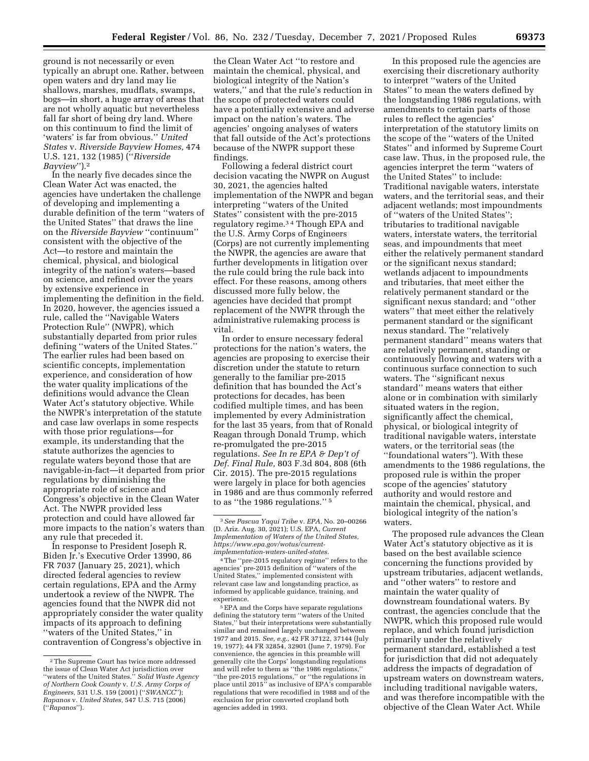ground is not necessarily or even typically an abrupt one. Rather, between open waters and dry land may lie shallows, marshes, mudflats, swamps, bogs—in short, a huge array of areas that are not wholly aquatic but nevertheless fall far short of being dry land. Where on this continuum to find the limit of 'waters' is far from obvious.'' *United States* v. *Riverside Bayview Homes,* 474 U.S. 121, 132 (1985) (''*Riverside Bayview*'').2

In the nearly five decades since the Clean Water Act was enacted, the agencies have undertaken the challenge of developing and implementing a durable definition of the term ''waters of the United States'' that draws the line on the *Riverside Bayview* ''continuum'' consistent with the objective of the Act—to restore and maintain the chemical, physical, and biological integrity of the nation's waters—based on science, and refined over the years by extensive experience in implementing the definition in the field. In 2020, however, the agencies issued a rule, called the ''Navigable Waters Protection Rule'' (NWPR), which substantially departed from prior rules defining ''waters of the United States.'' The earlier rules had been based on scientific concepts, implementation experience, and consideration of how the water quality implications of the definitions would advance the Clean Water Act's statutory objective. While the NWPR's interpretation of the statute and case law overlaps in some respects with those prior regulations—for example, its understanding that the statute authorizes the agencies to regulate waters beyond those that are navigable-in-fact—it departed from prior regulations by diminishing the appropriate role of science and Congress's objective in the Clean Water Act. The NWPR provided less protection and could have allowed far more impacts to the nation's waters than any rule that preceded it.

In response to President Joseph R. Biden Jr.'s Executive Order 13990, 86 FR 7037 (January 25, 2021), which directed federal agencies to review certain regulations, EPA and the Army undertook a review of the NWPR. The agencies found that the NWPR did not appropriately consider the water quality impacts of its approach to defining ''waters of the United States,'' in contravention of Congress's objective in

the Clean Water Act ''to restore and maintain the chemical, physical, and biological integrity of the Nation's waters,'' and that the rule's reduction in the scope of protected waters could have a potentially extensive and adverse impact on the nation's waters. The agencies' ongoing analyses of waters that fall outside of the Act's protections because of the NWPR support these findings.

Following a federal district court decision vacating the NWPR on August 30, 2021, the agencies halted implementation of the NWPR and began interpreting ''waters of the United States'' consistent with the pre-2015 regulatory regime.3 4 Though EPA and the U.S. Army Corps of Engineers (Corps) are not currently implementing the NWPR, the agencies are aware that further developments in litigation over the rule could bring the rule back into effect. For these reasons, among others discussed more fully below, the agencies have decided that prompt replacement of the NWPR through the administrative rulemaking process is vital.

In order to ensure necessary federal protections for the nation's waters, the agencies are proposing to exercise their discretion under the statute to return generally to the familiar pre-2015 definition that has bounded the Act's protections for decades, has been codified multiple times, and has been implemented by every Administration for the last 35 years, from that of Ronald Reagan through Donald Trump, which re-promulgated the pre-2015 regulations. *See In re EPA & Dep't of Def. Final Rule,* 803 F.3d 804, 808 (6th Cir. 2015). The pre-2015 regulations were largely in place for both agencies in 1986 and are thus commonly referred to as ''the 1986 regulations.'' 5

In this proposed rule the agencies are exercising their discretionary authority to interpret ''waters of the United States'' to mean the waters defined by the longstanding 1986 regulations, with amendments to certain parts of those rules to reflect the agencies' interpretation of the statutory limits on the scope of the ''waters of the United States'' and informed by Supreme Court case law. Thus, in the proposed rule, the agencies interpret the term ''waters of the United States'' to include: Traditional navigable waters, interstate waters, and the territorial seas, and their adjacent wetlands; most impoundments of ''waters of the United States''; tributaries to traditional navigable waters, interstate waters, the territorial seas, and impoundments that meet either the relatively permanent standard or the significant nexus standard; wetlands adjacent to impoundments and tributaries, that meet either the relatively permanent standard or the significant nexus standard; and ''other waters'' that meet either the relatively permanent standard or the significant nexus standard. The ''relatively permanent standard'' means waters that are relatively permanent, standing or continuously flowing and waters with a continuous surface connection to such waters. The ''significant nexus standard'' means waters that either alone or in combination with similarly situated waters in the region, significantly affect the chemical, physical, or biological integrity of traditional navigable waters, interstate waters, or the territorial seas (the ''foundational waters''). With these amendments to the 1986 regulations, the proposed rule is within the proper scope of the agencies' statutory authority and would restore and maintain the chemical, physical, and biological integrity of the nation's waters.

The proposed rule advances the Clean Water Act's statutory objective as it is based on the best available science concerning the functions provided by upstream tributaries, adjacent wetlands, and ''other waters'' to restore and maintain the water quality of downstream foundational waters. By contrast, the agencies conclude that the NWPR, which this proposed rule would replace, and which found jurisdiction primarily under the relatively permanent standard, established a test for jurisdiction that did not adequately address the impacts of degradation of upstream waters on downstream waters, including traditional navigable waters, and was therefore incompatible with the objective of the Clean Water Act. While

<sup>2</sup>The Supreme Court has twice more addressed the issue of Clean Water Act jurisdiction over ''waters of the United States.'' *Solid Waste Agency of Northern Cook County* v. *U.S. Army Corps of Engineers,* 531 U.S. 159 (2001) (''*SWANCC*''); *Rapanos* v. *United States,* 547 U.S. 715 (2006) (''*Rapanos*'').

<sup>3</sup>*See Pascua Yaqui Tribe* v. *EPA,* No. 20–00266 (D. Ariz. Aug. 30, 2021); U.S. EPA, *Current Implementation of Waters of the United States, [https://www.epa.gov/wotus/current](https://www.epa.gov/wotus/current-implementation-waters-united-states)[implementation-waters-united-states.](https://www.epa.gov/wotus/current-implementation-waters-united-states)* 

<sup>4</sup>The ''pre-2015 regulatory regime'' refers to the agencies' pre-2015 definition of ''waters of the United States,'' implemented consistent with relevant case law and longstanding practice, as informed by applicable guidance, training, and experience.

<sup>5</sup>EPA and the Corps have separate regulations defining the statutory term ''waters of the United States,'' but their interpretations were substantially similar and remained largely unchanged between 1977 and 2015. *See, e.g.,* 42 FR 37122, 37144 (July 19, 1977); 44 FR 32854, 32901 (June 7, 1979). For convenience, the agencies in this preamble will generally cite the Corps' longstanding regulations and will refer to them as ''the 1986 regulations,'' ''the pre-2015 regulations,'' or ''the regulations in place until 2015'' as inclusive of EPA's comparable regulations that were recodified in 1988 and of the exclusion for prior converted cropland both agencies added in 1993.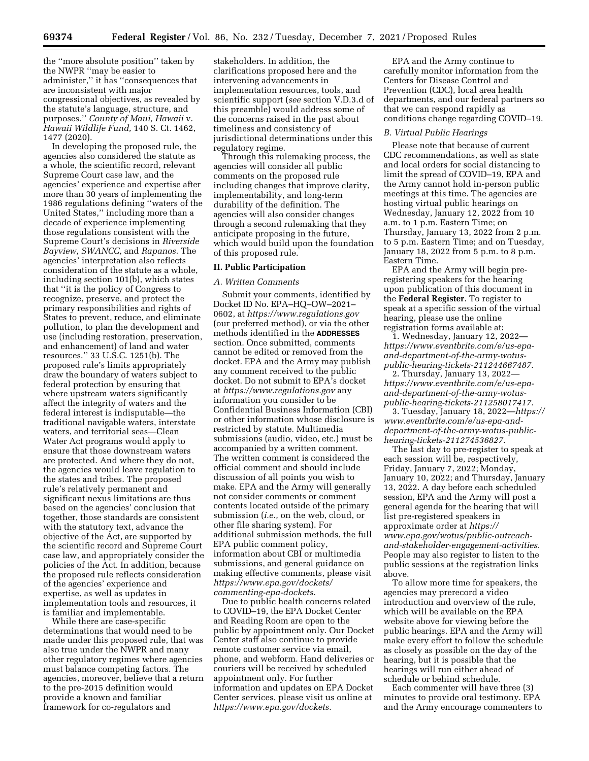the ''more absolute position'' taken by the NWPR ''may be easier to administer,'' it has ''consequences that are inconsistent with major congressional objectives, as revealed by the statute's language, structure, and purposes.'' *County of Maui, Hawaii* v. *Hawaii Wildlife Fund,* 140 S. Ct. 1462,

1477 (2020). In developing the proposed rule, the agencies also considered the statute as a whole, the scientific record, relevant Supreme Court case law, and the agencies' experience and expertise after more than 30 years of implementing the 1986 regulations defining ''waters of the United States,'' including more than a decade of experience implementing those regulations consistent with the Supreme Court's decisions in *Riverside Bayview, SWANCC,* and *Rapanos.* The agencies' interpretation also reflects consideration of the statute as a whole, including section 101(b), which states that ''it is the policy of Congress to recognize, preserve, and protect the primary responsibilities and rights of States to prevent, reduce, and eliminate pollution, to plan the development and use (including restoration, preservation, and enhancement) of land and water resources.'' 33 U.S.C. 1251(b). The proposed rule's limits appropriately draw the boundary of waters subject to federal protection by ensuring that where upstream waters significantly affect the integrity of waters and the federal interest is indisputable—the traditional navigable waters, interstate waters, and territorial seas—Clean Water Act programs would apply to ensure that those downstream waters are protected. And where they do not, the agencies would leave regulation to the states and tribes. The proposed rule's relatively permanent and significant nexus limitations are thus based on the agencies' conclusion that together, those standards are consistent with the statutory text, advance the objective of the Act, are supported by the scientific record and Supreme Court case law, and appropriately consider the policies of the Act. In addition, because the proposed rule reflects consideration of the agencies' experience and expertise, as well as updates in implementation tools and resources, it is familiar and implementable.

While there are case-specific determinations that would need to be made under this proposed rule, that was also true under the NWPR and many other regulatory regimes where agencies must balance competing factors. The agencies, moreover, believe that a return to the pre-2015 definition would provide a known and familiar framework for co-regulators and

stakeholders. In addition, the clarifications proposed here and the intervening advancements in implementation resources, tools, and scientific support (*see* section V.D.3.d of this preamble) would address some of the concerns raised in the past about timeliness and consistency of jurisdictional determinations under this regulatory regime.

Through this rulemaking process, the agencies will consider all public comments on the proposed rule including changes that improve clarity, implementability, and long-term durability of the definition. The agencies will also consider changes through a second rulemaking that they anticipate proposing in the future, which would build upon the foundation of this proposed rule.

#### **II. Public Participation**

#### *A. Written Comments*

Submit your comments, identified by Docket ID No. EPA–HQ–OW–2021– 0602, at *<https://www.regulations.gov>*  (our preferred method), or via the other methods identified in the **ADDRESSES** section. Once submitted, comments cannot be edited or removed from the docket. EPA and the Army may publish any comment received to the public docket. Do not submit to EPA's docket at *<https://www.regulations.gov>* any information you consider to be Confidential Business Information (CBI) or other information whose disclosure is restricted by statute. Multimedia submissions (audio, video, etc.) must be accompanied by a written comment. The written comment is considered the official comment and should include discussion of all points you wish to make. EPA and the Army will generally not consider comments or comment contents located outside of the primary submission (*i.e.,* on the web, cloud, or other file sharing system). For additional submission methods, the full EPA public comment policy, information about CBI or multimedia submissions, and general guidance on making effective comments, please visit *[https://www.epa.gov/dockets/](https://www.epa.gov/dockets/commenting-epa-dockets)  [commenting-epa-dockets.](https://www.epa.gov/dockets/commenting-epa-dockets)* 

Due to public health concerns related to COVID–19, the EPA Docket Center and Reading Room are open to the public by appointment only. Our Docket Center staff also continue to provide remote customer service via email, phone, and webform. Hand deliveries or couriers will be received by scheduled appointment only. For further information and updates on EPA Docket Center services, please visit us online at *[https://www.epa.gov/dockets.](https://www.epa.gov/dockets)* 

EPA and the Army continue to carefully monitor information from the Centers for Disease Control and Prevention (CDC), local area health departments, and our federal partners so that we can respond rapidly as conditions change regarding COVID–19.

### *B. Virtual Public Hearings*

Please note that because of current CDC recommendations, as well as state and local orders for social distancing to limit the spread of COVID–19, EPA and the Army cannot hold in-person public meetings at this time. The agencies are hosting virtual public hearings on Wednesday, January 12, 2022 from 10 a.m. to 1 p.m. Eastern Time; on Thursday, January 13, 2022 from 2 p.m. to 5 p.m. Eastern Time; and on Tuesday, January 18, 2022 from 5 p.m. to 8 p.m. Eastern Time.

EPA and the Army will begin preregistering speakers for the hearing upon publication of this document in the **Federal Register**. To register to speak at a specific session of the virtual hearing, please use the online registration forms available at:

1. Wednesday, January 12, 2022 *[https://www.eventbrite.com/e/us-epa](https://www.eventbrite.com/e/us-epa-and-department-of-the-army-wotus-public-hearing-tickets-211244667487)[and-department-of-the-army-wotus](https://www.eventbrite.com/e/us-epa-and-department-of-the-army-wotus-public-hearing-tickets-211244667487)[public-hearing-tickets-211244667487.](https://www.eventbrite.com/e/us-epa-and-department-of-the-army-wotus-public-hearing-tickets-211244667487)* 

2. Thursday, January 13, 2022 *[https://www.eventbrite.com/e/us-epa](https://www.eventbrite.com/e/us-epa-and-department-of-the-army-wotus-public-hearing-tickets-211258017417)[and-department-of-the-army-wotus](https://www.eventbrite.com/e/us-epa-and-department-of-the-army-wotus-public-hearing-tickets-211258017417)[public-hearing-tickets-211258017417.](https://www.eventbrite.com/e/us-epa-and-department-of-the-army-wotus-public-hearing-tickets-211258017417)* 

3. Tuesday, January 18, 2022—*[https://](https://www.eventbrite.com/e/us-epa-and-department-of-the-army-wotus-public-hearing-tickets-211274536827) [www.eventbrite.com/e/us-epa-and](https://www.eventbrite.com/e/us-epa-and-department-of-the-army-wotus-public-hearing-tickets-211274536827)[department-of-the-army-wotus-public](https://www.eventbrite.com/e/us-epa-and-department-of-the-army-wotus-public-hearing-tickets-211274536827)[hearing-tickets-211274536827.](https://www.eventbrite.com/e/us-epa-and-department-of-the-army-wotus-public-hearing-tickets-211274536827)* 

The last day to pre-register to speak at each session will be, respectively, Friday, January 7, 2022; Monday, January 10, 2022; and Thursday, January 13, 2022. A day before each scheduled session, EPA and the Army will post a general agenda for the hearing that will list pre-registered speakers in approximate order at *[https://](https://www.epa.gov/wotus/public-outreach-and-stakeholder-engagement-activities) [www.epa.gov/wotus/public-outreach](https://www.epa.gov/wotus/public-outreach-and-stakeholder-engagement-activities)[and-stakeholder-engagement-activities.](https://www.epa.gov/wotus/public-outreach-and-stakeholder-engagement-activities)*  People may also register to listen to the public sessions at the registration links above.

To allow more time for speakers, the agencies may prerecord a video introduction and overview of the rule, which will be available on the EPA website above for viewing before the public hearings. EPA and the Army will make every effort to follow the schedule as closely as possible on the day of the hearing, but it is possible that the hearings will run either ahead of schedule or behind schedule.

Each commenter will have three (3) minutes to provide oral testimony. EPA and the Army encourage commenters to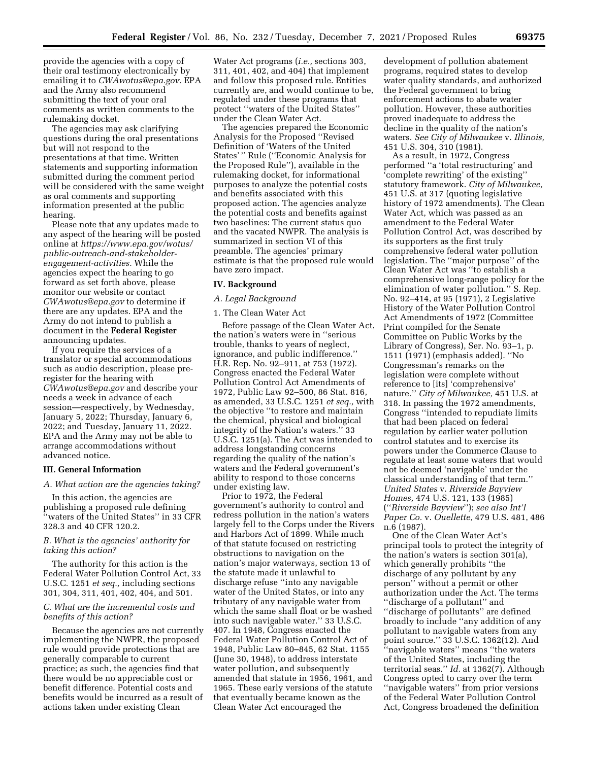provide the agencies with a copy of their oral testimony electronically by emailing it to *[CWAwotus@epa.gov.](mailto:CWAwotus@epa.gov)* EPA and the Army also recommend submitting the text of your oral comments as written comments to the rulemaking docket.

The agencies may ask clarifying questions during the oral presentations but will not respond to the presentations at that time. Written statements and supporting information submitted during the comment period will be considered with the same weight as oral comments and supporting information presented at the public hearing.

Please note that any updates made to any aspect of the hearing will be posted online at *[https://www.epa.gov/wotus/](https://www.epa.gov/wotus/public-outreach-and-stakeholder-engagement-activities) [public-outreach-and-stakeholder](https://www.epa.gov/wotus/public-outreach-and-stakeholder-engagement-activities)[engagement-activities.](https://www.epa.gov/wotus/public-outreach-and-stakeholder-engagement-activities)* While the agencies expect the hearing to go forward as set forth above, please monitor our website or contact *[CWAwotus@epa.gov](mailto:CWAwotus@epa.gov)* to determine if there are any updates. EPA and the Army do not intend to publish a document in the **Federal Register**  announcing updates.

If you require the services of a translator or special accommodations such as audio description, please preregister for the hearing with *[CWAwotus@epa.gov](mailto:CWAwotus@epa.gov)* and describe your needs a week in advance of each session—respectively, by Wednesday, January 5, 2022; Thursday, January 6, 2022; and Tuesday, January 11, 2022. EPA and the Army may not be able to arrange accommodations without advanced notice.

# **III. General Information**

#### *A. What action are the agencies taking?*

In this action, the agencies are publishing a proposed rule defining 'waters of the United States" in 33 CFR 328.3 and 40 CFR 120.2.

### *B. What is the agencies' authority for taking this action?*

The authority for this action is the Federal Water Pollution Control Act, 33 U.S.C. 1251 *et seq.,* including sections 301, 304, 311, 401, 402, 404, and 501.

# *C. What are the incremental costs and benefits of this action?*

Because the agencies are not currently implementing the NWPR, the proposed rule would provide protections that are generally comparable to current practice; as such, the agencies find that there would be no appreciable cost or benefit difference. Potential costs and benefits would be incurred as a result of actions taken under existing Clean

Water Act programs (*i.e.,* sections 303, 311, 401, 402, and 404) that implement and follow this proposed rule. Entities currently are, and would continue to be, regulated under these programs that protect ''waters of the United States'' under the Clean Water Act.

The agencies prepared the Economic Analysis for the Proposed ''Revised Definition of 'Waters of the United States' '' Rule (''Economic Analysis for the Proposed Rule''), available in the rulemaking docket, for informational purposes to analyze the potential costs and benefits associated with this proposed action. The agencies analyze the potential costs and benefits against two baselines: The current status quo and the vacated NWPR. The analysis is summarized in section VI of this preamble. The agencies' primary estimate is that the proposed rule would have zero impact.

### **IV. Background**

# *A. Legal Background*

# 1. The Clean Water Act

Before passage of the Clean Water Act, the nation's waters were in ''serious trouble, thanks to years of neglect, ignorance, and public indifference.'' H.R. Rep. No. 92–911, at 753 (1972). Congress enacted the Federal Water Pollution Control Act Amendments of 1972, Public Law 92–500, 86 Stat. 816, as amended, 33 U.S.C. 1251 *et seq.,* with the objective ''to restore and maintain the chemical, physical and biological integrity of the Nation's waters.'' 33 U.S.C. 1251(a). The Act was intended to address longstanding concerns regarding the quality of the nation's waters and the Federal government's ability to respond to those concerns under existing law.

Prior to 1972, the Federal government's authority to control and redress pollution in the nation's waters largely fell to the Corps under the Rivers and Harbors Act of 1899. While much of that statute focused on restricting obstructions to navigation on the nation's major waterways, section 13 of the statute made it unlawful to discharge refuse ''into any navigable water of the United States, or into any tributary of any navigable water from which the same shall float or be washed into such navigable water.'' 33 U.S.C. 407. In 1948, Congress enacted the Federal Water Pollution Control Act of 1948, Public Law 80–845, 62 Stat. 1155 (June 30, 1948), to address interstate water pollution, and subsequently amended that statute in 1956, 1961, and 1965. These early versions of the statute that eventually became known as the Clean Water Act encouraged the

development of pollution abatement programs, required states to develop water quality standards, and authorized the Federal government to bring enforcement actions to abate water pollution. However, these authorities proved inadequate to address the decline in the quality of the nation's waters. *See City of Milwaukee* v. *Illinois,*  451 U.S. 304, 310 (1981).

As a result, in 1972, Congress performed ''a 'total restructuring' and 'complete rewriting' of the existing'' statutory framework. *City of Milwaukee,*  451 U.S. at 317 (quoting legislative history of 1972 amendments). The Clean Water Act, which was passed as an amendment to the Federal Water Pollution Control Act, was described by its supporters as the first truly comprehensive federal water pollution legislation. The ''major purpose'' of the Clean Water Act was ''to establish a comprehensive long-range policy for the elimination of water pollution.'' S. Rep. No. 92–414, at 95 (1971), 2 Legislative History of the Water Pollution Control Act Amendments of 1972 (Committee Print compiled for the Senate Committee on Public Works by the Library of Congress), Ser. No. 93–1, p. 1511 (1971) (emphasis added). ''No Congressman's remarks on the legislation were complete without reference to [its] 'comprehensive' nature.'' *City of Milwaukee,* 451 U.S. at 318. In passing the 1972 amendments, Congress ''intended to repudiate limits that had been placed on federal regulation by earlier water pollution control statutes and to exercise its powers under the Commerce Clause to regulate at least some waters that would not be deemed 'navigable' under the classical understanding of that term.'' *United States* v. *Riverside Bayview Homes,* 474 U.S. 121, 133 (1985) (''*Riverside Bayview*''); *see also Int'l Paper Co.* v. *Ouellette,* 479 U.S. 481, 486 n.6 (1987)

One of the Clean Water Act's principal tools to protect the integrity of the nation's waters is section 301(a), which generally prohibits ''the discharge of any pollutant by any person'' without a permit or other authorization under the Act. The terms ''discharge of a pollutant'' and ''discharge of pollutants'' are defined broadly to include ''any addition of any pollutant to navigable waters from any point source.'' 33 U.S.C. 1362(12). And ''navigable waters'' means ''the waters of the United States, including the territorial seas.'' *Id.* at 1362(7). Although Congress opted to carry over the term ''navigable waters'' from prior versions of the Federal Water Pollution Control Act, Congress broadened the definition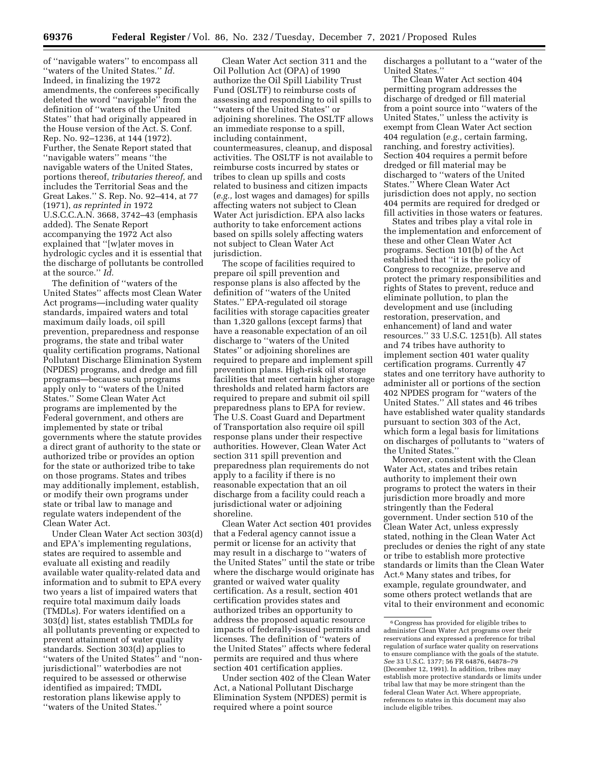of ''navigable waters'' to encompass all ''waters of the United States.'' *Id.*  Indeed, in finalizing the 1972 amendments, the conferees specifically deleted the word ''navigable'' from the definition of ''waters of the United States'' that had originally appeared in the House version of the Act. S. Conf. Rep. No. 92–1236, at 144 (1972). Further, the Senate Report stated that ''navigable waters'' means ''the navigable waters of the United States, portions thereof, *tributaries thereof,* and includes the Territorial Seas and the Great Lakes.'' S. Rep. No. 92–414, at 77 (1971), *as reprinted in* 1972 U.S.C.C.A.N. 3668, 3742–43 (emphasis added). The Senate Report accompanying the 1972 Act also explained that ''[w]ater moves in hydrologic cycles and it is essential that the discharge of pollutants be controlled at the source.'' *Id.* 

The definition of ''waters of the United States'' affects most Clean Water Act programs—including water quality standards, impaired waters and total maximum daily loads, oil spill prevention, preparedness and response programs, the state and tribal water quality certification programs, National Pollutant Discharge Elimination System (NPDES) programs, and dredge and fill programs—because such programs apply only to ''waters of the United States.'' Some Clean Water Act programs are implemented by the Federal government, and others are implemented by state or tribal governments where the statute provides a direct grant of authority to the state or authorized tribe or provides an option for the state or authorized tribe to take on those programs. States and tribes may additionally implement, establish, or modify their own programs under state or tribal law to manage and regulate waters independent of the Clean Water Act.

Under Clean Water Act section 303(d) and EPA's implementing regulations, states are required to assemble and evaluate all existing and readily available water quality-related data and information and to submit to EPA every two years a list of impaired waters that require total maximum daily loads (TMDLs). For waters identified on a 303(d) list, states establish TMDLs for all pollutants preventing or expected to prevent attainment of water quality standards. Section 303(d) applies to ''waters of the United States'' and ''nonjurisdictional'' waterbodies are not required to be assessed or otherwise identified as impaired; TMDL restoration plans likewise apply to ''waters of the United States.''

Clean Water Act section 311 and the Oil Pollution Act (OPA) of 1990 authorize the Oil Spill Liability Trust Fund (OSLTF) to reimburse costs of assessing and responding to oil spills to ''waters of the United States'' or adjoining shorelines. The OSLTF allows an immediate response to a spill, including containment, countermeasures, cleanup, and disposal activities. The OSLTF is not available to reimburse costs incurred by states or tribes to clean up spills and costs related to business and citizen impacts (*e.g.,* lost wages and damages) for spills affecting waters not subject to Clean Water Act jurisdiction. EPA also lacks authority to take enforcement actions based on spills solely affecting waters not subject to Clean Water Act jurisdiction.

The scope of facilities required to prepare oil spill prevention and response plans is also affected by the definition of ''waters of the United States.'' EPA-regulated oil storage facilities with storage capacities greater than 1,320 gallons (except farms) that have a reasonable expectation of an oil discharge to ''waters of the United States'' or adjoining shorelines are required to prepare and implement spill prevention plans. High-risk oil storage facilities that meet certain higher storage thresholds and related harm factors are required to prepare and submit oil spill preparedness plans to EPA for review. The U.S. Coast Guard and Department of Transportation also require oil spill response plans under their respective authorities. However, Clean Water Act section 311 spill prevention and preparedness plan requirements do not apply to a facility if there is no reasonable expectation that an oil discharge from a facility could reach a jurisdictional water or adjoining shoreline.

Clean Water Act section 401 provides that a Federal agency cannot issue a permit or license for an activity that may result in a discharge to ''waters of the United States'' until the state or tribe where the discharge would originate has granted or waived water quality certification. As a result, section 401 certification provides states and authorized tribes an opportunity to address the proposed aquatic resource impacts of federally-issued permits and licenses. The definition of ''waters of the United States'' affects where federal permits are required and thus where section 401 certification applies.

Under section 402 of the Clean Water Act, a National Pollutant Discharge Elimination System (NPDES) permit is required where a point source

discharges a pollutant to a ''water of the United States.''

The Clean Water Act section 404 permitting program addresses the discharge of dredged or fill material from a point source into ''waters of the United States,'' unless the activity is exempt from Clean Water Act section 404 regulation (*e.g.,* certain farming, ranching, and forestry activities). Section 404 requires a permit before dredged or fill material may be discharged to ''waters of the United States.'' Where Clean Water Act jurisdiction does not apply, no section 404 permits are required for dredged or fill activities in those waters or features.

States and tribes play a vital role in the implementation and enforcement of these and other Clean Water Act programs. Section 101(b) of the Act established that ''it is the policy of Congress to recognize, preserve and protect the primary responsibilities and rights of States to prevent, reduce and eliminate pollution, to plan the development and use (including restoration, preservation, and enhancement) of land and water resources.'' 33 U.S.C. 1251(b). All states and 74 tribes have authority to implement section 401 water quality certification programs. Currently 47 states and one territory have authority to administer all or portions of the section 402 NPDES program for ''waters of the United States.'' All states and 46 tribes have established water quality standards pursuant to section 303 of the Act, which form a legal basis for limitations on discharges of pollutants to ''waters of the United States.''

Moreover, consistent with the Clean Water Act, states and tribes retain authority to implement their own programs to protect the waters in their jurisdiction more broadly and more stringently than the Federal government. Under section 510 of the Clean Water Act, unless expressly stated, nothing in the Clean Water Act precludes or denies the right of any state or tribe to establish more protective standards or limits than the Clean Water Act.6 Many states and tribes, for example, regulate groundwater, and some others protect wetlands that are vital to their environment and economic

 $^{\rm 6}\!$  Congress has provided for eligible tribes to administer Clean Water Act programs over their reservations and expressed a preference for tribal regulation of surface water quality on reservations to ensure compliance with the goals of the statute. *See* 33 U.S.C. 1377; 56 FR 64876, 64878–79 (December 12, 1991). In addition, tribes may establish more protective standards or limits under tribal law that may be more stringent than the federal Clean Water Act. Where appropriate, references to states in this document may also include eligible tribes.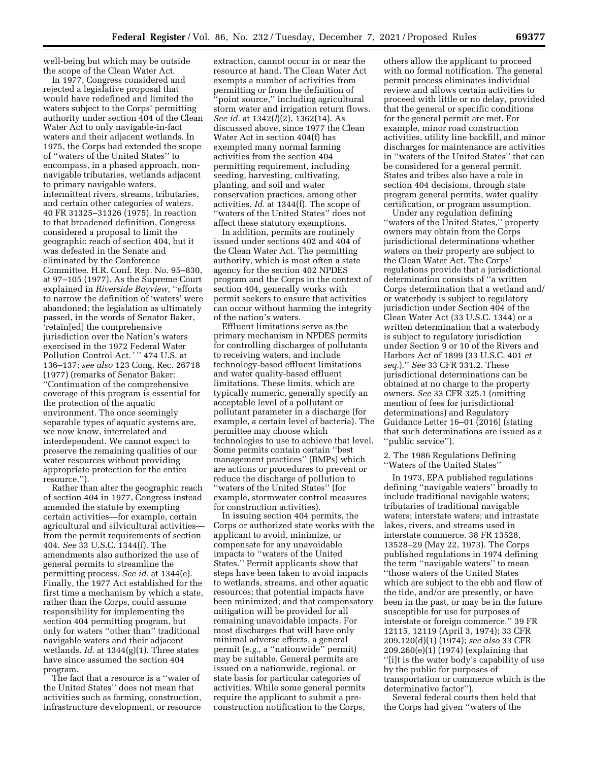well-being but which may be outside the scope of the Clean Water Act.

In 1977, Congress considered and rejected a legislative proposal that would have redefined and limited the waters subject to the Corps' permitting authority under section 404 of the Clean Water Act to only navigable-in-fact waters and their adjacent wetlands. In 1975, the Corps had extended the scope of ''waters of the United States'' to encompass, in a phased approach, nonnavigable tributaries, wetlands adjacent to primary navigable waters, intermittent rivers, streams, tributaries, and certain other categories of waters. 40 FR 31325–31326 (1975). In reaction to that broadened definition, Congress considered a proposal to limit the geographic reach of section 404, but it was defeated in the Senate and eliminated by the Conference Committee. H.R. Conf. Rep. No. 95–830, at 97–105 (1977). As the Supreme Court explained in *Riverside Bayview,* ''efforts to narrow the definition of 'waters' were abandoned; the legislation as ultimately passed, in the words of Senator Baker, 'retain[ed] the comprehensive jurisdiction over the Nation's waters exercised in the 1972 Federal Water Pollution Control Act.'" 474 U.S. at 136–137; *see also* 123 Cong. Rec. 26718 (1977) (remarks of Senator Baker: ''Continuation of the comprehensive coverage of this program is essential for the protection of the aquatic environment. The once seemingly separable types of aquatic systems are, we now know, interrelated and interdependent. We cannot expect to preserve the remaining qualities of our water resources without providing appropriate protection for the entire resource.'').

Rather than alter the geographic reach of section 404 in 1977, Congress instead amended the statute by exempting certain activities—for example, certain agricultural and silvicultural activities from the permit requirements of section 404. *See* 33 U.S.C. 1344(f). The amendments also authorized the use of general permits to streamline the permitting process. *See id.* at 1344(e). Finally, the 1977 Act established for the first time a mechanism by which a state, rather than the Corps, could assume responsibility for implementing the section 404 permitting program, but only for waters ''other than'' traditional navigable waters and their adjacent wetlands. *Id.* at 1344(g)(1). Three states have since assumed the section 404 program.

The fact that a resource is a ''water of the United States'' does not mean that activities such as farming, construction, infrastructure development, or resource

extraction, cannot occur in or near the resource at hand. The Clean Water Act exempts a number of activities from permitting or from the definition of 'point source," including agricultural storm water and irrigation return flows. *See id.* at 1342(*l*)(2), 1362(14). As discussed above, since 1977 the Clean Water Act in section 404(f) has exempted many normal farming activities from the section 404 permitting requirement, including seeding, harvesting, cultivating, planting, and soil and water conservation practices, among other activities. *Id.* at 1344(f). The scope of ''waters of the United States'' does not affect these statutory exemptions.

In addition, permits are routinely issued under sections 402 and 404 of the Clean Water Act. The permitting authority, which is most often a state agency for the section 402 NPDES program and the Corps in the context of section 404, generally works with permit seekers to ensure that activities can occur without harming the integrity of the nation's waters.

Effluent limitations serve as the primary mechanism in NPDES permits for controlling discharges of pollutants to receiving waters, and include technology-based effluent limitations and water quality-based effluent limitations. These limits, which are typically numeric, generally specify an acceptable level of a pollutant or pollutant parameter in a discharge (for example, a certain level of bacteria). The permittee may choose which technologies to use to achieve that level. Some permits contain certain ''best management practices'' (BMPs) which are actions or procedures to prevent or reduce the discharge of pollution to ''waters of the United States'' (for example, stormwater control measures for construction activities).

In issuing section 404 permits, the Corps or authorized state works with the applicant to avoid, minimize, or compensate for any unavoidable impacts to ''waters of the United States.'' Permit applicants show that steps have been taken to avoid impacts to wetlands, streams, and other aquatic resources; that potential impacts have been minimized; and that compensatory mitigation will be provided for all remaining unavoidable impacts. For most discharges that will have only minimal adverse effects, a general permit (*e.g.,* a ''nationwide'' permit) may be suitable. General permits are issued on a nationwide, regional, or state basis for particular categories of activities. While some general permits require the applicant to submit a preconstruction notification to the Corps,

others allow the applicant to proceed with no formal notification. The general permit process eliminates individual review and allows certain activities to proceed with little or no delay, provided that the general or specific conditions for the general permit are met. For example, minor road construction activities, utility line backfill, and minor discharges for maintenance are activities in ''waters of the United States'' that can be considered for a general permit. States and tribes also have a role in section 404 decisions, through state program general permits, water quality certification, or program assumption.

Under any regulation defining ''waters of the United States,'' property owners may obtain from the Corps jurisdictional determinations whether waters on their property are subject to the Clean Water Act. The Corps' regulations provide that a jurisdictional determination consists of ''a written Corps determination that a wetland and/ or waterbody is subject to regulatory jurisdiction under Section 404 of the Clean Water Act (33 U.S.C. 1344) or a written determination that a waterbody is subject to regulatory jurisdiction under Section 9 or 10 of the Rivers and Harbors Act of 1899 (33 U.S.C. 401 *et seq.*).'' *See* 33 CFR 331.2. These jurisdictional determinations can be obtained at no charge to the property owners. *See* 33 CFR 325.1 (omitting mention of fees for jurisdictional determinations) and Regulatory Guidance Letter 16–01 (2016) (stating that such determinations are issued as a ''public service'').

2. The 1986 Regulations Defining ''Waters of the United States''

In 1973, EPA published regulations defining ''navigable waters'' broadly to include traditional navigable waters; tributaries of traditional navigable waters; interstate waters; and intrastate lakes, rivers, and streams used in interstate commerce. 38 FR 13528, 13528–29 (May 22, 1973). The Corps published regulations in 1974 defining the term ''navigable waters'' to mean ''those waters of the United States which are subject to the ebb and flow of the tide, and/or are presently, or have been in the past, or may be in the future susceptible for use for purposes of interstate or foreign commerce.'' 39 FR 12115, 12119 (April 3, 1974); 33 CFR 209.120(d)(1) (1974); *see also* 33 CFR 209.260(e)(1) (1974) (explaining that ''[i]t is the water body's capability of use by the public for purposes of transportation or commerce which is the determinative factor'').

Several federal courts then held that the Corps had given ''waters of the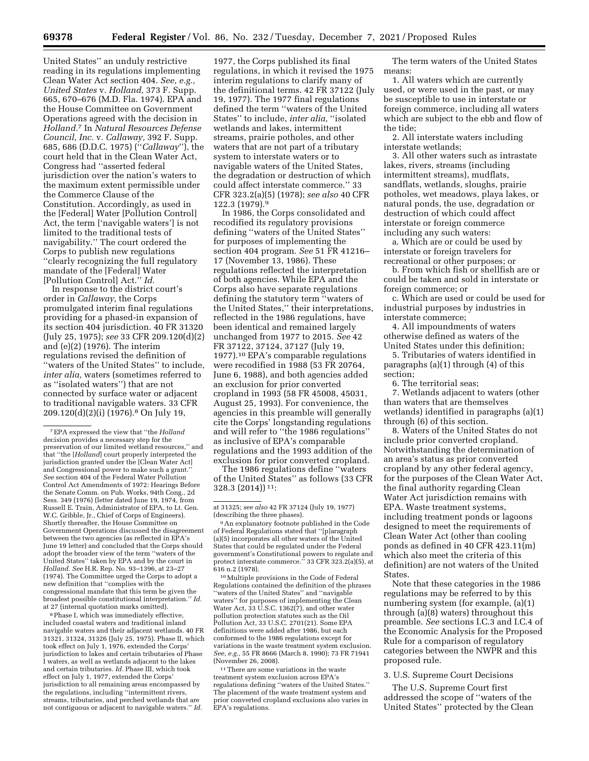United States'' an unduly restrictive reading in its regulations implementing Clean Water Act section 404. *See, e.g., United States* v. *Holland,* 373 F. Supp. 665, 670–676 (M.D. Fla. 1974). EPA and the House Committee on Government Operations agreed with the decision in *Holland.*7 In *Natural Resources Defense Council, Inc.* v. *Callaway,* 392 F. Supp. 685, 686 (D.D.C. 1975) (''*Callaway*''), the court held that in the Clean Water Act, Congress had ''asserted federal jurisdiction over the nation's waters to the maximum extent permissible under the Commerce Clause of the Constitution. Accordingly, as used in the [Federal] Water [Pollution Control] Act, the term ['navigable waters'] is not limited to the traditional tests of navigability.'' The court ordered the Corps to publish new regulations ''clearly recognizing the full regulatory mandate of the [Federal] Water [Pollution Control] Act.'' *Id.* 

In response to the district court's order in *Callaway,* the Corps promulgated interim final regulations providing for a phased-in expansion of its section 404 jurisdiction. 40 FR 31320 (July 25, 1975); *see* 33 CFR 209.120(d)(2) and (e)(2) (1976). The interim regulations revised the definition of ''waters of the United States'' to include, *inter alia,* waters (sometimes referred to as ''isolated waters'') that are not connected by surface water or adjacent to traditional navigable waters. 33 CFR 209.120(d)(2)(i) (1976).8 On July 19,

8Phase I, which was immediately effective, included coastal waters and traditional inland navigable waters and their adjacent wetlands. 40 FR 31321, 31324, 31326 (July 25, 1975). Phase II, which took effect on July 1, 1976, extended the Corps' jurisdiction to lakes and certain tributaries of Phase I waters, as well as wetlands adjacent to the lakes and certain tributaries. *Id.* Phase III, which took effect on July 1, 1977, extended the Corps' jurisdiction to all remaining areas encompassed by the regulations, including ''intermittent rivers, streams, tributaries, and perched wetlands that are not contiguous or adjacent to navigable waters.'' *Id.* 

1977, the Corps published its final regulations, in which it revised the 1975 interim regulations to clarify many of the definitional terms. 42 FR 37122 (July 19, 1977). The 1977 final regulations defined the term ''waters of the United States'' to include, *inter alia,* ''isolated wetlands and lakes, intermittent streams, prairie potholes, and other waters that are not part of a tributary system to interstate waters or to navigable waters of the United States, the degradation or destruction of which could affect interstate commerce.'' 33 CFR 323.2(a)(5) (1978); *see also* 40 CFR 122.3 (1979).9

In 1986, the Corps consolidated and recodified its regulatory provisions defining ''waters of the United States'' for purposes of implementing the section 404 program. *See* 51 FR 41216– 17 (November 13, 1986). These regulations reflected the interpretation of both agencies. While EPA and the Corps also have separate regulations defining the statutory term ''waters of the United States,'' their interpretations, reflected in the 1986 regulations, have been identical and remained largely unchanged from 1977 to 2015. *See* 42 FR 37122, 37124, 37127 (July 19, 1977).10 EPA's comparable regulations were recodified in 1988 (53 FR 20764, June 6, 1988), and both agencies added an exclusion for prior converted cropland in 1993 (58 FR 45008, 45031, August 25, 1993). For convenience, the agencies in this preamble will generally cite the Corps' longstanding regulations and will refer to ''the 1986 regulations'' as inclusive of EPA's comparable regulations and the 1993 addition of the exclusion for prior converted cropland.

The 1986 regulations define ''waters of the United States'' as follows (33 CFR 328.3 (2014)) 11:

at 31325; *see also* 42 FR 37124 (July 19, 1977) (describing the three phases).

10Multiple provisions in the Code of Federal Regulations contained the definition of the phrases ''waters of the United States'' and ''navigable waters'' for purposes of implementing the Clean Water Act,  $33 \overline{U}$ .S.C. 1362(7), and other water pollution protection statutes such as the Oil Pollution Act, 33 U.S.C. 2701(21). Some EPA definitions were added after 1986, but each conformed to the 1986 regulations except for variations in the waste treatment system exclusion. *See, e.g.,* 55 FR 8666 (March 8, 1990); 73 FR 71941 (November 26, 2008).

 $^{\rm 11}$  There are some variations in the waste treatment system exclusion across EPA's regulations defining ''waters of the United States.'' The placement of the waste treatment system and prior converted cropland exclusions also varies in EPA's regulations.

The term waters of the United States means:

1. All waters which are currently used, or were used in the past, or may be susceptible to use in interstate or foreign commerce, including all waters which are subject to the ebb and flow of the tide;

2. All interstate waters including interstate wetlands;

3. All other waters such as intrastate lakes, rivers, streams (including intermittent streams), mudflats, sandflats, wetlands, sloughs, prairie potholes, wet meadows, playa lakes, or natural ponds, the use, degradation or destruction of which could affect interstate or foreign commerce including any such waters:

a. Which are or could be used by interstate or foreign travelers for recreational or other purposes; or

b. From which fish or shellfish are or could be taken and sold in interstate or foreign commerce; or

c. Which are used or could be used for industrial purposes by industries in interstate commerce;

4. All impoundments of waters otherwise defined as waters of the United States under this definition;

5. Tributaries of waters identified in paragraphs (a)(1) through (4) of this section;

6. The territorial seas;

7. Wetlands adjacent to waters (other than waters that are themselves wetlands) identified in paragraphs (a)(1) through (6) of this section.

8. Waters of the United States do not include prior converted cropland. Notwithstanding the determination of an area's status as prior converted cropland by any other federal agency, for the purposes of the Clean Water Act, the final authority regarding Clean Water Act jurisdiction remains with EPA. Waste treatment systems, including treatment ponds or lagoons designed to meet the requirements of Clean Water Act (other than cooling ponds as defined in 40 CFR 423.11(m) which also meet the criteria of this definition) are not waters of the United States.

Note that these categories in the 1986 regulations may be referred to by this numbering system (for example, (a)(1) through (a)(8) waters) throughout this preamble. *See* sections I.C.3 and I.C.4 of the Economic Analysis for the Proposed Rule for a comparison of regulatory categories between the NWPR and this proposed rule.

# 3. U.S. Supreme Court Decisions

The U.S. Supreme Court first addressed the scope of ''waters of the United States'' protected by the Clean

<sup>7</sup>EPA expressed the view that ''the *Holland*  decision provides a necessary step for the preservation of our limited wetland resources,'' and that ''the [*Holland*] court properly interpreted the jurisdiction granted under the [Clean Water Act] and Congressional power to make such a grant.'' *See* section 404 of the Federal Water Pollution Control Act Amendments of 1972: Hearings Before the Senate Comm. on Pub. Works, 94th Cong., 2d Sess. 349 (1976) (letter dated June 19, 1974, from Russell E. Train, Administrator of EPA, to Lt. Gen. W.C. Gribble, Jr., Chief of Corps of Engineers). Shortly thereafter, the House Committee on Government Operations discussed the disagreement between the two agencies (as reflected in EPA's June 19 letter) and concluded that the Corps should adopt the broader view of the term ''waters of the United States'' taken by EPA and by the court in *Holland. See* H.R. Rep. No. 93–1396, at 23–27 (1974). The Committee urged the Corps to adopt a new definition that ''complies with the congressional mandate that this term be given the broadest possible constitutional interpretation.'' *Id.*  at 27 (internal quotation marks omitted).

<sup>9</sup>An explanatory footnote published in the Code of Federal Regulations stated that ''[p]aragraph (a)(5) incorporates all other waters of the United States that could be regulated under the Federal government's Constitutional powers to regulate and protect interstate commerce.'' 33 CFR 323.2(a)(5), at 616 n.2 (1978).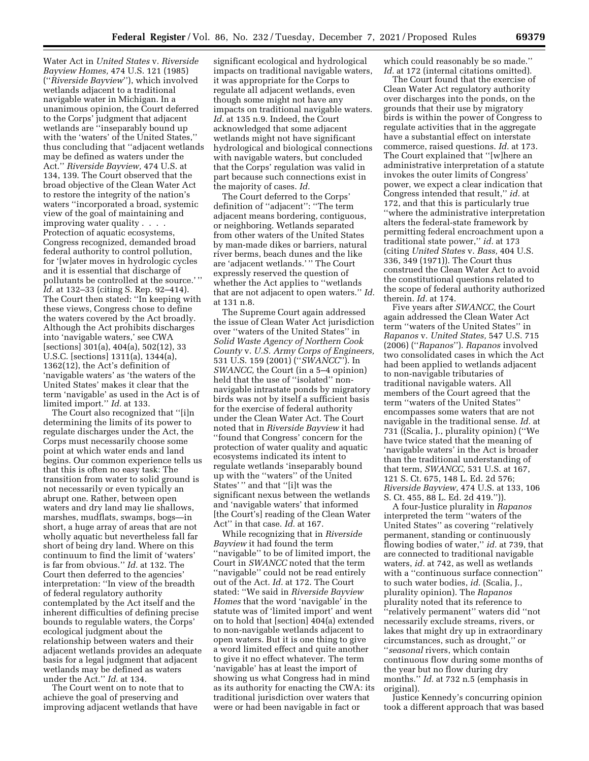Water Act in *United States* v. *Riverside Bayview Homes,* 474 U.S. 121 (1985) (''*Riverside Bayview*''), which involved wetlands adjacent to a traditional navigable water in Michigan. In a unanimous opinion, the Court deferred to the Corps' judgment that adjacent wetlands are ''inseparably bound up with the 'waters' of the United States,'' thus concluding that ''adjacent wetlands may be defined as waters under the Act.'' *Riverside Bayview,* 474 U.S. at 134, 139. The Court observed that the broad objective of the Clean Water Act to restore the integrity of the nation's waters ''incorporated a broad, systemic view of the goal of maintaining and improving water quality . . . . Protection of aquatic ecosystems, Congress recognized, demanded broad federal authority to control pollution, for '[w]ater moves in hydrologic cycles and it is essential that discharge of pollutants be controlled at the source.' '' *Id.* at 132–33 (citing S. Rep. 92–414). The Court then stated: ''In keeping with these views, Congress chose to define the waters covered by the Act broadly. Although the Act prohibits discharges into 'navigable waters,' see CWA [sections] 301(a), 404(a), 502(12), 33 U.S.C. [sections] 1311(a), 1344(a), 1362(12), the Act's definition of 'navigable waters' as 'the waters of the United States' makes it clear that the term 'navigable' as used in the Act is of limited import.'' *Id.* at 133.

The Court also recognized that ''[i]n determining the limits of its power to regulate discharges under the Act, the Corps must necessarily choose some point at which water ends and land begins. Our common experience tells us that this is often no easy task: The transition from water to solid ground is not necessarily or even typically an abrupt one. Rather, between open waters and dry land may lie shallows, marshes, mudflats, swamps, bogs—in short, a huge array of areas that are not wholly aquatic but nevertheless fall far short of being dry land. Where on this continuum to find the limit of 'waters' is far from obvious.'' *Id.* at 132. The Court then deferred to the agencies' interpretation: ''In view of the breadth of federal regulatory authority contemplated by the Act itself and the inherent difficulties of defining precise bounds to regulable waters, the Corps' ecological judgment about the relationship between waters and their adjacent wetlands provides an adequate basis for a legal judgment that adjacent wetlands may be defined as waters under the Act.'' *Id.* at 134.

The Court went on to note that to achieve the goal of preserving and improving adjacent wetlands that have significant ecological and hydrological impacts on traditional navigable waters, it was appropriate for the Corps to regulate all adjacent wetlands, even though some might not have any impacts on traditional navigable waters. *Id.* at 135 n.9. Indeed, the Court acknowledged that some adjacent wetlands might not have significant hydrological and biological connections with navigable waters, but concluded that the Corps' regulation was valid in part because such connections exist in the majority of cases. *Id.* 

The Court deferred to the Corps' definition of ''adjacent'': ''The term adjacent means bordering, contiguous, or neighboring. Wetlands separated from other waters of the United States by man-made dikes or barriers, natural river berms, beach dunes and the like are 'adjacent wetlands.' '' The Court expressly reserved the question of whether the Act applies to ''wetlands that are not adjacent to open waters.'' *Id.*  at 131 n.8.

The Supreme Court again addressed the issue of Clean Water Act jurisdiction over ''waters of the United States'' in *Solid Waste Agency of Northern Cook County* v. *U.S. Army Corps of Engineers,*  531 U.S. 159 (2001) (''*SWANCC*''). In *SWANCC,* the Court (in a 5–4 opinion) held that the use of ''isolated'' nonnavigable intrastate ponds by migratory birds was not by itself a sufficient basis for the exercise of federal authority under the Clean Water Act. The Court noted that in *Riverside Bayview* it had ''found that Congress' concern for the protection of water quality and aquatic ecosystems indicated its intent to regulate wetlands 'inseparably bound up with the ''waters'' of the United States' '' and that ''[i]t was the significant nexus between the wetlands and 'navigable waters' that informed [the Court's] reading of the Clean Water Act'' in that case. *Id.* at 167.

While recognizing that in *Riverside Bayview* it had found the term ''navigable'' to be of limited import, the Court in *SWANCC* noted that the term ''navigable'' could not be read entirely out of the Act. *Id.* at 172. The Court stated: ''We said in *Riverside Bayview Homes* that the word 'navigable' in the statute was of 'limited import' and went on to hold that [section] 404(a) extended to non-navigable wetlands adjacent to open waters. But it is one thing to give a word limited effect and quite another to give it no effect whatever. The term 'navigable' has at least the import of showing us what Congress had in mind as its authority for enacting the CWA: its traditional jurisdiction over waters that were or had been navigable in fact or

which could reasonably be so made.'' *Id.* at 172 (internal citations omitted).

The Court found that the exercise of Clean Water Act regulatory authority over discharges into the ponds, on the grounds that their use by migratory birds is within the power of Congress to regulate activities that in the aggregate have a substantial effect on interstate commerce, raised questions. *Id.* at 173. The Court explained that ''[w]here an administrative interpretation of a statute invokes the outer limits of Congress' power, we expect a clear indication that Congress intended that result,'' *id.* at 172, and that this is particularly true ''where the administrative interpretation alters the federal-state framework by permitting federal encroachment upon a traditional state power,'' *id.* at 173 (citing *United States* v. *Bass,* 404 U.S. 336, 349 (1971)). The Court thus construed the Clean Water Act to avoid the constitutional questions related to the scope of federal authority authorized therein. *Id.* at 174.

Five years after *SWANCC,* the Court again addressed the Clean Water Act term ''waters of the United States'' in *Rapanos* v. *United States,* 547 U.S. 715 (2006) (''*Rapanos*''). *Rapanos* involved two consolidated cases in which the Act had been applied to wetlands adjacent to non-navigable tributaries of traditional navigable waters. All members of the Court agreed that the term ''waters of the United States'' encompasses some waters that are not navigable in the traditional sense. *Id.* at 731 ((Scalia, J., plurality opinion) (''We have twice stated that the meaning of 'navigable waters' in the Act is broader than the traditional understanding of that term, *SWANCC,* 531 U.S. at 167, 121 S. Ct. 675, 148 L. Ed. 2d 576; *Riverside Bayview,* 474 U.S. at 133, 106 S. Ct. 455, 88 L. Ed. 2d 419.'')).

A four-Justice plurality in *Rapanos*  interpreted the term ''waters of the United States'' as covering ''relatively permanent, standing or continuously flowing bodies of water,'' *id.* at 739, that are connected to traditional navigable waters, *id.* at 742, as well as wetlands with a "continuous surface connection" to such water bodies, *id.* (Scalia, J., plurality opinion). The *Rapanos*  plurality noted that its reference to ''relatively permanent'' waters did ''not necessarily exclude streams, rivers, or lakes that might dry up in extraordinary circumstances, such as drought,'' or ''*seasonal* rivers, which contain continuous flow during some months of the year but no flow during dry months.'' *Id.* at 732 n.5 (emphasis in original).

Justice Kennedy's concurring opinion took a different approach that was based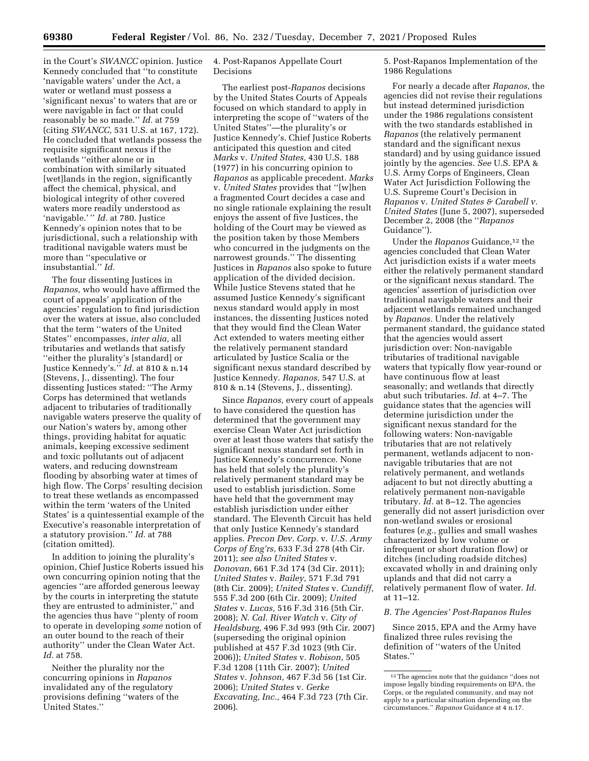in the Court's *SWANCC* opinion. Justice Kennedy concluded that ''to constitute 'navigable waters' under the Act, a water or wetland must possess a 'significant nexus' to waters that are or were navigable in fact or that could reasonably be so made.'' *Id.* at 759 (citing *SWANCC,* 531 U.S. at 167, 172). He concluded that wetlands possess the requisite significant nexus if the wetlands ''either alone or in combination with similarly situated [wet]lands in the region, significantly affect the chemical, physical, and biological integrity of other covered waters more readily understood as 'navigable.' '' *Id.* at 780. Justice Kennedy's opinion notes that to be jurisdictional, such a relationship with traditional navigable waters must be more than ''speculative or insubstantial.'' *Id.* 

The four dissenting Justices in *Rapanos,* who would have affirmed the court of appeals' application of the agencies' regulation to find jurisdiction over the waters at issue, also concluded that the term ''waters of the United States'' encompasses, *inter alia,* all tributaries and wetlands that satisfy ''either the plurality's [standard] or Justice Kennedy's.'' *Id.* at 810 & n.14 (Stevens, J., dissenting). The four dissenting Justices stated: ''The Army Corps has determined that wetlands adjacent to tributaries of traditionally navigable waters preserve the quality of our Nation's waters by, among other things, providing habitat for aquatic animals, keeping excessive sediment and toxic pollutants out of adjacent waters, and reducing downstream flooding by absorbing water at times of high flow. The Corps' resulting decision to treat these wetlands as encompassed within the term 'waters of the United States' is a quintessential example of the Executive's reasonable interpretation of a statutory provision.'' *Id.* at 788 (citation omitted).

In addition to joining the plurality's opinion, Chief Justice Roberts issued his own concurring opinion noting that the agencies ''are afforded generous leeway by the courts in interpreting the statute they are entrusted to administer,'' and the agencies thus have ''plenty of room to operate in developing *some* notion of an outer bound to the reach of their authority'' under the Clean Water Act. *Id.* at 758.

Neither the plurality nor the concurring opinions in *Rapanos*  invalidated any of the regulatory provisions defining ''waters of the United States.''

# 4. Post-Rapanos Appellate Court Decisions

The earliest post-*Rapanos* decisions by the United States Courts of Appeals focused on which standard to apply in interpreting the scope of ''waters of the United States''—the plurality's or Justice Kennedy's. Chief Justice Roberts anticipated this question and cited *Marks* v. *United States,* 430 U.S. 188 (1977) in his concurring opinion to *Rapanos* as applicable precedent. *Marks*  v. *United States* provides that ''[w]hen a fragmented Court decides a case and no single rationale explaining the result enjoys the assent of five Justices, the holding of the Court may be viewed as the position taken by those Members who concurred in the judgments on the narrowest grounds.'' The dissenting Justices in *Rapanos* also spoke to future application of the divided decision. While Justice Stevens stated that he assumed Justice Kennedy's significant nexus standard would apply in most instances, the dissenting Justices noted that they would find the Clean Water Act extended to waters meeting either the relatively permanent standard articulated by Justice Scalia or the significant nexus standard described by Justice Kennedy. *Rapanos,* 547 U.S. at 810 & n.14 (Stevens, J., dissenting).

Since *Rapanos,* every court of appeals to have considered the question has determined that the government may exercise Clean Water Act jurisdiction over at least those waters that satisfy the significant nexus standard set forth in Justice Kennedy's concurrence. None has held that solely the plurality's relatively permanent standard may be used to establish jurisdiction. Some have held that the government may establish jurisdiction under either standard. The Eleventh Circuit has held that only Justice Kennedy's standard applies. *Precon Dev. Corp.* v. *U.S. Army Corps of Eng'rs,* 633 F.3d 278 (4th Cir. 2011); *see also United States* v. *Donovan,* 661 F.3d 174 (3d Cir. 2011); *United States* v. *Bailey,* 571 F.3d 791 (8th Cir. 2009); *United States* v. *Cundiff,*  555 F.3d 200 (6th Cir. 2009); *United States* v. *Lucas,* 516 F.3d 316 (5th Cir. 2008); *N. Cal. River Watch* v. *City of Healdsburg,* 496 F.3d 993 (9th Cir. 2007) (superseding the original opinion published at 457 F.3d 1023 (9th Cir. 2006)); *United States* v. *Robison,* 505 F.3d 1208 (11th Cir. 2007); *United States* v. *Johnson,* 467 F.3d 56 (1st Cir. 2006); *United States* v. *Gerke Excavating, Inc.,* 464 F.3d 723 (7th Cir. 2006).

5. Post-Rapanos Implementation of the 1986 Regulations

For nearly a decade after *Rapanos,* the agencies did not revise their regulations but instead determined jurisdiction under the 1986 regulations consistent with the two standards established in *Rapanos* (the relatively permanent standard and the significant nexus standard) and by using guidance issued jointly by the agencies. *See* U.S. EPA & U.S. Army Corps of Engineers, Clean Water Act Jurisdiction Following the U.S. Supreme Court's Decision in *Rapanos* v. *United States & Carabell v. United States* (June 5, 2007), superseded December 2, 2008 (the ''*Rapanos*  Guidance'').

Under the *Rapanos* Guidance,12 the agencies concluded that Clean Water Act jurisdiction exists if a water meets either the relatively permanent standard or the significant nexus standard. The agencies' assertion of jurisdiction over traditional navigable waters and their adjacent wetlands remained unchanged by *Rapanos.* Under the relatively permanent standard, the guidance stated that the agencies would assert jurisdiction over: Non-navigable tributaries of traditional navigable waters that typically flow year-round or have continuous flow at least seasonally; and wetlands that directly abut such tributaries. *Id.* at 4–7. The guidance states that the agencies will determine jurisdiction under the significant nexus standard for the following waters: Non-navigable tributaries that are not relatively permanent, wetlands adjacent to nonnavigable tributaries that are not relatively permanent, and wetlands adjacent to but not directly abutting a relatively permanent non-navigable tributary. *Id.* at 8–12. The agencies generally did not assert jurisdiction over non-wetland swales or erosional features (*e.g.,* gullies and small washes characterized by low volume or infrequent or short duration flow) or ditches (including roadside ditches) excavated wholly in and draining only uplands and that did not carry a relatively permanent flow of water. *Id.*  at 11–12.

### *B. The Agencies' Post-Rapanos Rules*

Since 2015, EPA and the Army have finalized three rules revising the definition of ''waters of the United States.''

<sup>12</sup>The agencies note that the guidance ''does not impose legally binding requirements on EPA, the Corps, or the regulated community, and may not apply to a particular situation depending on the circumstances.'' *Rapanos* Guidance at 4 n.17.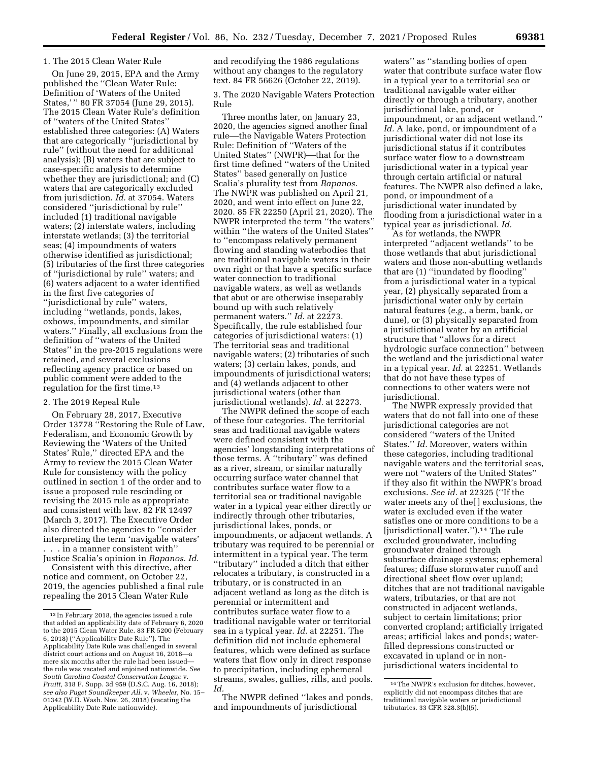### 1. The 2015 Clean Water Rule

On June 29, 2015, EPA and the Army published the ''Clean Water Rule: Definition of 'Waters of the United States,' '' 80 FR 37054 (June 29, 2015). The 2015 Clean Water Rule's definition of ''waters of the United States'' established three categories: (A) Waters that are categorically ''jurisdictional by rule'' (without the need for additional analysis); (B) waters that are subject to case-specific analysis to determine whether they are jurisdictional; and (C) waters that are categorically excluded from jurisdiction. *Id.* at 37054. Waters considered ''jurisdictional by rule'' included (1) traditional navigable waters; (2) interstate waters, including interstate wetlands; (3) the territorial seas; (4) impoundments of waters otherwise identified as jurisdictional; (5) tributaries of the first three categories of ''jurisdictional by rule'' waters; and (6) waters adjacent to a water identified in the first five categories of ''jurisdictional by rule'' waters, including ''wetlands, ponds, lakes, oxbows, impoundments, and similar waters.'' Finally, all exclusions from the definition of ''waters of the United States'' in the pre-2015 regulations were retained, and several exclusions reflecting agency practice or based on public comment were added to the regulation for the first time.13

### 2. The 2019 Repeal Rule

On February 28, 2017, Executive Order 13778 ''Restoring the Rule of Law, Federalism, and Economic Growth by Reviewing the 'Waters of the United States' Rule,'' directed EPA and the Army to review the 2015 Clean Water Rule for consistency with the policy outlined in section 1 of the order and to issue a proposed rule rescinding or revising the 2015 rule as appropriate and consistent with law. 82 FR 12497 (March 3, 2017). The Executive Order also directed the agencies to ''consider interpreting the term 'navigable waters' . . . in a manner consistent with'' Justice Scalia's opinion in *Rapanos. Id.* 

Consistent with this directive, after notice and comment, on October 22, 2019, the agencies published a final rule repealing the 2015 Clean Water Rule

and recodifying the 1986 regulations without any changes to the regulatory text. 84 FR 56626 (October 22, 2019).

3. The 2020 Navigable Waters Protection Rule

Three months later, on January 23, 2020, the agencies signed another final rule––the Navigable Waters Protection Rule: Definition of ''Waters of the United States'' (NWPR)––that for the first time defined ''waters of the United States'' based generally on Justice Scalia's plurality test from *Rapanos.*  The NWPR was published on April 21, 2020, and went into effect on June 22, 2020. 85 FR 22250 (April 21, 2020). The NWPR interpreted the term ''the waters'' within ''the waters of the United States'' to ''encompass relatively permanent flowing and standing waterbodies that are traditional navigable waters in their own right or that have a specific surface water connection to traditional navigable waters, as well as wetlands that abut or are otherwise inseparably bound up with such relatively permanent waters.'' *Id.* at 22273. Specifically, the rule established four categories of jurisdictional waters: (1) The territorial seas and traditional navigable waters; (2) tributaries of such waters; (3) certain lakes, ponds, and impoundments of jurisdictional waters; and (4) wetlands adjacent to other jurisdictional waters (other than jurisdictional wetlands). *Id.* at 22273.

The NWPR defined the scope of each of these four categories. The territorial seas and traditional navigable waters were defined consistent with the agencies' longstanding interpretations of those terms. A ''tributary'' was defined as a river, stream, or similar naturally occurring surface water channel that contributes surface water flow to a territorial sea or traditional navigable water in a typical year either directly or indirectly through other tributaries, jurisdictional lakes, ponds, or impoundments, or adjacent wetlands. A tributary was required to be perennial or intermittent in a typical year. The term ''tributary'' included a ditch that either relocates a tributary, is constructed in a tributary, or is constructed in an adjacent wetland as long as the ditch is perennial or intermittent and contributes surface water flow to a traditional navigable water or territorial sea in a typical year. *Id.* at 22251. The definition did not include ephemeral features, which were defined as surface waters that flow only in direct response to precipitation, including ephemeral streams, swales, gullies, rills, and pools. *Id.* 

The NWPR defined ''lakes and ponds, and impoundments of jurisdictional

waters'' as ''standing bodies of open water that contribute surface water flow in a typical year to a territorial sea or traditional navigable water either directly or through a tributary, another jurisdictional lake, pond, or impoundment, or an adjacent wetland.'' *Id.* A lake, pond, or impoundment of a jurisdictional water did not lose its jurisdictional status if it contributes surface water flow to a downstream jurisdictional water in a typical year through certain artificial or natural features. The NWPR also defined a lake, pond, or impoundment of a jurisdictional water inundated by flooding from a jurisdictional water in a typical year as jurisdictional. *Id.* 

As for wetlands, the NWPR interpreted ''adjacent wetlands'' to be those wetlands that abut jurisdictional waters and those non-abutting wetlands that are (1) ''inundated by flooding'' from a jurisdictional water in a typical year, (2) physically separated from a jurisdictional water only by certain natural features (*e.g.,* a berm, bank, or dune), or (3) physically separated from a jurisdictional water by an artificial structure that ''allows for a direct hydrologic surface connection'' between the wetland and the jurisdictional water in a typical year. *Id.* at 22251. Wetlands that do not have these types of connections to other waters were not jurisdictional.

The NWPR expressly provided that waters that do not fall into one of these jurisdictional categories are not considered ''waters of the United States.'' *Id.* Moreover, waters within these categories, including traditional navigable waters and the territorial seas, were not ''waters of the United States'' if they also fit within the NWPR's broad exclusions. *See id.* at 22325 (''If the water meets any of the[ ] exclusions, the water is excluded even if the water satisfies one or more conditions to be a [jurisdictional] water.'').14 The rule excluded groundwater, including groundwater drained through subsurface drainage systems; ephemeral features; diffuse stormwater runoff and directional sheet flow over upland; ditches that are not traditional navigable waters, tributaries, or that are not constructed in adjacent wetlands, subject to certain limitations; prior converted cropland; artificially irrigated areas; artificial lakes and ponds; waterfilled depressions constructed or excavated in upland or in nonjurisdictional waters incidental to

<sup>13</sup> In February 2018, the agencies issued a rule that added an applicability date of February 6, 2020 to the 2015 Clean Water Rule. 83 FR 5200 (February 6, 2018) (''Applicability Date Rule''). The Applicability Date Rule was challenged in several district court actions and on August 16, 2018—a mere six months after the rule had been issued the rule was vacated and enjoined nationwide. *See South Carolina Coastal Conservation League* v. *Pruitt,* 318 F. Supp. 3d 959 (D.S.C. Aug. 16, 2018); *see also Puget Soundkeeper All.* v. *Wheeler,* No. 15– 01342 (W.D. Wash. Nov. 26, 2018) (vacating the Applicability Date Rule nationwide).

<sup>14</sup>The NWPR's exclusion for ditches, however, explicitly did not encompass ditches that are traditional navigable waters or jurisdictional tributaries. 33 CFR 328.3(b)(5).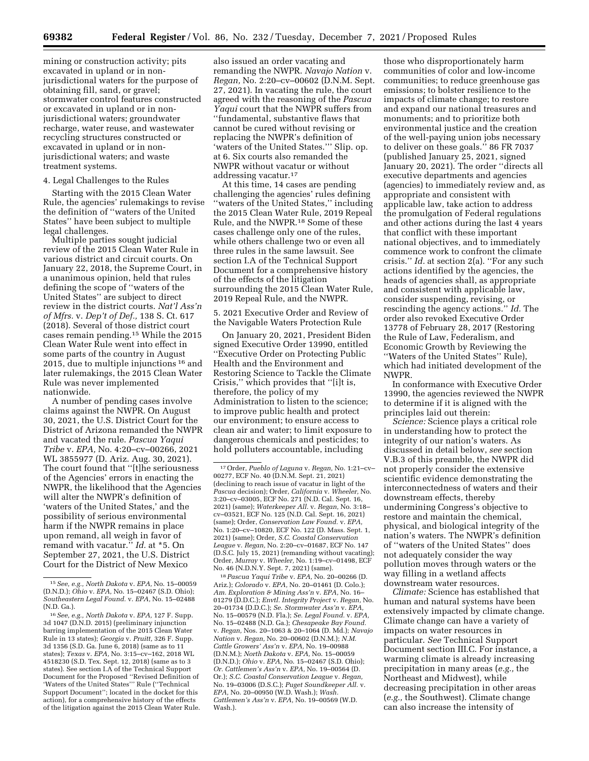mining or construction activity; pits excavated in upland or in nonjurisdictional waters for the purpose of obtaining fill, sand, or gravel; stormwater control features constructed or excavated in upland or in nonjurisdictional waters; groundwater recharge, water reuse, and wastewater recycling structures constructed or excavated in upland or in nonjurisdictional waters; and waste treatment systems.

# 4. Legal Challenges to the Rules

Starting with the 2015 Clean Water Rule, the agencies' rulemakings to revise the definition of ''waters of the United States'' have been subject to multiple legal challenges.

Multiple parties sought judicial review of the 2015 Clean Water Rule in various district and circuit courts. On January 22, 2018, the Supreme Court, in a unanimous opinion, held that rules defining the scope of ''waters of the United States'' are subject to direct review in the district courts. *Nat'l Ass'n of Mfrs.* v. *Dep't of Def.,* 138 S. Ct. 617 (2018). Several of those district court cases remain pending.15 While the 2015 Clean Water Rule went into effect in some parts of the country in August 2015, due to multiple injunctions 16 and later rulemakings, the 2015 Clean Water Rule was never implemented nationwide.

A number of pending cases involve claims against the NWPR. On August 30, 2021, the U.S. District Court for the District of Arizona remanded the NWPR and vacated the rule. *Pascua Yaqui Tribe* v. *EPA,* No. 4:20–cv–00266, 2021 WL 3855977 (D. Ariz. Aug. 30, 2021). The court found that ''[t]he seriousness of the Agencies' errors in enacting the NWPR, the likelihood that the Agencies will alter the NWPR's definition of 'waters of the United States,' and the possibility of serious environmental harm if the NWPR remains in place upon remand, all weigh in favor of remand with vacatur.'' *Id.* at \*5. On September 27, 2021, the U.S. District Court for the District of New Mexico

also issued an order vacating and remanding the NWPR. *Navajo Nation* v. *Regan,* No. 2:20–cv–00602 (D.N.M. Sept. 27, 2021). In vacating the rule, the court agreed with the reasoning of the *Pascua Yaqui* court that the NWPR suffers from ''fundamental, substantive flaws that cannot be cured without revising or replacing the NWPR's definition of 'waters of the United States.''' Slip. op. at 6. Six courts also remanded the NWPR without vacatur or without addressing vacatur.17

At this time, 14 cases are pending challenging the agencies' rules defining ''waters of the United States,'' including the 2015 Clean Water Rule, 2019 Repeal Rule, and the NWPR.18 Some of these cases challenge only one of the rules, while others challenge two or even all three rules in the same lawsuit. See section I.A of the Technical Support Document for a comprehensive history of the effects of the litigation surrounding the 2015 Clean Water Rule, 2019 Repeal Rule, and the NWPR.

5. 2021 Executive Order and Review of the Navigable Waters Protection Rule

On January 20, 2021, President Biden signed Executive Order 13990, entitled ''Executive Order on Protecting Public Health and the Environment and Restoring Science to Tackle the Climate Crisis,'' which provides that ''[i]t is, therefore, the policy of my Administration to listen to the science; to improve public health and protect our environment; to ensure access to clean air and water; to limit exposure to dangerous chemicals and pesticides; to hold polluters accountable, including

18*Pascua Yaqui Tribe* v. *EPA,* No. 20–00266 (D. Ariz.); *Colorado* v. *EPA,* No. 20–01461 (D. Colo.); *Am. Exploration & Mining Ass'n* v. *EPA,* No. 16– 01279 (D.D.C.); *Envtl. Integrity Project* v. *Regan,* No. 20–01734 (D.D.C.); *Se. Stormwater Ass'n* v. *EPA,*  No. 15–00579 (N.D. Fla.); *Se. Legal Found.* v. *EPA,*  No. 15–02488 (N.D. Ga.); *Chesapeake Bay Found.*  v. *Regan,* Nos. 20–1063 & 20–1064 (D. Md.); *Navajo Nation* v. *Regan,* No. 20–00602 (D.N.M.); *N.M. Cattle Growers' Ass'n* v. *EPA,* No. 19–00988 (D.N.M.); *North Dakota* v. *EPA,* No. 15–00059 (D.N.D.); *Ohio* v. *EPA,* No. 15–02467 (S.D. Ohio); *Or. Cattlemen's Ass'n* v. *EPA,* No. 19–00564 (D. Or.); *S.C. Coastal Conservation League* v. *Regan,*  No. 19–03006 (D.S.C.); *Puget Soundkeeper All.* v. *EPA,* No. 20–00950 (W.D. Wash.); *Wash. Cattlemen's Ass'n* v. *EPA,* No. 19–00569 (W.D. Wash.).

those who disproportionately harm communities of color and low-income communities; to reduce greenhouse gas emissions; to bolster resilience to the impacts of climate change; to restore and expand our national treasures and monuments; and to prioritize both environmental justice and the creation of the well-paying union jobs necessary to deliver on these goals.'' 86 FR 7037 (published January 25, 2021, signed January 20, 2021). The order ''directs all executive departments and agencies (agencies) to immediately review and, as appropriate and consistent with applicable law, take action to address the promulgation of Federal regulations and other actions during the last 4 years that conflict with these important national objectives, and to immediately commence work to confront the climate crisis.'' *Id.* at section 2(a). ''For any such actions identified by the agencies, the heads of agencies shall, as appropriate and consistent with applicable law, consider suspending, revising, or rescinding the agency actions.'' *Id.* The order also revoked Executive Order 13778 of February 28, 2017 (Restoring the Rule of Law, Federalism, and Economic Growth by Reviewing the ''Waters of the United States'' Rule), which had initiated development of the NWPR.

In conformance with Executive Order 13990, the agencies reviewed the NWPR to determine if it is aligned with the principles laid out therein:

*Science:* Science plays a critical role in understanding how to protect the integrity of our nation's waters. As discussed in detail below, *see* section V.B.3 of this preamble, the NWPR did not properly consider the extensive scientific evidence demonstrating the interconnectedness of waters and their downstream effects, thereby undermining Congress's objective to restore and maintain the chemical, physical, and biological integrity of the nation's waters. The NWPR's definition of ''waters of the United States'' does not adequately consider the way pollution moves through waters or the way filling in a wetland affects downstream water resources.

*Climate:* Science has established that human and natural systems have been extensively impacted by climate change. Climate change can have a variety of impacts on water resources in particular. *See* Technical Support Document section III.C. For instance, a warming climate is already increasing precipitation in many areas (*e.g.,* the Northeast and Midwest), while decreasing precipitation in other areas (*e.g.,* the Southwest). Climate change can also increase the intensity of

<sup>15</sup>*See, e.g., North Dakota* v. *EPA,* No. 15–00059 (D.N.D.); *Ohio* v. *EPA,* No. 15–02467 (S.D. Ohio); *Southeastern Legal Found.* v. *EPA,* No. 15–02488 (N.D. Ga.).

<sup>16</sup>*See, e.g., North Dakota* v. *EPA,* 127 F. Supp. 3d 1047 (D.N.D. 2015) (preliminary injunction barring implementation of the 2015 Clean Water Rule in 13 states); *Georgia* v. *Pruitt,* 326 F. Supp. 3d 1356 (S.D. Ga. June 6, 2018) (same as to 11 states); *Texas* v. *EPA,* No. 3:15–cv–162, 2018 WL 4518230 (S.D. Tex. Sept. 12, 2018) (same as to 3 states). See section I.A of the Technical Support Document for the Proposed ''Revised Definition of 'Waters of the United States''' Rule (''Technical Support Document''; located in the docket for this action), for a comprehensive history of the effects of the litigation against the 2015 Clean Water Rule.

<sup>17</sup>Order, *Pueblo of Laguna* v. *Regan,* No. 1:21–cv– 00277, ECF No. 40 (D.N.M. Sept. 21, 2021) (declining to reach issue of vacatur in light of the *Pascua* decision); Order, *California* v. *Wheeler,* No. 3:20–cv–03005, ECF No. 271 (N.D. Cal. Sept. 16, 2021) (same); *Waterkeeper All.* v. *Regan,* No. 3:18– cv–03521, ECF No. 125 (N.D. Cal. Sept. 16, 2021) (same); Order, *Conservation Law Found.* v. *EPA,*  No. 1:20–cv–10820, ECF No. 122 (D. Mass. Sept. 1, 2021) (same); Order, *S.C. Coastal Conservation League* v. *Regan,* No. 2:20–cv–01687, ECF No. 147 (D.S.C. July 15, 2021) (remanding without vacating); Order, *Murray* v. *Wheeler,* No. 1:19–cv–01498, ECF No. 46 (N.D.N.Y. Sept. 7, 2021) (same).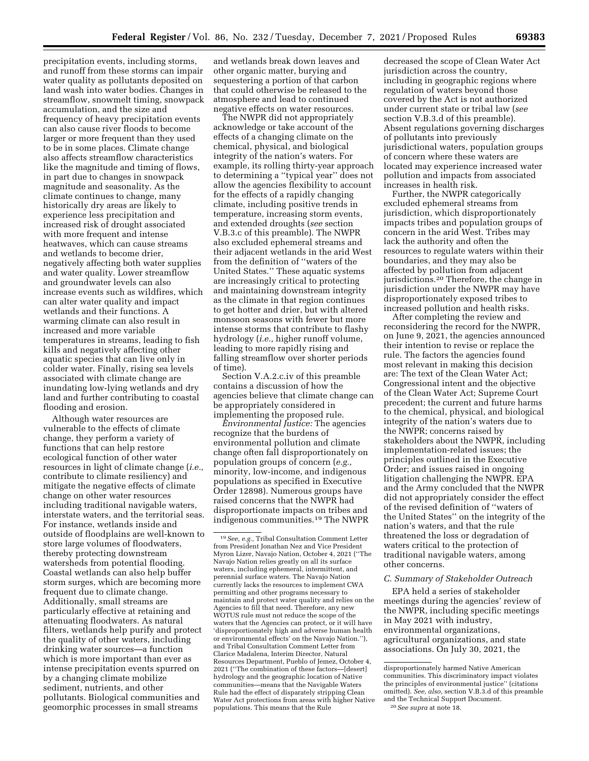precipitation events, including storms, and runoff from these storms can impair water quality as pollutants deposited on land wash into water bodies. Changes in streamflow, snowmelt timing, snowpack accumulation, and the size and frequency of heavy precipitation events can also cause river floods to become larger or more frequent than they used to be in some places. Climate change also affects streamflow characteristics like the magnitude and timing of flows, in part due to changes in snowpack magnitude and seasonality. As the climate continues to change, many historically dry areas are likely to experience less precipitation and increased risk of drought associated with more frequent and intense heatwaves, which can cause streams and wetlands to become drier, negatively affecting both water supplies and water quality. Lower streamflow and groundwater levels can also increase events such as wildfires, which can alter water quality and impact wetlands and their functions. A warming climate can also result in increased and more variable temperatures in streams, leading to fish kills and negatively affecting other aquatic species that can live only in colder water. Finally, rising sea levels associated with climate change are inundating low-lying wetlands and dry land and further contributing to coastal flooding and erosion.

Although water resources are vulnerable to the effects of climate change, they perform a variety of functions that can help restore ecological function of other water resources in light of climate change (*i.e.,*  contribute to climate resiliency) and mitigate the negative effects of climate change on other water resources including traditional navigable waters, interstate waters, and the territorial seas. For instance, wetlands inside and outside of floodplains are well-known to store large volumes of floodwaters, thereby protecting downstream watersheds from potential flooding. Coastal wetlands can also help buffer storm surges, which are becoming more frequent due to climate change. Additionally, small streams are particularly effective at retaining and attenuating floodwaters. As natural filters, wetlands help purify and protect the quality of other waters, including drinking water sources—a function which is more important than ever as intense precipitation events spurred on by a changing climate mobilize sediment, nutrients, and other pollutants. Biological communities and geomorphic processes in small streams

and wetlands break down leaves and other organic matter, burying and sequestering a portion of that carbon that could otherwise be released to the atmosphere and lead to continued negative effects on water resources.

The NWPR did not appropriately acknowledge or take account of the effects of a changing climate on the chemical, physical, and biological integrity of the nation's waters. For example, its rolling thirty-year approach to determining a ''typical year'' does not allow the agencies flexibility to account for the effects of a rapidly changing climate, including positive trends in temperature, increasing storm events, and extended droughts (*see* section V.B.3.c of this preamble). The NWPR also excluded ephemeral streams and their adjacent wetlands in the arid West from the definition of ''waters of the United States.'' These aquatic systems are increasingly critical to protecting and maintaining downstream integrity as the climate in that region continues to get hotter and drier, but with altered monsoon seasons with fewer but more intense storms that contribute to flashy hydrology (*i.e.,* higher runoff volume, leading to more rapidly rising and falling streamflow over shorter periods of time).

Section V.A.2.c.iv of this preamble contains a discussion of how the agencies believe that climate change can be appropriately considered in implementing the proposed rule.

*Environmental Justice:* The agencies recognize that the burdens of environmental pollution and climate change often fall disproportionately on population groups of concern (*e.g.,*  minority, low-income, and indigenous populations as specified in Executive Order 12898). Numerous groups have raised concerns that the NWPR had disproportionate impacts on tribes and indigenous communities.19 The NWPR

decreased the scope of Clean Water Act jurisdiction across the country, including in geographic regions where regulation of waters beyond those covered by the Act is not authorized under current state or tribal law (*see*  section V.B.3.d of this preamble). Absent regulations governing discharges of pollutants into previously jurisdictional waters, population groups of concern where these waters are located may experience increased water pollution and impacts from associated increases in health risk.

Further, the NWPR categorically excluded ephemeral streams from jurisdiction, which disproportionately impacts tribes and population groups of concern in the arid West. Tribes may lack the authority and often the resources to regulate waters within their boundaries, and they may also be affected by pollution from adjacent jurisdictions.20 Therefore, the change in jurisdiction under the NWPR may have disproportionately exposed tribes to increased pollution and health risks.

After completing the review and reconsidering the record for the NWPR, on June 9, 2021, the agencies announced their intention to revise or replace the rule. The factors the agencies found most relevant in making this decision are: The text of the Clean Water Act; Congressional intent and the objective of the Clean Water Act; Supreme Court precedent; the current and future harms to the chemical, physical, and biological integrity of the nation's waters due to the NWPR; concerns raised by stakeholders about the NWPR, including implementation-related issues; the principles outlined in the Executive Order; and issues raised in ongoing litigation challenging the NWPR. EPA and the Army concluded that the NWPR did not appropriately consider the effect of the revised definition of ''waters of the United States'' on the integrity of the nation's waters, and that the rule threatened the loss or degradation of waters critical to the protection of traditional navigable waters, among other concerns.

# *C. Summary of Stakeholder Outreach*

EPA held a series of stakeholder meetings during the agencies' review of the NWPR, including specific meetings in May 2021 with industry, environmental organizations, agricultural organizations, and state associations. On July 30, 2021, the

<sup>19</sup>*See, e.g.,* Tribal Consultation Comment Letter from President Jonathan Nez and Vice President Myron Lizer, Navajo Nation, October 4, 2021 (''The Navajo Nation relies greatly on all its surface waters, including ephemeral, intermittent, and perennial surface waters. The Navajo Nation currently lacks the resources to implement CWA permitting and other programs necessary to maintain and protect water quality and relies on the Agencies to fill that need. Therefore, any new WOTUS rule must not reduce the scope of the waters that the Agencies can protect, or it will have 'disproportionately high and adverse human health or environmental effects' on the Navajo Nation.''), and Tribal Consultation Comment Letter from Clarice Madalena, Interim Director, Natural Resources Department, Pueblo of Jemez, October 4, 2021 (''The combination of these factors—[desert] hydrology and the geographic location of Native communities—means that the Navigable Waters Rule had the effect of disparately stripping Clean Water Act protections from areas with higher Native populations. This means that the Rule

disproportionately harmed Native American communities. This discriminatory impact violates the principles of environmental justice'' (citations omitted). *See, also,* section V.B.3.d of this preamble and the Technical Support Document. 20*See supra* at note 18.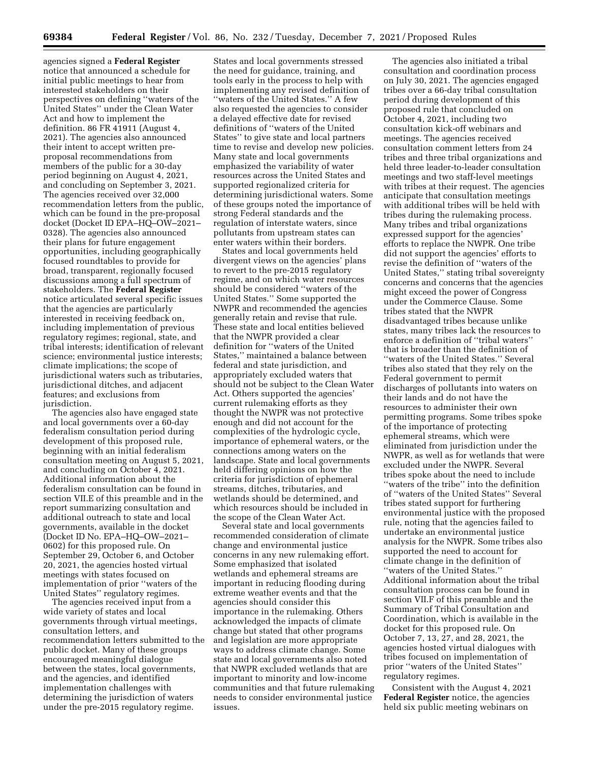agencies signed a **Federal Register**  notice that announced a schedule for initial public meetings to hear from interested stakeholders on their perspectives on defining ''waters of the United States'' under the Clean Water Act and how to implement the definition. 86 FR 41911 (August 4, 2021). The agencies also announced their intent to accept written preproposal recommendations from members of the public for a 30-day period beginning on August 4, 2021, and concluding on September 3, 2021. The agencies received over 32,000 recommendation letters from the public, which can be found in the pre-proposal docket (Docket ID EPA–HQ–OW–2021– 0328). The agencies also announced their plans for future engagement opportunities, including geographically focused roundtables to provide for broad, transparent, regionally focused discussions among a full spectrum of stakeholders. The **Federal Register**  notice articulated several specific issues that the agencies are particularly interested in receiving feedback on, including implementation of previous regulatory regimes; regional, state, and tribal interests; identification of relevant science; environmental justice interests; climate implications; the scope of jurisdictional waters such as tributaries, jurisdictional ditches, and adjacent features; and exclusions from jurisdiction.

The agencies also have engaged state and local governments over a 60-day federalism consultation period during development of this proposed rule, beginning with an initial federalism consultation meeting on August 5, 2021, and concluding on October 4, 2021. Additional information about the federalism consultation can be found in section VII.E of this preamble and in the report summarizing consultation and additional outreach to state and local governments, available in the docket (Docket ID No. EPA–HQ–OW–2021– 0602) for this proposed rule. On September 29, October 6, and October 20, 2021, the agencies hosted virtual meetings with states focused on implementation of prior ''waters of the United States'' regulatory regimes.

The agencies received input from a wide variety of states and local governments through virtual meetings, consultation letters, and recommendation letters submitted to the public docket. Many of these groups encouraged meaningful dialogue between the states, local governments, and the agencies, and identified implementation challenges with determining the jurisdiction of waters under the pre-2015 regulatory regime.

States and local governments stressed the need for guidance, training, and tools early in the process to help with implementing any revised definition of ''waters of the United States.'' A few also requested the agencies to consider a delayed effective date for revised definitions of ''waters of the United States'' to give state and local partners time to revise and develop new policies. Many state and local governments emphasized the variability of water resources across the United States and supported regionalized criteria for determining jurisdictional waters. Some of these groups noted the importance of strong Federal standards and the regulation of interstate waters, since pollutants from upstream states can enter waters within their borders.

States and local governments held divergent views on the agencies' plans to revert to the pre-2015 regulatory regime, and on which water resources should be considered ''waters of the United States.'' Some supported the NWPR and recommended the agencies generally retain and revise that rule. These state and local entities believed that the NWPR provided a clear definition for ''waters of the United States,'' maintained a balance between federal and state jurisdiction, and appropriately excluded waters that should not be subject to the Clean Water Act. Others supported the agencies' current rulemaking efforts as they thought the NWPR was not protective enough and did not account for the complexities of the hydrologic cycle, importance of ephemeral waters, or the connections among waters on the landscape. State and local governments held differing opinions on how the criteria for jurisdiction of ephemeral streams, ditches, tributaries, and wetlands should be determined, and which resources should be included in the scope of the Clean Water Act.

Several state and local governments recommended consideration of climate change and environmental justice concerns in any new rulemaking effort. Some emphasized that isolated wetlands and ephemeral streams are important in reducing flooding during extreme weather events and that the agencies should consider this importance in the rulemaking. Others acknowledged the impacts of climate change but stated that other programs and legislation are more appropriate ways to address climate change. Some state and local governments also noted that NWPR excluded wetlands that are important to minority and low-income communities and that future rulemaking needs to consider environmental justice issues.

The agencies also initiated a tribal consultation and coordination process on July 30, 2021. The agencies engaged tribes over a 66-day tribal consultation period during development of this proposed rule that concluded on October 4, 2021, including two consultation kick-off webinars and meetings. The agencies received consultation comment letters from 24 tribes and three tribal organizations and held three leader-to-leader consultation meetings and two staff-level meetings with tribes at their request. The agencies anticipate that consultation meetings with additional tribes will be held with tribes during the rulemaking process. Many tribes and tribal organizations expressed support for the agencies' efforts to replace the NWPR. One tribe did not support the agencies' efforts to revise the definition of ''waters of the United States,'' stating tribal sovereignty concerns and concerns that the agencies might exceed the power of Congress under the Commerce Clause. Some tribes stated that the NWPR disadvantaged tribes because unlike states, many tribes lack the resources to enforce a definition of ''tribal waters'' that is broader than the definition of ''waters of the United States.'' Several tribes also stated that they rely on the Federal government to permit discharges of pollutants into waters on their lands and do not have the resources to administer their own permitting programs. Some tribes spoke of the importance of protecting ephemeral streams, which were eliminated from jurisdiction under the NWPR, as well as for wetlands that were excluded under the NWPR. Several tribes spoke about the need to include ''waters of the tribe'' into the definition of ''waters of the United States'' Several tribes stated support for furthering environmental justice with the proposed rule, noting that the agencies failed to undertake an environmental justice analysis for the NWPR. Some tribes also supported the need to account for climate change in the definition of ''waters of the United States.'' Additional information about the tribal consultation process can be found in section VII.F of this preamble and the Summary of Tribal Consultation and Coordination, which is available in the docket for this proposed rule. On October 7, 13, 27, and 28, 2021, the agencies hosted virtual dialogues with tribes focused on implementation of prior ''waters of the United States'' regulatory regimes.

Consistent with the August 4, 2021 **Federal Register** notice, the agencies held six public meeting webinars on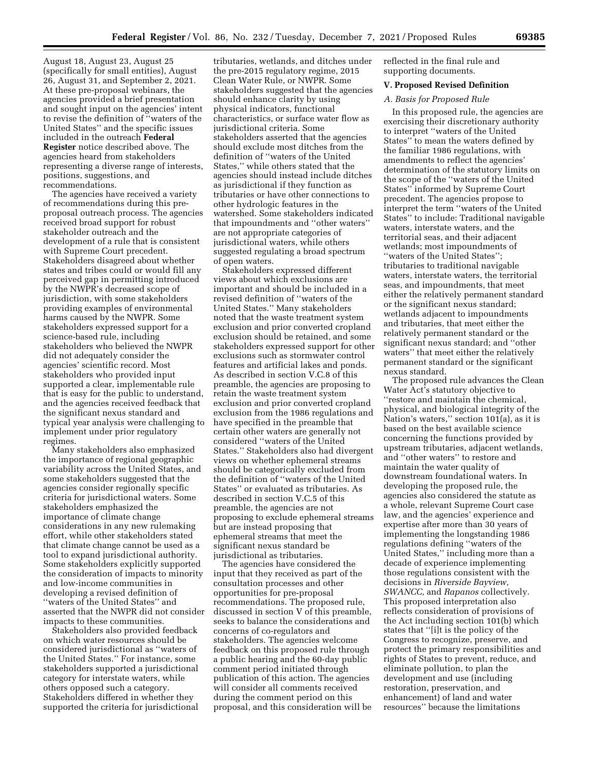August 18, August 23, August 25 (specifically for small entities), August 26, August 31, and September 2, 2021. At these pre-proposal webinars, the agencies provided a brief presentation and sought input on the agencies' intent to revise the definition of ''waters of the United States'' and the specific issues included in the outreach **Federal Register** notice described above. The agencies heard from stakeholders representing a diverse range of interests, positions, suggestions, and recommendations.

The agencies have received a variety of recommendations during this preproposal outreach process. The agencies received broad support for robust stakeholder outreach and the development of a rule that is consistent with Supreme Court precedent. Stakeholders disagreed about whether states and tribes could or would fill any perceived gap in permitting introduced by the NWPR's decreased scope of jurisdiction, with some stakeholders providing examples of environmental harms caused by the NWPR. Some stakeholders expressed support for a science-based rule, including stakeholders who believed the NWPR did not adequately consider the agencies' scientific record. Most stakeholders who provided input supported a clear, implementable rule that is easy for the public to understand, and the agencies received feedback that the significant nexus standard and typical year analysis were challenging to implement under prior regulatory regimes.

Many stakeholders also emphasized the importance of regional geographic variability across the United States, and some stakeholders suggested that the agencies consider regionally specific criteria for jurisdictional waters. Some stakeholders emphasized the importance of climate change considerations in any new rulemaking effort, while other stakeholders stated that climate change cannot be used as a tool to expand jurisdictional authority. Some stakeholders explicitly supported the consideration of impacts to minority and low-income communities in developing a revised definition of ''waters of the United States'' and asserted that the NWPR did not consider impacts to these communities.

Stakeholders also provided feedback on which water resources should be considered jurisdictional as ''waters of the United States.'' For instance, some stakeholders supported a jurisdictional category for interstate waters, while others opposed such a category. Stakeholders differed in whether they supported the criteria for jurisdictional

tributaries, wetlands, and ditches under the pre-2015 regulatory regime, 2015 Clean Water Rule, or NWPR. Some stakeholders suggested that the agencies should enhance clarity by using physical indicators, functional characteristics, or surface water flow as jurisdictional criteria. Some stakeholders asserted that the agencies should exclude most ditches from the definition of ''waters of the United States,'' while others stated that the agencies should instead include ditches as jurisdictional if they function as tributaries or have other connections to other hydrologic features in the watershed. Some stakeholders indicated that impoundments and ''other waters'' are not appropriate categories of jurisdictional waters, while others suggested regulating a broad spectrum of open waters.

Stakeholders expressed different views about which exclusions are important and should be included in a revised definition of ''waters of the United States.'' Many stakeholders noted that the waste treatment system exclusion and prior converted cropland exclusion should be retained, and some stakeholders expressed support for other exclusions such as stormwater control features and artificial lakes and ponds. As described in section V.C.8 of this preamble, the agencies are proposing to retain the waste treatment system exclusion and prior converted cropland exclusion from the 1986 regulations and have specified in the preamble that certain other waters are generally not considered ''waters of the United States.'' Stakeholders also had divergent views on whether ephemeral streams should be categorically excluded from the definition of ''waters of the United States'' or evaluated as tributaries. As described in section V.C.5 of this preamble, the agencies are not proposing to exclude ephemeral streams but are instead proposing that ephemeral streams that meet the significant nexus standard be jurisdictional as tributaries.

The agencies have considered the input that they received as part of the consultation processes and other opportunities for pre-proposal recommendations. The proposed rule, discussed in section V of this preamble, seeks to balance the considerations and concerns of co-regulators and stakeholders. The agencies welcome feedback on this proposed rule through a public hearing and the 60-day public comment period initiated through publication of this action. The agencies will consider all comments received during the comment period on this proposal, and this consideration will be reflected in the final rule and supporting documents.

### **V. Proposed Revised Definition**

# *A. Basis for Proposed Rule*

In this proposed rule, the agencies are exercising their discretionary authority to interpret ''waters of the United States'' to mean the waters defined by the familiar 1986 regulations, with amendments to reflect the agencies' determination of the statutory limits on the scope of the ''waters of the United States'' informed by Supreme Court precedent. The agencies propose to interpret the term ''waters of the United States'' to include: Traditional navigable waters, interstate waters, and the territorial seas, and their adjacent wetlands; most impoundments of ''waters of the United States''; tributaries to traditional navigable waters, interstate waters, the territorial seas, and impoundments, that meet either the relatively permanent standard or the significant nexus standard; wetlands adjacent to impoundments and tributaries, that meet either the relatively permanent standard or the significant nexus standard; and ''other waters'' that meet either the relatively permanent standard or the significant nexus standard.

The proposed rule advances the Clean Water Act's statutory objective to ''restore and maintain the chemical, physical, and biological integrity of the Nation's waters," section 101(a), as it is based on the best available science concerning the functions provided by upstream tributaries, adjacent wetlands, and ''other waters'' to restore and maintain the water quality of downstream foundational waters. In developing the proposed rule, the agencies also considered the statute as a whole, relevant Supreme Court case law, and the agencies' experience and expertise after more than 30 years of implementing the longstanding 1986 regulations defining ''waters of the United States,'' including more than a decade of experience implementing those regulations consistent with the decisions in *Riverside Bayview, SWANCC,* and *Rapanos* collectively. This proposed interpretation also reflects consideration of provisions of the Act including section 101(b) which states that ''[i]t is the policy of the Congress to recognize, preserve, and protect the primary responsibilities and rights of States to prevent, reduce, and eliminate pollution, to plan the development and use (including restoration, preservation, and enhancement) of land and water resources'' because the limitations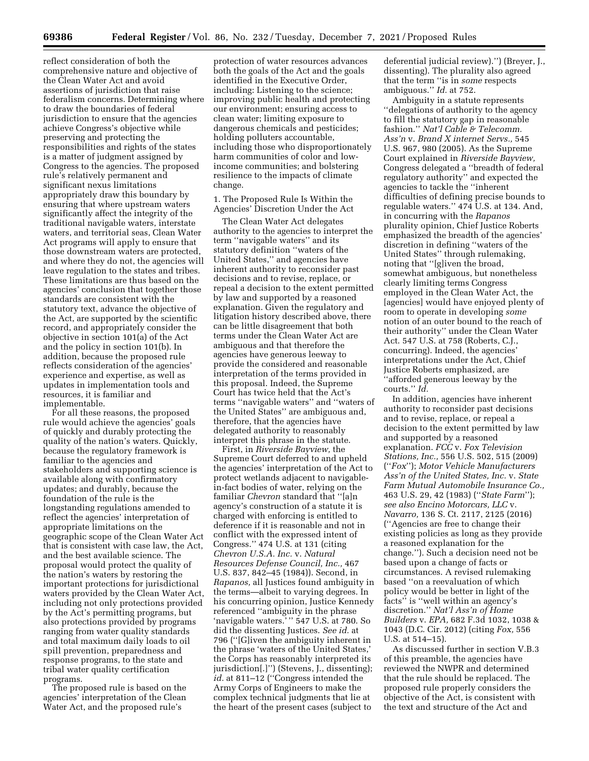reflect consideration of both the comprehensive nature and objective of the Clean Water Act and avoid assertions of jurisdiction that raise federalism concerns. Determining where to draw the boundaries of federal jurisdiction to ensure that the agencies achieve Congress's objective while preserving and protecting the responsibilities and rights of the states is a matter of judgment assigned by Congress to the agencies. The proposed rule's relatively permanent and significant nexus limitations appropriately draw this boundary by ensuring that where upstream waters significantly affect the integrity of the traditional navigable waters, interstate waters, and territorial seas, Clean Water Act programs will apply to ensure that those downstream waters are protected, and where they do not, the agencies will leave regulation to the states and tribes. These limitations are thus based on the agencies' conclusion that together those standards are consistent with the statutory text, advance the objective of the Act, are supported by the scientific record, and appropriately consider the objective in section 101(a) of the Act and the policy in section 101(b). In addition, because the proposed rule reflects consideration of the agencies' experience and expertise, as well as updates in implementation tools and resources, it is familiar and implementable.

For all these reasons, the proposed rule would achieve the agencies' goals of quickly and durably protecting the quality of the nation's waters. Quickly, because the regulatory framework is familiar to the agencies and stakeholders and supporting science is available along with confirmatory updates; and durably, because the foundation of the rule is the longstanding regulations amended to reflect the agencies' interpretation of appropriate limitations on the geographic scope of the Clean Water Act that is consistent with case law, the Act, and the best available science. The proposal would protect the quality of the nation's waters by restoring the important protections for jurisdictional waters provided by the Clean Water Act, including not only protections provided by the Act's permitting programs, but also protections provided by programs ranging from water quality standards and total maximum daily loads to oil spill prevention, preparedness and response programs, to the state and tribal water quality certification programs.

The proposed rule is based on the agencies' interpretation of the Clean Water Act, and the proposed rule's

protection of water resources advances both the goals of the Act and the goals identified in the Executive Order, including: Listening to the science; improving public health and protecting our environment; ensuring access to clean water; limiting exposure to dangerous chemicals and pesticides; holding polluters accountable, including those who disproportionately harm communities of color and lowincome communities; and bolstering resilience to the impacts of climate change.

1. The Proposed Rule Is Within the Agencies' Discretion Under the Act

The Clean Water Act delegates authority to the agencies to interpret the term ''navigable waters'' and its statutory definition ''waters of the United States,'' and agencies have inherent authority to reconsider past decisions and to revise, replace, or repeal a decision to the extent permitted by law and supported by a reasoned explanation. Given the regulatory and litigation history described above, there can be little disagreement that both terms under the Clean Water Act are ambiguous and that therefore the agencies have generous leeway to provide the considered and reasonable interpretation of the terms provided in this proposal. Indeed, the Supreme Court has twice held that the Act's terms ''navigable waters'' and ''waters of the United States'' are ambiguous and, therefore, that the agencies have delegated authority to reasonably interpret this phrase in the statute.

First, in *Riverside Bayview,* the Supreme Court deferred to and upheld the agencies' interpretation of the Act to protect wetlands adjacent to navigablein-fact bodies of water, relying on the familiar *Chevron* standard that ''[a]n agency's construction of a statute it is charged with enforcing is entitled to deference if it is reasonable and not in conflict with the expressed intent of Congress.'' 474 U.S. at 131 (citing *Chevron U.S.A. Inc.* v. *Natural Resources Defense Council, Inc.,* 467 U.S. 837, 842–45 (1984)). Second, in *Rapanos,* all Justices found ambiguity in the terms—albeit to varying degrees. In his concurring opinion, Justice Kennedy referenced ''ambiguity in the phrase 'navigable waters.'" 547 U.S. at 780. So did the dissenting Justices. *See id.* at 796 (''[G]iven the ambiguity inherent in the phrase 'waters of the United States,' the Corps has reasonably interpreted its jurisdiction[.]'') (Stevens, J., dissenting); *id.* at 811–12 (''Congress intended the Army Corps of Engineers to make the complex technical judgments that lie at the heart of the present cases (subject to

deferential judicial review).'') (Breyer, J., dissenting). The plurality also agreed that the term ''is in *some* respects ambiguous.'' *Id.* at 752.

Ambiguity in a statute represents ''delegations of authority to the agency to fill the statutory gap in reasonable fashion.'' *Nat'l Cable & Telecomm. Ass'n* v. *Brand X internet Servs.,* 545 U.S. 967, 980 (2005). As the Supreme Court explained in *Riverside Bayview,*  Congress delegated a ''breadth of federal regulatory authority'' and expected the agencies to tackle the ''inherent difficulties of defining precise bounds to regulable waters.'' 474 U.S. at 134. And, in concurring with the *Rapanos*  plurality opinion, Chief Justice Roberts emphasized the breadth of the agencies' discretion in defining ''waters of the United States'' through rulemaking, noting that ''[g]iven the broad, somewhat ambiguous, but nonetheless clearly limiting terms Congress employed in the Clean Water Act, the [agencies] would have enjoyed plenty of room to operate in developing *some*  notion of an outer bound to the reach of their authority'' under the Clean Water Act. 547 U.S. at 758 (Roberts, C.J., concurring). Indeed, the agencies' interpretations under the Act, Chief Justice Roberts emphasized, are ''afforded generous leeway by the courts.'' *Id.* 

In addition, agencies have inherent authority to reconsider past decisions and to revise, replace, or repeal a decision to the extent permitted by law and supported by a reasoned explanation. *FCC* v. *Fox Television Stations, Inc.,* 556 U.S. 502, 515 (2009) (''*Fox*''); *Motor Vehicle Manufacturers Ass'n of the United States, Inc.* v. *State Farm Mutual Automobile Insurance Co.,*  463 U.S. 29, 42 (1983) (''*State Farm*''); *see also Encino Motorcars, LLC* v. *Navarro,* 136 S. Ct. 2117, 2125 (2016) (''Agencies are free to change their existing policies as long as they provide a reasoned explanation for the change.''). Such a decision need not be based upon a change of facts or circumstances. A revised rulemaking based ''on a reevaluation of which policy would be better in light of the facts" is "well within an agency's discretion.'' *Nat'l Ass'n of Home Builders* v. *EPA,* 682 F.3d 1032, 1038 & 1043 (D.C. Cir. 2012) (citing *Fox,* 556 U.S. at 514–15).

As discussed further in section V.B.3 of this preamble, the agencies have reviewed the NWPR and determined that the rule should be replaced. The proposed rule properly considers the objective of the Act, is consistent with the text and structure of the Act and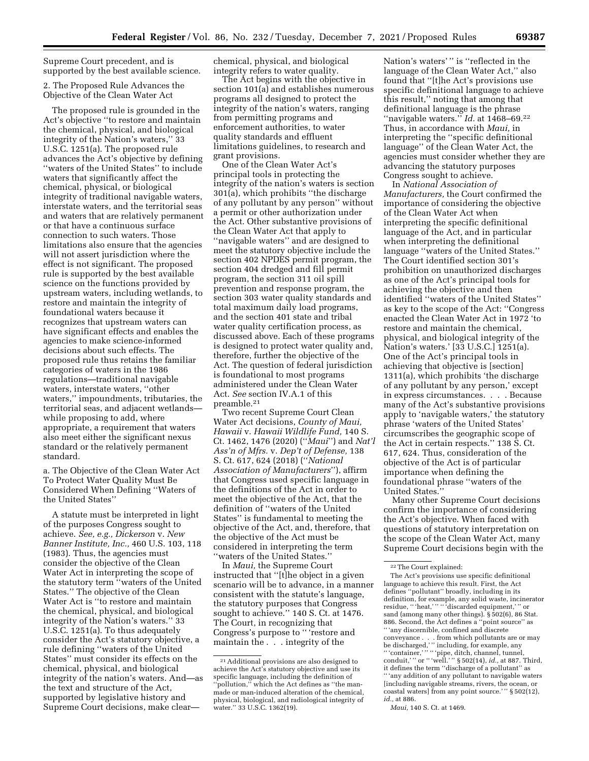Supreme Court precedent, and is supported by the best available science.

2. The Proposed Rule Advances the Objective of the Clean Water Act

The proposed rule is grounded in the Act's objective ''to restore and maintain the chemical, physical, and biological integrity of the Nation's waters,'' 33 U.S.C. 1251(a). The proposed rule advances the Act's objective by defining ''waters of the United States'' to include waters that significantly affect the chemical, physical, or biological integrity of traditional navigable waters, interstate waters, and the territorial seas and waters that are relatively permanent or that have a continuous surface connection to such waters. Those limitations also ensure that the agencies will not assert jurisdiction where the effect is not significant. The proposed rule is supported by the best available science on the functions provided by upstream waters, including wetlands, to restore and maintain the integrity of foundational waters because it recognizes that upstream waters can have significant effects and enables the agencies to make science-informed decisions about such effects. The proposed rule thus retains the familiar categories of waters in the 1986 regulations—traditional navigable waters, interstate waters, ''other waters,'' impoundments, tributaries, the territorial seas, and adjacent wetlands while proposing to add, where appropriate, a requirement that waters also meet either the significant nexus standard or the relatively permanent standard.

a. The Objective of the Clean Water Act To Protect Water Quality Must Be Considered When Defining ''Waters of the United States''

A statute must be interpreted in light of the purposes Congress sought to achieve. *See, e.g., Dickerson* v. *New Banner Institute, Inc.,* 460 U.S. 103, 118 (1983). Thus, the agencies must consider the objective of the Clean Water Act in interpreting the scope of the statutory term ''waters of the United States.'' The objective of the Clean Water Act is ''to restore and maintain the chemical, physical, and biological integrity of the Nation's waters.'' 33 U.S.C. 1251(a). To thus adequately consider the Act's statutory objective, a rule defining ''waters of the United States'' must consider its effects on the chemical, physical, and biological integrity of the nation's waters. And—as the text and structure of the Act, supported by legislative history and Supreme Court decisions, make clearchemical, physical, and biological integrity refers to water quality.

The Act begins with the objective in section 101(a) and establishes numerous programs all designed to protect the integrity of the nation's waters, ranging from permitting programs and enforcement authorities, to water quality standards and effluent limitations guidelines, to research and grant provisions.

One of the Clean Water Act's principal tools in protecting the integrity of the nation's waters is section 301(a), which prohibits ''the discharge of any pollutant by any person'' without a permit or other authorization under the Act. Other substantive provisions of the Clean Water Act that apply to ''navigable waters'' and are designed to meet the statutory objective include the section 402 NPDES permit program, the section 404 dredged and fill permit program, the section 311 oil spill prevention and response program, the section 303 water quality standards and total maximum daily load programs, and the section 401 state and tribal water quality certification process, as discussed above. Each of these programs is designed to protect water quality and, therefore, further the objective of the Act. The question of federal jurisdiction is foundational to most programs administered under the Clean Water Act. *See* section IV.A.1 of this preamble.21

Two recent Supreme Court Clean Water Act decisions, *County of Maui, Hawaii* v. *Hawaii Wildlife Fund,* 140 S. Ct. 1462, 1476 (2020) (''*Maui*'') and *Nat'l Ass'n of Mfrs.* v. *Dep't of Defense,* 138 S. Ct. 617, 624 (2018) (''*National Association of Manufacturers*''), affirm that Congress used specific language in the definitions of the Act in order to meet the objective of the Act, that the definition of ''waters of the United States'' is fundamental to meeting the objective of the Act, and, therefore, that the objective of the Act must be considered in interpreting the term ''waters of the United States.''

In *Maui,* the Supreme Court instructed that ''[t]he object in a given scenario will be to advance, in a manner consistent with the statute's language, the statutory purposes that Congress sought to achieve.'' 140 S. Ct. at 1476. The Court, in recognizing that Congress's purpose to '' 'restore and maintain the . . . integrity of the

Nation's waters'" is "reflected in the language of the Clean Water Act,'' also found that ''[t]he Act's provisions use specific definitional language to achieve this result,'' noting that among that definitional language is the phrase "navigable waters." *Id.* at 1468-69.<sup>22</sup> Thus, in accordance with *Maui,* in interpreting the ''specific definitional language'' of the Clean Water Act, the agencies must consider whether they are advancing the statutory purposes Congress sought to achieve.

In *National Association of Manufacturers,* the Court confirmed the importance of considering the objective of the Clean Water Act when interpreting the specific definitional language of the Act, and in particular when interpreting the definitional language ''waters of the United States.'' The Court identified section 301's prohibition on unauthorized discharges as one of the Act's principal tools for achieving the objective and then identified ''waters of the United States'' as key to the scope of the Act: ''Congress enacted the Clean Water Act in 1972 'to restore and maintain the chemical, physical, and biological integrity of the Nation's waters.' [33 U.S.C.] 1251(a). One of the Act's principal tools in achieving that objective is [section] 1311(a), which prohibits 'the discharge of any pollutant by any person,' except in express circumstances. . . . Because many of the Act's substantive provisions apply to 'navigable waters,' the statutory phrase 'waters of the United States' circumscribes the geographic scope of the Act in certain respects.'' 138 S. Ct. 617, 624. Thus, consideration of the objective of the Act is of particular importance when defining the foundational phrase ''waters of the United States.''

Many other Supreme Court decisions confirm the importance of considering the Act's objective. When faced with questions of statutory interpretation on the scope of the Clean Water Act, many Supreme Court decisions begin with the

<sup>21</sup>Additional provisions are also designed to achieve the Act's statutory objective and use its specific language, including the definition of ''pollution,'' which the Act defines as ''the manmade or man-induced alteration of the chemical, physical, biological, and radiological integrity of water.'' 33 U.S.C. 1362(19).

<sup>22</sup>The Court explained:

The Act's provisions use specific definitional language to achieve this result. First, the Act defines ''pollutant'' broadly, including in its definition, for example, any solid waste, incinerator residue, '' 'heat,' '' '' 'discarded equipment,' '' or sand (among many other things). § 502(6), 86 Stat. 886. Second, the Act defines a ''point source'' as '' 'any discernible, confined and discrete conveyance . . . from which pollutants are or may be discharged,' '' including, for example, any '' 'container,' '' '' 'pipe, ditch, channel, tunnel, conduit,'" or "'well.'" § 502(14), *id.*, at 887. Third, it defines the term ''discharge of a pollutant'' as '' 'any addition of any pollutant to navigable waters [including navigable streams, rivers, the ocean, or coastal waters] from any point source.'" § 502(12), *id.*, at 886.

*Maui,* 140 S. Ct. at 1469.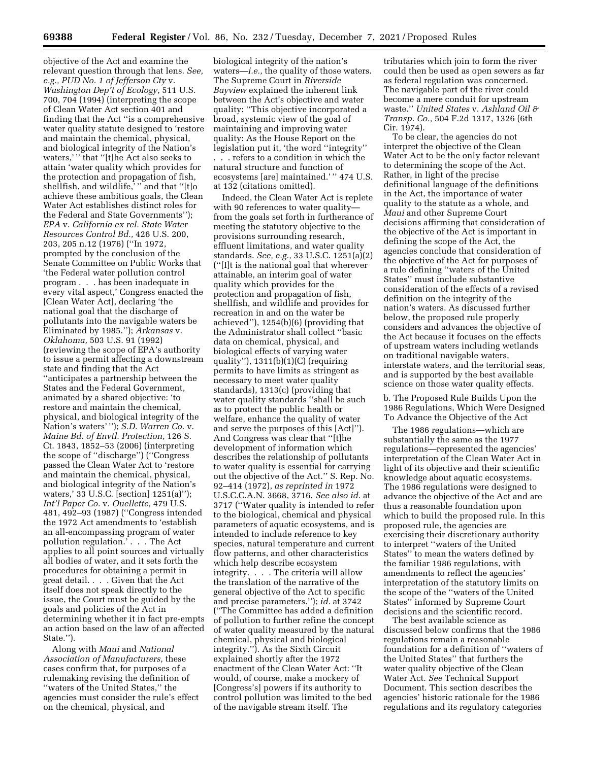objective of the Act and examine the relevant question through that lens. *See, e.g., PUD No. 1 of Jefferson Cty* v. *Washington Dep't of Ecology,* 511 U.S. 700, 704 (1994) (interpreting the scope of Clean Water Act section 401 and finding that the Act ''is a comprehensive water quality statute designed to 'restore and maintain the chemical, physical, and biological integrity of the Nation's waters," that "[t]he Act also seeks to attain 'water quality which provides for the protection and propagation of fish, shellfish, and wildlife, "and that "[t]o achieve these ambitious goals, the Clean Water Act establishes distinct roles for the Federal and State Governments''); *EPA* v. *California ex rel. State Water Resources Control Bd.,* 426 U.S. 200, 203, 205 n.12 (1976) (''In 1972, prompted by the conclusion of the Senate Committee on Public Works that 'the Federal water pollution control program . . . has been inadequate in every vital aspect,' Congress enacted the [Clean Water Act], declaring 'the national goal that the discharge of pollutants into the navigable waters be Eliminated by 1985.''); *Arkansas* v. *Oklahoma,* 503 U.S. 91 (1992) (reviewing the scope of EPA's authority to issue a permit affecting a downstream state and finding that the Act ''anticipates a partnership between the States and the Federal Government, animated by a shared objective: 'to restore and maintain the chemical, physical, and biological integrity of the Nation's waters' ''); *S.D. Warren Co.* v. *Maine Bd. of Envtl. Protection,* 126 S. Ct. 1843, 1852–53 (2006) (interpreting the scope of ''discharge'') (''Congress passed the Clean Water Act to 'restore and maintain the chemical, physical, and biological integrity of the Nation's waters,' 33 U.S.C. [section] 1251(a)''); *Int'l Paper Co.* v. *Ouellette,* 479 U.S. 481, 492–93 (1987) (''Congress intended the 1972 Act amendments to 'establish an all-encompassing program of water pollution regulation.' . . . The Act applies to all point sources and virtually all bodies of water, and it sets forth the procedures for obtaining a permit in great detail. . . . Given that the Act itself does not speak directly to the issue, the Court must be guided by the goals and policies of the Act in determining whether it in fact pre-empts an action based on the law of an affected State.'').

Along with *Maui* and *National Association of Manufacturers,* these cases confirm that, for purposes of a rulemaking revising the definition of ''waters of the United States,'' the agencies must consider the rule's effect on the chemical, physical, and

biological integrity of the nation's waters—*i.e.,* the quality of those waters. The Supreme Court in *Riverside Bayview* explained the inherent link between the Act's objective and water quality: ''This objective incorporated a broad, systemic view of the goal of maintaining and improving water quality: As the House Report on the legislation put it, 'the word ''integrity'' . . . refers to a condition in which the natural structure and function of ecosystems [are] maintained.' '' 474 U.S. at 132 (citations omitted).

Indeed, the Clean Water Act is replete with 90 references to water quality from the goals set forth in furtherance of meeting the statutory objective to the provisions surrounding research, effluent limitations, and water quality standards. *See, e.g.,* 33 U.S.C. 1251(a)(2) (''[I]t is the national goal that wherever attainable, an interim goal of water quality which provides for the protection and propagation of fish, shellfish, and wildlife and provides for recreation in and on the water be achieved''), 1254(b)(6) (providing that the Administrator shall collect ''basic data on chemical, physical, and biological effects of varying water quality''), 1311(b)(1)(C) (requiring permits to have limits as stringent as necessary to meet water quality standards), 1313(c) (providing that water quality standards ''shall be such as to protect the public health or welfare, enhance the quality of water and serve the purposes of this [Act]''). And Congress was clear that ''[t]he development of information which describes the relationship of pollutants to water quality is essential for carrying out the objective of the Act.'' S. Rep. No. 92–414 (1972), *as reprinted in* 1972 U.S.C.C.A.N. 3668, 3716. *See also id.* at 3717 (''Water quality is intended to refer to the biological, chemical and physical parameters of aquatic ecosystems, and is intended to include reference to key species, natural temperature and current flow patterns, and other characteristics which help describe ecosystem integrity. . . . The criteria will allow the translation of the narrative of the general objective of the Act to specific and precise parameters.''); *id.* at 3742 (''The Committee has added a definition of pollution to further refine the concept of water quality measured by the natural chemical, physical and biological integrity.''). As the Sixth Circuit explained shortly after the 1972 enactment of the Clean Water Act: ''It would, of course, make a mockery of [Congress's] powers if its authority to control pollution was limited to the bed of the navigable stream itself. The

tributaries which join to form the river could then be used as open sewers as far as federal regulation was concerned. The navigable part of the river could become a mere conduit for upstream waste.'' *United States* v. *Ashland Oil & Transp. Co.,* 504 F.2d 1317, 1326 (6th Cir. 1974).

To be clear, the agencies do not interpret the objective of the Clean Water Act to be the only factor relevant to determining the scope of the Act. Rather, in light of the precise definitional language of the definitions in the Act, the importance of water quality to the statute as a whole, and *Maui* and other Supreme Court decisions affirming that consideration of the objective of the Act is important in defining the scope of the Act, the agencies conclude that consideration of the objective of the Act for purposes of a rule defining ''waters of the United States'' must include substantive consideration of the effects of a revised definition on the integrity of the nation's waters. As discussed further below, the proposed rule properly considers and advances the objective of the Act because it focuses on the effects of upstream waters including wetlands on traditional navigable waters, interstate waters, and the territorial seas, and is supported by the best available science on those water quality effects.

b. The Proposed Rule Builds Upon the 1986 Regulations, Which Were Designed To Advance the Objective of the Act

The 1986 regulations—which are substantially the same as the 1977 regulations—represented the agencies' interpretation of the Clean Water Act in light of its objective and their scientific knowledge about aquatic ecosystems. The 1986 regulations were designed to advance the objective of the Act and are thus a reasonable foundation upon which to build the proposed rule. In this proposed rule, the agencies are exercising their discretionary authority to interpret ''waters of the United States'' to mean the waters defined by the familiar 1986 regulations, with amendments to reflect the agencies' interpretation of the statutory limits on the scope of the ''waters of the United States'' informed by Supreme Court decisions and the scientific record.

The best available science as discussed below confirms that the 1986 regulations remain a reasonable foundation for a definition of ''waters of the United States'' that furthers the water quality objective of the Clean Water Act. *See* Technical Support Document. This section describes the agencies' historic rationale for the 1986 regulations and its regulatory categories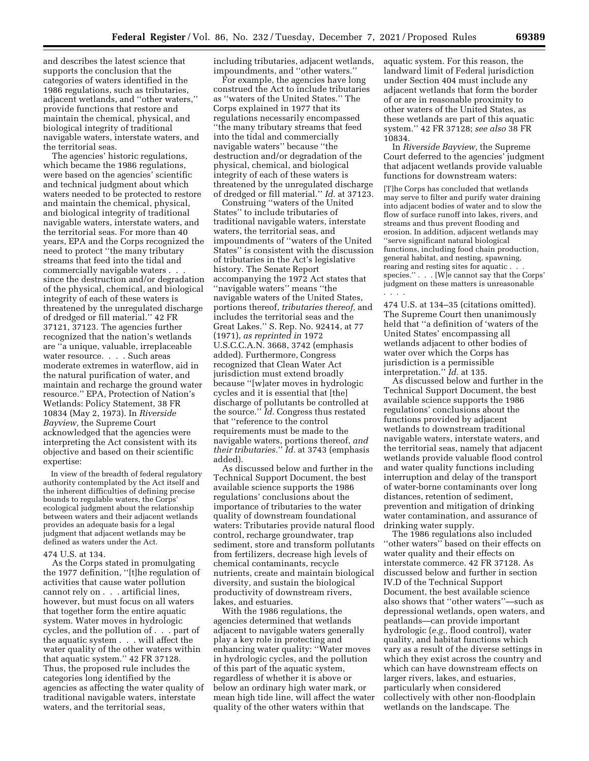and describes the latest science that supports the conclusion that the categories of waters identified in the 1986 regulations, such as tributaries, adjacent wetlands, and ''other waters,'' provide functions that restore and maintain the chemical, physical, and biological integrity of traditional navigable waters, interstate waters, and the territorial seas.

The agencies' historic regulations, which became the 1986 regulations, were based on the agencies' scientific and technical judgment about which waters needed to be protected to restore and maintain the chemical, physical, and biological integrity of traditional navigable waters, interstate waters, and the territorial seas. For more than 40 years, EPA and the Corps recognized the need to protect ''the many tributary streams that feed into the tidal and commercially navigable waters . . . since the destruction and/or degradation of the physical, chemical, and biological integrity of each of these waters is threatened by the unregulated discharge of dredged or fill material.'' 42 FR 37121, 37123. The agencies further recognized that the nation's wetlands are ''a unique, valuable, irreplaceable water resource. . . . Such areas moderate extremes in waterflow, aid in the natural purification of water, and maintain and recharge the ground water resource.'' EPA, Protection of Nation's Wetlands: Policy Statement, 38 FR 10834 (May 2, 1973). In *Riverside Bayview,* the Supreme Court acknowledged that the agencies were interpreting the Act consistent with its objective and based on their scientific expertise:

In view of the breadth of federal regulatory authority contemplated by the Act itself and the inherent difficulties of defining precise bounds to regulable waters, the Corps' ecological judgment about the relationship between waters and their adjacent wetlands provides an adequate basis for a legal judgment that adjacent wetlands may be defined as waters under the Act.

#### 474 U.S. at 134.

As the Corps stated in promulgating the 1977 definition, ''[t]he regulation of activities that cause water pollution cannot rely on . . . artificial lines, however, but must focus on all waters that together form the entire aquatic system. Water moves in hydrologic cycles, and the pollution of . . . part of the aquatic system . . . will affect the water quality of the other waters within that aquatic system.'' 42 FR 37128. Thus, the proposed rule includes the categories long identified by the agencies as affecting the water quality of traditional navigable waters, interstate waters, and the territorial seas,

including tributaries, adjacent wetlands, impoundments, and ''other waters.''

For example, the agencies have long construed the Act to include tributaries as ''waters of the United States.'' The Corps explained in 1977 that its regulations necessarily encompassed ''the many tributary streams that feed into the tidal and commercially navigable waters'' because ''the destruction and/or degradation of the physical, chemical, and biological integrity of each of these waters is threatened by the unregulated discharge of dredged or fill material.'' *Id.* at 37123.

Construing ''waters of the United States'' to include tributaries of traditional navigable waters, interstate waters, the territorial seas, and impoundments of ''waters of the United States'' is consistent with the discussion of tributaries in the Act's legislative history. The Senate Report accompanying the 1972 Act states that ''navigable waters'' means ''the navigable waters of the United States, portions thereof, *tributaries thereof,* and includes the territorial seas and the Great Lakes.'' S. Rep. No. 92414, at 77 (1971), *as reprinted in* 1972 U.S.C.C.A.N. 3668, 3742 (emphasis added). Furthermore, Congress recognized that Clean Water Act jurisdiction must extend broadly because ''[w]ater moves in hydrologic cycles and it is essential that [the] discharge of pollutants be controlled at the source.'' *Id.* Congress thus restated that ''reference to the control requirements must be made to the navigable waters, portions thereof, *and their tributaries.*'' *Id.* at 3743 (emphasis added).

As discussed below and further in the Technical Support Document, the best available science supports the 1986 regulations' conclusions about the importance of tributaries to the water quality of downstream foundational waters: Tributaries provide natural flood control, recharge groundwater, trap sediment, store and transform pollutants from fertilizers, decrease high levels of chemical contaminants, recycle nutrients, create and maintain biological diversity, and sustain the biological productivity of downstream rivers, lakes, and estuaries.

With the 1986 regulations, the agencies determined that wetlands adjacent to navigable waters generally play a key role in protecting and enhancing water quality: ''Water moves in hydrologic cycles, and the pollution of this part of the aquatic system, regardless of whether it is above or below an ordinary high water mark, or mean high tide line, will affect the water quality of the other waters within that

aquatic system. For this reason, the landward limit of Federal jurisdiction under Section 404 must include any adjacent wetlands that form the border of or are in reasonable proximity to other waters of the United States, as these wetlands are part of this aquatic system.'' 42 FR 37128; *see also* 38 FR 10834.

In *Riverside Bayview,* the Supreme Court deferred to the agencies' judgment that adjacent wetlands provide valuable functions for downstream waters:

[T]he Corps has concluded that wetlands may serve to filter and purify water draining into adjacent bodies of water and to slow the flow of surface runoff into lakes, rivers, and streams and thus prevent flooding and erosion. In addition, adjacent wetlands may ''serve significant natural biological functions, including food chain production, general habitat, and nesting, spawning, rearing and resting sites for aquatic. species.'' . . . [W]e cannot say that the Corps' judgment on these matters is unreasonable . . . .

474 U.S. at 134–35 (citations omitted). The Supreme Court then unanimously held that ''a definition of 'waters of the United States' encompassing all wetlands adjacent to other bodies of water over which the Corps has jurisdiction is a permissible interpretation.'' *Id.* at 135.

As discussed below and further in the Technical Support Document, the best available science supports the 1986 regulations' conclusions about the functions provided by adjacent wetlands to downstream traditional navigable waters, interstate waters, and the territorial seas, namely that adjacent wetlands provide valuable flood control and water quality functions including interruption and delay of the transport of water-borne contaminants over long distances, retention of sediment, prevention and mitigation of drinking water contamination, and assurance of drinking water supply.

The 1986 regulations also included ''other waters'' based on their effects on water quality and their effects on interstate commerce. 42 FR 37128. As discussed below and further in section IV.D of the Technical Support Document, the best available science also shows that ''other waters''—such as depressional wetlands, open waters, and peatlands—can provide important hydrologic (*e.g.,* flood control), water quality, and habitat functions which vary as a result of the diverse settings in which they exist across the country and which can have downstream effects on larger rivers, lakes, and estuaries, particularly when considered collectively with other non-floodplain wetlands on the landscape. The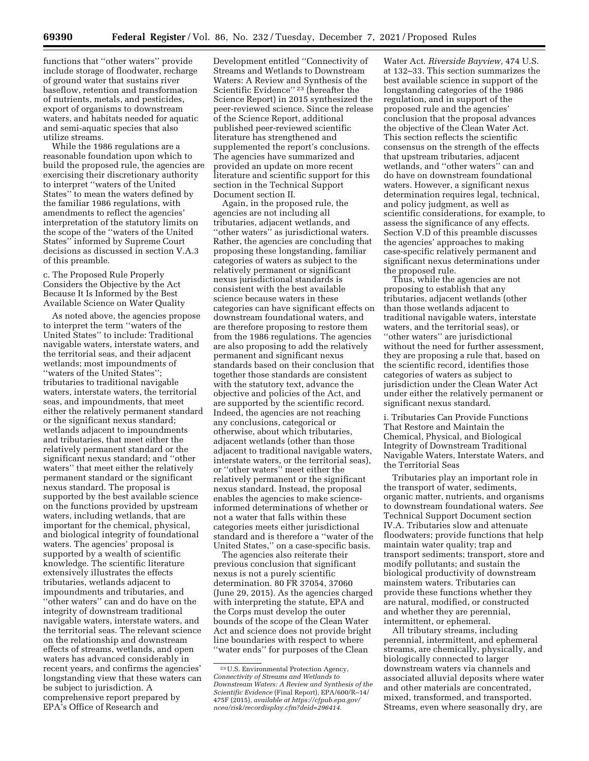functions that ''other waters'' provide include storage of floodwater, recharge of ground water that sustains river baseflow, retention and transformation of nutrients, metals, and pesticides, export of organisms to downstream waters, and habitats needed for aquatic and semi-aquatic species that also utilize streams.

While the 1986 regulations are a reasonable foundation upon which to build the proposed rule, the agencies are exercising their discretionary authority to interpret ''waters of the United States'' to mean the waters defined by the familiar 1986 regulations, with amendments to reflect the agencies' interpretation of the statutory limits on the scope of the ''waters of the United States'' informed by Supreme Court decisions as discussed in section V.A.3 of this preamble.

c. The Proposed Rule Properly Considers the Objective by the Act Because It Is Informed by the Best Available Science on Water Quality

As noted above, the agencies propose to interpret the term ''waters of the United States'' to include: Traditional navigable waters, interstate waters, and the territorial seas, and their adjacent wetlands; most impoundments of ''waters of the United States''; tributaries to traditional navigable waters, interstate waters, the territorial seas, and impoundments, that meet either the relatively permanent standard or the significant nexus standard; wetlands adjacent to impoundments and tributaries, that meet either the relatively permanent standard or the significant nexus standard; and ''other waters'' that meet either the relatively permanent standard or the significant nexus standard. The proposal is supported by the best available science on the functions provided by upstream waters, including wetlands, that are important for the chemical, physical, and biological integrity of foundational waters. The agencies' proposal is supported by a wealth of scientific knowledge. The scientific literature extensively illustrates the effects tributaries, wetlands adjacent to impoundments and tributaries, and ''other waters'' can and do have on the integrity of downstream traditional navigable waters, interstate waters, and the territorial seas. The relevant science on the relationship and downstream effects of streams, wetlands, and open waters has advanced considerably in recent years, and confirms the agencies' longstanding view that these waters can be subject to jurisdiction. A comprehensive report prepared by EPA's Office of Research and

Development entitled ''Connectivity of Streams and Wetlands to Downstream Waters: A Review and Synthesis of the Scientific Evidence'' 23 (hereafter the Science Report) in 2015 synthesized the peer-reviewed science. Since the release of the Science Report, additional published peer-reviewed scientific literature has strengthened and supplemented the report's conclusions. The agencies have summarized and provided an update on more recent literature and scientific support for this section in the Technical Support Document section II.

Again, in the proposed rule, the agencies are not including all tributaries, adjacent wetlands, and "other waters" as jurisdictional waters. Rather, the agencies are concluding that proposing these longstanding, familiar categories of waters as subject to the relatively permanent or significant nexus jurisdictional standards is consistent with the best available science because waters in these categories can have significant effects on downstream foundational waters, and are therefore proposing to restore them from the 1986 regulations. The agencies are also proposing to add the relatively permanent and significant nexus standards based on their conclusion that together those standards are consistent with the statutory text, advance the objective and policies of the Act, and are supported by the scientific record. Indeed, the agencies are not reaching any conclusions, categorical or otherwise, about which tributaries, adjacent wetlands (other than those adjacent to traditional navigable waters, interstate waters, or the territorial seas), or ''other waters'' meet either the relatively permanent or the significant nexus standard. Instead, the proposal enables the agencies to make scienceinformed determinations of whether or not a water that falls within these categories meets either jurisdictional standard and is therefore a ''water of the United States,'' on a case-specific basis.

The agencies also reiterate their previous conclusion that significant nexus is not a purely scientific determination. 80 FR 37054, 37060 (June 29, 2015). As the agencies charged with interpreting the statute, EPA and the Corps must develop the outer bounds of the scope of the Clean Water Act and science does not provide bright line boundaries with respect to where ''water ends'' for purposes of the Clean

Water Act. *Riverside Bayview,* 474 U.S. at 132–33. This section summarizes the best available science in support of the longstanding categories of the 1986 regulation, and in support of the proposed rule and the agencies' conclusion that the proposal advances the objective of the Clean Water Act. This section reflects the scientific consensus on the strength of the effects that upstream tributaries, adjacent wetlands, and ''other waters'' can and do have on downstream foundational waters. However, a significant nexus determination requires legal, technical, and policy judgment, as well as scientific considerations, for example, to assess the significance of any effects. Section V.D of this preamble discusses the agencies' approaches to making case-specific relatively permanent and significant nexus determinations under the proposed rule.

Thus, while the agencies are not proposing to establish that any tributaries, adjacent wetlands (other than those wetlands adjacent to traditional navigable waters, interstate waters, and the territorial seas), or ''other waters'' are jurisdictional without the need for further assessment, they are proposing a rule that, based on the scientific record, identifies those categories of waters as subject to jurisdiction under the Clean Water Act under either the relatively permanent or significant nexus standard.

i. Tributaries Can Provide Functions That Restore and Maintain the Chemical, Physical, and Biological Integrity of Downstream Traditional Navigable Waters, Interstate Waters, and the Territorial Seas

Tributaries play an important role in the transport of water, sediments, organic matter, nutrients, and organisms to downstream foundational waters. *See*  Technical Support Document section IV.A. Tributaries slow and attenuate floodwaters; provide functions that help maintain water quality; trap and transport sediments; transport, store and modify pollutants; and sustain the biological productivity of downstream mainstem waters. Tributaries can provide these functions whether they are natural, modified, or constructed and whether they are perennial, intermittent, or ephemeral.

All tributary streams, including perennial, intermittent, and ephemeral streams, are chemically, physically, and biologically connected to larger downstream waters via channels and associated alluvial deposits where water and other materials are concentrated, mixed, transformed, and transported. Streams, even where seasonally dry, are

<sup>23</sup>U.S. Environmental Protection Agency, *Connectivity of Streams and Wetlands to Downstream Waters: A Review and Synthesis of the Scientific Evidence* (Final Report), EPA/600/R–14/ 475F (2015), *available at [https://cfpub.epa.gov/](https://cfpub.epa.gov/ncea/risk/recordisplay.cfm?deid=296414)  [ncea/risk/recordisplay.cfm?deid=296414.](https://cfpub.epa.gov/ncea/risk/recordisplay.cfm?deid=296414)*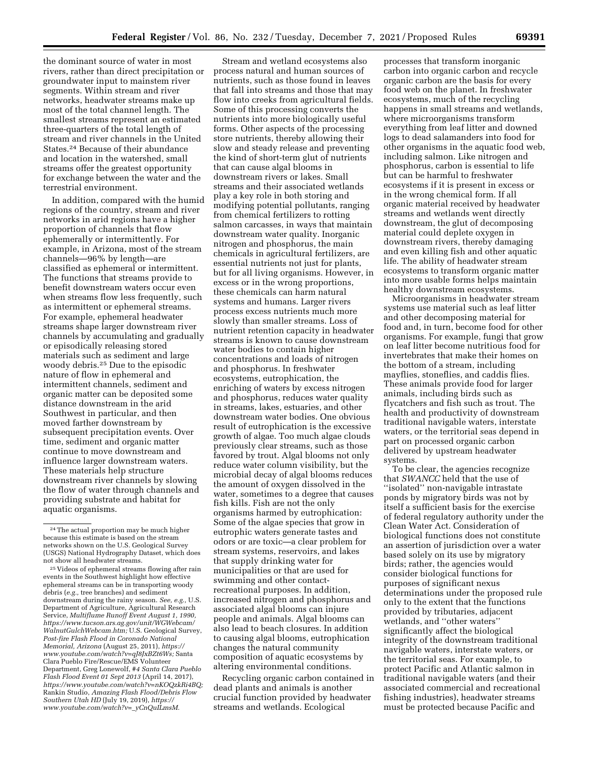the dominant source of water in most rivers, rather than direct precipitation or groundwater input to mainstem river segments. Within stream and river networks, headwater streams make up most of the total channel length. The smallest streams represent an estimated three-quarters of the total length of stream and river channels in the United States.24 Because of their abundance and location in the watershed, small streams offer the greatest opportunity for exchange between the water and the terrestrial environment.

In addition, compared with the humid regions of the country, stream and river networks in arid regions have a higher proportion of channels that flow ephemerally or intermittently. For example, in Arizona, most of the stream channels—96% by length—are classified as ephemeral or intermittent. The functions that streams provide to benefit downstream waters occur even when streams flow less frequently, such as intermittent or ephemeral streams. For example, ephemeral headwater streams shape larger downstream river channels by accumulating and gradually or episodically releasing stored materials such as sediment and large woody debris.25 Due to the episodic nature of flow in ephemeral and intermittent channels, sediment and organic matter can be deposited some distance downstream in the arid Southwest in particular, and then moved farther downstream by subsequent precipitation events. Over time, sediment and organic matter continue to move downstream and influence larger downstream waters. These materials help structure downstream river channels by slowing the flow of water through channels and providing substrate and habitat for aquatic organisms.

Stream and wetland ecosystems also process natural and human sources of nutrients, such as those found in leaves that fall into streams and those that may flow into creeks from agricultural fields. Some of this processing converts the nutrients into more biologically useful forms. Other aspects of the processing store nutrients, thereby allowing their slow and steady release and preventing the kind of short-term glut of nutrients that can cause algal blooms in downstream rivers or lakes. Small streams and their associated wetlands play a key role in both storing and modifying potential pollutants, ranging from chemical fertilizers to rotting salmon carcasses, in ways that maintain downstream water quality. Inorganic nitrogen and phosphorus, the main chemicals in agricultural fertilizers, are essential nutrients not just for plants, but for all living organisms. However, in excess or in the wrong proportions, these chemicals can harm natural systems and humans. Larger rivers process excess nutrients much more slowly than smaller streams. Loss of nutrient retention capacity in headwater streams is known to cause downstream water bodies to contain higher concentrations and loads of nitrogen and phosphorus. In freshwater ecosystems, eutrophication, the enriching of waters by excess nitrogen and phosphorus, reduces water quality in streams, lakes, estuaries, and other downstream water bodies. One obvious result of eutrophication is the excessive growth of algae. Too much algae clouds previously clear streams, such as those favored by trout. Algal blooms not only reduce water column visibility, but the microbial decay of algal blooms reduces the amount of oxygen dissolved in the water, sometimes to a degree that causes fish kills. Fish are not the only organisms harmed by eutrophication: Some of the algae species that grow in eutrophic waters generate tastes and odors or are toxic—a clear problem for stream systems, reservoirs, and lakes that supply drinking water for municipalities or that are used for swimming and other contactrecreational purposes. In addition, increased nitrogen and phosphorus and associated algal blooms can injure people and animals. Algal blooms can also lead to beach closures. In addition to causing algal blooms, eutrophication changes the natural community composition of aquatic ecosystems by altering environmental conditions.

Recycling organic carbon contained in dead plants and animals is another crucial function provided by headwater streams and wetlands. Ecological

processes that transform inorganic carbon into organic carbon and recycle organic carbon are the basis for every food web on the planet. In freshwater ecosystems, much of the recycling happens in small streams and wetlands, where microorganisms transform everything from leaf litter and downed logs to dead salamanders into food for other organisms in the aquatic food web, including salmon. Like nitrogen and phosphorus, carbon is essential to life but can be harmful to freshwater ecosystems if it is present in excess or in the wrong chemical form. If all organic material received by headwater streams and wetlands went directly downstream, the glut of decomposing material could deplete oxygen in downstream rivers, thereby damaging and even killing fish and other aquatic life. The ability of headwater stream ecosystems to transform organic matter into more usable forms helps maintain healthy downstream ecosystems.

Microorganisms in headwater stream systems use material such as leaf litter and other decomposing material for food and, in turn, become food for other organisms. For example, fungi that grow on leaf litter become nutritious food for invertebrates that make their homes on the bottom of a stream, including mayflies, stoneflies, and caddis flies. These animals provide food for larger animals, including birds such as flycatchers and fish such as trout. The health and productivity of downstream traditional navigable waters, interstate waters, or the territorial seas depend in part on processed organic carbon delivered by upstream headwater systems.

To be clear, the agencies recognize that *SWANCC* held that the use of ''isolated'' non-navigable intrastate ponds by migratory birds was not by itself a sufficient basis for the exercise of federal regulatory authority under the Clean Water Act. Consideration of biological functions does not constitute an assertion of jurisdiction over a water based solely on its use by migratory birds; rather, the agencies would consider biological functions for purposes of significant nexus determinations under the proposed rule only to the extent that the functions provided by tributaries, adjacent wetlands, and ''other waters'' significantly affect the biological integrity of the downstream traditional navigable waters, interstate waters, or the territorial seas. For example, to protect Pacific and Atlantic salmon in traditional navigable waters (and their associated commercial and recreational fishing industries), headwater streams must be protected because Pacific and

<sup>24</sup>The actual proportion may be much higher because this estimate is based on the stream networks shown on the U.S. Geological Survey (USGS) National Hydrography Dataset, which does not show all headwater streams.

<sup>25</sup> Videos of ephemeral streams flowing after rain events in the Southwest highlight how effective ephemeral streams can be in transporting woody debris (*e.g.,* tree branches) and sediment downstream during the rainy season. *See, e.g.,* U.S. Department of Agriculture, Agricultural Research Service, *Multiflume Runoff Event August 1, 1990, [https://www.tucson.ars.ag.gov/unit/WGWebcam/](https://www.tucson.ars.ag.gov/unit/WGWebcam/WalnutGulchWebcam.htm)  [WalnutGulchWebcam.htm;](https://www.tucson.ars.ag.gov/unit/WGWebcam/WalnutGulchWebcam.htm)* U.S. Geological Survey, *Post-fire Flash Flood in Coronado National Memorial, Arizona* (August 25, 2011), *[https://](https://www.youtube.com/watch?v=qJ8JxBZt6Ws) [www.youtube.com/watch?v=qJ8JxBZt6Ws;](https://www.youtube.com/watch?v=qJ8JxBZt6Ws)* Santa Clara Pueblo Fire/Rescue/EMS Volunteer Department, Greg Lonewolf, *#4 Santa Clara Pueblo Flash Flood Event 01 Sept 2013* (April 14, 2017), *[https://www.youtube.com/watch?v=nKOQzkRi4BQ;](https://www.youtube.com/watch?v=nKOQzkRi4BQ)*  Rankin Studio, *Amazing Flash Flood/Debris Flow Southern Utah HD* (July 19, 2019), *[https://](https://www.youtube.com/watch?v=_yCnQuILmsM) [www.youtube.com/watch?v=](https://www.youtube.com/watch?v=_yCnQuILmsM)*\_*yCnQuILmsM.*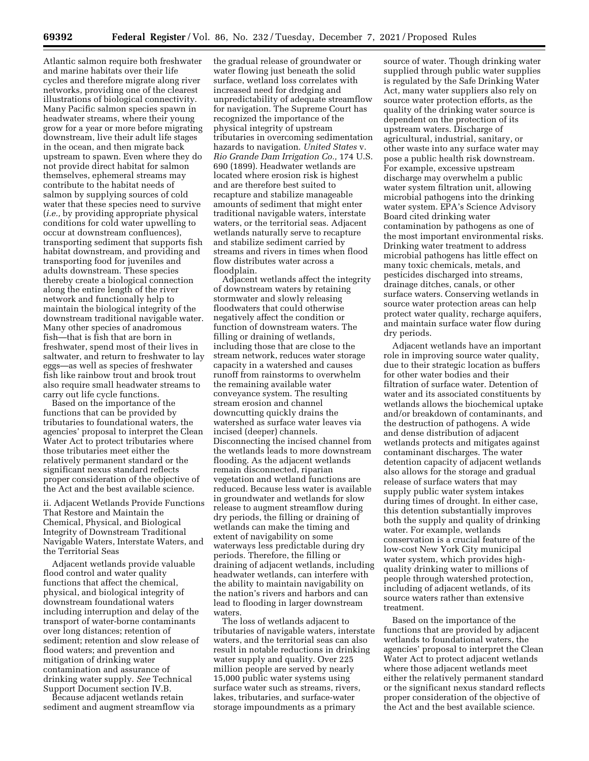Atlantic salmon require both freshwater and marine habitats over their life cycles and therefore migrate along river networks, providing one of the clearest illustrations of biological connectivity. Many Pacific salmon species spawn in headwater streams, where their young grow for a year or more before migrating downstream, live their adult life stages in the ocean, and then migrate back upstream to spawn. Even where they do not provide direct habitat for salmon themselves, ephemeral streams may contribute to the habitat needs of salmon by supplying sources of cold water that these species need to survive (*i.e.,* by providing appropriate physical conditions for cold water upwelling to occur at downstream confluences), transporting sediment that supports fish habitat downstream, and providing and transporting food for juveniles and adults downstream. These species thereby create a biological connection along the entire length of the river network and functionally help to maintain the biological integrity of the downstream traditional navigable water. Many other species of anadromous fish—that is fish that are born in freshwater, spend most of their lives in saltwater, and return to freshwater to lay eggs—as well as species of freshwater fish like rainbow trout and brook trout also require small headwater streams to carry out life cycle functions.

Based on the importance of the functions that can be provided by tributaries to foundational waters, the agencies' proposal to interpret the Clean Water Act to protect tributaries where those tributaries meet either the relatively permanent standard or the significant nexus standard reflects proper consideration of the objective of the Act and the best available science.

ii. Adjacent Wetlands Provide Functions That Restore and Maintain the Chemical, Physical, and Biological Integrity of Downstream Traditional Navigable Waters, Interstate Waters, and the Territorial Seas

Adjacent wetlands provide valuable flood control and water quality functions that affect the chemical, physical, and biological integrity of downstream foundational waters including interruption and delay of the transport of water-borne contaminants over long distances; retention of sediment; retention and slow release of flood waters; and prevention and mitigation of drinking water contamination and assurance of drinking water supply. *See* Technical Support Document section IV.B.

Because adjacent wetlands retain sediment and augment streamflow via

the gradual release of groundwater or water flowing just beneath the solid surface, wetland loss correlates with increased need for dredging and unpredictability of adequate streamflow for navigation. The Supreme Court has recognized the importance of the physical integrity of upstream tributaries in overcoming sedimentation hazards to navigation. *United States* v. *Rio Grande Dam Irrigation Co.,* 174 U.S. 690 (1899). Headwater wetlands are located where erosion risk is highest and are therefore best suited to recapture and stabilize manageable amounts of sediment that might enter traditional navigable waters, interstate waters, or the territorial seas. Adjacent wetlands naturally serve to recapture and stabilize sediment carried by streams and rivers in times when flood flow distributes water across a floodplain.

Adjacent wetlands affect the integrity of downstream waters by retaining stormwater and slowly releasing floodwaters that could otherwise negatively affect the condition or function of downstream waters. The filling or draining of wetlands, including those that are close to the stream network, reduces water storage capacity in a watershed and causes runoff from rainstorms to overwhelm the remaining available water conveyance system. The resulting stream erosion and channel downcutting quickly drains the watershed as surface water leaves via incised (deeper) channels. Disconnecting the incised channel from the wetlands leads to more downstream flooding. As the adjacent wetlands remain disconnected, riparian vegetation and wetland functions are reduced. Because less water is available in groundwater and wetlands for slow release to augment streamflow during dry periods, the filling or draining of wetlands can make the timing and extent of navigability on some waterways less predictable during dry periods. Therefore, the filling or draining of adjacent wetlands, including headwater wetlands, can interfere with the ability to maintain navigability on the nation's rivers and harbors and can lead to flooding in larger downstream waters.

The loss of wetlands adjacent to tributaries of navigable waters, interstate waters, and the territorial seas can also result in notable reductions in drinking water supply and quality. Over 225 million people are served by nearly 15,000 public water systems using surface water such as streams, rivers, lakes, tributaries, and surface-water storage impoundments as a primary

source of water. Though drinking water supplied through public water supplies is regulated by the Safe Drinking Water Act, many water suppliers also rely on source water protection efforts, as the quality of the drinking water source is dependent on the protection of its upstream waters. Discharge of agricultural, industrial, sanitary, or other waste into any surface water may pose a public health risk downstream. For example, excessive upstream discharge may overwhelm a public water system filtration unit, allowing microbial pathogens into the drinking water system. EPA's Science Advisory Board cited drinking water contamination by pathogens as one of the most important environmental risks. Drinking water treatment to address microbial pathogens has little effect on many toxic chemicals, metals, and pesticides discharged into streams, drainage ditches, canals, or other surface waters. Conserving wetlands in source water protection areas can help protect water quality, recharge aquifers, and maintain surface water flow during dry periods.

Adjacent wetlands have an important role in improving source water quality, due to their strategic location as buffers for other water bodies and their filtration of surface water. Detention of water and its associated constituents by wetlands allows the biochemical uptake and/or breakdown of contaminants, and the destruction of pathogens. A wide and dense distribution of adjacent wetlands protects and mitigates against contaminant discharges. The water detention capacity of adjacent wetlands also allows for the storage and gradual release of surface waters that may supply public water system intakes during times of drought. In either case, this detention substantially improves both the supply and quality of drinking water. For example, wetlands conservation is a crucial feature of the low-cost New York City municipal water system, which provides highquality drinking water to millions of people through watershed protection, including of adjacent wetlands, of its source waters rather than extensive treatment.

Based on the importance of the functions that are provided by adjacent wetlands to foundational waters, the agencies' proposal to interpret the Clean Water Act to protect adjacent wetlands where those adjacent wetlands meet either the relatively permanent standard or the significant nexus standard reflects proper consideration of the objective of the Act and the best available science.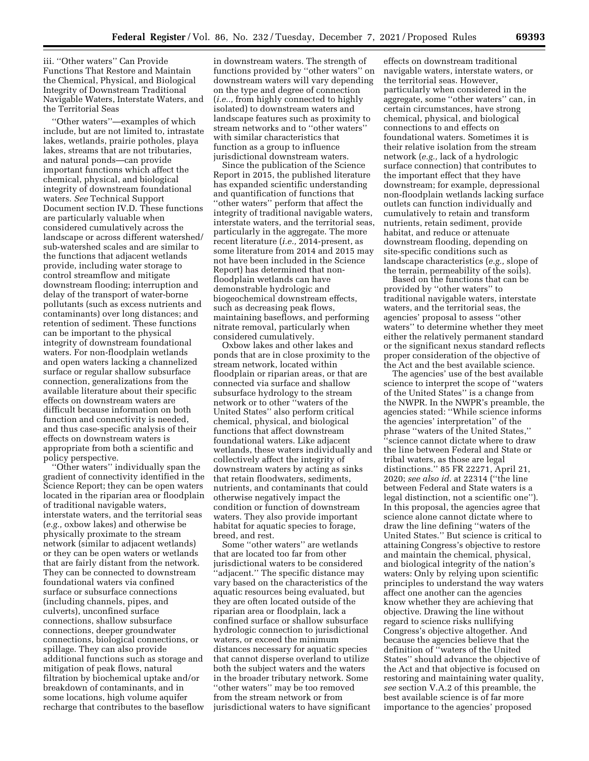iii. ''Other waters'' Can Provide Functions That Restore and Maintain the Chemical, Physical, and Biological Integrity of Downstream Traditional Navigable Waters, Interstate Waters, and the Territorial Seas

'Other waters''—examples of which include, but are not limited to, intrastate lakes, wetlands, prairie potholes, playa lakes, streams that are not tributaries, and natural ponds—can provide important functions which affect the chemical, physical, and biological integrity of downstream foundational waters. *See* Technical Support Document section IV.D. These functions are particularly valuable when considered cumulatively across the landscape or across different watershed/ sub-watershed scales and are similar to the functions that adjacent wetlands provide, including water storage to control streamflow and mitigate downstream flooding; interruption and delay of the transport of water-borne pollutants (such as excess nutrients and contaminants) over long distances; and retention of sediment. These functions can be important to the physical integrity of downstream foundational waters. For non-floodplain wetlands and open waters lacking a channelized surface or regular shallow subsurface connection, generalizations from the available literature about their specific effects on downstream waters are difficult because information on both function and connectivity is needed, and thus case-specific analysis of their effects on downstream waters is appropriate from both a scientific and policy perspective.

''Other waters'' individually span the gradient of connectivity identified in the Science Report; they can be open waters located in the riparian area or floodplain of traditional navigable waters, interstate waters, and the territorial seas (*e.g.,* oxbow lakes) and otherwise be physically proximate to the stream network (similar to adjacent wetlands) or they can be open waters or wetlands that are fairly distant from the network. They can be connected to downstream foundational waters via confined surface or subsurface connections (including channels, pipes, and culverts), unconfined surface connections, shallow subsurface connections, deeper groundwater connections, biological connections, or spillage. They can also provide additional functions such as storage and mitigation of peak flows, natural filtration by biochemical uptake and/or breakdown of contaminants, and in some locations, high volume aquifer recharge that contributes to the baseflow

in downstream waters. The strength of functions provided by ''other waters'' on downstream waters will vary depending on the type and degree of connection (*i.e..,* from highly connected to highly isolated) to downstream waters and landscape features such as proximity to stream networks and to ''other waters'' with similar characteristics that function as a group to influence jurisdictional downstream waters.

Since the publication of the Science Report in 2015, the published literature has expanded scientific understanding and quantification of functions that ''other waters'' perform that affect the integrity of traditional navigable waters, interstate waters, and the territorial seas, particularly in the aggregate. The more recent literature (*i.e.,* 2014-present, as some literature from 2014 and 2015 may not have been included in the Science Report) has determined that nonfloodplain wetlands can have demonstrable hydrologic and biogeochemical downstream effects, such as decreasing peak flows, maintaining baseflows, and performing nitrate removal, particularly when considered cumulatively.

Oxbow lakes and other lakes and ponds that are in close proximity to the stream network, located within floodplain or riparian areas, or that are connected via surface and shallow subsurface hydrology to the stream network or to other ''waters of the United States'' also perform critical chemical, physical, and biological functions that affect downstream foundational waters. Like adjacent wetlands, these waters individually and collectively affect the integrity of downstream waters by acting as sinks that retain floodwaters, sediments, nutrients, and contaminants that could otherwise negatively impact the condition or function of downstream waters. They also provide important habitat for aquatic species to forage, breed, and rest.

Some ''other waters'' are wetlands that are located too far from other jurisdictional waters to be considered ''adjacent.'' The specific distance may vary based on the characteristics of the aquatic resources being evaluated, but they are often located outside of the riparian area or floodplain, lack a confined surface or shallow subsurface hydrologic connection to jurisdictional waters, or exceed the minimum distances necessary for aquatic species that cannot disperse overland to utilize both the subject waters and the waters in the broader tributary network. Some "other waters" may be too removed from the stream network or from jurisdictional waters to have significant

effects on downstream traditional navigable waters, interstate waters, or the territorial seas. However, particularly when considered in the aggregate, some ''other waters'' can, in certain circumstances, have strong chemical, physical, and biological connections to and effects on foundational waters. Sometimes it is their relative isolation from the stream network (*e.g.,* lack of a hydrologic surface connection) that contributes to the important effect that they have downstream; for example, depressional non-floodplain wetlands lacking surface outlets can function individually and cumulatively to retain and transform nutrients, retain sediment, provide habitat, and reduce or attenuate downstream flooding, depending on site-specific conditions such as landscape characteristics (*e.g.,* slope of the terrain, permeability of the soils).

Based on the functions that can be provided by ''other waters'' to traditional navigable waters, interstate waters, and the territorial seas, the agencies' proposal to assess ''other waters'' to determine whether they meet either the relatively permanent standard or the significant nexus standard reflects proper consideration of the objective of the Act and the best available science.

The agencies' use of the best available science to interpret the scope of ''waters of the United States'' is a change from the NWPR. In the NWPR's preamble, the agencies stated: ''While science informs the agencies' interpretation'' of the phrase ''waters of the United States,'' ''science cannot dictate where to draw the line between Federal and State or tribal waters, as those are legal distinctions.'' 85 FR 22271, April 21, 2020; *see also id.* at 22314 (''the line between Federal and State waters is a legal distinction, not a scientific one''). In this proposal, the agencies agree that science alone cannot dictate where to draw the line defining ''waters of the United States.'' But science is critical to attaining Congress's objective to restore and maintain the chemical, physical, and biological integrity of the nation's waters: Only by relying upon scientific principles to understand the way waters affect one another can the agencies know whether they are achieving that objective. Drawing the line without regard to science risks nullifying Congress's objective altogether. And because the agencies believe that the definition of ''waters of the United States'' should advance the objective of the Act and that objective is focused on restoring and maintaining water quality, *see* section V.A.2 of this preamble, the best available science is of far more importance to the agencies' proposed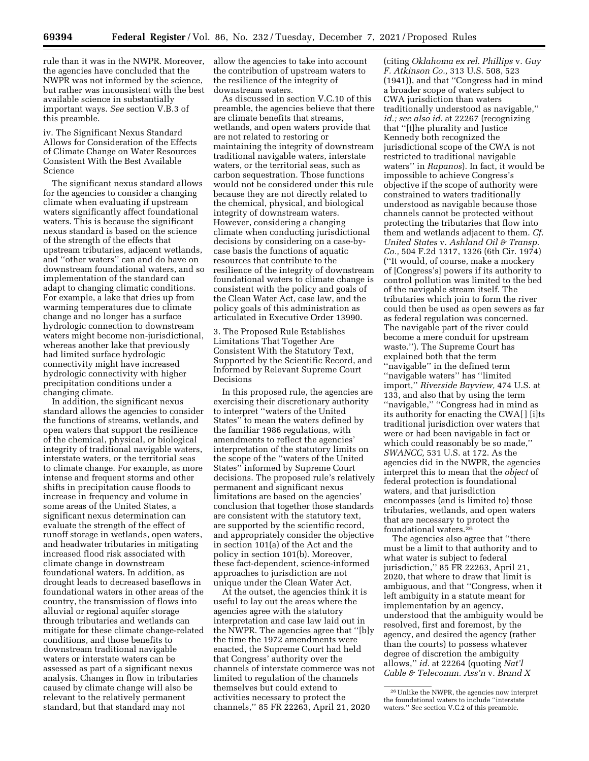rule than it was in the NWPR. Moreover, the agencies have concluded that the NWPR was not informed by the science, but rather was inconsistent with the best available science in substantially important ways. *See* section V.B.3 of this preamble.

iv. The Significant Nexus Standard Allows for Consideration of the Effects of Climate Change on Water Resources Consistent With the Best Available Science

The significant nexus standard allows for the agencies to consider a changing climate when evaluating if upstream waters significantly affect foundational waters. This is because the significant nexus standard is based on the science of the strength of the effects that upstream tributaries, adjacent wetlands, and ''other waters'' can and do have on downstream foundational waters, and so implementation of the standard can adapt to changing climatic conditions. For example, a lake that dries up from warming temperatures due to climate change and no longer has a surface hydrologic connection to downstream waters might become non-jurisdictional, whereas another lake that previously had limited surface hydrologic connectivity might have increased hydrologic connectivity with higher precipitation conditions under a changing climate.

In addition, the significant nexus standard allows the agencies to consider the functions of streams, wetlands, and open waters that support the resilience of the chemical, physical, or biological integrity of traditional navigable waters, interstate waters, or the territorial seas to climate change. For example, as more intense and frequent storms and other shifts in precipitation cause floods to increase in frequency and volume in some areas of the United States, a significant nexus determination can evaluate the strength of the effect of runoff storage in wetlands, open waters, and headwater tributaries in mitigating increased flood risk associated with climate change in downstream foundational waters. In addition, as drought leads to decreased baseflows in foundational waters in other areas of the country, the transmission of flows into alluvial or regional aquifer storage through tributaries and wetlands can mitigate for these climate change-related conditions, and those benefits to downstream traditional navigable waters or interstate waters can be assessed as part of a significant nexus analysis. Changes in flow in tributaries caused by climate change will also be relevant to the relatively permanent standard, but that standard may not

allow the agencies to take into account the contribution of upstream waters to the resilience of the integrity of downstream waters.

As discussed in section V.C.10 of this preamble, the agencies believe that there are climate benefits that streams, wetlands, and open waters provide that are not related to restoring or maintaining the integrity of downstream traditional navigable waters, interstate waters, or the territorial seas, such as carbon sequestration. Those functions would not be considered under this rule because they are not directly related to the chemical, physical, and biological integrity of downstream waters. However, considering a changing climate when conducting jurisdictional decisions by considering on a case-bycase basis the functions of aquatic resources that contribute to the resilience of the integrity of downstream foundational waters to climate change is consistent with the policy and goals of the Clean Water Act, case law, and the policy goals of this administration as articulated in Executive Order 13990.

3. The Proposed Rule Establishes Limitations That Together Are Consistent With the Statutory Text, Supported by the Scientific Record, and Informed by Relevant Supreme Court Decisions

In this proposed rule, the agencies are exercising their discretionary authority to interpret ''waters of the United States'' to mean the waters defined by the familiar 1986 regulations, with amendments to reflect the agencies' interpretation of the statutory limits on the scope of the ''waters of the United States'' informed by Supreme Court decisions. The proposed rule's relatively permanent and significant nexus limitations are based on the agencies' conclusion that together those standards are consistent with the statutory text, are supported by the scientific record, and appropriately consider the objective in section 101(a) of the Act and the policy in section 101(b). Moreover, these fact-dependent, science-informed approaches to jurisdiction are not unique under the Clean Water Act.

At the outset, the agencies think it is useful to lay out the areas where the agencies agree with the statutory interpretation and case law laid out in the NWPR. The agencies agree that ''[b]y the time the 1972 amendments were enacted, the Supreme Court had held that Congress' authority over the channels of interstate commerce was not limited to regulation of the channels themselves but could extend to activities necessary to protect the channels,'' 85 FR 22263, April 21, 2020

(citing *Oklahoma ex rel. Phillips* v. *Guy F. Atkinson Co.,* 313 U.S. 508, 523 (1941)), and that ''Congress had in mind a broader scope of waters subject to CWA jurisdiction than waters traditionally understood as navigable,'' *id.; see also id.* at 22267 (recognizing that ''[t]he plurality and Justice Kennedy both recognized the jurisdictional scope of the CWA is not restricted to traditional navigable waters'' in *Rapanos*). In fact, it would be impossible to achieve Congress's objective if the scope of authority were constrained to waters traditionally understood as navigable because those channels cannot be protected without protecting the tributaries that flow into them and wetlands adjacent to them. *Cf. United States* v. *Ashland Oil & Transp. Co.,* 504 F.2d 1317, 1326 (6th Cir. 1974) (''It would, of course, make a mockery of [Congress's] powers if its authority to control pollution was limited to the bed of the navigable stream itself. The tributaries which join to form the river could then be used as open sewers as far as federal regulation was concerned. The navigable part of the river could become a mere conduit for upstream waste.''). The Supreme Court has explained both that the term ''navigable'' in the defined term ''navigable waters'' has ''limited import,'' *Riverside Bayview,* 474 U.S. at 133, and also that by using the term ''navigable,'' ''Congress had in mind as its authority for enacting the CWA[ ] [i]ts traditional jurisdiction over waters that were or had been navigable in fact or which could reasonably be so made,'' *SWANCC,* 531 U.S. at 172. As the agencies did in the NWPR, the agencies interpret this to mean that the *object* of federal protection is foundational waters, and that jurisdiction encompasses (and is limited to) those tributaries, wetlands, and open waters that are necessary to protect the foundational waters.26

The agencies also agree that ''there must be a limit to that authority and to what water is subject to federal jurisdiction,'' 85 FR 22263, April 21, 2020, that where to draw that limit is ambiguous, and that ''Congress, when it left ambiguity in a statute meant for implementation by an agency, understood that the ambiguity would be resolved, first and foremost, by the agency, and desired the agency (rather than the courts) to possess whatever degree of discretion the ambiguity allows,'' *id.* at 22264 (quoting *Nat'l Cable & Telecomm. Ass'n* v. *Brand X* 

<sup>26</sup>Unlike the NWPR, the agencies now interpret the foundational waters to include ''interstate waters.'' See section V.C.2 of this preamble.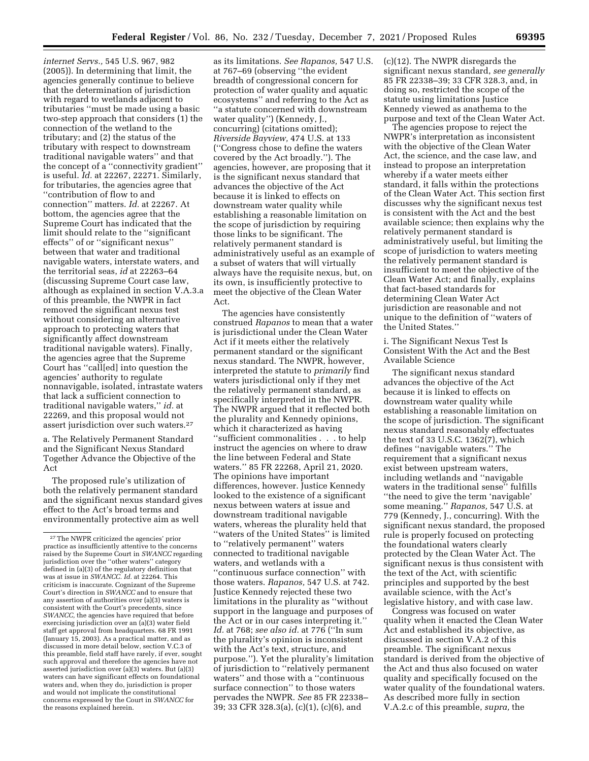*internet Servs.,* 545 U.S. 967, 982 (2005)). In determining that limit, the agencies generally continue to believe that the determination of jurisdiction with regard to wetlands adjacent to tributaries ''must be made using a basic two-step approach that considers (1) the connection of the wetland to the tributary; and (2) the status of the tributary with respect to downstream traditional navigable waters'' and that the concept of a ''connectivity gradient'' is useful. *Id.* at 22267, 22271. Similarly, for tributaries, the agencies agree that ''contribution of flow to and connection'' matters. *Id.* at 22267. At bottom, the agencies agree that the Supreme Court has indicated that the limit should relate to the ''significant effects'' of or ''significant nexus'' between that water and traditional navigable waters, interstate waters, and the territorial seas, *id* at 22263–64 (discussing Supreme Court case law, although as explained in section V.A.3.a of this preamble, the NWPR in fact removed the significant nexus test without considering an alternative approach to protecting waters that significantly affect downstream traditional navigable waters). Finally, the agencies agree that the Supreme Court has ''call[ed] into question the agencies' authority to regulate nonnavigable, isolated, intrastate waters that lack a sufficient connection to traditional navigable waters,'' *id.* at 22269, and this proposal would not assert jurisdiction over such waters.27

a. The Relatively Permanent Standard and the Significant Nexus Standard Together Advance the Objective of the Act

The proposed rule's utilization of both the relatively permanent standard and the significant nexus standard gives effect to the Act's broad terms and environmentally protective aim as well

as its limitations. *See Rapanos,* 547 U.S. at 767–69 (observing ''the evident breadth of congressional concern for protection of water quality and aquatic ecosystems'' and referring to the Act as ''a statute concerned with downstream water quality'') (Kennedy, J., concurring) (citations omitted); *Riverside Bayview,* 474 U.S. at 133 (''Congress chose to define the waters covered by the Act broadly.''). The agencies, however, are proposing that it is the significant nexus standard that advances the objective of the Act because it is linked to effects on downstream water quality while establishing a reasonable limitation on the scope of jurisdiction by requiring those links to be significant. The relatively permanent standard is administratively useful as an example of a subset of waters that will virtually always have the requisite nexus, but, on its own, is insufficiently protective to meet the objective of the Clean Water Act.

The agencies have consistently construed *Rapanos* to mean that a water is jurisdictional under the Clean Water Act if it meets either the relatively permanent standard or the significant nexus standard. The NWPR, however, interpreted the statute to *primarily* find waters jurisdictional only if they met the relatively permanent standard, as specifically interpreted in the NWPR. The NWPR argued that it reflected both the plurality and Kennedy opinions, which it characterized as having ''sufficient commonalities . . . to help instruct the agencies on where to draw the line between Federal and State waters.'' 85 FR 22268, April 21, 2020. The opinions have important differences, however. Justice Kennedy looked to the existence of a significant nexus between waters at issue and downstream traditional navigable waters, whereas the plurality held that ''waters of the United States'' is limited to ''relatively permanent'' waters connected to traditional navigable waters, and wetlands with a ''continuous surface connection'' with those waters. *Rapanos,* 547 U.S. at 742. Justice Kennedy rejected these two limitations in the plurality as ''without support in the language and purposes of the Act or in our cases interpreting it.'' *Id.* at 768; *see also id.* at 776 (''In sum the plurality's opinion is inconsistent with the Act's text, structure, and purpose.''). Yet the plurality's limitation of jurisdiction to ''relatively permanent waters'' and those with a ''continuous surface connection'' to those waters pervades the NWPR. *See* 85 FR 22338– 39; 33 CFR 328.3(a), (c)(1), (c)(6), and

(c)(12). The NWPR disregards the significant nexus standard, *see generally*  85 FR 22338–39; 33 CFR 328.3, and, in doing so, restricted the scope of the statute using limitations Justice Kennedy viewed as anathema to the purpose and text of the Clean Water Act.

The agencies propose to reject the NWPR's interpretation as inconsistent with the objective of the Clean Water Act, the science, and the case law, and instead to propose an interpretation whereby if a water meets either standard, it falls within the protections of the Clean Water Act. This section first discusses why the significant nexus test is consistent with the Act and the best available science; then explains why the relatively permanent standard is administratively useful, but limiting the scope of jurisdiction to waters meeting the relatively permanent standard is insufficient to meet the objective of the Clean Water Act; and finally, explains that fact-based standards for determining Clean Water Act jurisdiction are reasonable and not unique to the definition of ''waters of the United States.''

i. The Significant Nexus Test Is Consistent With the Act and the Best Available Science

The significant nexus standard advances the objective of the Act because it is linked to effects on downstream water quality while establishing a reasonable limitation on the scope of jurisdiction. The significant nexus standard reasonably effectuates the text of 33 U.S.C. 1362(7), which defines ''navigable waters.'' The requirement that a significant nexus exist between upstream waters, including wetlands and ''navigable waters in the traditional sense'' fulfills ''the need to give the term 'navigable' some meaning.'' *Rapanos,* 547 U.S. at 779 (Kennedy, J., concurring). With the significant nexus standard, the proposed rule is properly focused on protecting the foundational waters clearly protected by the Clean Water Act. The significant nexus is thus consistent with the text of the Act, with scientific principles and supported by the best available science, with the Act's legislative history, and with case law.

Congress was focused on water quality when it enacted the Clean Water Act and established its objective, as discussed in section V.A.2 of this preamble. The significant nexus standard is derived from the objective of the Act and thus also focused on water quality and specifically focused on the water quality of the foundational waters. As described more fully in section V.A.2.c of this preamble, *supra,* the

 $^{\rm 27}\rm{The}$  NWPR criticized the agencies' prior practice as insufficiently attentive to the concerns raised by the Supreme Court in *SWANCC* regarding jurisdiction over the ''other waters'' category defined in (a)(3) of the regulatory definition that was at issue in *SWANCC. Id.* at 22264. This criticism is inaccurate. Cognizant of the Supreme Court's direction in *SWANCC* and to ensure that any assertion of authorities over (a)(3) waters is consistent with the Court's precedents, since *SWANCC,* the agencies have required that before exercising jurisdiction over an (a)(3) water field staff get approval from headquarters. 68 FR 1991 (January 15, 2003). As a practical matter, and as discussed in more detail below, section V.C.3 of this preamble, field staff have rarely, if ever, sought such approval and therefore the agencies have not asserted jurisdiction over (a)(3) waters. But (a)(3) waters can have significant effects on foundational waters and, when they do, jurisdiction is proper and would not implicate the constitutional concerns expressed by the Court in *SWANCC* for the reasons explained herein.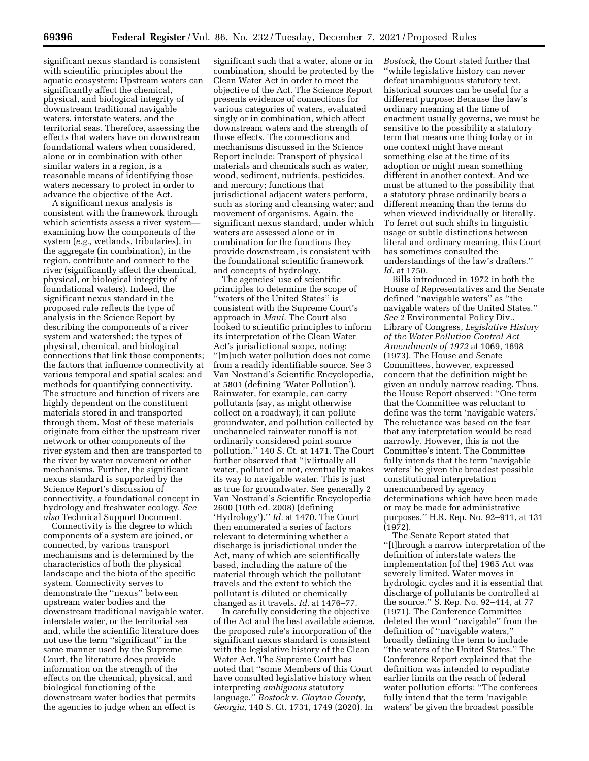significant nexus standard is consistent with scientific principles about the aquatic ecosystem: Upstream waters can significantly affect the chemical, physical, and biological integrity of downstream traditional navigable waters, interstate waters, and the territorial seas. Therefore, assessing the effects that waters have on downstream foundational waters when considered, alone or in combination with other similar waters in a region, is a reasonable means of identifying those waters necessary to protect in order to advance the objective of the Act.

A significant nexus analysis is consistent with the framework through which scientists assess a river system examining how the components of the system (*e.g.,* wetlands, tributaries), in the aggregate (in combination), in the region, contribute and connect to the river (significantly affect the chemical, physical, or biological integrity of foundational waters). Indeed, the significant nexus standard in the proposed rule reflects the type of analysis in the Science Report by describing the components of a river system and watershed; the types of physical, chemical, and biological connections that link those components; the factors that influence connectivity at various temporal and spatial scales; and methods for quantifying connectivity. The structure and function of rivers are highly dependent on the constituent materials stored in and transported through them. Most of these materials originate from either the upstream river network or other components of the river system and then are transported to the river by water movement or other mechanisms. Further, the significant nexus standard is supported by the Science Report's discussion of connectivity, a foundational concept in hydrology and freshwater ecology. *See also* Technical Support Document.

Connectivity is the degree to which components of a system are joined, or connected, by various transport mechanisms and is determined by the characteristics of both the physical landscape and the biota of the specific system. Connectivity serves to demonstrate the ''nexus'' between upstream water bodies and the downstream traditional navigable water, interstate water, or the territorial sea and, while the scientific literature does not use the term ''significant'' in the same manner used by the Supreme Court, the literature does provide information on the strength of the effects on the chemical, physical, and biological functioning of the downstream water bodies that permits the agencies to judge when an effect is

significant such that a water, alone or in combination, should be protected by the Clean Water Act in order to meet the objective of the Act. The Science Report presents evidence of connections for various categories of waters, evaluated singly or in combination, which affect downstream waters and the strength of those effects. The connections and mechanisms discussed in the Science Report include: Transport of physical materials and chemicals such as water, wood, sediment, nutrients, pesticides, and mercury; functions that jurisdictional adjacent waters perform, such as storing and cleansing water; and movement of organisms. Again, the significant nexus standard, under which waters are assessed alone or in combination for the functions they provide downstream, is consistent with the foundational scientific framework and concepts of hydrology.

The agencies' use of scientific principles to determine the scope of ''waters of the United States'' is consistent with the Supreme Court's approach in *Maui.* The Court also looked to scientific principles to inform its interpretation of the Clean Water Act's jurisdictional scope, noting: ''[m]uch water pollution does not come from a readily identifiable source. See 3 Van Nostrand's Scientific Encyclopedia, at 5801 (defining 'Water Pollution'). Rainwater, for example, can carry pollutants (say, as might otherwise collect on a roadway); it can pollute groundwater, and pollution collected by unchanneled rainwater runoff is not ordinarily considered point source pollution.'' 140 S. Ct. at 1471. The Court further observed that ''[v]irtually all water, polluted or not, eventually makes its way to navigable water. This is just as true for groundwater. See generally 2 Van Nostrand's Scientific Encyclopedia 2600 (10th ed. 2008) (defining 'Hydrology').'' *Id.* at 1470. The Court then enumerated a series of factors relevant to determining whether a discharge is jurisdictional under the Act, many of which are scientifically based, including the nature of the material through which the pollutant travels and the extent to which the pollutant is diluted or chemically changed as it travels. *Id.* at 1476–77.

In carefully considering the objective of the Act and the best available science, the proposed rule's incorporation of the significant nexus standard is consistent with the legislative history of the Clean Water Act. The Supreme Court has noted that ''some Members of this Court have consulted legislative history when interpreting *ambiguous* statutory language.'' *Bostock* v. *Clayton County, Georgia,* 140 S. Ct. 1731, 1749 (2020). In

*Bostock,* the Court stated further that ''while legislative history can never defeat unambiguous statutory text, historical sources can be useful for a different purpose: Because the law's ordinary meaning at the time of enactment usually governs, we must be sensitive to the possibility a statutory term that means one thing today or in one context might have meant something else at the time of its adoption or might mean something different in another context. And we must be attuned to the possibility that a statutory phrase ordinarily bears a different meaning than the terms do when viewed individually or literally. To ferret out such shifts in linguistic usage or subtle distinctions between literal and ordinary meaning, this Court has sometimes consulted the understandings of the law's drafters.'' *Id.* at 1750.

Bills introduced in 1972 in both the House of Representatives and the Senate defined ''navigable waters'' as ''the navigable waters of the United States.'' *See* 2 Environmental Policy Div., Library of Congress, *Legislative History of the Water Pollution Control Act Amendments of 1972* at 1069, 1698 (1973). The House and Senate Committees, however, expressed concern that the definition might be given an unduly narrow reading. Thus, the House Report observed: ''One term that the Committee was reluctant to define was the term 'navigable waters.' The reluctance was based on the fear that any interpretation would be read narrowly. However, this is not the Committee's intent. The Committee fully intends that the term 'navigable waters' be given the broadest possible constitutional interpretation unencumbered by agency determinations which have been made or may be made for administrative purposes.'' H.R. Rep. No. 92–911, at 131 (1972).

The Senate Report stated that ''[t]hrough a narrow interpretation of the definition of interstate waters the implementation [of the] 1965 Act was severely limited. Water moves in hydrologic cycles and it is essential that discharge of pollutants be controlled at the source.'' S. Rep. No. 92–414, at 77 (1971). The Conference Committee deleted the word ''navigable'' from the definition of ''navigable waters,'' broadly defining the term to include ''the waters of the United States.'' The Conference Report explained that the definition was intended to repudiate earlier limits on the reach of federal water pollution efforts: ''The conferees fully intend that the term 'navigable waters' be given the broadest possible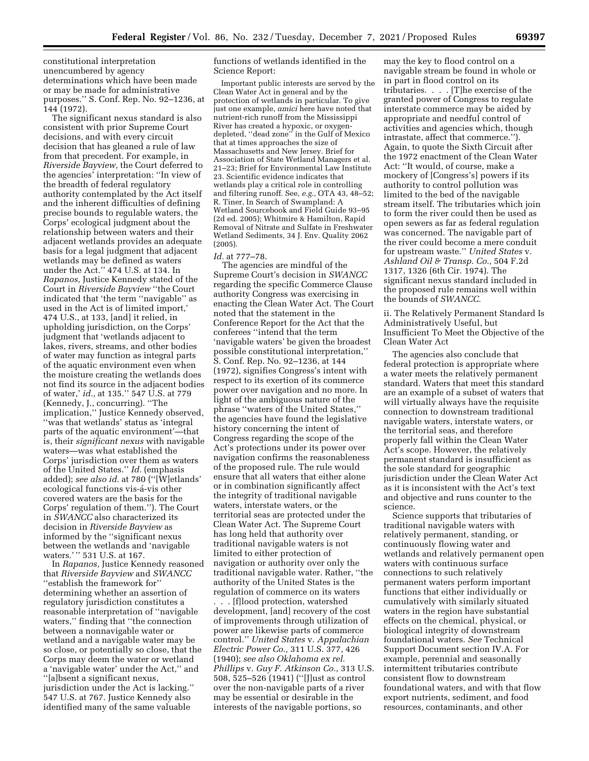constitutional interpretation unencumbered by agency determinations which have been made or may be made for administrative purposes.'' S. Conf. Rep. No. 92–1236, at 144 (1972).

The significant nexus standard is also consistent with prior Supreme Court decisions, and with every circuit decision that has gleaned a rule of law from that precedent. For example, in *Riverside Bayview,* the Court deferred to the agencies' interpretation: ''In view of the breadth of federal regulatory authority contemplated by the Act itself and the inherent difficulties of defining precise bounds to regulable waters, the Corps' ecological judgment about the relationship between waters and their adjacent wetlands provides an adequate basis for a legal judgment that adjacent wetlands may be defined as waters under the Act.'' 474 U.S. at 134. In *Rapanos,* Justice Kennedy stated of the Court in *Riverside Bayview* ''the Court indicated that 'the term ''navigable'' as used in the Act is of limited import,' 474 U.S., at 133, [and] it relied, in upholding jurisdiction, on the Corps' judgment that 'wetlands adjacent to lakes, rivers, streams, and other bodies of water may function as integral parts of the aquatic environment even when the moisture creating the wetlands does not find its source in the adjacent bodies of water,' *id.,* at 135.'' 547 U.S. at 779 (Kennedy, J., concurring). ''The implication,'' Justice Kennedy observed, ''was that wetlands' status as 'integral parts of the aquatic environment'—that is, their *significant nexus* with navigable waters—was what established the Corps' jurisdiction over them as waters of the United States.'' *Id.* (emphasis added); *see also id.* at 780 (''[W]etlands' ecological functions vis-a-vis other covered waters are the basis for the Corps' regulation of them.''). The Court in *SWANCC* also characterized its decision in *Riverside Bayview* as informed by the ''significant nexus between the wetlands and 'navigable waters.' " 531 U.S. at 167.

In *Rapanos,* Justice Kennedy reasoned that *Riverside Bayview* and *SWANCC*  ''establish the framework for'' determining whether an assertion of regulatory jurisdiction constitutes a reasonable interpretation of ''navigable waters,'' finding that ''the connection between a nonnavigable water or wetland and a navigable water may be so close, or potentially so close, that the Corps may deem the water or wetland a 'navigable water' under the Act,'' and ''[a]bsent a significant nexus, jurisdiction under the Act is lacking.'' 547 U.S. at 767. Justice Kennedy also identified many of the same valuable

functions of wetlands identified in the Science Report:

Important public interests are served by the Clean Water Act in general and by the protection of wetlands in particular. To give just one example, *amici* here have noted that nutrient-rich runoff from the Mississippi River has created a hypoxic, or oxygendepleted, ''dead zone'' in the Gulf of Mexico that at times approaches the size of Massachusetts and New Jersey. Brief for Association of State Wetland Managers et al. 21–23; Brief for Environmental Law Institute 23. Scientific evidence indicates that wetlands play a critical role in controlling and filtering runoff. See, *e.g.,* OTA 43, 48–52; R. Tiner, In Search of Swampland: A Wetland Sourcebook and Field Guide 93–95 (2d ed. 2005); Whitmire & Hamilton, Rapid Removal of Nitrate and Sulfate in Freshwater Wetland Sediments, 34 J. Env. Quality 2062 (2005).

#### *Id.* at 777–78.

The agencies are mindful of the Supreme Court's decision in *SWANCC*  regarding the specific Commerce Clause authority Congress was exercising in enacting the Clean Water Act. The Court noted that the statement in the Conference Report for the Act that the conferees ''intend that the term 'navigable waters' be given the broadest possible constitutional interpretation,'' S. Conf. Rep. No. 92–1236, at 144 (1972), signifies Congress's intent with respect to its exertion of its commerce power over navigation and no more. In light of the ambiguous nature of the phrase ''waters of the United States,'' the agencies have found the legislative history concerning the intent of Congress regarding the scope of the Act's protections under its power over navigation confirms the reasonableness of the proposed rule. The rule would ensure that all waters that either alone or in combination significantly affect the integrity of traditional navigable waters, interstate waters, or the territorial seas are protected under the Clean Water Act. The Supreme Court has long held that authority over traditional navigable waters is not limited to either protection of navigation or authority over only the traditional navigable water. Rather, ''the authority of the United States is the regulation of commerce on its waters

. . . [f]lood protection, watershed development, [and] recovery of the cost of improvements through utilization of power are likewise parts of commerce control.'' *United States* v. *Appalachian Electric Power Co.,* 311 U.S. 377, 426 (1940); *see also Oklahoma ex rel. Phillips* v. *Guy F. Atkinson Co.,* 313 U.S. 508, 525–526 (1941) (''[J]ust as control over the non-navigable parts of a river may be essential or desirable in the interests of the navigable portions, so

may the key to flood control on a navigable stream be found in whole or in part in flood control on its tributaries. . . . [T]he exercise of the granted power of Congress to regulate interstate commerce may be aided by appropriate and needful control of activities and agencies which, though intrastate, affect that commerce.''). Again, to quote the Sixth Circuit after the 1972 enactment of the Clean Water Act: ''It would, of course, make a mockery of [Congress's] powers if its authority to control pollution was limited to the bed of the navigable stream itself. The tributaries which join to form the river could then be used as open sewers as far as federal regulation was concerned. The navigable part of the river could become a mere conduit for upstream waste.'' *United States* v. *Ashland Oil & Transp. Co.,* 504 F.2d 1317, 1326 (6th Cir. 1974). The significant nexus standard included in the proposed rule remains well within the bounds of *SWANCC.* 

ii. The Relatively Permanent Standard Is Administratively Useful, but Insufficient To Meet the Objective of the Clean Water Act

The agencies also conclude that federal protection is appropriate where a water meets the relatively permanent standard. Waters that meet this standard are an example of a subset of waters that will virtually always have the requisite connection to downstream traditional navigable waters, interstate waters, or the territorial seas, and therefore properly fall within the Clean Water Act's scope. However, the relatively permanent standard is insufficient as the sole standard for geographic jurisdiction under the Clean Water Act as it is inconsistent with the Act's text and objective and runs counter to the science.

Science supports that tributaries of traditional navigable waters with relatively permanent, standing, or continuously flowing water and wetlands and relatively permanent open waters with continuous surface connections to such relatively permanent waters perform important functions that either individually or cumulatively with similarly situated waters in the region have substantial effects on the chemical, physical, or biological integrity of downstream foundational waters. *See* Technical Support Document section IV.A. For example, perennial and seasonally intermittent tributaries contribute consistent flow to downstream foundational waters, and with that flow export nutrients, sediment, and food resources, contaminants, and other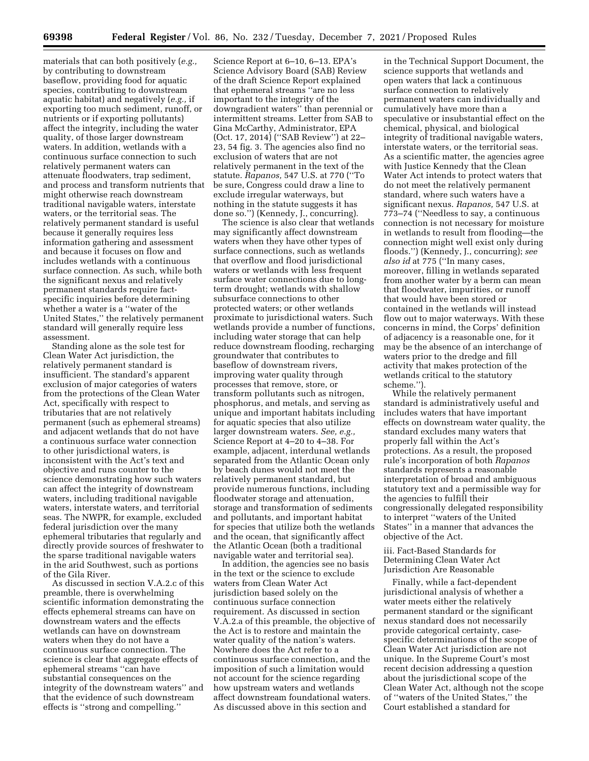materials that can both positively (*e.g.,*  by contributing to downstream baseflow, providing food for aquatic species, contributing to downstream aquatic habitat) and negatively (*e.g.,* if exporting too much sediment, runoff, or nutrients or if exporting pollutants) affect the integrity, including the water quality, of those larger downstream waters. In addition, wetlands with a continuous surface connection to such relatively permanent waters can attenuate floodwaters, trap sediment, and process and transform nutrients that might otherwise reach downstream traditional navigable waters, interstate waters, or the territorial seas. The relatively permanent standard is useful because it generally requires less information gathering and assessment and because it focuses on flow and includes wetlands with a continuous surface connection. As such, while both the significant nexus and relatively permanent standards require factspecific inquiries before determining whether a water is a ''water of the United States,'' the relatively permanent standard will generally require less assessment.

Standing alone as the sole test for Clean Water Act jurisdiction, the relatively permanent standard is insufficient. The standard's apparent exclusion of major categories of waters from the protections of the Clean Water Act, specifically with respect to tributaries that are not relatively permanent (such as ephemeral streams) and adjacent wetlands that do not have a continuous surface water connection to other jurisdictional waters, is inconsistent with the Act's text and objective and runs counter to the science demonstrating how such waters can affect the integrity of downstream waters, including traditional navigable waters, interstate waters, and territorial seas. The NWPR, for example, excluded federal jurisdiction over the many ephemeral tributaries that regularly and directly provide sources of freshwater to the sparse traditional navigable waters in the arid Southwest, such as portions of the Gila River.

As discussed in section V.A.2.c of this preamble, there is overwhelming scientific information demonstrating the effects ephemeral streams can have on downstream waters and the effects wetlands can have on downstream waters when they do not have a continuous surface connection. The science is clear that aggregate effects of ephemeral streams ''can have substantial consequences on the integrity of the downstream waters'' and that the evidence of such downstream effects is ''strong and compelling.''

Science Report at 6–10, 6–13. EPA's Science Advisory Board (SAB) Review of the draft Science Report explained that ephemeral streams ''are no less important to the integrity of the downgradient waters'' than perennial or intermittent streams. Letter from SAB to Gina McCarthy, Administrator, EPA (Oct. 17, 2014) (''SAB Review'') at 22– 23, 54 fig. 3. The agencies also find no exclusion of waters that are not relatively permanent in the text of the statute. *Rapanos,* 547 U.S. at 770 (''To be sure, Congress could draw a line to exclude irregular waterways, but nothing in the statute suggests it has done so.'') (Kennedy, J., concurring).

The science is also clear that wetlands may significantly affect downstream waters when they have other types of surface connections, such as wetlands that overflow and flood jurisdictional waters or wetlands with less frequent surface water connections due to longterm drought; wetlands with shallow subsurface connections to other protected waters; or other wetlands proximate to jurisdictional waters. Such wetlands provide a number of functions, including water storage that can help reduce downstream flooding, recharging groundwater that contributes to baseflow of downstream rivers, improving water quality through processes that remove, store, or transform pollutants such as nitrogen, phosphorus, and metals, and serving as unique and important habitats including for aquatic species that also utilize larger downstream waters. *See, e.g.,*  Science Report at 4–20 to 4–38. For example, adjacent, interdunal wetlands separated from the Atlantic Ocean only by beach dunes would not meet the relatively permanent standard, but provide numerous functions, including floodwater storage and attenuation, storage and transformation of sediments and pollutants, and important habitat for species that utilize both the wetlands and the ocean, that significantly affect the Atlantic Ocean (both a traditional navigable water and territorial sea).

In addition, the agencies see no basis in the text or the science to exclude waters from Clean Water Act jurisdiction based solely on the continuous surface connection requirement. As discussed in section V.A.2.a of this preamble, the objective of the Act is to restore and maintain the water quality of the nation's waters. Nowhere does the Act refer to a continuous surface connection, and the imposition of such a limitation would not account for the science regarding how upstream waters and wetlands affect downstream foundational waters. As discussed above in this section and

in the Technical Support Document, the science supports that wetlands and open waters that lack a continuous surface connection to relatively permanent waters can individually and cumulatively have more than a speculative or insubstantial effect on the chemical, physical, and biological integrity of traditional navigable waters, interstate waters, or the territorial seas. As a scientific matter, the agencies agree with Justice Kennedy that the Clean Water Act intends to protect waters that do not meet the relatively permanent standard, where such waters have a significant nexus. *Rapanos,* 547 U.S. at 773–74 (''Needless to say, a continuous connection is not necessary for moisture in wetlands to result from flooding—the connection might well exist only during floods.'') (Kennedy, J., concurring); *see also id* at 775 (''In many cases, moreover, filling in wetlands separated from another water by a berm can mean that floodwater, impurities, or runoff that would have been stored or contained in the wetlands will instead flow out to major waterways. With these concerns in mind, the Corps' definition of adjacency is a reasonable one, for it may be the absence of an interchange of waters prior to the dredge and fill activity that makes protection of the wetlands critical to the statutory scheme.")

While the relatively permanent standard is administratively useful and includes waters that have important effects on downstream water quality, the standard excludes many waters that properly fall within the Act's protections. As a result, the proposed rule's incorporation of both *Rapanos*  standards represents a reasonable interpretation of broad and ambiguous statutory text and a permissible way for the agencies to fulfill their congressionally delegated responsibility to interpret ''waters of the United States'' in a manner that advances the objective of the Act.

iii. Fact-Based Standards for Determining Clean Water Act Jurisdiction Are Reasonable

Finally, while a fact-dependent jurisdictional analysis of whether a water meets either the relatively permanent standard or the significant nexus standard does not necessarily provide categorical certainty, casespecific determinations of the scope of Clean Water Act jurisdiction are not unique. In the Supreme Court's most recent decision addressing a question about the jurisdictional scope of the Clean Water Act, although not the scope of ''waters of the United States,'' the Court established a standard for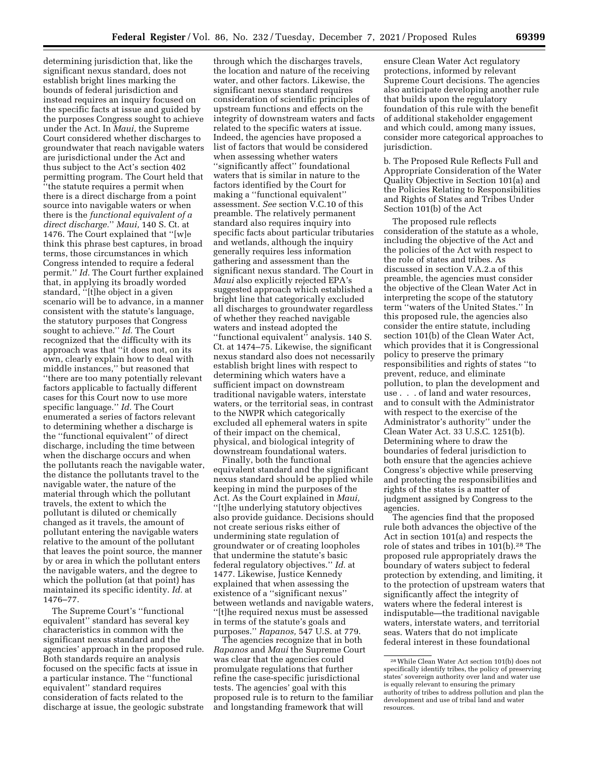determining jurisdiction that, like the significant nexus standard, does not establish bright lines marking the bounds of federal jurisdiction and instead requires an inquiry focused on the specific facts at issue and guided by the purposes Congress sought to achieve under the Act. In *Maui,* the Supreme Court considered whether discharges to groundwater that reach navigable waters are jurisdictional under the Act and thus subject to the Act's section 402 permitting program. The Court held that ''the statute requires a permit when there is a direct discharge from a point source into navigable waters or when there is the *functional equivalent of a direct discharge.*'' *Maui,* 140 S. Ct. at 1476. The Court explained that ''[w]e think this phrase best captures, in broad terms, those circumstances in which Congress intended to require a federal permit.'' *Id.* The Court further explained that, in applying its broadly worded standard, ''[t]he object in a given scenario will be to advance, in a manner consistent with the statute's language, the statutory purposes that Congress sought to achieve.'' *Id.* The Court recognized that the difficulty with its approach was that ''it does not, on its own, clearly explain how to deal with middle instances,'' but reasoned that ''there are too many potentially relevant factors applicable to factually different cases for this Court now to use more specific language.'' *Id.* The Court enumerated a series of factors relevant to determining whether a discharge is the ''functional equivalent'' of direct discharge, including the time between when the discharge occurs and when the pollutants reach the navigable water, the distance the pollutants travel to the navigable water, the nature of the material through which the pollutant travels, the extent to which the pollutant is diluted or chemically changed as it travels, the amount of pollutant entering the navigable waters relative to the amount of the pollutant that leaves the point source, the manner by or area in which the pollutant enters the navigable waters, and the degree to which the pollution (at that point) has maintained its specific identity. *Id.* at 1476–77.

The Supreme Court's ''functional equivalent'' standard has several key characteristics in common with the significant nexus standard and the agencies' approach in the proposed rule. Both standards require an analysis focused on the specific facts at issue in a particular instance. The ''functional equivalent'' standard requires consideration of facts related to the discharge at issue, the geologic substrate

through which the discharges travels, the location and nature of the receiving water, and other factors. Likewise, the significant nexus standard requires consideration of scientific principles of upstream functions and effects on the integrity of downstream waters and facts related to the specific waters at issue. Indeed, the agencies have proposed a list of factors that would be considered when assessing whether waters ''significantly affect'' foundational waters that is similar in nature to the factors identified by the Court for making a ''functional equivalent'' assessment. *See* section V.C.10 of this preamble. The relatively permanent standard also requires inquiry into specific facts about particular tributaries and wetlands, although the inquiry generally requires less information gathering and assessment than the significant nexus standard. The Court in *Maui* also explicitly rejected EPA's suggested approach which established a bright line that categorically excluded all discharges to groundwater regardless of whether they reached navigable waters and instead adopted the ''functional equivalent'' analysis. 140 S. Ct. at 1474–75. Likewise, the significant nexus standard also does not necessarily establish bright lines with respect to determining which waters have a sufficient impact on downstream traditional navigable waters, interstate waters, or the territorial seas, in contrast to the NWPR which categorically excluded all ephemeral waters in spite of their impact on the chemical, physical, and biological integrity of downstream foundational waters.

Finally, both the functional equivalent standard and the significant nexus standard should be applied while keeping in mind the purposes of the Act. As the Court explained in *Maui,*  ''[t]he underlying statutory objectives also provide guidance. Decisions should not create serious risks either of undermining state regulation of groundwater or of creating loopholes that undermine the statute's basic federal regulatory objectives.'' *Id.* at 1477. Likewise, Justice Kennedy explained that when assessing the existence of a ''significant nexus'' between wetlands and navigable waters, ''[t]he required nexus must be assessed in terms of the statute's goals and purposes.'' *Rapanos,* 547 U.S. at 779.

The agencies recognize that in both *Rapanos* and *Maui* the Supreme Court was clear that the agencies could promulgate regulations that further refine the case-specific jurisdictional tests. The agencies' goal with this proposed rule is to return to the familiar and longstanding framework that will

ensure Clean Water Act regulatory protections, informed by relevant Supreme Court decisions. The agencies also anticipate developing another rule that builds upon the regulatory foundation of this rule with the benefit of additional stakeholder engagement and which could, among many issues, consider more categorical approaches to jurisdiction.

b. The Proposed Rule Reflects Full and Appropriate Consideration of the Water Quality Objective in Section 101(a) and the Policies Relating to Responsibilities and Rights of States and Tribes Under Section 101(b) of the Act

The proposed rule reflects consideration of the statute as a whole, including the objective of the Act and the policies of the Act with respect to the role of states and tribes. As discussed in section V.A.2.a of this preamble, the agencies must consider the objective of the Clean Water Act in interpreting the scope of the statutory term ''waters of the United States.'' In this proposed rule, the agencies also consider the entire statute, including section 101(b) of the Clean Water Act, which provides that it is Congressional policy to preserve the primary responsibilities and rights of states ''to prevent, reduce, and eliminate pollution, to plan the development and use . . . of land and water resources, and to consult with the Administrator with respect to the exercise of the Administrator's authority'' under the Clean Water Act. 33 U.S.C. 1251(b). Determining where to draw the boundaries of federal jurisdiction to both ensure that the agencies achieve Congress's objective while preserving and protecting the responsibilities and rights of the states is a matter of judgment assigned by Congress to the agencies.

The agencies find that the proposed rule both advances the objective of the Act in section 101(a) and respects the role of states and tribes in 101(b).28 The proposed rule appropriately draws the boundary of waters subject to federal protection by extending, and limiting, it to the protection of upstream waters that significantly affect the integrity of waters where the federal interest is indisputable—the traditional navigable waters, interstate waters, and territorial seas. Waters that do not implicate federal interest in these foundational

<sup>28</sup>While Clean Water Act section 101(b) does not specifically identify tribes, the policy of preserving states' sovereign authority over land and water use is equally relevant to ensuring the primary authority of tribes to address pollution and plan the development and use of tribal land and water resources.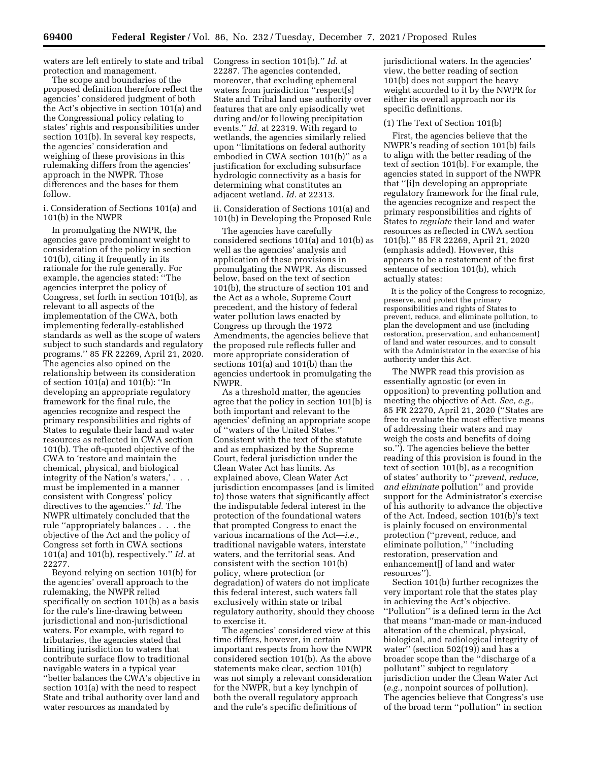waters are left entirely to state and tribal protection and management.

The scope and boundaries of the proposed definition therefore reflect the agencies' considered judgment of both the Act's objective in section 101(a) and the Congressional policy relating to states' rights and responsibilities under section 101(b). In several key respects, the agencies' consideration and weighing of these provisions in this rulemaking differs from the agencies' approach in the NWPR. Those differences and the bases for them follow.

# i. Consideration of Sections 101(a) and 101(b) in the NWPR

In promulgating the NWPR, the agencies gave predominant weight to consideration of the policy in section 101(b), citing it frequently in its rationale for the rule generally. For example, the agencies stated: ''The agencies interpret the policy of Congress, set forth in section 101(b), as relevant to all aspects of the implementation of the CWA, both implementing federally-established standards as well as the scope of waters subject to such standards and regulatory programs.'' 85 FR 22269, April 21, 2020. The agencies also opined on the relationship between its consideration of section 101(a) and 101(b): ''In developing an appropriate regulatory framework for the final rule, the agencies recognize and respect the primary responsibilities and rights of States to regulate their land and water resources as reflected in CWA section 101(b). The oft-quoted objective of the CWA to 'restore and maintain the chemical, physical, and biological integrity of the Nation's waters,' . . . must be implemented in a manner consistent with Congress' policy directives to the agencies.'' *Id.* The NWPR ultimately concluded that the rule ''appropriately balances . . . the objective of the Act and the policy of Congress set forth in CWA sections 101(a) and 101(b), respectively.'' *Id.* at 22277.

Beyond relying on section 101(b) for the agencies' overall approach to the rulemaking, the NWPR relied specifically on section 101(b) as a basis for the rule's line-drawing between jurisdictional and non-jurisdictional waters. For example, with regard to tributaries, the agencies stated that limiting jurisdiction to waters that contribute surface flow to traditional navigable waters in a typical year ''better balances the CWA's objective in section 101(a) with the need to respect State and tribal authority over land and water resources as mandated by

Congress in section 101(b).'' *Id.* at 22287. The agencies contended, moreover, that excluding ephemeral waters from jurisdiction ''respect[s] State and Tribal land use authority over features that are only episodically wet during and/or following precipitation events.'' *Id.* at 22319. With regard to wetlands, the agencies similarly relied upon ''limitations on federal authority embodied in CWA section 101(b)'' as a justification for excluding subsurface hydrologic connectivity as a basis for determining what constitutes an adjacent wetland. *Id.* at 22313.

### ii. Consideration of Sections 101(a) and 101(b) in Developing the Proposed Rule

The agencies have carefully considered sections 101(a) and 101(b) as well as the agencies' analysis and application of these provisions in promulgating the NWPR. As discussed below, based on the text of section 101(b), the structure of section 101 and the Act as a whole, Supreme Court precedent, and the history of federal water pollution laws enacted by Congress up through the 1972 Amendments, the agencies believe that the proposed rule reflects fuller and more appropriate consideration of sections 101(a) and 101(b) than the agencies undertook in promulgating the NWPR.

As a threshold matter, the agencies agree that the policy in section 101(b) is both important and relevant to the agencies' defining an appropriate scope of ''waters of the United States.'' Consistent with the text of the statute and as emphasized by the Supreme Court, federal jurisdiction under the Clean Water Act has limits. As explained above, Clean Water Act jurisdiction encompasses (and is limited to) those waters that significantly affect the indisputable federal interest in the protection of the foundational waters that prompted Congress to enact the various incarnations of the Act—*i.e.,*  traditional navigable waters, interstate waters, and the territorial seas. And consistent with the section 101(b) policy, where protection (or degradation) of waters do not implicate this federal interest, such waters fall exclusively within state or tribal regulatory authority, should they choose to exercise it.

The agencies' considered view at this time differs, however, in certain important respects from how the NWPR considered section 101(b). As the above statements make clear, section 101(b) was not simply a relevant consideration for the NWPR, but a key lynchpin of both the overall regulatory approach and the rule's specific definitions of

jurisdictional waters. In the agencies' view, the better reading of section 101(b) does not support the heavy weight accorded to it by the NWPR for either its overall approach nor its specific definitions.

#### (1) The Text of Section 101(b)

First, the agencies believe that the NWPR's reading of section 101(b) fails to align with the better reading of the text of section 101(b). For example, the agencies stated in support of the NWPR that ''[i]n developing an appropriate regulatory framework for the final rule, the agencies recognize and respect the primary responsibilities and rights of States to *regulate* their land and water resources as reflected in CWA section 101(b).'' 85 FR 22269, April 21, 2020 (emphasis added). However, this appears to be a restatement of the first sentence of section 101(b), which actually states:

It is the policy of the Congress to recognize, preserve, and protect the primary responsibilities and rights of States to prevent, reduce, and eliminate pollution, to plan the development and use (including restoration, preservation, and enhancement) of land and water resources, and to consult with the Administrator in the exercise of his authority under this Act.

The NWPR read this provision as essentially agnostic (or even in opposition) to preventing pollution and meeting the objective of Act. *See, e.g.,*  85 FR 22270, April 21, 2020 (''States are free to evaluate the most effective means of addressing their waters and may weigh the costs and benefits of doing so.''). The agencies believe the better reading of this provision is found in the text of section 101(b), as a recognition of states' authority to ''*prevent, reduce, and eliminate* pollution'' and provide support for the Administrator's exercise of his authority to advance the objective of the Act. Indeed, section 101(b)'s text is plainly focused on environmental protection (''prevent, reduce, and eliminate pollution,'' ''including restoration, preservation and enhancement[] of land and water resources'').

Section 101(b) further recognizes the very important role that the states play in achieving the Act's objective. ''Pollution'' is a defined term in the Act that means ''man-made or man-induced alteration of the chemical, physical, biological, and radiological integrity of water'' (section 502(19)) and has a broader scope than the ''discharge of a pollutant'' subject to regulatory jurisdiction under the Clean Water Act (*e.g.,* nonpoint sources of pollution). The agencies believe that Congress's use of the broad term ''pollution'' in section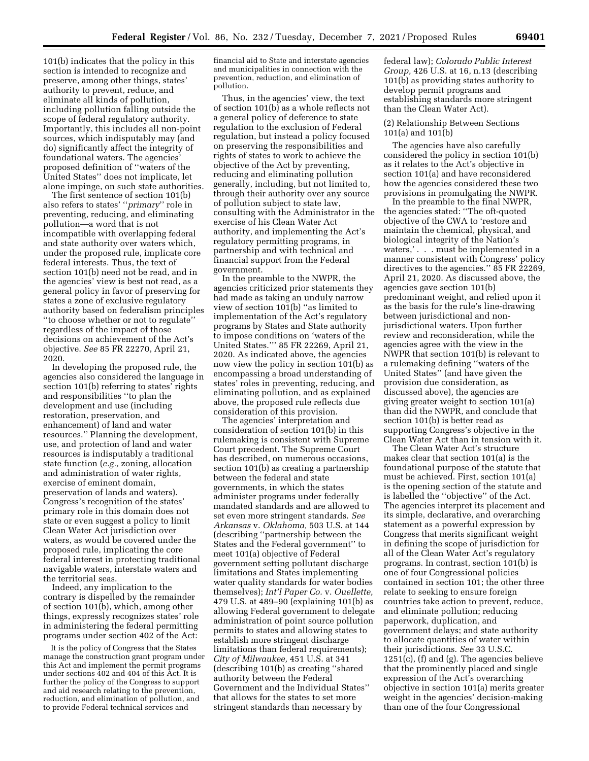101(b) indicates that the policy in this section is intended to recognize and preserve, among other things, states' authority to prevent, reduce, and eliminate all kinds of pollution, including pollution falling outside the scope of federal regulatory authority. Importantly, this includes all non-point sources, which indisputably may (and do) significantly affect the integrity of foundational waters. The agencies' proposed definition of ''waters of the United States'' does not implicate, let alone impinge, on such state authorities.

The first sentence of section 101(b) also refers to states' ''*primary*'' role in preventing, reducing, and eliminating pollution—a word that is not incompatible with overlapping federal and state authority over waters which, under the proposed rule, implicate core federal interests. Thus, the text of section 101(b) need not be read, and in the agencies' view is best not read, as a general policy in favor of preserving for states a zone of exclusive regulatory authority based on federalism principles ''to choose whether or not to regulate'' regardless of the impact of those decisions on achievement of the Act's objective. *See* 85 FR 22270, April 21, 2020.

In developing the proposed rule, the agencies also considered the language in section 101(b) referring to states' rights and responsibilities ''to plan the development and use (including restoration, preservation, and enhancement) of land and water resources.'' Planning the development, use, and protection of land and water resources is indisputably a traditional state function (*e.g.,* zoning, allocation and administration of water rights, exercise of eminent domain, preservation of lands and waters). Congress's recognition of the states' primary role in this domain does not state or even suggest a policy to limit Clean Water Act jurisdiction over waters, as would be covered under the proposed rule, implicating the core federal interest in protecting traditional navigable waters, interstate waters and the territorial seas.

Indeed, any implication to the contrary is dispelled by the remainder of section 101(b), which, among other things, expressly recognizes states' role in administering the federal permitting programs under section 402 of the Act:

It is the policy of Congress that the States manage the construction grant program under this Act and implement the permit programs under sections 402 and 404 of this Act. It is further the policy of the Congress to support and aid research relating to the prevention, reduction, and elimination of pollution, and to provide Federal technical services and

financial aid to State and interstate agencies and municipalities in connection with the prevention, reduction, and elimination of pollution.

Thus, in the agencies' view, the text of section 101(b) as a whole reflects not a general policy of deference to state regulation to the exclusion of Federal regulation, but instead a policy focused on preserving the responsibilities and rights of states to work to achieve the objective of the Act by preventing, reducing and eliminating pollution generally, including, but not limited to, through their authority over any source of pollution subject to state law, consulting with the Administrator in the exercise of his Clean Water Act authority, and implementing the Act's regulatory permitting programs, in partnership and with technical and financial support from the Federal government.

In the preamble to the NWPR, the agencies criticized prior statements they had made as taking an unduly narrow view of section  $101(b)$  "as limited to implementation of the Act's regulatory programs by States and State authority to impose conditions on 'waters of the United States.''' 85 FR 22269, April 21, 2020. As indicated above, the agencies now view the policy in section 101(b) as encompassing a broad understanding of states' roles in preventing, reducing, and eliminating pollution, and as explained above, the proposed rule reflects due consideration of this provision.

The agencies' interpretation and consideration of section 101(b) in this rulemaking is consistent with Supreme Court precedent. The Supreme Court has described, on numerous occasions, section 101(b) as creating a partnership between the federal and state governments, in which the states administer programs under federally mandated standards and are allowed to set even more stringent standards. *See Arkansas* v. *Oklahoma,* 503 U.S. at 144 (describing ''partnership between the States and the Federal government'' to meet 101(a) objective of Federal government setting pollutant discharge limitations and States implementing water quality standards for water bodies themselves); *Int'l Paper Co.* v. *Ouellette,*  479 U.S. at 489–90 (explaining 101(b) as allowing Federal government to delegate administration of point source pollution permits to states and allowing states to establish more stringent discharge limitations than federal requirements); *City of Milwaukee,* 451 U.S. at 341 (describing 101(b) as creating ''shared authority between the Federal Government and the Individual States'' that allows for the states to set more stringent standards than necessary by

federal law); *Colorado Public Interest Group,* 426 U.S. at 16, n.13 (describing 101(b) as providing states authority to develop permit programs and establishing standards more stringent than the Clean Water Act).

### (2) Relationship Between Sections 101(a) and 101(b)

The agencies have also carefully considered the policy in section 101(b) as it relates to the Act's objective in section 101(a) and have reconsidered how the agencies considered these two provisions in promulgating the NWPR.

In the preamble to the final NWPR, the agencies stated: ''The oft-quoted objective of the CWA to 'restore and maintain the chemical, physical, and biological integrity of the Nation's waters,' . . . must be implemented in a manner consistent with Congress' policy directives to the agencies.'' 85 FR 22269, April 21, 2020. As discussed above, the agencies gave section 101(b) predominant weight, and relied upon it as the basis for the rule's line-drawing between jurisdictional and nonjurisdictional waters. Upon further review and reconsideration, while the agencies agree with the view in the NWPR that section 101(b) is relevant to a rulemaking defining ''waters of the United States'' (and have given the provision due consideration, as discussed above), the agencies are giving greater weight to section 101(a) than did the NWPR, and conclude that section 101(b) is better read as supporting Congress's objective in the Clean Water Act than in tension with it.

The Clean Water Act's structure makes clear that section 101(a) is the foundational purpose of the statute that must be achieved. First, section 101(a) is the opening section of the statute and is labelled the ''objective'' of the Act. The agencies interpret its placement and its simple, declarative, and overarching statement as a powerful expression by Congress that merits significant weight in defining the scope of jurisdiction for all of the Clean Water Act's regulatory programs. In contrast, section 101(b) is one of four Congressional policies contained in section 101; the other three relate to seeking to ensure foreign countries take action to prevent, reduce, and eliminate pollution; reducing paperwork, duplication, and government delays; and state authority to allocate quantities of water within their jurisdictions. *See* 33 U.S.C.  $1251(c)$ , (f) and (g). The agencies believe that the prominently placed and single expression of the Act's overarching objective in section 101(a) merits greater weight in the agencies' decision-making than one of the four Congressional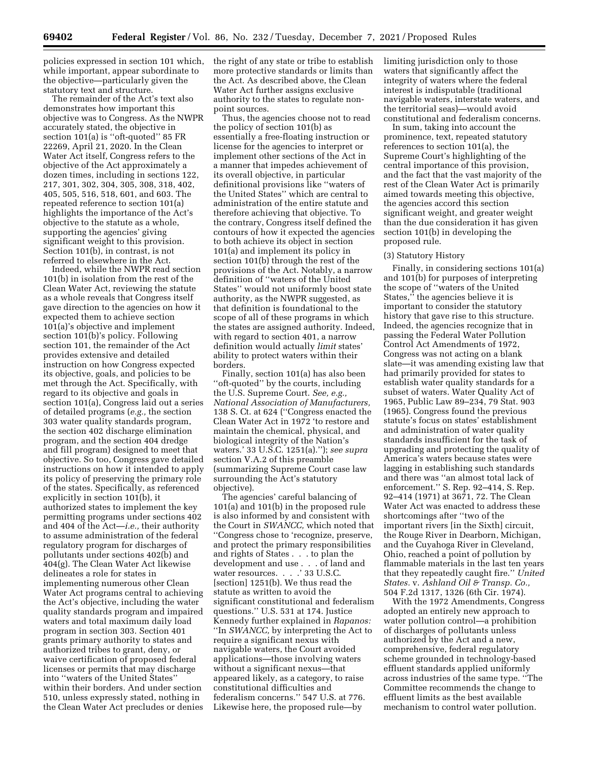policies expressed in section 101 which, while important, appear subordinate to the objective—particularly given the statutory text and structure.

The remainder of the Act's text also demonstrates how important this objective was to Congress. As the NWPR accurately stated, the objective in section 101(a) is ''oft-quoted'' 85 FR 22269, April 21, 2020. In the Clean Water Act itself, Congress refers to the objective of the Act approximately a dozen times, including in sections 122, 217, 301, 302, 304, 305, 308, 318, 402, 405, 505, 516, 518, 601, and 603. The repeated reference to section 101(a) highlights the importance of the Act's objective to the statute as a whole, supporting the agencies' giving significant weight to this provision. Section 101(b), in contrast, is not referred to elsewhere in the Act.

Indeed, while the NWPR read section 101(b) in isolation from the rest of the Clean Water Act, reviewing the statute as a whole reveals that Congress itself gave direction to the agencies on how it expected them to achieve section 101(a)'s objective and implement section 101(b)'s policy. Following section 101, the remainder of the Act provides extensive and detailed instruction on how Congress expected its objective, goals, and policies to be met through the Act. Specifically, with regard to its objective and goals in section 101(a), Congress laid out a series of detailed programs (*e.g.,* the section 303 water quality standards program, the section 402 discharge elimination program, and the section 404 dredge and fill program) designed to meet that objective. So too, Congress gave detailed instructions on how it intended to apply its policy of preserving the primary role of the states. Specifically, as referenced explicitly in section 101(b), it authorized states to implement the key permitting programs under sections 402 and 404 of the Act—*i.e.,* their authority to assume administration of the federal regulatory program for discharges of pollutants under sections 402(b) and 404(g). The Clean Water Act likewise delineates a role for states in implementing numerous other Clean Water Act programs central to achieving the Act's objective, including the water quality standards program and impaired waters and total maximum daily load program in section 303. Section 401 grants primary authority to states and authorized tribes to grant, deny, or waive certification of proposed federal licenses or permits that may discharge into ''waters of the United States'' within their borders. And under section 510, unless expressly stated, nothing in the Clean Water Act precludes or denies

the right of any state or tribe to establish more protective standards or limits than the Act. As described above, the Clean Water Act further assigns exclusive authority to the states to regulate nonpoint sources.

Thus, the agencies choose not to read the policy of section 101(b) as essentially a free-floating instruction or license for the agencies to interpret or implement other sections of the Act in a manner that impedes achievement of its overall objective, in particular definitional provisions like ''waters of the United States'' which are central to administration of the entire statute and therefore achieving that objective. To the contrary, Congress itself defined the contours of how it expected the agencies to both achieve its object in section 101(a) and implement its policy in section 101(b) through the rest of the provisions of the Act. Notably, a narrow definition of ''waters of the United States'' would not uniformly boost state authority, as the NWPR suggested, as that definition is foundational to the scope of all of these programs in which the states are assigned authority. Indeed, with regard to section 401, a narrow definition would actually *limit* states' ability to protect waters within their borders.

Finally, section 101(a) has also been ''oft-quoted'' by the courts, including the U.S. Supreme Court. *See, e.g., National Association of Manufacturers,*  138 S. Ct. at 624 (''Congress enacted the Clean Water Act in 1972 'to restore and maintain the chemical, physical, and biological integrity of the Nation's waters.' 33 U.S.C. 1251(a).''); *see supra*  section V.A.2 of this preamble (summarizing Supreme Court case law surrounding the Act's statutory objective).

The agencies' careful balancing of 101(a) and 101(b) in the proposed rule is also informed by and consistent with the Court in *SWANCC,* which noted that ''Congress chose to 'recognize, preserve, and protect the primary responsibilities and rights of States . . . to plan the development and use . . . of land and water resources. . . . ' 33 U.S.C. [section] 1251(b). We thus read the statute as written to avoid the significant constitutional and federalism questions.'' U.S. 531 at 174. Justice Kennedy further explained in *Rapanos:*  ''In *SWANCC,* by interpreting the Act to require a significant nexus with navigable waters, the Court avoided applications—those involving waters without a significant nexus—that appeared likely, as a category, to raise constitutional difficulties and federalism concerns.'' 547 U.S. at 776. Likewise here, the proposed rule—by

limiting jurisdiction only to those waters that significantly affect the integrity of waters where the federal interest is indisputable (traditional navigable waters, interstate waters, and the territorial seas)—would avoid constitutional and federalism concerns.

In sum, taking into account the prominence, text, repeated statutory references to section 101(a), the Supreme Court's highlighting of the central importance of this provision, and the fact that the vast majority of the rest of the Clean Water Act is primarily aimed towards meeting this objective, the agencies accord this section significant weight, and greater weight than the due consideration it has given section 101(b) in developing the proposed rule.

### (3) Statutory History

Finally, in considering sections 101(a) and 101(b) for purposes of interpreting the scope of ''waters of the United States,'' the agencies believe it is important to consider the statutory history that gave rise to this structure. Indeed, the agencies recognize that in passing the Federal Water Pollution Control Act Amendments of 1972, Congress was not acting on a blank slate—it was amending existing law that had primarily provided for states to establish water quality standards for a subset of waters. Water Quality Act of 1965, Public Law 89–234, 79 Stat. 903 (1965). Congress found the previous statute's focus on states' establishment and administration of water quality standards insufficient for the task of upgrading and protecting the quality of America's waters because states were lagging in establishing such standards and there was ''an almost total lack of enforcement.'' S. Rep. 92–414, S. Rep. 92–414 (1971) at 3671, 72. The Clean Water Act was enacted to address these shortcomings after ''two of the important rivers [in the Sixth] circuit, the Rouge River in Dearborn, Michigan, and the Cuyahoga River in Cleveland, Ohio, reached a point of pollution by flammable materials in the last ten years that they repeatedly caught fire.'' *United States.* v. *Ashland Oil & Transp. Co.,*  504 F.2d 1317, 1326 (6th Cir. 1974).

With the 1972 Amendments, Congress adopted an entirely new approach to water pollution control—a prohibition of discharges of pollutants unless authorized by the Act and a new, comprehensive, federal regulatory scheme grounded in technology-based effluent standards applied uniformly across industries of the same type. ''The Committee recommends the change to effluent limits as the best available mechanism to control water pollution.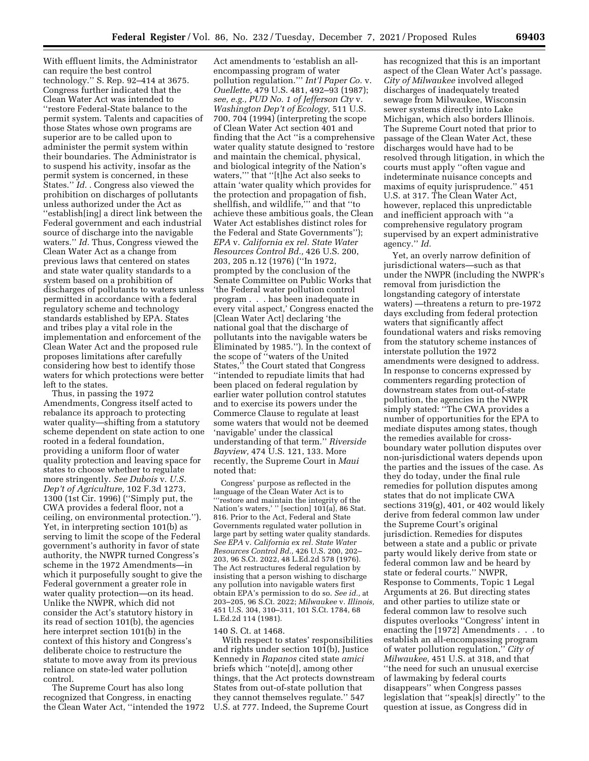With effluent limits, the Administrator can require the best control technology.'' S. Rep. 92–414 at 3675. Congress further indicated that the Clean Water Act was intended to ''restore Federal-State balance to the permit system. Talents and capacities of those States whose own programs are superior are to be called upon to administer the permit system within their boundaries. The Administrator is to suspend his activity, insofar as the permit system is concerned, in these States.'' *Id.* . Congress also viewed the prohibition on discharges of pollutants unless authorized under the Act as ''establish[ing] a direct link between the Federal government and each industrial source of discharge into the navigable waters.'' *Id.* Thus, Congress viewed the Clean Water Act as a change from previous laws that centered on states and state water quality standards to a system based on a prohibition of discharges of pollutants to waters unless permitted in accordance with a federal regulatory scheme and technology standards established by EPA. States and tribes play a vital role in the implementation and enforcement of the Clean Water Act and the proposed rule proposes limitations after carefully considering how best to identify those waters for which protections were better left to the states.

Thus, in passing the 1972 Amendments, Congress itself acted to rebalance its approach to protecting water quality—shifting from a statutory scheme dependent on state action to one rooted in a federal foundation, providing a uniform floor of water quality protection and leaving space for states to choose whether to regulate more stringently. *See Dubois* v. *U.S. Dep't of Agriculture,* 102 F.3d 1273, 1300 (1st Cir. 1996) (''Simply put, the CWA provides a federal floor, not a ceiling, on environmental protection.''). Yet, in interpreting section 101(b) as serving to limit the scope of the Federal government's authority in favor of state authority, the NWPR turned Congress's scheme in the 1972 Amendments—in which it purposefully sought to give the Federal government a greater role in water quality protection—on its head. Unlike the NWPR, which did not consider the Act's statutory history in its read of section 101(b), the agencies here interpret section 101(b) in the context of this history and Congress's deliberate choice to restructure the statute to move away from its previous reliance on state-led water pollution control.

The Supreme Court has also long recognized that Congress, in enacting the Clean Water Act, ''intended the 1972

Act amendments to 'establish an allencompassing program of water pollution regulation.''' *Int'l Paper Co.* v. *Ouellette,* 479 U.S. 481, 492–93 (1987); *see, e.g., PUD No. 1 of Jefferson Cty* v. *Washington Dep't of Ecology,* 511 U.S. 700, 704 (1994) (interpreting the scope of Clean Water Act section 401 and finding that the Act ''is a comprehensive water quality statute designed to 'restore and maintain the chemical, physical, and biological integrity of the Nation's waters,''' that ''[t]he Act also seeks to attain 'water quality which provides for the protection and propagation of fish, shellfish, and wildlife,''' and that ''to achieve these ambitious goals, the Clean Water Act establishes distinct roles for the Federal and State Governments''); *EPA* v. *California ex rel. State Water Resources Control Bd.,* 426 U.S. 200, 203, 205 n.12 (1976) (''In 1972, prompted by the conclusion of the Senate Committee on Public Works that 'the Federal water pollution control program . . . has been inadequate in every vital aspect,' Congress enacted the [Clean Water Act] declaring 'the national goal that the discharge of pollutants into the navigable waters be Eliminated by 1985.''). In the context of the scope of ''waters of the United States,'' the Court stated that Congress ''intended to repudiate limits that had been placed on federal regulation by earlier water pollution control statutes and to exercise its powers under the Commerce Clause to regulate at least some waters that would not be deemed 'navigable' under the classical understanding of that term.'' *Riverside Bayview,* 474 U.S. 121, 133. More recently, the Supreme Court in *Maui*  noted that:

Congress' purpose as reflected in the language of the Clean Water Act is to '''restore and maintain the integrity of the Nation's waters,' '' [section] 101(a), 86 Stat. 816. Prior to the Act, Federal and State Governments regulated water pollution in large part by setting water quality standards. *See EPA* v. *California ex rel. State Water Resources Control Bd.,* 426 U.S. 200, 202– 203, 96 S.Ct. 2022, 48 L.Ed.2d 578 (1976). The Act restructures federal regulation by insisting that a person wishing to discharge any pollution into navigable waters first obtain EPA's permission to do so. *See id.,* at 203–205, 96 S.Ct. 2022; *Milwaukee* v. *Illinois,*  451 U.S. 304, 310–311, 101 S.Ct. 1784, 68 L.Ed.2d 114 (1981).

#### 140 S. Ct. at 1468.

With respect to states' responsibilities and rights under section 101(b), Justice Kennedy in *Rapanos* cited state *amici*  briefs which ''note[d], among other things, that the Act protects downstream States from out-of-state pollution that they cannot themselves regulate.'' 547 U.S. at 777. Indeed, the Supreme Court

has recognized that this is an important aspect of the Clean Water Act's passage. *City of Milwaukee* involved alleged discharges of inadequately treated sewage from Milwaukee, Wisconsin sewer systems directly into Lake Michigan, which also borders Illinois. The Supreme Court noted that prior to passage of the Clean Water Act, these discharges would have had to be resolved through litigation, in which the courts must apply ''often vague and indeterminate nuisance concepts and maxims of equity jurisprudence.'' 451 U.S. at 317. The Clean Water Act, however, replaced this unpredictable and inefficient approach with ''a comprehensive regulatory program supervised by an expert administrative agency.'' *Id.* 

Yet, an overly narrow definition of jurisdictional waters—such as that under the NWPR (including the NWPR's removal from jurisdiction the longstanding category of interstate waters) —threatens a return to pre-1972 days excluding from federal protection waters that significantly affect foundational waters and risks removing from the statutory scheme instances of interstate pollution the 1972 amendments were designed to address. In response to concerns expressed by commenters regarding protection of downstream states from out-of-state pollution, the agencies in the NWPR simply stated: ''The CWA provides a number of opportunities for the EPA to mediate disputes among states, though the remedies available for crossboundary water pollution disputes over non-jurisdictional waters depends upon the parties and the issues of the case. As they do today, under the final rule remedies for pollution disputes among states that do not implicate CWA sections 319(g), 401, or 402 would likely derive from federal common law under the Supreme Court's original jurisdiction. Remedies for disputes between a state and a public or private party would likely derive from state or federal common law and be heard by state or federal courts.'' NWPR, Response to Comments, Topic 1 Legal Arguments at 26. But directing states and other parties to utilize state or federal common law to resolve such disputes overlooks ''Congress' intent in enacting the [1972] Amendments . . . to establish an all-encompassing program of water pollution regulation,'' *City of Milwaukee,* 451 U.S. at 318, and that ''the need for such an unusual exercise of lawmaking by federal courts disappears'' when Congress passes legislation that ''speak[s] directly'' to the question at issue, as Congress did in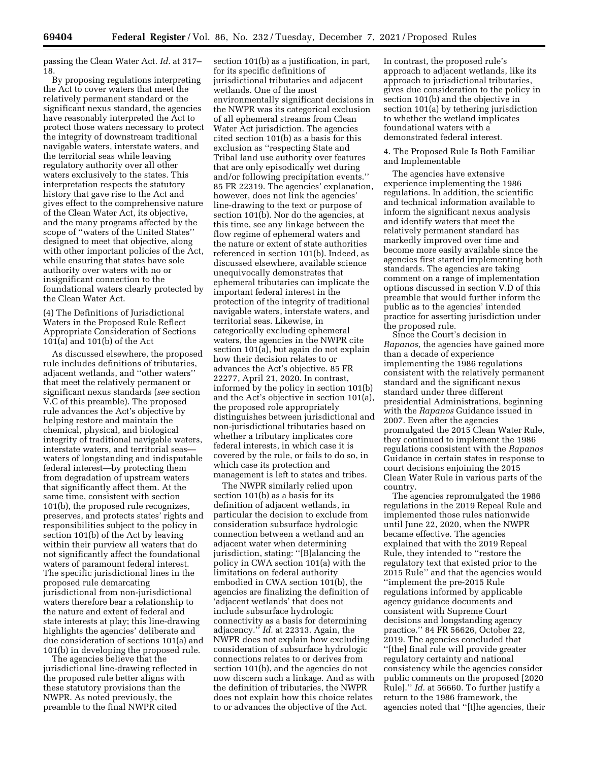passing the Clean Water Act. *Id.* at 317– 18.

By proposing regulations interpreting the Act to cover waters that meet the relatively permanent standard or the significant nexus standard, the agencies have reasonably interpreted the Act to protect those waters necessary to protect the integrity of downstream traditional navigable waters, interstate waters, and the territorial seas while leaving regulatory authority over all other waters exclusively to the states. This interpretation respects the statutory history that gave rise to the Act and gives effect to the comprehensive nature of the Clean Water Act, its objective, and the many programs affected by the scope of ''waters of the United States'' designed to meet that objective, along with other important policies of the Act, while ensuring that states have sole authority over waters with no or insignificant connection to the foundational waters clearly protected by the Clean Water Act.

(4) The Definitions of Jurisdictional Waters in the Proposed Rule Reflect Appropriate Consideration of Sections 101(a) and 101(b) of the Act

As discussed elsewhere, the proposed rule includes definitions of tributaries, adjacent wetlands, and ''other waters'' that meet the relatively permanent or significant nexus standards (*see* section V.C of this preamble). The proposed rule advances the Act's objective by helping restore and maintain the chemical, physical, and biological integrity of traditional navigable waters, interstate waters, and territorial seas waters of longstanding and indisputable federal interest—by protecting them from degradation of upstream waters that significantly affect them. At the same time, consistent with section 101(b), the proposed rule recognizes, preserves, and protects states' rights and responsibilities subject to the policy in section 101(b) of the Act by leaving within their purview all waters that do not significantly affect the foundational waters of paramount federal interest. The specific jurisdictional lines in the proposed rule demarcating jurisdictional from non-jurisdictional waters therefore bear a relationship to the nature and extent of federal and state interests at play; this line-drawing highlights the agencies' deliberate and due consideration of sections 101(a) and 101(b) in developing the proposed rule.

The agencies believe that the jurisdictional line-drawing reflected in the proposed rule better aligns with these statutory provisions than the NWPR. As noted previously, the preamble to the final NWPR cited

section 101(b) as a justification, in part, for its specific definitions of jurisdictional tributaries and adjacent wetlands. One of the most environmentally significant decisions in the NWPR was its categorical exclusion of all ephemeral streams from Clean Water Act jurisdiction. The agencies cited section 101(b) as a basis for this exclusion as ''respecting State and Tribal land use authority over features that are only episodically wet during and/or following precipitation events.'' 85 FR 22319. The agencies' explanation, however, does not link the agencies' line-drawing to the text or purpose of section 101(b). Nor do the agencies, at this time, see any linkage between the flow regime of ephemeral waters and the nature or extent of state authorities referenced in section 101(b). Indeed, as discussed elsewhere, available science unequivocally demonstrates that ephemeral tributaries can implicate the important federal interest in the protection of the integrity of traditional navigable waters, interstate waters, and territorial seas. Likewise, in categorically excluding ephemeral waters, the agencies in the NWPR cite section 101(a), but again do not explain how their decision relates to or advances the Act's objective. 85 FR 22277, April 21, 2020. In contrast, informed by the policy in section 101(b) and the Act's objective in section 101(a), the proposed role appropriately distinguishes between jurisdictional and non-jurisdictional tributaries based on whether a tributary implicates core federal interests, in which case it is covered by the rule, or fails to do so, in which case its protection and management is left to states and tribes.

The NWPR similarly relied upon section 101(b) as a basis for its definition of adjacent wetlands, in particular the decision to exclude from consideration subsurface hydrologic connection between a wetland and an adjacent water when determining jurisdiction, stating: ''[B]alancing the policy in CWA section 101(a) with the limitations on federal authority embodied in CWA section 101(b), the agencies are finalizing the definition of 'adjacent wetlands' that does not include subsurface hydrologic connectivity as a basis for determining adjacency.'' *Id.* at 22313. Again, the NWPR does not explain how excluding consideration of subsurface hydrologic connections relates to or derives from section 101(b), and the agencies do not now discern such a linkage. And as with the definition of tributaries, the NWPR does not explain how this choice relates to or advances the objective of the Act.

In contrast, the proposed rule's approach to adjacent wetlands, like its approach to jurisdictional tributaries, gives due consideration to the policy in section 101(b) and the objective in section 101(a) by tethering jurisdiction to whether the wetland implicates foundational waters with a demonstrated federal interest.

4. The Proposed Rule Is Both Familiar and Implementable

The agencies have extensive experience implementing the 1986 regulations. In addition, the scientific and technical information available to inform the significant nexus analysis and identify waters that meet the relatively permanent standard has markedly improved over time and become more easily available since the agencies first started implementing both standards. The agencies are taking comment on a range of implementation options discussed in section V.D of this preamble that would further inform the public as to the agencies' intended practice for asserting jurisdiction under the proposed rule.

Since the Court's decision in *Rapanos,* the agencies have gained more than a decade of experience implementing the 1986 regulations consistent with the relatively permanent standard and the significant nexus standard under three different presidential Administrations, beginning with the *Rapanos* Guidance issued in 2007. Even after the agencies promulgated the 2015 Clean Water Rule, they continued to implement the 1986 regulations consistent with the *Rapanos*  Guidance in certain states in response to court decisions enjoining the 2015 Clean Water Rule in various parts of the country.

The agencies repromulgated the 1986 regulations in the 2019 Repeal Rule and implemented those rules nationwide until June 22, 2020, when the NWPR became effective. The agencies explained that with the 2019 Repeal Rule, they intended to ''restore the regulatory text that existed prior to the 2015 Rule'' and that the agencies would ''implement the pre-2015 Rule regulations informed by applicable agency guidance documents and consistent with Supreme Court decisions and longstanding agency practice.'' 84 FR 56626, October 22, 2019. The agencies concluded that ''[the] final rule will provide greater regulatory certainty and national consistency while the agencies consider public comments on the proposed [2020 Rule].'' *Id.* at 56660. To further justify a return to the 1986 framework, the agencies noted that ''[t]he agencies, their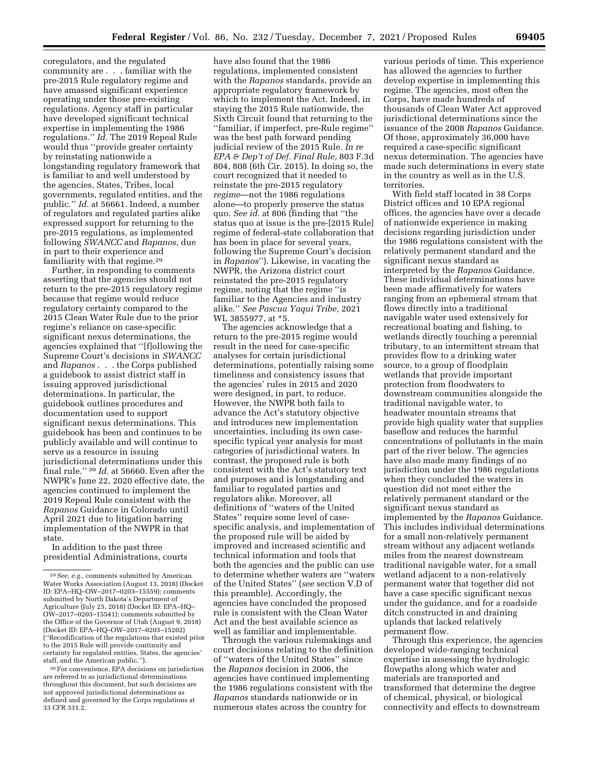coregulators, and the regulated community are . . . familiar with the pre-2015 Rule regulatory regime and have amassed significant experience operating under those pre-existing regulations. Agency staff in particular have developed significant technical expertise in implementing the 1986 regulations.'' *Id.* The 2019 Repeal Rule would thus ''provide greater certainty by reinstating nationwide a longstanding regulatory framework that is familiar to and well understood by the agencies, States, Tribes, local governments, regulated entities, and the public.'' *Id.* at 56661. Indeed, a number of regulators and regulated parties alike expressed support for returning to the pre-2015 regulations, as implemented following *SWANCC* and *Rapanos,* due in part to their experience and familiarity with that regime.29

Further, in responding to comments asserting that the agencies should not return to the pre-2015 regulatory regime because that regime would reduce regulatory certainty compared to the 2015 Clean Water Rule due to the prior regime's reliance on case-specific significant nexus determinations, the agencies explained that ''[f]ollowing the Supreme Court's decisions in *SWANCC*  and *Rapanos* . . . the Corps published a guidebook to assist district staff in issuing approved jurisdictional determinations. In particular, the guidebook outlines procedures and documentation used to support significant nexus determinations. This guidebook has been and continues to be publicly available and will continue to serve as a resource in issuing jurisdictional determinations under this final rule.'' 30 *Id.* at 56660. Even after the NWPR's June 22, 2020 effective date, the agencies continued to implement the 2019 Repeal Rule consistent with the *Rapanos* Guidance in Colorado until April 2021 due to litigation barring implementation of the NWPR in that state.

In addition to the past three presidential Administrations, courts

have also found that the 1986 regulations, implemented consistent with the *Rapanos* standards, provide an appropriate regulatory framework by which to implement the Act. Indeed, in staying the 2015 Rule nationwide, the Sixth Circuit found that returning to the ''familiar, if imperfect, pre-Rule regime'' was the best path forward pending judicial review of the 2015 Rule. *In re EPA & Dep't of Def. Final Rule,* 803 F.3d 804, 808 (6th Cir. 2015). In doing so, the court recognized that it needed to reinstate the pre-2015 regulatory *regime*—not the 1986 regulations alone—to properly preserve the status quo. *See id.* at 806 (finding that ''the status quo at issue is the pre-[2015 Rule] regime of federal-state collaboration that has been in place for several years, following the Supreme Court's decision in *Rapanos*''). Likewise, in vacating the NWPR, the Arizona district court reinstated the pre-2015 regulatory regime, noting that the regime ''is familiar to the Agencies and industry alike.'' *See Pascua Yaqui Tribe,* 2021 WL 3855977, at \*5.

The agencies acknowledge that a return to the pre-2015 regime would result in the need for case-specific analyses for certain jurisdictional determinations, potentially raising some timeliness and consistency issues that the agencies' rules in 2015 and 2020 were designed, in part, to reduce. However, the NWPR both fails to advance the Act's statutory objective and introduces new implementation uncertainties, including its own casespecific typical year analysis for most categories of jurisdictional waters. In contrast, the proposed rule is both consistent with the Act's statutory text and purposes and is longstanding and familiar to regulated parties and regulators alike. Moreover, all definitions of ''waters of the United States'' require some level of casespecific analysis, and implementation of the proposed rule will be aided by improved and increased scientific and technical information and tools that both the agencies and the public can use to determine whether waters are ''waters of the United States'' (*see* section V.D of this preamble). Accordingly, the agencies have concluded the proposed rule is consistent with the Clean Water Act and the best available science as well as familiar and implementable.

Through the various rulemakings and court decisions relating to the definition of ''waters of the United States'' since the *Rapanos* decision in 2006, the agencies have continued implementing the 1986 regulations consistent with the *Rapanos* standards nationwide or in numerous states across the country for

various periods of time. This experience has allowed the agencies to further develop expertise in implementing this regime. The agencies, most often the Corps, have made hundreds of thousands of Clean Water Act approved jurisdictional determinations since the issuance of the 2008 *Rapanos* Guidance. Of those, approximately 36,000 have required a case-specific significant nexus determination. The agencies have made such determinations in every state in the country as well as in the U.S. territories.

With field staff located in 38 Corps District offices and 10 EPA regional offices, the agencies have over a decade of nationwide experience in making decisions regarding jurisdiction under the 1986 regulations consistent with the relatively permanent standard and the significant nexus standard as interpreted by the *Rapanos* Guidance. These individual determinations have been made affirmatively for waters ranging from an ephemeral stream that flows directly into a traditional navigable water used extensively for recreational boating and fishing, to wetlands directly touching a perennial tributary, to an intermittent stream that provides flow to a drinking water source, to a group of floodplain wetlands that provide important protection from floodwaters to downstream communities alongside the traditional navigable water, to headwater mountain streams that provide high quality water that supplies baseflow and reduces the harmful concentrations of pollutants in the main part of the river below. The agencies have also made many findings of no jurisdiction under the 1986 regulations when they concluded the waters in question did not meet either the relatively permanent standard or the significant nexus standard as implemented by the *Rapanos* Guidance. This includes individual determinations for a small non-relatively permanent stream without any adjacent wetlands miles from the nearest downstream traditional navigable water, for a small wetland adjacent to a non-relatively permanent water that together did not have a case specific significant nexus under the guidance, and for a roadside ditch constructed in and draining uplands that lacked relatively permanent flow.

Through this experience, the agencies developed wide-ranging technical expertise in assessing the hydrologic flowpaths along which water and materials are transported and transformed that determine the degree of chemical, physical, or biological connectivity and effects to downstream

<sup>29</sup>*See, e.g.,* comments submitted by American Water Works Association (August 13, 2018) (Docket ID: EPA–HQ–OW–2017–0203–15559); comments submitted by North Dakota's Department of Agriculture (July 25, 2018) (Docket ID: EPA–HQ– OW–2017–0203–15541); comments submitted by the Office of the Governor of Utah (August 9, 2018) (Docket ID: EPA–HQ–OW–2017–0203–15202) (''Recodification of the regulations that existed prior to the 2015 Rule will provide continuity and certainty for regulated entities, States, the agencies' staff, and the American public.'').

<sup>30</sup>For convenience, EPA decisions on jurisdiction are referred to as jurisdictional determinations throughout this document, but such decisions are not approved jurisdictional determinations as defined and governed by the Corps regulations at 33 CFR 331.2.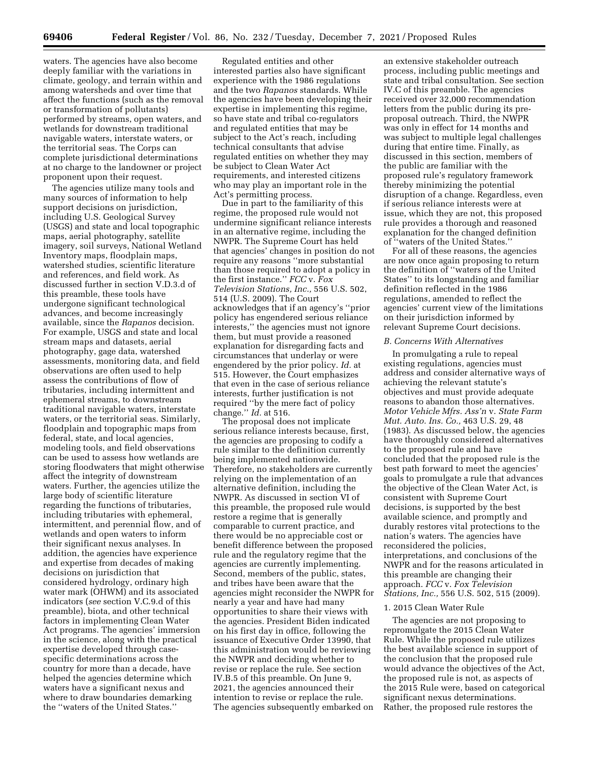waters. The agencies have also become deeply familiar with the variations in climate, geology, and terrain within and among watersheds and over time that affect the functions (such as the removal or transformation of pollutants) performed by streams, open waters, and wetlands for downstream traditional navigable waters, interstate waters, or the territorial seas. The Corps can complete jurisdictional determinations at no charge to the landowner or project proponent upon their request.

The agencies utilize many tools and many sources of information to help support decisions on jurisdiction, including U.S. Geological Survey (USGS) and state and local topographic maps, aerial photography, satellite imagery, soil surveys, National Wetland Inventory maps, floodplain maps, watershed studies, scientific literature and references, and field work. As discussed further in section V.D.3.d of this preamble, these tools have undergone significant technological advances, and become increasingly available, since the *Rapanos* decision. For example, USGS and state and local stream maps and datasets, aerial photography, gage data, watershed assessments, monitoring data, and field observations are often used to help assess the contributions of flow of tributaries, including intermittent and ephemeral streams, to downstream traditional navigable waters, interstate waters, or the territorial seas. Similarly, floodplain and topographic maps from federal, state, and local agencies, modeling tools, and field observations can be used to assess how wetlands are storing floodwaters that might otherwise affect the integrity of downstream waters. Further, the agencies utilize the large body of scientific literature regarding the functions of tributaries, including tributaries with ephemeral, intermittent, and perennial flow, and of wetlands and open waters to inform their significant nexus analyses. In addition, the agencies have experience and expertise from decades of making decisions on jurisdiction that considered hydrology, ordinary high water mark (OHWM) and its associated indicators (*see* section V.C.9.d of this preamble), biota, and other technical factors in implementing Clean Water Act programs. The agencies' immersion in the science, along with the practical expertise developed through casespecific determinations across the country for more than a decade, have helped the agencies determine which waters have a significant nexus and where to draw boundaries demarking the ''waters of the United States.''

Regulated entities and other interested parties also have significant experience with the 1986 regulations and the two *Rapanos* standards. While the agencies have been developing their expertise in implementing this regime, so have state and tribal co-regulators and regulated entities that may be subject to the Act's reach, including technical consultants that advise regulated entities on whether they may be subject to Clean Water Act requirements, and interested citizens who may play an important role in the Act's permitting process.

Due in part to the familiarity of this regime, the proposed rule would not undermine significant reliance interests in an alternative regime, including the NWPR. The Supreme Court has held that agencies' changes in position do not require any reasons ''more substantial than those required to adopt a policy in the first instance.'' *FCC* v. *Fox Television Stations, Inc.,* 556 U.S. 502, 514 (U.S. 2009). The Court acknowledges that if an agency's ''prior policy has engendered serious reliance interests,'' the agencies must not ignore them, but must provide a reasoned explanation for disregarding facts and circumstances that underlay or were engendered by the prior policy. *Id.* at 515. However, the Court emphasizes that even in the case of serious reliance interests, further justification is not required ''by the mere fact of policy change.'' *Id.* at 516.

The proposal does not implicate serious reliance interests because, first, the agencies are proposing to codify a rule similar to the definition currently being implemented nationwide. Therefore, no stakeholders are currently relying on the implementation of an alternative definition, including the NWPR. As discussed in section VI of this preamble, the proposed rule would restore a regime that is generally comparable to current practice, and there would be no appreciable cost or benefit difference between the proposed rule and the regulatory regime that the agencies are currently implementing. Second, members of the public, states, and tribes have been aware that the agencies might reconsider the NWPR for nearly a year and have had many opportunities to share their views with the agencies. President Biden indicated on his first day in office, following the issuance of Executive Order 13990, that this administration would be reviewing the NWPR and deciding whether to revise or replace the rule. See section IV.B.5 of this preamble. On June 9, 2021, the agencies announced their intention to revise or replace the rule. The agencies subsequently embarked on

an extensive stakeholder outreach process, including public meetings and state and tribal consultation. See section IV.C of this preamble. The agencies received over 32,000 recommendation letters from the public during its preproposal outreach. Third, the NWPR was only in effect for 14 months and was subject to multiple legal challenges during that entire time. Finally, as discussed in this section, members of the public are familiar with the proposed rule's regulatory framework thereby minimizing the potential disruption of a change. Regardless, even if serious reliance interests were at issue, which they are not, this proposed rule provides a thorough and reasoned explanation for the changed definition of ''waters of the United States.''

For all of these reasons, the agencies are now once again proposing to return the definition of ''waters of the United States'' to its longstanding and familiar definition reflected in the 1986 regulations, amended to reflect the agencies' current view of the limitations on their jurisdiction informed by relevant Supreme Court decisions.

#### *B. Concerns With Alternatives*

In promulgating a rule to repeal existing regulations, agencies must address and consider alternative ways of achieving the relevant statute's objectives and must provide adequate reasons to abandon those alternatives. *Motor Vehicle Mfrs. Ass'n* v. *State Farm Mut. Auto. Ins. Co.,* 463 U.S. 29, 48 (1983). As discussed below, the agencies have thoroughly considered alternatives to the proposed rule and have concluded that the proposed rule is the best path forward to meet the agencies' goals to promulgate a rule that advances the objective of the Clean Water Act, is consistent with Supreme Court decisions, is supported by the best available science, and promptly and durably restores vital protections to the nation's waters. The agencies have reconsidered the policies, interpretations, and conclusions of the NWPR and for the reasons articulated in this preamble are changing their approach. *FCC* v. *Fox Television Stations, Inc.,* 556 U.S. 502, 515 (2009).

### 1. 2015 Clean Water Rule

The agencies are not proposing to repromulgate the 2015 Clean Water Rule. While the proposed rule utilizes the best available science in support of the conclusion that the proposed rule would advance the objectives of the Act, the proposed rule is not, as aspects of the 2015 Rule were, based on categorical significant nexus determinations. Rather, the proposed rule restores the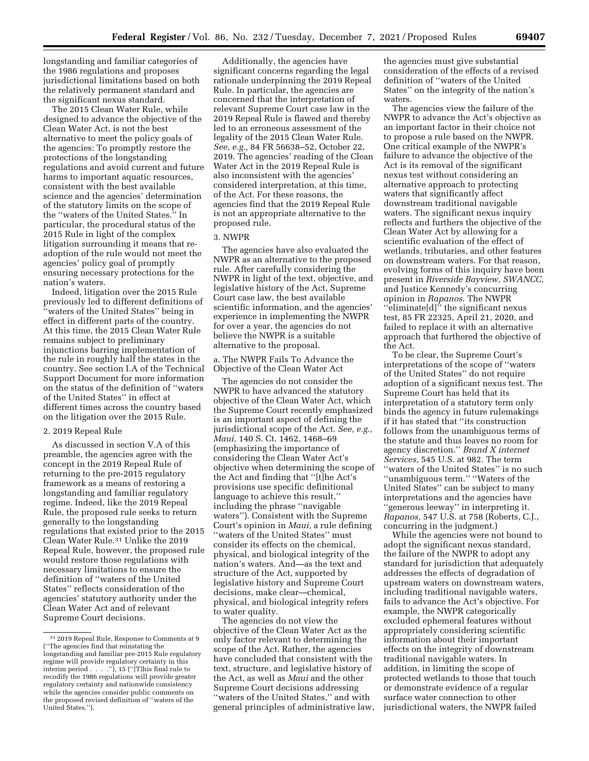longstanding and familiar categories of the 1986 regulations and proposes jurisdictional limitations based on both the relatively permanent standard and the significant nexus standard.

The 2015 Clean Water Rule, while designed to advance the objective of the Clean Water Act, is not the best alternative to meet the policy goals of the agencies: To promptly restore the protections of the longstanding regulations and avoid current and future harms to important aquatic resources, consistent with the best available science and the agencies' determination of the statutory limits on the scope of the ''waters of the United States.'' In particular, the procedural status of the 2015 Rule in light of the complex litigation surrounding it means that readoption of the rule would not meet the agencies' policy goal of promptly ensuring necessary protections for the nation's waters.

Indeed, litigation over the 2015 Rule previously led to different definitions of ''waters of the United States'' being in effect in different parts of the country. At this time, the 2015 Clean Water Rule remains subject to preliminary injunctions barring implementation of the rule in roughly half the states in the country. See section I.A of the Technical Support Document for more information on the status of the definition of ''waters of the United States'' in effect at different times across the country based on the litigation over the 2015 Rule.

### 2. 2019 Repeal Rule

As discussed in section V.A of this preamble, the agencies agree with the concept in the 2019 Repeal Rule of returning to the pre-2015 regulatory framework as a means of restoring a longstanding and familiar regulatory regime. Indeed, like the 2019 Repeal Rule, the proposed rule seeks to return generally to the longstanding regulations that existed prior to the 2015 Clean Water Rule.31 Unlike the 2019 Repeal Rule, however, the proposed rule would restore those regulations with necessary limitations to ensure the definition of ''waters of the United States'' reflects consideration of the agencies' statutory authority under the Clean Water Act and of relevant Supreme Court decisions.

Additionally, the agencies have significant concerns regarding the legal rationale underpinning the 2019 Repeal Rule. In particular, the agencies are concerned that the interpretation of relevant Supreme Court case law in the 2019 Repeal Rule is flawed and thereby led to an erroneous assessment of the legality of the 2015 Clean Water Rule. *See, e.g.,* 84 FR 56638–52, October 22, 2019. The agencies' reading of the Clean Water Act in the 2019 Repeal Rule is also inconsistent with the agencies' considered interpretation, at this time, of the Act. For these reasons, the agencies find that the 2019 Repeal Rule is not an appropriate alternative to the proposed rule.

### 3. NWPR

The agencies have also evaluated the NWPR as an alternative to the proposed rule. After carefully considering the NWPR in light of the text, objective, and legislative history of the Act, Supreme Court case law, the best available scientific information, and the agencies' experience in implementing the NWPR for over a year, the agencies do not believe the NWPR is a suitable alternative to the proposal.

a. The NWPR Fails To Advance the Objective of the Clean Water Act

The agencies do not consider the NWPR to have advanced the statutory objective of the Clean Water Act, which the Supreme Court recently emphasized is an important aspect of defining the jurisdictional scope of the Act. *See, e.g., Maui,* 140 S. Ct. 1462, 1468–69 (emphasizing the importance of considering the Clean Water Act's objective when determining the scope of the Act and finding that ''[t]he Act's provisions use specific definitional language to achieve this result,'' including the phrase ''navigable waters''). Consistent with the Supreme Court's opinion in *Maui,* a rule defining ''waters of the United States'' must consider its effects on the chemical, physical, and biological integrity of the nation's waters. And—as the text and structure of the Act, supported by legislative history and Supreme Court decisions, make clear—chemical, physical, and biological integrity refers to water quality.

The agencies do not view the objective of the Clean Water Act as the only factor relevant to determining the scope of the Act. Rather, the agencies have concluded that consistent with the text, structure, and legislative history of the Act, as well as *Maui* and the other Supreme Court decisions addressing ''waters of the United States,'' and with general principles of administrative law,

the agencies must give substantial consideration of the effects of a revised definition of ''waters of the United States'' on the integrity of the nation's waters.

The agencies view the failure of the NWPR to advance the Act's objective as an important factor in their choice not to propose a rule based on the NWPR. One critical example of the NWPR's failure to advance the objective of the Act is its removal of the significant nexus test without considering an alternative approach to protecting waters that significantly affect downstream traditional navigable waters. The significant nexus inquiry reflects and furthers the objective of the Clean Water Act by allowing for a scientific evaluation of the effect of wetlands, tributaries, and other features on downstream waters. For that reason, evolving forms of this inquiry have been present in *Riverside Bayview, SWANCC,*  and Justice Kennedy's concurring opinion in *Rapanos.* The NWPR ''eliminate[d]'' the significant nexus test, 85 FR 22325, April 21, 2020, and failed to replace it with an alternative approach that furthered the objective of the Act.

To be clear, the Supreme Court's interpretations of the scope of ''waters of the United States'' do not require adoption of a significant nexus test. The Supreme Court has held that its interpretation of a statutory term only binds the agency in future rulemakings if it has stated that ''its construction follows from the unambiguous terms of the statute and thus leaves no room for agency discretion.'' *Brand X internet Services,* 545 U.S. at 982. The term ''waters of the United States'' is no such ''unambiguous term.'' ''Waters of the United States'' can be subject to many interpretations and the agencies have ''generous leeway'' in interpreting it. *Rapanos,* 547 U.S. at 758 (Roberts, C.J., concurring in the judgment.)

While the agencies were not bound to adopt the significant nexus standard, the failure of the NWPR to adopt any standard for jurisdiction that adequately addresses the effects of degradation of upstream waters on downstream waters, including traditional navigable waters, fails to advance the Act's objective. For example, the NWPR categorically excluded ephemeral features without appropriately considering scientific information about their important effects on the integrity of downstream traditional navigable waters. In addition, in limiting the scope of protected wetlands to those that touch or demonstrate evidence of a regular surface water connection to other jurisdictional waters, the NWPR failed

<sup>31</sup> 2019 Repeal Rule, Response to Comments at 9 (''The agencies find that reinstating the longstanding and familiar pre-2015 Rule regulatory regime will provide regulatory certainty in this interim period . . . .''), 15 (''[T]his final rule to recodify the 1986 regulations will provide greater regulatory certainty and nationwide consistency while the agencies consider public comments on the proposed revised definition of ''waters of the United States.'').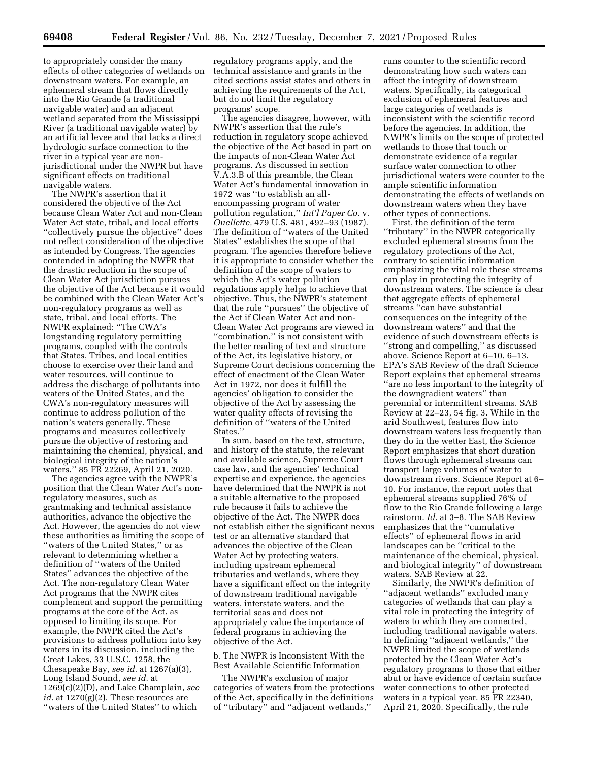to appropriately consider the many effects of other categories of wetlands on downstream waters. For example, an ephemeral stream that flows directly into the Rio Grande (a traditional navigable water) and an adjacent wetland separated from the Mississippi River (a traditional navigable water) by an artificial levee and that lacks a direct hydrologic surface connection to the river in a typical year are nonjurisdictional under the NWPR but have significant effects on traditional navigable waters.

The NWPR's assertion that it considered the objective of the Act because Clean Water Act and non-Clean Water Act state, tribal, and local efforts ''collectively pursue the objective'' does not reflect consideration of the objective as intended by Congress. The agencies contended in adopting the NWPR that the drastic reduction in the scope of Clean Water Act jurisdiction pursues the objective of the Act because it would be combined with the Clean Water Act's non-regulatory programs as well as state, tribal, and local efforts. The NWPR explained: ''The CWA's longstanding regulatory permitting programs, coupled with the controls that States, Tribes, and local entities choose to exercise over their land and water resources, will continue to address the discharge of pollutants into waters of the United States, and the CWA's non-regulatory measures will continue to address pollution of the nation's waters generally. These programs and measures collectively pursue the objective of restoring and maintaining the chemical, physical, and biological integrity of the nation's waters.'' 85 FR 22269, April 21, 2020.

The agencies agree with the NWPR's position that the Clean Water Act's nonregulatory measures, such as grantmaking and technical assistance authorities, advance the objective the Act. However, the agencies do not view these authorities as limiting the scope of ''waters of the United States,'' or as relevant to determining whether a definition of ''waters of the United States'' advances the objective of the Act. The non-regulatory Clean Water Act programs that the NWPR cites complement and support the permitting programs at the core of the Act, as opposed to limiting its scope. For example, the NWPR cited the Act's provisions to address pollution into key waters in its discussion, including the Great Lakes, 33 U.S.C. 1258, the Chesapeake Bay, *see id.* at 1267(a)(3), Long Island Sound, *see id.* at 1269(c)(2)(D), and Lake Champlain, *see id.* at 1270(g)(2). These resources are ''waters of the United States'' to which

regulatory programs apply, and the technical assistance and grants in the cited sections assist states and others in achieving the requirements of the Act, but do not limit the regulatory programs' scope.

The agencies disagree, however, with NWPR's assertion that the rule's reduction in regulatory scope achieved the objective of the Act based in part on the impacts of non-Clean Water Act programs. As discussed in section V.A.3.B of this preamble, the Clean Water Act's fundamental innovation in 1972 was ''to establish an allencompassing program of water pollution regulation,'' *Int'l Paper Co.* v. *Ouellette,* 479 U.S. 481, 492–93 (1987). The definition of ''waters of the United States'' establishes the scope of that program. The agencies therefore believe it is appropriate to consider whether the definition of the scope of waters to which the Act's water pollution regulations apply helps to achieve that objective. Thus, the NWPR's statement that the rule ''pursues'' the objective of the Act if Clean Water Act and non-Clean Water Act programs are viewed in ''combination,'' is not consistent with the better reading of text and structure of the Act, its legislative history, or Supreme Court decisions concerning the effect of enactment of the Clean Water Act in 1972, nor does it fulfill the agencies' obligation to consider the objective of the Act by assessing the water quality effects of revising the definition of ''waters of the United States.''

In sum, based on the text, structure, and history of the statute, the relevant and available science, Supreme Court case law, and the agencies' technical expertise and experience, the agencies have determined that the NWPR is not a suitable alternative to the proposed rule because it fails to achieve the objective of the Act. The NWPR does not establish either the significant nexus test or an alternative standard that advances the objective of the Clean Water Act by protecting waters, including upstream ephemeral tributaries and wetlands, where they have a significant effect on the integrity of downstream traditional navigable waters, interstate waters, and the territorial seas and does not appropriately value the importance of federal programs in achieving the objective of the Act.

b. The NWPR is Inconsistent With the Best Available Scientific Information

The NWPR's exclusion of major categories of waters from the protections of the Act, specifically in the definitions of ''tributary'' and ''adjacent wetlands,''

runs counter to the scientific record demonstrating how such waters can affect the integrity of downstream waters. Specifically, its categorical exclusion of ephemeral features and large categories of wetlands is inconsistent with the scientific record before the agencies. In addition, the NWPR's limits on the scope of protected wetlands to those that touch or demonstrate evidence of a regular surface water connection to other jurisdictional waters were counter to the ample scientific information demonstrating the effects of wetlands on downstream waters when they have other types of connections.

First, the definition of the term ''tributary'' in the NWPR categorically excluded ephemeral streams from the regulatory protections of the Act, contrary to scientific information emphasizing the vital role these streams can play in protecting the integrity of downstream waters. The science is clear that aggregate effects of ephemeral streams ''can have substantial consequences on the integrity of the downstream waters'' and that the evidence of such downstream effects is ''strong and compelling,'' as discussed above. Science Report at 6–10, 6–13. EPA's SAB Review of the draft Science Report explains that ephemeral streams ''are no less important to the integrity of the downgradient waters'' than perennial or intermittent streams. SAB Review at 22–23, 54 fig. 3. While in the arid Southwest, features flow into downstream waters less frequently than they do in the wetter East, the Science Report emphasizes that short duration flows through ephemeral streams can transport large volumes of water to downstream rivers. Science Report at 6– 10. For instance, the report notes that ephemeral streams supplied 76% of flow to the Rio Grande following a large rainstorm. *Id.* at 3–8. The SAB Review emphasizes that the ''cumulative effects'' of ephemeral flows in arid landscapes can be ''critical to the maintenance of the chemical, physical, and biological integrity'' of downstream waters. SAB Review at 22.

Similarly, the NWPR's definition of ''adjacent wetlands'' excluded many categories of wetlands that can play a vital role in protecting the integrity of waters to which they are connected, including traditional navigable waters. In defining ''adjacent wetlands,'' the NWPR limited the scope of wetlands protected by the Clean Water Act's regulatory programs to those that either abut or have evidence of certain surface water connections to other protected waters in a typical year. 85 FR 22340, April 21, 2020. Specifically, the rule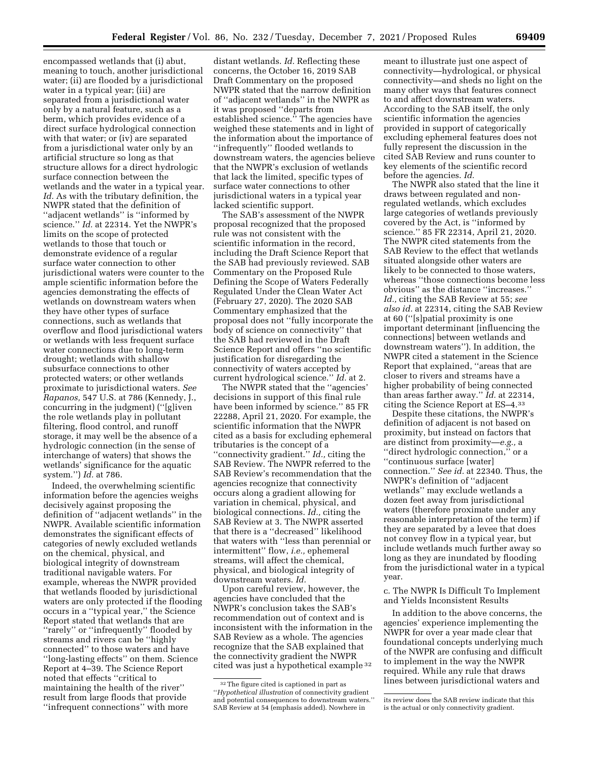encompassed wetlands that (i) abut, meaning to touch, another jurisdictional water; (ii) are flooded by a jurisdictional water in a typical year; (iii) are separated from a jurisdictional water only by a natural feature, such as a berm, which provides evidence of a direct surface hydrological connection with that water; or (iv) are separated from a jurisdictional water only by an artificial structure so long as that structure allows for a direct hydrologic surface connection between the wetlands and the water in a typical year. *Id.* As with the tributary definition, the NWPR stated that the definition of ''adjacent wetlands'' is ''informed by science.'' *Id.* at 22314. Yet the NWPR's limits on the scope of protected wetlands to those that touch or demonstrate evidence of a regular surface water connection to other jurisdictional waters were counter to the ample scientific information before the agencies demonstrating the effects of wetlands on downstream waters when they have other types of surface connections, such as wetlands that overflow and flood jurisdictional waters or wetlands with less frequent surface water connections due to long-term drought; wetlands with shallow subsurface connections to other protected waters; or other wetlands proximate to jurisdictional waters. *See Rapanos,* 547 U.S. at 786 (Kennedy, J., concurring in the judgment) (''[g]iven the role wetlands play in pollutant filtering, flood control, and runoff storage, it may well be the absence of a hydrologic connection (in the sense of interchange of waters) that shows the wetlands' significance for the aquatic system.'') *Id.* at 786.

Indeed, the overwhelming scientific information before the agencies weighs decisively against proposing the definition of ''adjacent wetlands'' in the NWPR. Available scientific information demonstrates the significant effects of categories of newly excluded wetlands on the chemical, physical, and biological integrity of downstream traditional navigable waters. For example, whereas the NWPR provided that wetlands flooded by jurisdictional waters are only protected if the flooding occurs in a ''typical year,'' the Science Report stated that wetlands that are ''rarely'' or ''infrequently'' flooded by streams and rivers can be ''highly connected'' to those waters and have ''long-lasting effects'' on them. Science Report at 4–39. The Science Report noted that effects ''critical to maintaining the health of the river'' result from large floods that provide ''infrequent connections'' with more

distant wetlands. *Id.* Reflecting these concerns, the October 16, 2019 SAB Draft Commentary on the proposed NWPR stated that the narrow definition of ''adjacent wetlands'' in the NWPR as it was proposed ''departs from established science.'' The agencies have weighed these statements and in light of the information about the importance of ''infrequently'' flooded wetlands to downstream waters, the agencies believe that the NWPR's exclusion of wetlands that lack the limited, specific types of surface water connections to other jurisdictional waters in a typical year lacked scientific support.

The SAB's assessment of the NWPR proposal recognized that the proposed rule was not consistent with the scientific information in the record, including the Draft Science Report that the SAB had previously reviewed. SAB Commentary on the Proposed Rule Defining the Scope of Waters Federally Regulated Under the Clean Water Act (February 27, 2020). The 2020 SAB Commentary emphasized that the proposal does not ''fully incorporate the body of science on connectivity'' that the SAB had reviewed in the Draft Science Report and offers ''no scientific justification for disregarding the connectivity of waters accepted by current hydrological science.'' *Id.* at 2.

The NWPR stated that the ''agencies' decisions in support of this final rule have been informed by science.'' 85 FR 22288, April 21, 2020. For example, the scientific information that the NWPR cited as a basis for excluding ephemeral tributaries is the concept of a ''connectivity gradient.'' *Id.,* citing the SAB Review. The NWPR referred to the SAB Review's recommendation that the agencies recognize that connectivity occurs along a gradient allowing for variation in chemical, physical, and biological connections. *Id.,* citing the SAB Review at 3. The NWPR asserted that there is a ''decreased'' likelihood that waters with ''less than perennial or intermittent'' flow, *i.e.,* ephemeral streams, will affect the chemical, physical, and biological integrity of downstream waters. *Id.* 

Upon careful review, however, the agencies have concluded that the NWPR's conclusion takes the SAB's recommendation out of context and is inconsistent with the information in the SAB Review as a whole. The agencies recognize that the SAB explained that the connectivity gradient the NWPR cited was just a hypothetical example 32

meant to illustrate just one aspect of connectivity—hydrological, or physical connectivity—and sheds no light on the many other ways that features connect to and affect downstream waters. According to the SAB itself, the only scientific information the agencies provided in support of categorically excluding ephemeral features does not fully represent the discussion in the cited SAB Review and runs counter to key elements of the scientific record before the agencies. *Id.* 

The NWPR also stated that the line it draws between regulated and nonregulated wetlands, which excludes large categories of wetlands previously covered by the Act, is ''informed by science.'' 85 FR 22314, April 21, 2020. The NWPR cited statements from the SAB Review to the effect that wetlands situated alongside other waters are likely to be connected to those waters, whereas ''those connections become less obvious'' as the distance ''increases.'' *Id.,* citing the SAB Review at 55; *see also id.* at 22314, citing the SAB Review at 60 (''[s]patial proximity is one important determinant [influencing the connections] between wetlands and downstream waters''). In addition, the NWPR cited a statement in the Science Report that explained, ''areas that are closer to rivers and streams have a higher probability of being connected than areas farther away.'' *Id.* at 22314, citing the Science Report at ES–4.33

Despite these citations, the NWPR's definition of adjacent is not based on proximity, but instead on factors that are distinct from proximity—*e.g.,* a ''direct hydrologic connection,'' or a ''continuous surface [water] connection.'' *See id.* at 22340. Thus, the NWPR's definition of ''adjacent wetlands'' may exclude wetlands a dozen feet away from jurisdictional waters (therefore proximate under any reasonable interpretation of the term) if they are separated by a levee that does not convey flow in a typical year, but include wetlands much further away so long as they are inundated by flooding from the jurisdictional water in a typical year.

c. The NWPR Is Difficult To Implement and Yields Inconsistent Results

In addition to the above concerns, the agencies' experience implementing the NWPR for over a year made clear that foundational concepts underlying much of the NWPR are confusing and difficult to implement in the way the NWPR required. While any rule that draws lines between jurisdictional waters and

<sup>32</sup>The figure cited is captioned in part as ''*Hypothetical illustration* of connectivity gradient and potential consequences to downstream waters.'' SAB Review at 54 (emphasis added). Nowhere in

its review does the SAB review indicate that this is the actual or only connectivity gradient.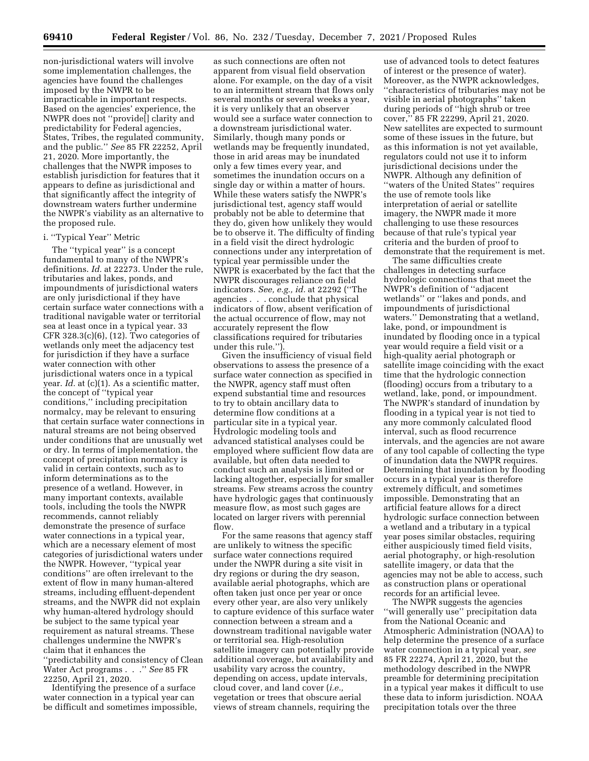non-jurisdictional waters will involve some implementation challenges, the agencies have found the challenges imposed by the NWPR to be impracticable in important respects. Based on the agencies' experience, the NWPR does not ''provide[] clarity and predictability for Federal agencies, States, Tribes, the regulated community, and the public.'' *See* 85 FR 22252, April 21, 2020. More importantly, the challenges that the NWPR imposes to establish jurisdiction for features that it appears to define as jurisdictional and that significantly affect the integrity of downstream waters further undermine the NWPR's viability as an alternative to the proposed rule.

# i. ''Typical Year'' Metric

The "typical year" is a concept fundamental to many of the NWPR's definitions. *Id.* at 22273. Under the rule, tributaries and lakes, ponds, and impoundments of jurisdictional waters are only jurisdictional if they have certain surface water connections with a traditional navigable water or territorial sea at least once in a typical year. 33 CFR 328.3(c)(6), (12). Two categories of wetlands only meet the adjacency test for jurisdiction if they have a surface water connection with other jurisdictional waters once in a typical year. *Id.* at (c)(1). As a scientific matter, the concept of ''typical year conditions,'' including precipitation normalcy, may be relevant to ensuring that certain surface water connections in natural streams are not being observed under conditions that are unusually wet or dry. In terms of implementation, the concept of precipitation normalcy is valid in certain contexts, such as to inform determinations as to the presence of a wetland. However, in many important contexts, available tools, including the tools the NWPR recommends, cannot reliably demonstrate the presence of surface water connections in a typical year, which are a necessary element of most categories of jurisdictional waters under the NWPR. However, ''typical year conditions'' are often irrelevant to the extent of flow in many human-altered streams, including effluent-dependent streams, and the NWPR did not explain why human-altered hydrology should be subject to the same typical year requirement as natural streams. These challenges undermine the NWPR's claim that it enhances the ''predictability and consistency of Clean Water Act programs . . .'' *See* 85 FR 22250, April 21, 2020.

Identifying the presence of a surface water connection in a typical year can be difficult and sometimes impossible,

as such connections are often not apparent from visual field observation alone. For example, on the day of a visit to an intermittent stream that flows only several months or several weeks a year, it is very unlikely that an observer would see a surface water connection to a downstream jurisdictional water. Similarly, though many ponds or wetlands may be frequently inundated, those in arid areas may be inundated only a few times every year, and sometimes the inundation occurs on a single day or within a matter of hours. While these waters satisfy the NWPR's jurisdictional test, agency staff would probably not be able to determine that they do, given how unlikely they would be to observe it. The difficulty of finding in a field visit the direct hydrologic connections under any interpretation of typical year permissible under the NWPR is exacerbated by the fact that the NWPR discourages reliance on field indicators. *See, e.g., id.* at 22292 (''The agencies . . . conclude that physical indicators of flow, absent verification of the actual occurrence of flow, may not accurately represent the flow classifications required for tributaries under this rule.'').

Given the insufficiency of visual field observations to assess the presence of a surface water connection as specified in the NWPR, agency staff must often expend substantial time and resources to try to obtain ancillary data to determine flow conditions at a particular site in a typical year. Hydrologic modeling tools and advanced statistical analyses could be employed where sufficient flow data are available, but often data needed to conduct such an analysis is limited or lacking altogether, especially for smaller streams. Few streams across the country have hydrologic gages that continuously measure flow, as most such gages are located on larger rivers with perennial flow.

For the same reasons that agency staff are unlikely to witness the specific surface water connections required under the NWPR during a site visit in dry regions or during the dry season, available aerial photographs, which are often taken just once per year or once every other year, are also very unlikely to capture evidence of this surface water connection between a stream and a downstream traditional navigable water or territorial sea. High-resolution satellite imagery can potentially provide additional coverage, but availability and usability vary across the country, depending on access, update intervals, cloud cover, and land cover (*i.e.,*  vegetation or trees that obscure aerial views of stream channels, requiring the

use of advanced tools to detect features of interest or the presence of water). Moreover, as the NWPR acknowledges, ''characteristics of tributaries may not be visible in aerial photographs'' taken during periods of ''high shrub or tree cover,'' 85 FR 22299, April 21, 2020. New satellites are expected to surmount some of these issues in the future, but as this information is not yet available, regulators could not use it to inform jurisdictional decisions under the NWPR. Although any definition of ''waters of the United States'' requires the use of remote tools like interpretation of aerial or satellite imagery, the NWPR made it more challenging to use these resources because of that rule's typical year criteria and the burden of proof to demonstrate that the requirement is met.

The same difficulties create challenges in detecting surface hydrologic connections that meet the NWPR's definition of ''adjacent wetlands'' or ''lakes and ponds, and impoundments of jurisdictional waters.'' Demonstrating that a wetland, lake, pond, or impoundment is inundated by flooding once in a typical year would require a field visit or a high-quality aerial photograph or satellite image coinciding with the exact time that the hydrologic connection (flooding) occurs from a tributary to a wetland, lake, pond, or impoundment. The NWPR's standard of inundation by flooding in a typical year is not tied to any more commonly calculated flood interval, such as flood recurrence intervals, and the agencies are not aware of any tool capable of collecting the type of inundation data the NWPR requires. Determining that inundation by flooding occurs in a typical year is therefore extremely difficult, and sometimes impossible. Demonstrating that an artificial feature allows for a direct hydrologic surface connection between a wetland and a tributary in a typical year poses similar obstacles, requiring either auspiciously timed field visits, aerial photography, or high-resolution satellite imagery, or data that the agencies may not be able to access, such as construction plans or operational records for an artificial levee.

The NWPR suggests the agencies ''will generally use'' precipitation data from the National Oceanic and Atmospheric Administration (NOAA) to help determine the presence of a surface water connection in a typical year, *see*  85 FR 22274, April 21, 2020, but the methodology described in the NWPR preamble for determining precipitation in a typical year makes it difficult to use these data to inform jurisdiction. NOAA precipitation totals over the three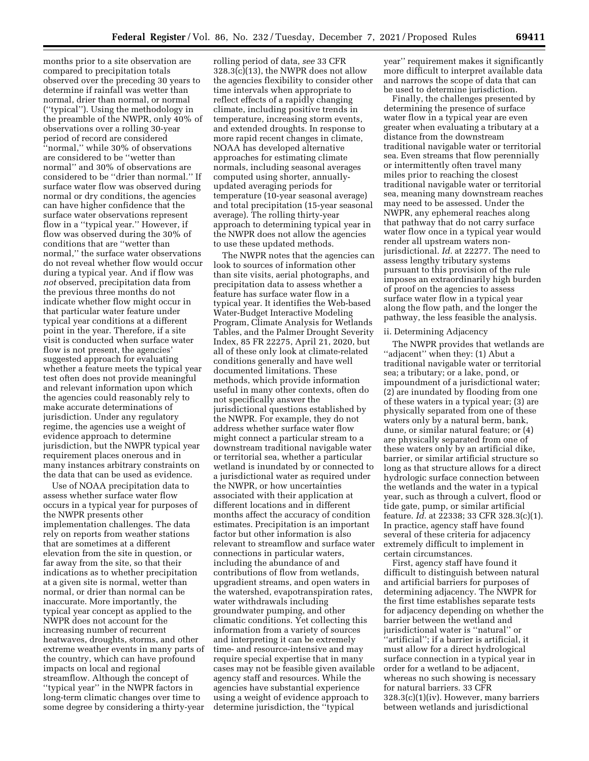months prior to a site observation are compared to precipitation totals observed over the preceding 30 years to determine if rainfall was wetter than normal, drier than normal, or normal (''typical''). Using the methodology in the preamble of the NWPR, only 40% of observations over a rolling 30-year period of record are considered ''normal,'' while 30% of observations are considered to be ''wetter than normal'' and 30% of observations are considered to be ''drier than normal.'' If surface water flow was observed during normal or dry conditions, the agencies can have higher confidence that the surface water observations represent flow in a ''typical year.'' However, if flow was observed during the 30% of conditions that are ''wetter than normal,'' the surface water observations do not reveal whether flow would occur during a typical year. And if flow was *not* observed, precipitation data from the previous three months do not indicate whether flow might occur in that particular water feature under typical year conditions at a different point in the year. Therefore, if a site visit is conducted when surface water flow is not present, the agencies' suggested approach for evaluating whether a feature meets the typical year test often does not provide meaningful and relevant information upon which the agencies could reasonably rely to make accurate determinations of jurisdiction. Under any regulatory regime, the agencies use a weight of evidence approach to determine jurisdiction, but the NWPR typical year requirement places onerous and in many instances arbitrary constraints on the data that can be used as evidence.

Use of NOAA precipitation data to assess whether surface water flow occurs in a typical year for purposes of the NWPR presents other implementation challenges. The data rely on reports from weather stations that are sometimes at a different elevation from the site in question, or far away from the site, so that their indications as to whether precipitation at a given site is normal, wetter than normal, or drier than normal can be inaccurate. More importantly, the typical year concept as applied to the NWPR does not account for the increasing number of recurrent heatwaves, droughts, storms, and other extreme weather events in many parts of the country, which can have profound impacts on local and regional streamflow. Although the concept of ''typical year'' in the NWPR factors in long-term climatic changes over time to some degree by considering a thirty-year

rolling period of data, *see* 33 CFR 328.3(c)(13), the NWPR does not allow the agencies flexibility to consider other time intervals when appropriate to reflect effects of a rapidly changing climate, including positive trends in temperature, increasing storm events, and extended droughts. In response to more rapid recent changes in climate, NOAA has developed alternative approaches for estimating climate normals, including seasonal averages computed using shorter, annuallyupdated averaging periods for temperature (10-year seasonal average) and total precipitation (15-year seasonal average). The rolling thirty-year approach to determining typical year in the NWPR does not allow the agencies to use these updated methods.

The NWPR notes that the agencies can look to sources of information other than site visits, aerial photographs, and precipitation data to assess whether a feature has surface water flow in a typical year. It identifies the Web-based Water-Budget Interactive Modeling Program, Climate Analysis for Wetlands Tables, and the Palmer Drought Severity Index, 85 FR 22275, April 21, 2020, but all of these only look at climate-related conditions generally and have well documented limitations. These methods, which provide information useful in many other contexts, often do not specifically answer the jurisdictional questions established by the NWPR. For example, they do not address whether surface water flow might connect a particular stream to a downstream traditional navigable water or territorial sea, whether a particular wetland is inundated by or connected to a jurisdictional water as required under the NWPR, or how uncertainties associated with their application at different locations and in different months affect the accuracy of condition estimates. Precipitation is an important factor but other information is also relevant to streamflow and surface water connections in particular waters, including the abundance of and contributions of flow from wetlands, upgradient streams, and open waters in the watershed, evapotranspiration rates, water withdrawals including groundwater pumping, and other climatic conditions. Yet collecting this information from a variety of sources and interpreting it can be extremely time- and resource-intensive and may require special expertise that in many cases may not be feasible given available agency staff and resources. While the agencies have substantial experience using a weight of evidence approach to determine jurisdiction, the ''typical

year'' requirement makes it significantly more difficult to interpret available data and narrows the scope of data that can be used to determine jurisdiction.

Finally, the challenges presented by determining the presence of surface water flow in a typical year are even greater when evaluating a tributary at a distance from the downstream traditional navigable water or territorial sea. Even streams that flow perennially or intermittently often travel many miles prior to reaching the closest traditional navigable water or territorial sea, meaning many downstream reaches may need to be assessed. Under the NWPR, any ephemeral reaches along that pathway that do not carry surface water flow once in a typical year would render all upstream waters nonjurisdictional. *Id.* at 22277. The need to assess lengthy tributary systems pursuant to this provision of the rule imposes an extraordinarily high burden of proof on the agencies to assess surface water flow in a typical year along the flow path, and the longer the pathway, the less feasible the analysis.

# ii. Determining Adjacency

The NWPR provides that wetlands are ''adjacent'' when they: (1) Abut a traditional navigable water or territorial sea; a tributary; or a lake, pond, or impoundment of a jurisdictional water; (2) are inundated by flooding from one of these waters in a typical year; (3) are physically separated from one of these waters only by a natural berm, bank, dune, or similar natural feature; or (4) are physically separated from one of these waters only by an artificial dike, barrier, or similar artificial structure so long as that structure allows for a direct hydrologic surface connection between the wetlands and the water in a typical year, such as through a culvert, flood or tide gate, pump, or similar artificial feature. *Id.* at 22338; 33 CFR 328.3(c)(1). In practice, agency staff have found several of these criteria for adjacency extremely difficult to implement in certain circumstances.

First, agency staff have found it difficult to distinguish between natural and artificial barriers for purposes of determining adjacency. The NWPR for the first time establishes separate tests for adjacency depending on whether the barrier between the wetland and jurisdictional water is ''natural'' or "artificial"; if a barrier is artificial, it must allow for a direct hydrological surface connection in a typical year in order for a wetland to be adjacent, whereas no such showing is necessary for natural barriers. 33 CFR 328.3(c)(1)(iv). However, many barriers between wetlands and jurisdictional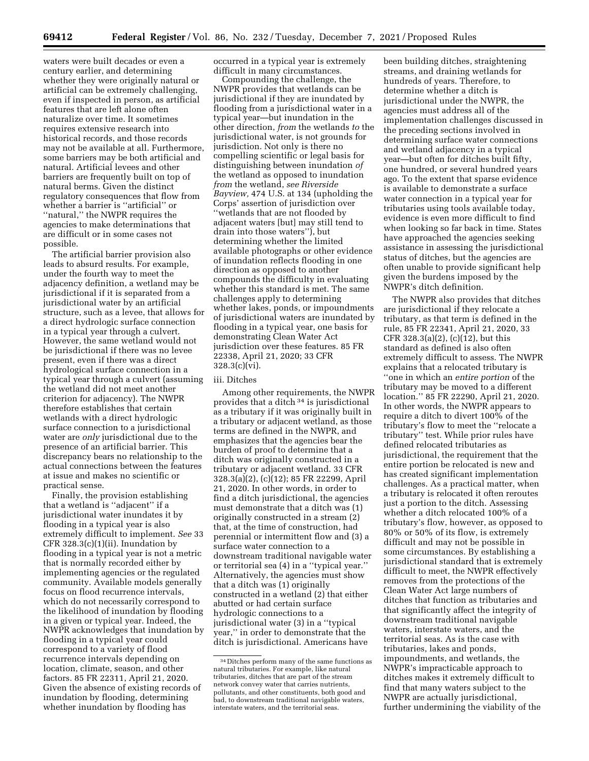waters were built decades or even a century earlier, and determining whether they were originally natural or artificial can be extremely challenging, even if inspected in person, as artificial features that are left alone often naturalize over time. It sometimes requires extensive research into historical records, and those records may not be available at all. Furthermore, some barriers may be both artificial and natural. Artificial levees and other barriers are frequently built on top of natural berms. Given the distinct regulatory consequences that flow from whether a barrier is ''artificial'' or ''natural,'' the NWPR requires the agencies to make determinations that are difficult or in some cases not possible.

The artificial barrier provision also leads to absurd results. For example, under the fourth way to meet the adjacency definition, a wetland may be jurisdictional if it is separated from a jurisdictional water by an artificial structure, such as a levee, that allows for a direct hydrologic surface connection in a typical year through a culvert. However, the same wetland would not be jurisdictional if there was no levee present, even if there was a direct hydrological surface connection in a typical year through a culvert (assuming the wetland did not meet another criterion for adjacency). The NWPR therefore establishes that certain wetlands with a direct hydrologic surface connection to a jurisdictional water are *only* jurisdictional due to the presence of an artificial barrier. This discrepancy bears no relationship to the actual connections between the features at issue and makes no scientific or practical sense.

Finally, the provision establishing that a wetland is ''adjacent'' if a jurisdictional water inundates it by flooding in a typical year is also extremely difficult to implement. *See* 33 CFR 328.3(c)(1)(ii). Inundation by flooding in a typical year is not a metric that is normally recorded either by implementing agencies or the regulated community. Available models generally focus on flood recurrence intervals, which do not necessarily correspond to the likelihood of inundation by flooding in a given or typical year. Indeed, the NWPR acknowledges that inundation by flooding in a typical year could correspond to a variety of flood recurrence intervals depending on location, climate, season, and other factors. 85 FR 22311, April 21, 2020. Given the absence of existing records of inundation by flooding, determining whether inundation by flooding has

occurred in a typical year is extremely difficult in many circumstances.

Compounding the challenge, the NWPR provides that wetlands can be jurisdictional if they are inundated by flooding from a jurisdictional water in a typical year—but inundation in the other direction, *from* the wetlands *to* the jurisdictional water, is not grounds for jurisdiction. Not only is there no compelling scientific or legal basis for distinguishing between inundation *of*  the wetland as opposed to inundation *from* the wetland, *see Riverside Bayview,* 474 U.S. at 134 (upholding the Corps' assertion of jurisdiction over ''wetlands that are not flooded by adjacent waters [but] may still tend to drain into those waters''), but determining whether the limited available photographs or other evidence of inundation reflects flooding in one direction as opposed to another compounds the difficulty in evaluating whether this standard is met. The same challenges apply to determining whether lakes, ponds, or impoundments of jurisdictional waters are inundated by flooding in a typical year, one basis for demonstrating Clean Water Act jurisdiction over these features. 85 FR 22338, April 21, 2020; 33 CFR 328.3(c)(vi).

## iii. Ditches

Among other requirements, the NWPR provides that a ditch 34 is jurisdictional as a tributary if it was originally built in a tributary or adjacent wetland, as those terms are defined in the NWPR, and emphasizes that the agencies bear the burden of proof to determine that a ditch was originally constructed in a tributary or adjacent wetland. 33 CFR 328.3(a)(2), (c)(12); 85 FR 22299, April 21, 2020. In other words, in order to find a ditch jurisdictional, the agencies must demonstrate that a ditch was (1) originally constructed in a stream (2) that, at the time of construction, had perennial or intermittent flow and (3) a surface water connection to a downstream traditional navigable water or territorial sea (4) in a ''typical year.'' Alternatively, the agencies must show that a ditch was (1) originally constructed in a wetland (2) that either abutted or had certain surface hydrologic connections to a jurisdictional water (3) in a ''typical year,'' in order to demonstrate that the ditch is jurisdictional. Americans have

been building ditches, straightening streams, and draining wetlands for hundreds of years. Therefore, to determine whether a ditch is jurisdictional under the NWPR, the agencies must address all of the implementation challenges discussed in the preceding sections involved in determining surface water connections and wetland adjacency in a typical year—but often for ditches built fifty, one hundred, or several hundred years ago. To the extent that sparse evidence is available to demonstrate a surface water connection in a typical year for tributaries using tools available today, evidence is even more difficult to find when looking so far back in time. States have approached the agencies seeking assistance in assessing the jurisdictional status of ditches, but the agencies are often unable to provide significant help given the burdens imposed by the NWPR's ditch definition.

The NWPR also provides that ditches are jurisdictional if they relocate a tributary, as that term is defined in the rule, 85 FR 22341, April 21, 2020, 33 CFR 328.3(a)(2), (c)(12), but this standard as defined is also often extremely difficult to assess. The NWPR explains that a relocated tributary is ''one in which an *entire portion* of the tributary may be moved to a different location.'' 85 FR 22290, April 21, 2020. In other words, the NWPR appears to require a ditch to divert 100% of the tributary's flow to meet the ''relocate a tributary'' test. While prior rules have defined relocated tributaries as jurisdictional, the requirement that the entire portion be relocated is new and has created significant implementation challenges. As a practical matter, when a tributary is relocated it often reroutes just a portion to the ditch. Assessing whether a ditch relocated 100% of a tributary's flow, however, as opposed to 80% or 50% of its flow, is extremely difficult and may not be possible in some circumstances. By establishing a jurisdictional standard that is extremely difficult to meet, the NWPR effectively removes from the protections of the Clean Water Act large numbers of ditches that function as tributaries and that significantly affect the integrity of downstream traditional navigable waters, interstate waters, and the territorial seas. As is the case with tributaries, lakes and ponds, impoundments, and wetlands, the NWPR's impracticable approach to ditches makes it extremely difficult to find that many waters subject to the NWPR are actually jurisdictional, further undermining the viability of the

<sup>34</sup> Ditches perform many of the same functions as natural tributaries. For example, like natural tributaries, ditches that are part of the stream network convey water that carries nutrients, pollutants, and other constituents, both good and bad, to downstream traditional navigable waters, interstate waters, and the territorial seas.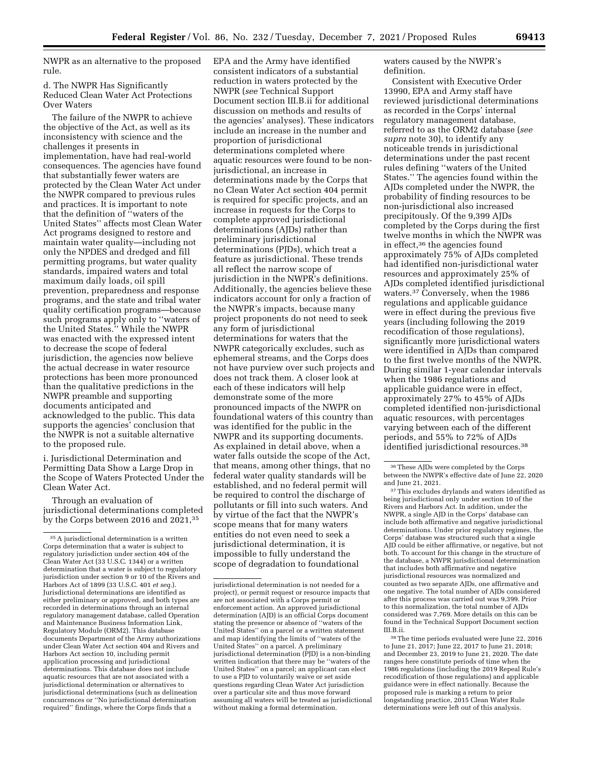NWPR as an alternative to the proposed rule.

d. The NWPR Has Significantly Reduced Clean Water Act Protections Over Waters

The failure of the NWPR to achieve the objective of the Act, as well as its inconsistency with science and the challenges it presents in implementation, have had real-world consequences. The agencies have found that substantially fewer waters are protected by the Clean Water Act under the NWPR compared to previous rules and practices. It is important to note that the definition of ''waters of the United States'' affects most Clean Water Act programs designed to restore and maintain water quality—including not only the NPDES and dredged and fill permitting programs, but water quality standards, impaired waters and total maximum daily loads, oil spill prevention, preparedness and response programs, and the state and tribal water quality certification programs—because such programs apply only to ''waters of the United States.'' While the NWPR was enacted with the expressed intent to decrease the scope of federal jurisdiction, the agencies now believe the actual decrease in water resource protections has been more pronounced than the qualitative predictions in the NWPR preamble and supporting documents anticipated and acknowledged to the public. This data supports the agencies' conclusion that the NWPR is not a suitable alternative to the proposed rule.

i. Jurisdictional Determination and Permitting Data Show a Large Drop in the Scope of Waters Protected Under the Clean Water Act.

Through an evaluation of jurisdictional determinations completed by the Corps between 2016 and 2021,<sup>35</sup>

EPA and the Army have identified consistent indicators of a substantial reduction in waters protected by the NWPR (*see* Technical Support Document section III.B.ii for additional discussion on methods and results of the agencies' analyses). These indicators include an increase in the number and proportion of jurisdictional determinations completed where aquatic resources were found to be nonjurisdictional, an increase in determinations made by the Corps that no Clean Water Act section 404 permit is required for specific projects, and an increase in requests for the Corps to complete approved jurisdictional determinations (AJDs) rather than preliminary jurisdictional determinations (PJDs), which treat a feature as jurisdictional. These trends all reflect the narrow scope of jurisdiction in the NWPR's definitions. Additionally, the agencies believe these indicators account for only a fraction of the NWPR's impacts, because many project proponents do not need to seek any form of jurisdictional determinations for waters that the NWPR categorically excludes, such as ephemeral streams, and the Corps does not have purview over such projects and does not track them. A closer look at each of these indicators will help demonstrate some of the more pronounced impacts of the NWPR on foundational waters of this country than was identified for the public in the NWPR and its supporting documents. As explained in detail above, when a water falls outside the scope of the Act, that means, among other things, that no federal water quality standards will be established, and no federal permit will be required to control the discharge of pollutants or fill into such waters. And by virtue of the fact that the NWPR's scope means that for many waters entities do not even need to seek a jurisdictional determination, it is impossible to fully understand the scope of degradation to foundational

waters caused by the NWPR's definition.

Consistent with Executive Order 13990, EPA and Army staff have reviewed jurisdictional determinations as recorded in the Corps' internal regulatory management database, referred to as the ORM2 database (*see supra* note 30), to identify any noticeable trends in jurisdictional determinations under the past recent rules defining ''waters of the United States.'' The agencies found within the AJDs completed under the NWPR, the probability of finding resources to be non-jurisdictional also increased precipitously. Of the 9,399 AJDs completed by the Corps during the first twelve months in which the NWPR was in effect,36 the agencies found approximately 75% of AJDs completed had identified non-jurisdictional water resources and approximately 25% of AJDs completed identified jurisdictional waters.37 Conversely, when the 1986 regulations and applicable guidance were in effect during the previous five years (including following the 2019 recodification of those regulations), significantly more jurisdictional waters were identified in AJDs than compared to the first twelve months of the NWPR. During similar 1-year calendar intervals when the 1986 regulations and applicable guidance were in effect, approximately 27% to 45% of AJDs completed identified non-jurisdictional aquatic resources, with percentages varying between each of the different periods, and 55% to 72% of AJDs identified jurisdictional resources.38

37This excludes drylands and waters identified as being jurisdictional only under section 10 of the Rivers and Harbors Act. In addition, under the NWPR, a single AJD in the Corps' database can include both affirmative and negative jurisdictional determinations. Under prior regulatory regimes, the Corps' database was structured such that a single AJD could be either affirmative, or negative, but not both. To account for this change in the structure of the database, a NWPR jurisdictional determination that includes both affirmative and negative jurisdictional resources was normalized and counted as two separate AJDs, one affirmative and one negative. The total number of AJDs considered after this process was carried out was 9,399. Prior to this normalization, the total number of AJDs considered was 7,769. More details on this can be found in the Technical Support Document section III.B.ii.

38The time periods evaluated were June 22, 2016 to June 21, 2017; June 22, 2017 to June 21, 2018; and December 23, 2019 to June 21, 2020. The date ranges here constitute periods of time when the 1986 regulations (including the 2019 Repeal Rule's recodification of those regulations) and applicable guidance were in effect nationally. Because the proposed rule is marking a return to prior longstanding practice, 2015 Clean Water Rule determinations were left out of this analysis.

<sup>35</sup>A jurisdictional determination is a written Corps determination that a water is subject to regulatory jurisdiction under section 404 of the Clean Water Act (33 U.S.C. 1344) or a written determination that a water is subject to regulatory jurisdiction under section 9 or 10 of the Rivers and Harbors Act of 1899 (33 U.S.C. 401 *et seq.*). Jurisdictional determinations are identified as either preliminary or approved, and both types are recorded in determinations through an internal regulatory management database, called Operation and Maintenance Business Information Link, Regulatory Module (ORM2). This database documents Department of the Army authorizations under Clean Water Act section 404 and Rivers and Harbors Act section 10, including permit application processing and jurisdictional determinations. This database does not include aquatic resources that are not associated with a jurisdictional determination or alternatives to jurisdictional determinations (such as delineation concurrences or ''No jurisdictional determination required'' findings, where the Corps finds that a

jurisdictional determination is not needed for a project), or permit request or resource impacts that are not associated with a Corps permit or enforcement action. An approved jurisdictional determination (AJD) is an official Corps document stating the presence or absence of ''waters of the United States'' on a parcel or a written statement and map identifying the limits of ''waters of the United States'' on a parcel. A preliminary jurisdictional determination (PJD) is a non-binding written indication that there may be ''waters of the United States'' on a parcel; an applicant can elect to use a PJD to voluntarily waive or set aside questions regarding Clean Water Act jurisdiction over a particular site and thus move forward assuming all waters will be treated as jurisdictional without making a formal determination.

<sup>36</sup>These AJDs were completed by the Corps between the NWPR's effective date of June 22, 2020 and June 21, 2021.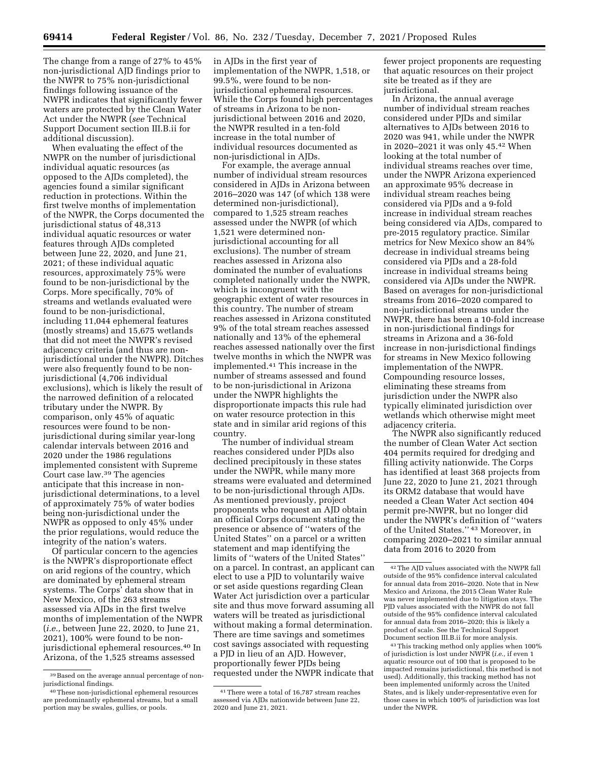The change from a range of 27% to 45% non-jurisdictional AJD findings prior to the NWPR to 75% non-jurisdictional findings following issuance of the NWPR indicates that significantly fewer waters are protected by the Clean Water Act under the NWPR (*see* Technical Support Document section III.B.ii for additional discussion).

When evaluating the effect of the NWPR on the number of jurisdictional individual aquatic resources (as opposed to the AJDs completed), the agencies found a similar significant reduction in protections. Within the first twelve months of implementation of the NWPR, the Corps documented the jurisdictional status of 48,313 individual aquatic resources or water features through AJDs completed between June 22, 2020, and June 21, 2021; of these individual aquatic resources, approximately 75% were found to be non-jurisdictional by the Corps. More specifically, 70% of streams and wetlands evaluated were found to be non-jurisdictional, including 11,044 ephemeral features (mostly streams) and 15,675 wetlands that did not meet the NWPR's revised adjacency criteria (and thus are nonjurisdictional under the NWPR). Ditches were also frequently found to be nonjurisdictional (4,706 individual exclusions), which is likely the result of the narrowed definition of a relocated tributary under the NWPR. By comparison, only 45% of aquatic resources were found to be nonjurisdictional during similar year-long calendar intervals between 2016 and 2020 under the 1986 regulations implemented consistent with Supreme Court case law.39 The agencies anticipate that this increase in nonjurisdictional determinations, to a level of approximately 75% of water bodies being non-jurisdictional under the NWPR as opposed to only 45% under the prior regulations, would reduce the integrity of the nation's waters.

Of particular concern to the agencies is the NWPR's disproportionate effect on arid regions of the country, which are dominated by ephemeral stream systems. The Corps' data show that in New Mexico, of the 263 streams assessed via AJDs in the first twelve months of implementation of the NWPR (*i.e.,* between June 22, 2020, to June 21, 2021), 100% were found to be nonjurisdictional ephemeral resources.40 In Arizona, of the 1,525 streams assessed

in AJDs in the first year of implementation of the NWPR, 1,518, or 99.5%, were found to be nonjurisdictional ephemeral resources. While the Corps found high percentages of streams in Arizona to be nonjurisdictional between 2016 and 2020, the NWPR resulted in a ten-fold increase in the total number of individual resources documented as non-jurisdictional in AJDs.

For example, the average annual number of individual stream resources considered in AJDs in Arizona between 2016–2020 was 147 (of which 138 were determined non-jurisdictional), compared to 1,525 stream reaches assessed under the NWPR (of which 1,521 were determined nonjurisdictional accounting for all exclusions). The number of stream reaches assessed in Arizona also dominated the number of evaluations completed nationally under the NWPR, which is incongruent with the geographic extent of water resources in this country. The number of stream reaches assessed in Arizona constituted 9% of the total stream reaches assessed nationally and 13% of the ephemeral reaches assessed nationally over the first twelve months in which the NWPR was implemented.41 This increase in the number of streams assessed and found to be non-jurisdictional in Arizona under the NWPR highlights the disproportionate impacts this rule had on water resource protection in this state and in similar arid regions of this country.

The number of individual stream reaches considered under PJDs also declined precipitously in these states under the NWPR, while many more streams were evaluated and determined to be non-jurisdictional through AJDs. As mentioned previously, project proponents who request an AJD obtain an official Corps document stating the presence or absence of ''waters of the United States'' on a parcel or a written statement and map identifying the limits of ''waters of the United States'' on a parcel. In contrast, an applicant can elect to use a PJD to voluntarily waive or set aside questions regarding Clean Water Act jurisdiction over a particular site and thus move forward assuming all waters will be treated as jurisdictional without making a formal determination. There are time savings and sometimes cost savings associated with requesting a PJD in lieu of an AJD. However, proportionally fewer PJDs being requested under the NWPR indicate that

fewer project proponents are requesting that aquatic resources on their project site be treated as if they are jurisdictional.

In Arizona, the annual average number of individual stream reaches considered under PJDs and similar alternatives to AJDs between 2016 to 2020 was 941, while under the NWPR in 2020–2021 it was only 45.42 When looking at the total number of individual streams reaches over time, under the NWPR Arizona experienced an approximate 95% decrease in individual stream reaches being considered via PJDs and a 9-fold increase in individual stream reaches being considered via AJDs, compared to pre-2015 regulatory practice. Similar metrics for New Mexico show an 84% decrease in individual streams being considered via PJDs and a 28-fold increase in individual streams being considered via AJDs under the NWPR. Based on averages for non-jurisdictional streams from 2016–2020 compared to non-jurisdictional streams under the NWPR, there has been a 10-fold increase in non-jurisdictional findings for streams in Arizona and a 36-fold increase in non-jurisdictional findings for streams in New Mexico following implementation of the NWPR. Compounding resource losses, eliminating these streams from jurisdiction under the NWPR also typically eliminated jurisdiction over wetlands which otherwise might meet adjacency criteria.

The NWPR also significantly reduced the number of Clean Water Act section 404 permits required for dredging and filling activity nationwide. The Corps has identified at least 368 projects from June 22, 2020 to June 21, 2021 through its ORM2 database that would have needed a Clean Water Act section 404 permit pre-NWPR, but no longer did under the NWPR's definition of ''waters of the United States.'' 43 Moreover, in comparing 2020–2021 to similar annual data from 2016 to 2020 from

43This tracking method only applies when 100% of jurisdiction is lost under NWPR (*i.e.,* if even 1 aquatic resource out of 100 that is proposed to be impacted remains jurisdictional, this method is not used). Additionally, this tracking method has not been implemented uniformly across the United States, and is likely under-representative even for those cases in which 100% of jurisdiction was lost under the NWPR.

<sup>39</sup>Based on the average annual percentage of nonjurisdictional findings.

<sup>40</sup>These non-jurisdictional ephemeral resources are predominantly ephemeral streams, but a small portion may be swales, gullies, or pools.

<sup>41</sup>There were a total of 16,787 stream reaches assessed via AJDs nationwide between June 22, 2020 and June 21, 2021.

<sup>42</sup>The AJD values associated with the NWPR fall outside of the 95% confidence interval calculated for annual data from 2016–2020. Note that in New Mexico and Arizona, the 2015 Clean Water Rule was never implemented due to litigation stays. The PJD values associated with the NWPR do not fall outside of the 95% confidence interval calculated for annual data from 2016–2020; this is likely a product of scale. See the Technical Support Document section III.B.ii for more analysis.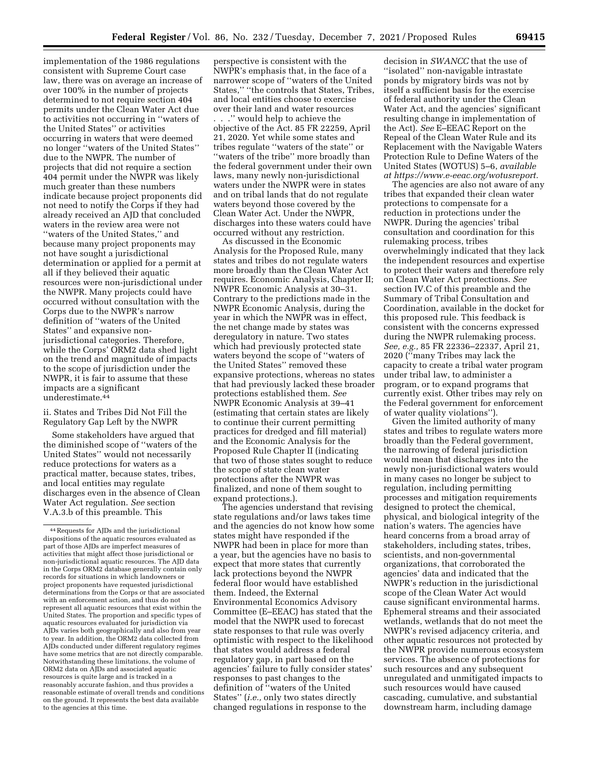implementation of the 1986 regulations consistent with Supreme Court case law, there was on average an increase of over 100% in the number of projects determined to not require section 404 permits under the Clean Water Act due to activities not occurring in ''waters of the United States'' or activities occurring in waters that were deemed no longer ''waters of the United States'' due to the NWPR. The number of projects that did not require a section 404 permit under the NWPR was likely much greater than these numbers indicate because project proponents did not need to notify the Corps if they had already received an AJD that concluded waters in the review area were not ''waters of the United States,'' and because many project proponents may not have sought a jurisdictional determination or applied for a permit at all if they believed their aquatic resources were non-jurisdictional under the NWPR. Many projects could have occurred without consultation with the Corps due to the NWPR's narrow definition of ''waters of the United States'' and expansive nonjurisdictional categories. Therefore, while the Corps' ORM2 data shed light on the trend and magnitude of impacts to the scope of jurisdiction under the NWPR, it is fair to assume that these impacts are a significant underestimate.44

# ii. States and Tribes Did Not Fill the Regulatory Gap Left by the NWPR

Some stakeholders have argued that the diminished scope of ''waters of the United States'' would not necessarily reduce protections for waters as a practical matter, because states, tribes, and local entities may regulate discharges even in the absence of Clean Water Act regulation. *See* section V.A.3.b of this preamble. This

perspective is consistent with the NWPR's emphasis that, in the face of a narrower scope of ''waters of the United States,'' ''the controls that States, Tribes, and local entities choose to exercise over their land and water resources . . .'' would help to achieve the objective of the Act. 85 FR 22259, April 21, 2020. Yet while some states and tribes regulate ''waters of the state'' or ''waters of the tribe'' more broadly than the federal government under their own laws, many newly non-jurisdictional waters under the NWPR were in states and on tribal lands that do not regulate waters beyond those covered by the Clean Water Act. Under the NWPR, discharges into these waters could have occurred without any restriction.

As discussed in the Economic Analysis for the Proposed Rule, many states and tribes do not regulate waters more broadly than the Clean Water Act requires. Economic Analysis, Chapter II; NWPR Economic Analysis at 30–31. Contrary to the predictions made in the NWPR Economic Analysis, during the year in which the NWPR was in effect, the net change made by states was deregulatory in nature. Two states which had previously protected state waters beyond the scope of ''waters of the United States'' removed these expansive protections, whereas no states that had previously lacked these broader protections established them. *See*  NWPR Economic Analysis at 39–41 (estimating that certain states are likely to continue their current permitting practices for dredged and fill material) and the Economic Analysis for the Proposed Rule Chapter II (indicating that two of those states sought to reduce the scope of state clean water protections after the NWPR was finalized, and none of them sought to expand protections.).

The agencies understand that revising state regulations and/or laws takes time and the agencies do not know how some states might have responded if the NWPR had been in place for more than a year, but the agencies have no basis to expect that more states that currently lack protections beyond the NWPR federal floor would have established them. Indeed, the External Environmental Economics Advisory Committee (E–EEAC) has stated that the model that the NWPR used to forecast state responses to that rule was overly optimistic with respect to the likelihood that states would address a federal regulatory gap, in part based on the agencies' failure to fully consider states' responses to past changes to the definition of ''waters of the United States'' (*i.e.,* only two states directly changed regulations in response to the

decision in *SWANCC* that the use of ''isolated'' non-navigable intrastate ponds by migratory birds was not by itself a sufficient basis for the exercise of federal authority under the Clean Water Act, and the agencies' significant resulting change in implementation of the Act). *See* E–EEAC Report on the Repeal of the Clean Water Rule and its Replacement with the Navigable Waters Protection Rule to Define Waters of the United States (WOTUS) 5–6, *available at [https://www.e-eeac.org/wotusreport.](https://www.e-eeac.org/wotusreport)* 

The agencies are also not aware of any tribes that expanded their clean water protections to compensate for a reduction in protections under the NWPR. During the agencies' tribal consultation and coordination for this rulemaking process, tribes overwhelmingly indicated that they lack the independent resources and expertise to protect their waters and therefore rely on Clean Water Act protections. *See*  section IV.C of this preamble and the Summary of Tribal Consultation and Coordination, available in the docket for this proposed rule. This feedback is consistent with the concerns expressed during the NWPR rulemaking process. *See, e.g.,* 85 FR 22336–22337, April 21, 2020 (''many Tribes may lack the capacity to create a tribal water program under tribal law, to administer a program, or to expand programs that currently exist. Other tribes may rely on the Federal government for enforcement of water quality violations'').

Given the limited authority of many states and tribes to regulate waters more broadly than the Federal government, the narrowing of federal jurisdiction would mean that discharges into the newly non-jurisdictional waters would in many cases no longer be subject to regulation, including permitting processes and mitigation requirements designed to protect the chemical, physical, and biological integrity of the nation's waters. The agencies have heard concerns from a broad array of stakeholders, including states, tribes, scientists, and non-governmental organizations, that corroborated the agencies' data and indicated that the NWPR's reduction in the jurisdictional scope of the Clean Water Act would cause significant environmental harms. Ephemeral streams and their associated wetlands, wetlands that do not meet the NWPR's revised adjacency criteria, and other aquatic resources not protected by the NWPR provide numerous ecosystem services. The absence of protections for such resources and any subsequent unregulated and unmitigated impacts to such resources would have caused cascading, cumulative, and substantial downstream harm, including damage

<sup>44</sup>Requests for AJDs and the jurisdictional dispositions of the aquatic resources evaluated as part of those AJDs are imperfect measures of activities that might affect those jurisdictional or non-jurisdictional aquatic resources. The AJD data in the Corps ORM2 database generally contain only records for situations in which landowners or project proponents have requested jurisdictional determinations from the Corps or that are associated with an enforcement action, and thus do not represent all aquatic resources that exist within the United States. The proportion and specific types of aquatic resources evaluated for jurisdiction via AJDs varies both geographically and also from year to year. In addition, the ORM2 data collected from AJDs conducted under different regulatory regimes have some metrics that are not directly comparable. Notwithstanding these limitations, the volume of ORM2 data on AJDs and associated aquatic resources is quite large and is tracked in a reasonably accurate fashion, and thus provides a reasonable estimate of overall trends and conditions on the ground. It represents the best data available to the agencies at this time.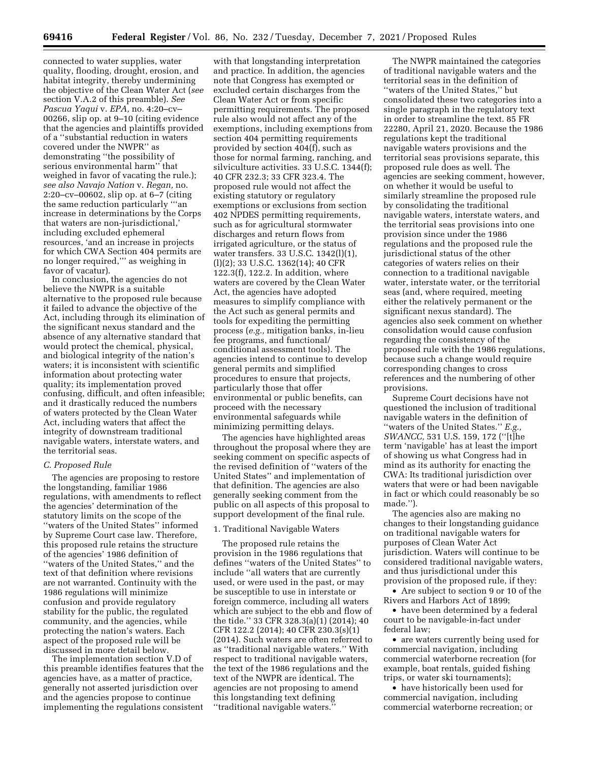connected to water supplies, water quality, flooding, drought, erosion, and habitat integrity, thereby undermining the objective of the Clean Water Act (*see*  section V.A.2 of this preamble). *See Pascua Yaqui* v. *EPA,* no. 4:20–cv– 00266, slip op. at 9–10 (citing evidence that the agencies and plaintiffs provided of a ''substantial reduction in waters covered under the NWPR'' as demonstrating ''the possibility of serious environmental harm'' that weighed in favor of vacating the rule.); *see also Navajo Nation* v. *Regan,* no. 2:20–cv–00602, slip op. at 6–7 (citing the same reduction particularly '''an increase in determinations by the Corps that waters are non-jurisdictional,' including excluded ephemeral resources, 'and an increase in projects for which CWA Section 404 permits are no longer required,''' as weighing in favor of vacatur).

In conclusion, the agencies do not believe the NWPR is a suitable alternative to the proposed rule because it failed to advance the objective of the Act, including through its elimination of the significant nexus standard and the absence of any alternative standard that would protect the chemical, physical, and biological integrity of the nation's waters; it is inconsistent with scientific information about protecting water quality; its implementation proved confusing, difficult, and often infeasible; and it drastically reduced the numbers of waters protected by the Clean Water Act, including waters that affect the integrity of downstream traditional navigable waters, interstate waters, and the territorial seas.

## *C. Proposed Rule*

The agencies are proposing to restore the longstanding, familiar 1986 regulations, with amendments to reflect the agencies' determination of the statutory limits on the scope of the ''waters of the United States'' informed by Supreme Court case law. Therefore, this proposed rule retains the structure of the agencies' 1986 definition of ''waters of the United States,'' and the text of that definition where revisions are not warranted. Continuity with the 1986 regulations will minimize confusion and provide regulatory stability for the public, the regulated community, and the agencies, while protecting the nation's waters. Each aspect of the proposed rule will be discussed in more detail below.

The implementation section V.D of this preamble identifies features that the agencies have, as a matter of practice, generally not asserted jurisdiction over and the agencies propose to continue implementing the regulations consistent

with that longstanding interpretation and practice. In addition, the agencies note that Congress has exempted or excluded certain discharges from the Clean Water Act or from specific permitting requirements. The proposed rule also would not affect any of the exemptions, including exemptions from section 404 permitting requirements provided by section 404(f), such as those for normal farming, ranching, and silviculture activities. 33 U.S.C. 1344(f); 40 CFR 232.3; 33 CFR 323.4. The proposed rule would not affect the existing statutory or regulatory exemptions or exclusions from section 402 NPDES permitting requirements, such as for agricultural stormwater discharges and return flows from irrigated agriculture, or the status of water transfers. 33 U.S.C. 1342(l)(1), (l)(2); 33 U.S.C. 1362(14); 40 CFR 122.3(f), 122.2. In addition, where waters are covered by the Clean Water Act, the agencies have adopted measures to simplify compliance with the Act such as general permits and tools for expediting the permitting process (*e.g.,* mitigation banks, in-lieu fee programs, and functional/ conditional assessment tools). The agencies intend to continue to develop general permits and simplified procedures to ensure that projects, particularly those that offer environmental or public benefits, can proceed with the necessary environmental safeguards while minimizing permitting delays.

The agencies have highlighted areas throughout the proposal where they are seeking comment on specific aspects of the revised definition of ''waters of the United States'' and implementation of that definition. The agencies are also generally seeking comment from the public on all aspects of this proposal to support development of the final rule.

### 1. Traditional Navigable Waters

The proposed rule retains the provision in the 1986 regulations that defines ''waters of the United States'' to include ''all waters that are currently used, or were used in the past, or may be susceptible to use in interstate or foreign commerce, including all waters which are subject to the ebb and flow of the tide.'' 33 CFR 328.3(a)(1) (2014); 40 CFR 122.2 (2014); 40 CFR 230.3(s)(1) (2014). Such waters are often referred to as ''traditional navigable waters.'' With respect to traditional navigable waters, the text of the 1986 regulations and the text of the NWPR are identical. The agencies are not proposing to amend this longstanding text defining ''traditional navigable waters.''

The NWPR maintained the categories of traditional navigable waters and the territorial seas in the definition of ''waters of the United States,'' but consolidated these two categories into a single paragraph in the regulatory text in order to streamline the text. 85 FR 22280, April 21, 2020. Because the 1986 regulations kept the traditional navigable waters provisions and the territorial seas provisions separate, this proposed rule does as well. The agencies are seeking comment, however, on whether it would be useful to similarly streamline the proposed rule by consolidating the traditional navigable waters, interstate waters, and the territorial seas provisions into one provision since under the 1986 regulations and the proposed rule the jurisdictional status of the other categories of waters relies on their connection to a traditional navigable water, interstate water, or the territorial seas (and, where required, meeting either the relatively permanent or the significant nexus standard). The agencies also seek comment on whether consolidation would cause confusion regarding the consistency of the proposed rule with the 1986 regulations, because such a change would require corresponding changes to cross references and the numbering of other provisions.

Supreme Court decisions have not questioned the inclusion of traditional navigable waters in the definition of ''waters of the United States.'' *E.g., SWANCC,* 531 U.S. 159, 172 (''[t]he term 'navigable' has at least the import of showing us what Congress had in mind as its authority for enacting the CWA: Its traditional jurisdiction over waters that were or had been navigable in fact or which could reasonably be so made.'').

The agencies also are making no changes to their longstanding guidance on traditional navigable waters for purposes of Clean Water Act jurisdiction. Waters will continue to be considered traditional navigable waters, and thus jurisdictional under this provision of the proposed rule, if they:

• Are subject to section 9 or 10 of the Rivers and Harbors Act of 1899;

• have been determined by a federal court to be navigable-in-fact under federal law;

• are waters currently being used for commercial navigation, including commercial waterborne recreation (for example, boat rentals, guided fishing trips, or water ski tournaments);

• have historically been used for commercial navigation, including commercial waterborne recreation; or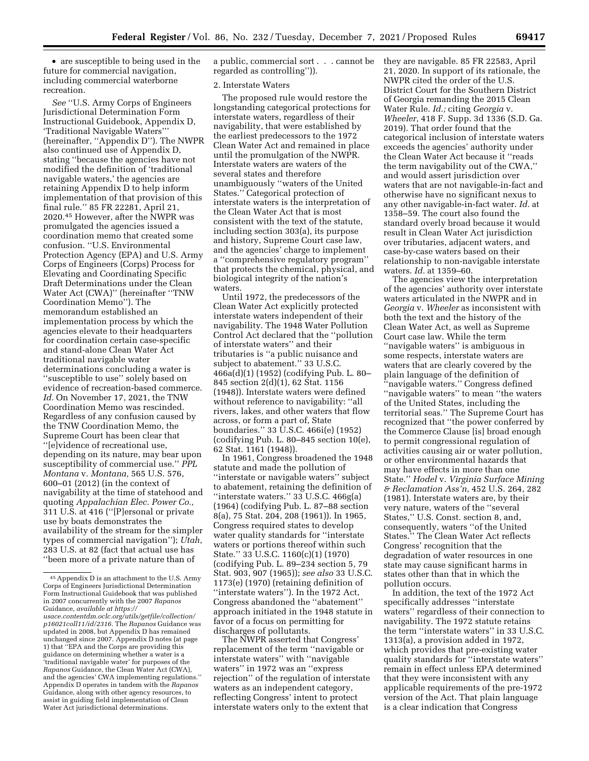• are susceptible to being used in the future for commercial navigation, including commercial waterborne recreation.

*See* ''U.S. Army Corps of Engineers Jurisdictional Determination Form Instructional Guidebook, Appendix D, 'Traditional Navigable Waters''' (hereinafter, ''Appendix D''). The NWPR also continued use of Appendix D, stating ''because the agencies have not modified the definition of 'traditional navigable waters,' the agencies are retaining Appendix D to help inform implementation of that provision of this final rule.'' 85 FR 22281, April 21, 2020.45 However, after the NWPR was promulgated the agencies issued a coordination memo that created some confusion. ''U.S. Environmental Protection Agency (EPA) and U.S. Army Corps of Engineers (Corps) Process for Elevating and Coordinating Specific Draft Determinations under the Clean Water Act (CWA)'' (hereinafter ''TNW Coordination Memo''). The memorandum established an implementation process by which the agencies elevate to their headquarters for coordination certain case-specific and stand-alone Clean Water Act traditional navigable water determinations concluding a water is ''susceptible to use'' solely based on evidence of recreation-based commerce. *Id.* On November 17, 2021, the TNW Coordination Memo was rescinded. Regardless of any confusion caused by the TNW Coordination Memo, the Supreme Court has been clear that ''[e]vidence of recreational use, depending on its nature, may bear upon susceptibility of commercial use.'' *PPL Montana* v. *Montana,* 565 U.S. 576, 600–01 (2012) (in the context of navigability at the time of statehood and quoting *Appalachian Elec. Power Co.,*  311 U.S. at 416 (''[P]ersonal or private use by boats demonstrates the availability of the stream for the simpler types of commercial navigation''); *Utah,*  283 U.S. at 82 (fact that actual use has ''been more of a private nature than of

a public, commercial sort . . . cannot be regarded as controlling'')).

# 2. Interstate Waters

The proposed rule would restore the longstanding categorical protections for interstate waters, regardless of their navigability, that were established by the earliest predecessors to the 1972 Clean Water Act and remained in place until the promulgation of the NWPR. Interstate waters are waters of the several states and therefore unambiguously ''waters of the United States.'' Categorical protection of interstate waters is the interpretation of the Clean Water Act that is most consistent with the text of the statute, including section 303(a), its purpose and history, Supreme Court case law, and the agencies' charge to implement a ''comprehensive regulatory program'' that protects the chemical, physical, and biological integrity of the nation's waters.

Until 1972, the predecessors of the Clean Water Act explicitly protected interstate waters independent of their navigability. The 1948 Water Pollution Control Act declared that the ''pollution of interstate waters'' and their tributaries is ''a public nuisance and subject to abatement.'' 33 U.S.C. 466a(d)(1) (1952) (codifying Pub. L. 80– 845 section 2(d)(1), 62 Stat. 1156 (1948)). Interstate waters were defined without reference to navigability: ''all rivers, lakes, and other waters that flow across, or form a part of, State boundaries.'' 33 U.S.C. 466i(e) (1952) (codifying Pub. L. 80–845 section 10(e), 62 Stat. 1161 (1948)).

In 1961, Congress broadened the 1948 statute and made the pollution of ''interstate or navigable waters'' subject to abatement, retaining the definition of "interstate waters."  $33$  U.S.C. 466g(a) (1964) (codifying Pub. L. 87–88 section 8(a), 75 Stat. 204, 208 (1961)). In 1965, Congress required states to develop water quality standards for ''interstate waters or portions thereof within such State.'' 33 U.S.C. 1160(c)(1) (1970) (codifying Pub. L. 89–234 section 5, 79 Stat. 903, 907 (1965)); *see also* 33 U.S.C. 1173(e) (1970) (retaining definition of ''interstate waters''). In the 1972 Act, Congress abandoned the ''abatement'' approach initiated in the 1948 statute in favor of a focus on permitting for discharges of pollutants.

The NWPR asserted that Congress' replacement of the term ''navigable or interstate waters'' with ''navigable waters'' in 1972 was an ''express rejection'' of the regulation of interstate waters as an independent category, reflecting Congress' intent to protect interstate waters only to the extent that

they are navigable. 85 FR 22583, April 21, 2020. In support of its rationale, the NWPR cited the order of the U.S. District Court for the Southern District of Georgia remanding the 2015 Clean Water Rule. *Id.;* citing *Georgia* v. *Wheeler,* 418 F. Supp. 3d 1336 (S.D. Ga. 2019). That order found that the categorical inclusion of interstate waters exceeds the agencies' authority under the Clean Water Act because it ''reads the term navigability out of the CWA,'' and would assert jurisdiction over waters that are not navigable-in-fact and otherwise have no significant nexus to any other navigable-in-fact water. *Id.* at 1358–59. The court also found the standard overly broad because it would result in Clean Water Act jurisdiction over tributaries, adjacent waters, and case-by-case waters based on their relationship to non-navigable interstate waters. *Id.* at 1359–60.

The agencies view the interpretation of the agencies' authority over interstate waters articulated in the NWPR and in *Georgia* v. *Wheeler* as inconsistent with both the text and the history of the Clean Water Act, as well as Supreme Court case law. While the term ''navigable waters'' is ambiguous in some respects, interstate waters are waters that are clearly covered by the plain language of the definition of ''navigable waters.'' Congress defined ''navigable waters'' to mean ''the waters of the United States, including the territorial seas.'' The Supreme Court has recognized that ''the power conferred by the Commerce Clause [is] broad enough to permit congressional regulation of activities causing air or water pollution, or other environmental hazards that may have effects in more than one State.'' *Hodel* v. *Virginia Surface Mining & Reclamation Ass'n,* 452 U.S. 264, 282 (1981). Interstate waters are, by their very nature, waters of the ''several States,'' U.S. Const. section 8, and, consequently, waters ''of the United States.'' The Clean Water Act reflects Congress' recognition that the degradation of water resources in one state may cause significant harms in states other than that in which the pollution occurs.

In addition, the text of the 1972 Act specifically addresses ''interstate waters'' regardless of their connection to navigability. The 1972 statute retains the term ''interstate waters'' in 33 U.S.C. 1313(a), a provision added in 1972, which provides that pre-existing water quality standards for ''interstate waters'' remain in effect unless EPA determined that they were inconsistent with any applicable requirements of the pre-1972 version of the Act. That plain language is a clear indication that Congress

<sup>45</sup>Appendix D is an attachment to the U.S. Army Corps of Engineers Jurisdictional Determination Form Instructional Guidebook that was published in 2007 concurrently with the 2007 *Rapanos*  Guidance, *available at [https://](https://usace.contentdm.oclc.org/utils/getfile/collection/p16021coll11/id/2316) [usace.contentdm.oclc.org/utils/getfile/collection/](https://usace.contentdm.oclc.org/utils/getfile/collection/p16021coll11/id/2316)* 

*[p16021coll11/id/2316.](https://usace.contentdm.oclc.org/utils/getfile/collection/p16021coll11/id/2316)* The *Rapanos* Guidance was updated in 2008, but Appendix D has remained unchanged since 2007. Appendix D notes (at page 1) that ''EPA and the Corps are providing this guidance on determining whether a water is a 'traditional navigable water' for purposes of the *Rapanos* Guidance, the Clean Water Act (CWA), and the agencies' CWA implementing regulations.'' Appendix D operates in tandem with the *Rapanos*  Guidance, along with other agency resources, to assist in guiding field implementation of Clean Water Act jurisdictional determinations.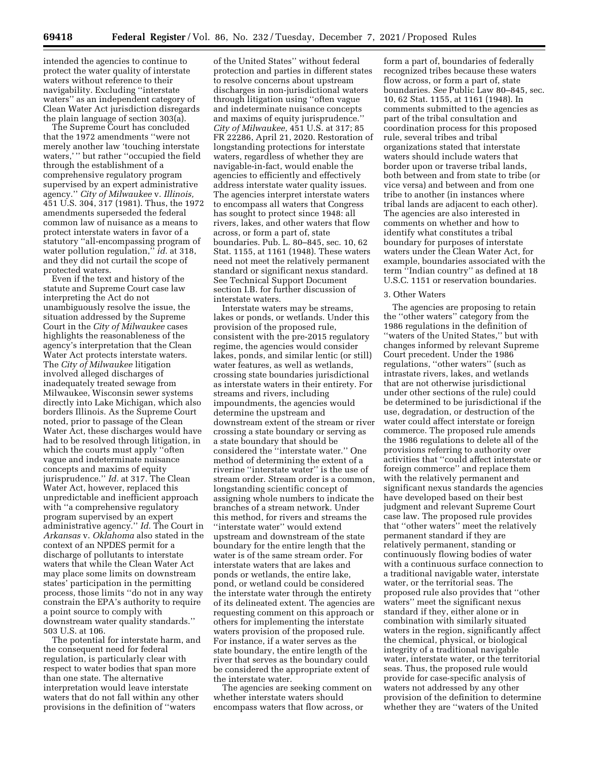intended the agencies to continue to protect the water quality of interstate waters without reference to their navigability. Excluding ''interstate waters'' as an independent category of Clean Water Act jurisdiction disregards the plain language of section 303(a).

The Supreme Court has concluded that the 1972 amendments ''were not merely another law 'touching interstate waters,'" but rather "occupied the field through the establishment of a comprehensive regulatory program supervised by an expert administrative agency.'' *City of Milwaukee* v. *Illinois,*  451 U.S. 304, 317 (1981). Thus, the 1972 amendments superseded the federal common law of nuisance as a means to protect interstate waters in favor of a statutory ''all-encompassing program of water pollution regulation,'' *id.* at 318, and they did not curtail the scope of protected waters.

Even if the text and history of the statute and Supreme Court case law interpreting the Act do not unambiguously resolve the issue, the situation addressed by the Supreme Court in the *City of Milwaukee* cases highlights the reasonableness of the agency's interpretation that the Clean Water Act protects interstate waters. The *City of Milwaukee* litigation involved alleged discharges of inadequately treated sewage from Milwaukee, Wisconsin sewer systems directly into Lake Michigan, which also borders Illinois. As the Supreme Court noted, prior to passage of the Clean Water Act, these discharges would have had to be resolved through litigation, in which the courts must apply ''often vague and indeterminate nuisance concepts and maxims of equity jurisprudence.'' *Id.* at 317. The Clean Water Act, however, replaced this unpredictable and inefficient approach with ''a comprehensive regulatory program supervised by an expert administrative agency.'' *Id.* The Court in *Arkansas* v. *Oklahoma* also stated in the context of an NPDES permit for a discharge of pollutants to interstate waters that while the Clean Water Act may place some limits on downstream states' participation in the permitting process, those limits ''do not in any way constrain the EPA's authority to require a point source to comply with downstream water quality standards.'' 503 U.S. at 106.

The potential for interstate harm, and the consequent need for federal regulation, is particularly clear with respect to water bodies that span more than one state. The alternative interpretation would leave interstate waters that do not fall within any other provisions in the definition of ''waters

of the United States'' without federal protection and parties in different states to resolve concerns about upstream discharges in non-jurisdictional waters through litigation using ''often vague and indeterminate nuisance concepts and maxims of equity jurisprudence.'' *City of Milwaukee,* 451 U.S. at 317; 85 FR 22286, April 21, 2020. Restoration of longstanding protections for interstate waters, regardless of whether they are navigable-in-fact, would enable the agencies to efficiently and effectively address interstate water quality issues. The agencies interpret interstate waters to encompass all waters that Congress has sought to protect since 1948: all rivers, lakes, and other waters that flow across, or form a part of, state boundaries. Pub. L. 80–845, sec. 10, 62 Stat. 1155, at 1161 (1948). These waters need not meet the relatively permanent standard or significant nexus standard. See Technical Support Document section I.B. for further discussion of interstate waters.

Interstate waters may be streams, lakes or ponds, or wetlands. Under this provision of the proposed rule, consistent with the pre-2015 regulatory regime, the agencies would consider lakes, ponds, and similar lentic (or still) water features, as well as wetlands, crossing state boundaries jurisdictional as interstate waters in their entirety. For streams and rivers, including impoundments, the agencies would determine the upstream and downstream extent of the stream or river crossing a state boundary or serving as a state boundary that should be considered the ''interstate water.'' One method of determining the extent of a riverine ''interstate water'' is the use of stream order. Stream order is a common, longstanding scientific concept of assigning whole numbers to indicate the branches of a stream network. Under this method, for rivers and streams the ''interstate water'' would extend upstream and downstream of the state boundary for the entire length that the water is of the same stream order. For interstate waters that are lakes and ponds or wetlands, the entire lake, pond, or wetland could be considered the interstate water through the entirety of its delineated extent. The agencies are requesting comment on this approach or others for implementing the interstate waters provision of the proposed rule. For instance, if a water serves as the state boundary, the entire length of the river that serves as the boundary could be considered the appropriate extent of the interstate water.

The agencies are seeking comment on whether interstate waters should encompass waters that flow across, or

form a part of, boundaries of federally recognized tribes because these waters flow across, or form a part of, state boundaries. *See* Public Law 80–845, sec. 10, 62 Stat. 1155, at 1161 (1948). In comments submitted to the agencies as part of the tribal consultation and coordination process for this proposed rule, several tribes and tribal organizations stated that interstate waters should include waters that border upon or traverse tribal lands, both between and from state to tribe (or vice versa) and between and from one tribe to another (in instances where tribal lands are adjacent to each other). The agencies are also interested in comments on whether and how to identify what constitutes a tribal boundary for purposes of interstate waters under the Clean Water Act, for example, boundaries associated with the term ''Indian country'' as defined at 18 U.S.C. 1151 or reservation boundaries.

## 3. Other Waters

The agencies are proposing to retain the ''other waters'' category from the 1986 regulations in the definition of ''waters of the United States,'' but with changes informed by relevant Supreme Court precedent. Under the 1986 regulations, ''other waters'' (such as intrastate rivers, lakes, and wetlands that are not otherwise jurisdictional under other sections of the rule) could be determined to be jurisdictional if the use, degradation, or destruction of the water could affect interstate or foreign commerce. The proposed rule amends the 1986 regulations to delete all of the provisions referring to authority over activities that ''could affect interstate or foreign commerce'' and replace them with the relatively permanent and significant nexus standards the agencies have developed based on their best judgment and relevant Supreme Court case law. The proposed rule provides that ''other waters'' meet the relatively permanent standard if they are relatively permanent, standing or continuously flowing bodies of water with a continuous surface connection to a traditional navigable water, interstate water, or the territorial seas. The proposed rule also provides that ''other waters'' meet the significant nexus standard if they, either alone or in combination with similarly situated waters in the region, significantly affect the chemical, physical, or biological integrity of a traditional navigable water, interstate water, or the territorial seas. Thus, the proposed rule would provide for case-specific analysis of waters not addressed by any other provision of the definition to determine whether they are ''waters of the United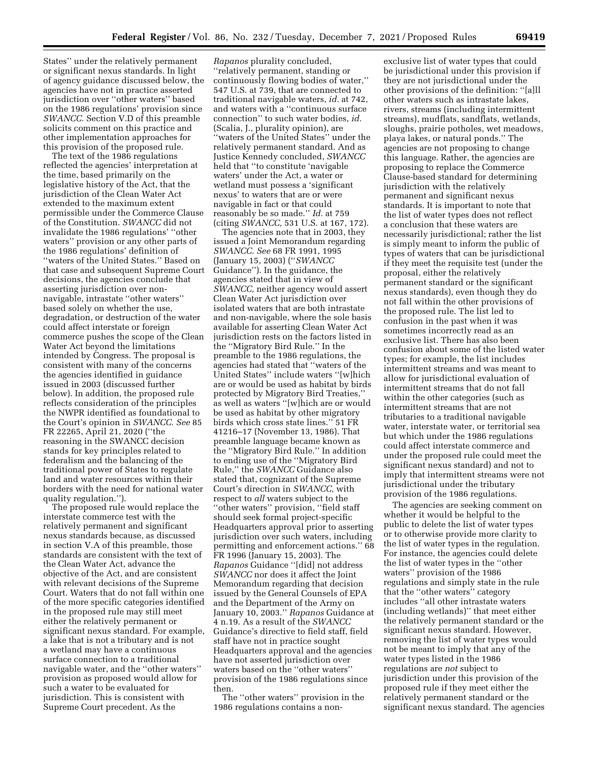States'' under the relatively permanent or significant nexus standards. In light of agency guidance discussed below, the agencies have not in practice asserted jurisdiction over ''other waters'' based on the 1986 regulations' provision since *SWANCC.* Section V.D of this preamble solicits comment on this practice and other implementation approaches for this provision of the proposed rule.

The text of the 1986 regulations reflected the agencies' interpretation at the time, based primarily on the legislative history of the Act, that the jurisdiction of the Clean Water Act extended to the maximum extent permissible under the Commerce Clause of the Constitution. *SWANCC* did not invalidate the 1986 regulations' ''other waters'' provision or any other parts of the 1986 regulations' definition of ''waters of the United States.'' Based on that case and subsequent Supreme Court decisions, the agencies conclude that asserting jurisdiction over nonnavigable, intrastate ''other waters'' based solely on whether the use, degradation, or destruction of the water could affect interstate or foreign commerce pushes the scope of the Clean Water Act beyond the limitations intended by Congress. The proposal is consistent with many of the concerns the agencies identified in guidance issued in 2003 (discussed further below). In addition, the proposed rule reflects consideration of the principles the NWPR identified as foundational to the Court's opinion in *SWANCC. See* 85 FR 22265, April 21, 2020 (''the reasoning in the SWANCC decision stands for key principles related to federalism and the balancing of the traditional power of States to regulate land and water resources within their borders with the need for national water quality regulation.'').

The proposed rule would replace the interstate commerce test with the relatively permanent and significant nexus standards because, as discussed in section V.A of this preamble, those standards are consistent with the text of the Clean Water Act, advance the objective of the Act, and are consistent with relevant decisions of the Supreme Court. Waters that do not fall within one of the more specific categories identified in the proposed rule may still meet either the relatively permanent or significant nexus standard. For example, a lake that is not a tributary and is not a wetland may have a continuous surface connection to a traditional navigable water, and the ''other waters'' provision as proposed would allow for such a water to be evaluated for jurisdiction. This is consistent with Supreme Court precedent. As the

*Rapanos* plurality concluded, ''relatively permanent, standing or continuously flowing bodies of water,'' 547 U.S. at 739, that are connected to traditional navigable waters, *id.* at 742, and waters with a ''continuous surface connection'' to such water bodies, *id.*  (Scalia, J., plurality opinion), are ''waters of the United States'' under the relatively permanent standard. And as Justice Kennedy concluded, *SWANCC*  held that ''to constitute 'navigable waters' under the Act, a water or wetland must possess a 'significant nexus' to waters that are or were navigable in fact or that could reasonably be so made.'' *Id.* at 759 (citing *SWANCC,* 531 U.S. at 167, 172).

The agencies note that in 2003, they issued a Joint Memorandum regarding *SWANCC. See* 68 FR 1991, 1995 (January 15, 2003) (''*SWANCC*  Guidance''). In the guidance, the agencies stated that in view of *SWANCC,* neither agency would assert Clean Water Act jurisdiction over isolated waters that are both intrastate and non-navigable, where the sole basis available for asserting Clean Water Act jurisdiction rests on the factors listed in the ''Migratory Bird Rule.'' In the preamble to the 1986 regulations, the agencies had stated that ''waters of the United States'' include waters ''[w]hich are or would be used as habitat by birds protected by Migratory Bird Treaties,'' as well as waters ''[w]hich are or would be used as habitat by other migratory birds which cross state lines.'' 51 FR 41216–17 (November 13, 1986). That preamble language became known as the ''Migratory Bird Rule.'' In addition to ending use of the ''Migratory Bird Rule,'' the *SWANCC* Guidance also stated that, cognizant of the Supreme Court's direction in *SWANCC,* with respect to *all* waters subject to the ''other waters'' provision, ''field staff should seek formal project-specific Headquarters approval prior to asserting jurisdiction over such waters, including permitting and enforcement actions.'' 68 FR 1996 (January 15, 2003). The *Rapanos* Guidance ''[did] not address *SWANCC* nor does it affect the Joint Memorandum regarding that decision issued by the General Counsels of EPA and the Department of the Army on January 10, 2003.'' *Rapanos* Guidance at 4 n.19. As a result of the *SWANCC*  Guidance's directive to field staff, field staff have not in practice sought Headquarters approval and the agencies have not asserted jurisdiction over waters based on the ''other waters'' provision of the 1986 regulations since then.

The ''other waters'' provision in the 1986 regulations contains a non-

exclusive list of water types that could be jurisdictional under this provision if they are not jurisdictional under the other provisions of the definition: ''[a]ll other waters such as intrastate lakes, rivers, streams (including intermittent streams), mudflats, sandflats, wetlands, sloughs, prairie potholes, wet meadows, playa lakes, or natural ponds.'' The agencies are not proposing to change this language. Rather, the agencies are proposing to replace the Commerce Clause-based standard for determining jurisdiction with the relatively permanent and significant nexus standards. It is important to note that the list of water types does not reflect a conclusion that these waters are necessarily jurisdictional; rather the list is simply meant to inform the public of types of waters that can be jurisdictional if they meet the requisite test (under the proposal, either the relatively permanent standard or the significant nexus standards), even though they do not fall within the other provisions of the proposed rule. The list led to confusion in the past when it was sometimes incorrectly read as an exclusive list. There has also been confusion about some of the listed water types; for example, the list includes intermittent streams and was meant to allow for jurisdictional evaluation of intermittent streams that do not fall within the other categories (such as intermittent streams that are not tributaries to a traditional navigable water, interstate water, or territorial sea but which under the 1986 regulations could affect interstate commerce and under the proposed rule could meet the significant nexus standard) and not to imply that intermittent streams were not jurisdictional under the tributary provision of the 1986 regulations.

The agencies are seeking comment on whether it would be helpful to the public to delete the list of water types or to otherwise provide more clarity to the list of water types in the regulation. For instance, the agencies could delete the list of water types in the ''other waters'' provision of the 1986 regulations and simply state in the rule that the ''other waters'' category includes ''all other intrastate waters (including wetlands)'' that meet either the relatively permanent standard or the significant nexus standard. However, removing the list of water types would not be meant to imply that any of the water types listed in the 1986 regulations are *not* subject to jurisdiction under this provision of the proposed rule if they meet either the relatively permanent standard or the significant nexus standard. The agencies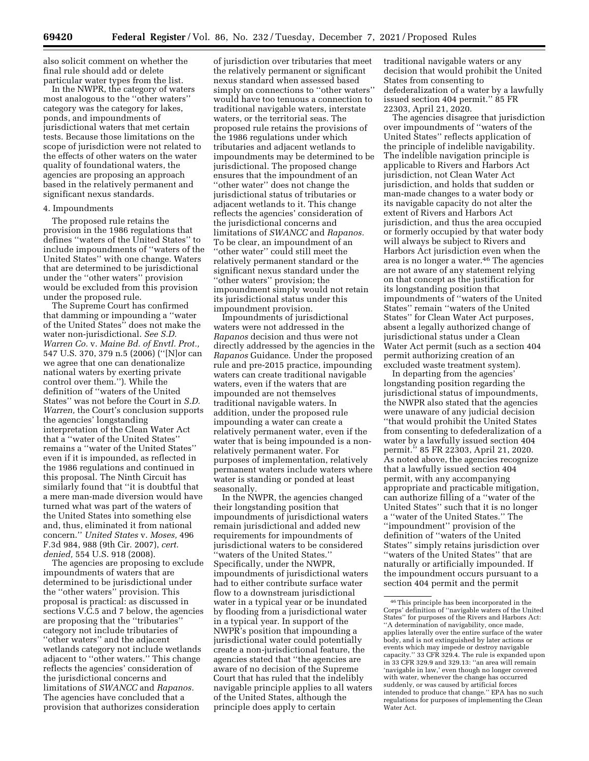also solicit comment on whether the final rule should add or delete particular water types from the list.

In the NWPR, the category of waters most analogous to the ''other waters'' category was the category for lakes, ponds, and impoundments of jurisdictional waters that met certain tests. Because those limitations on the scope of jurisdiction were not related to the effects of other waters on the water quality of foundational waters, the agencies are proposing an approach based in the relatively permanent and significant nexus standards.

## 4. Impoundments

The proposed rule retains the provision in the 1986 regulations that defines ''waters of the United States'' to include impoundments of ''waters of the United States'' with one change. Waters that are determined to be jurisdictional under the ''other waters'' provision would be excluded from this provision under the proposed rule.

The Supreme Court has confirmed that damming or impounding a ''water of the United States'' does not make the water non-jurisdictional. *See S.D. Warren Co.* v. *Maine Bd. of Envtl. Prot.,*  547 U.S. 370, 379 n.5 (2006) (''[N]or can we agree that one can denationalize national waters by exerting private control over them.''). While the definition of ''waters of the United States'' was not before the Court in *S.D. Warren,* the Court's conclusion supports the agencies' longstanding interpretation of the Clean Water Act that a ''water of the United States'' remains a ''water of the United States'' even if it is impounded, as reflected in the 1986 regulations and continued in this proposal. The Ninth Circuit has similarly found that ''it is doubtful that a mere man-made diversion would have turned what was part of the waters of the United States into something else and, thus, eliminated it from national concern.'' *United States* v. *Moses,* 496 F.3d 984, 988 (9th Cir. 2007), *cert. denied,* 554 U.S. 918 (2008).

The agencies are proposing to exclude impoundments of waters that are determined to be jurisdictional under the ''other waters'' provision. This proposal is practical: as discussed in sections V.C.5 and 7 below, the agencies are proposing that the ''tributaries'' category not include tributaries of ''other waters'' and the adjacent wetlands category not include wetlands adjacent to ''other waters.'' This change reflects the agencies' consideration of the jurisdictional concerns and limitations of *SWANCC* and *Rapanos.*  The agencies have concluded that a provision that authorizes consideration

of jurisdiction over tributaries that meet the relatively permanent or significant nexus standard when assessed based simply on connections to ''other waters'' would have too tenuous a connection to traditional navigable waters, interstate waters, or the territorial seas. The proposed rule retains the provisions of the 1986 regulations under which tributaries and adjacent wetlands to impoundments may be determined to be jurisdictional. The proposed change ensures that the impoundment of an ''other water'' does not change the jurisdictional status of tributaries or adjacent wetlands to it. This change reflects the agencies' consideration of the jurisdictional concerns and limitations of *SWANCC* and *Rapanos.*  To be clear, an impoundment of an ''other water'' could still meet the relatively permanent standard or the significant nexus standard under the ''other waters'' provision; the impoundment simply would not retain its jurisdictional status under this impoundment provision.

Impoundments of jurisdictional waters were not addressed in the *Rapanos* decision and thus were not directly addressed by the agencies in the *Rapanos* Guidance. Under the proposed rule and pre-2015 practice, impounding waters can create traditional navigable waters, even if the waters that are impounded are not themselves traditional navigable waters. In addition, under the proposed rule impounding a water can create a relatively permanent water, even if the water that is being impounded is a nonrelatively permanent water. For purposes of implementation, relatively permanent waters include waters where water is standing or ponded at least seasonally.

In the NWPR, the agencies changed their longstanding position that impoundments of jurisdictional waters remain jurisdictional and added new requirements for impoundments of jurisdictional waters to be considered ''waters of the United States.'' Specifically, under the NWPR, impoundments of jurisdictional waters had to either contribute surface water flow to a downstream jurisdictional water in a typical year or be inundated by flooding from a jurisdictional water in a typical year. In support of the NWPR's position that impounding a jurisdictional water could potentially create a non-jurisdictional feature, the agencies stated that ''the agencies are aware of no decision of the Supreme Court that has ruled that the indelibly navigable principle applies to all waters of the United States, although the principle does apply to certain

traditional navigable waters or any decision that would prohibit the United States from consenting to defederalization of a water by a lawfully issued section 404 permit.'' 85 FR 22303, April 21, 2020.

The agencies disagree that jurisdiction over impoundments of ''waters of the United States'' reflects application of the principle of indelible navigability. The indelible navigation principle is applicable to Rivers and Harbors Act jurisdiction, not Clean Water Act jurisdiction, and holds that sudden or man-made changes to a water body or its navigable capacity do not alter the extent of Rivers and Harbors Act jurisdiction, and thus the area occupied or formerly occupied by that water body will always be subject to Rivers and Harbors Act jurisdiction even when the area is no longer a water.46 The agencies are not aware of any statement relying on that concept as the justification for its longstanding position that impoundments of ''waters of the United States'' remain ''waters of the United States'' for Clean Water Act purposes, absent a legally authorized change of jurisdictional status under a Clean Water Act permit (such as a section 404 permit authorizing creation of an excluded waste treatment system).

In departing from the agencies' longstanding position regarding the jurisdictional status of impoundments, the NWPR also stated that the agencies were unaware of any judicial decision ''that would prohibit the United States from consenting to defederalization of a water by a lawfully issued section 404 permit.'' 85 FR 22303, April 21, 2020. As noted above, the agencies recognize that a lawfully issued section 404 permit, with any accompanying appropriate and practicable mitigation, can authorize filling of a ''water of the United States'' such that it is no longer a ''water of the United States.'' The ''impoundment'' provision of the definition of ''waters of the United States'' simply retains jurisdiction over ''waters of the United States'' that are naturally or artificially impounded. If the impoundment occurs pursuant to a section 404 permit and the permit

<sup>46</sup>This principle has been incorporated in the Corps' definition of ''navigable waters of the United States'' for purposes of the Rivers and Harbors Act: ''A determination of navigability, once made, applies laterally over the entire surface of the water body, and is not extinguished by later actions or events which may impede or destroy navigable capacity." 33 CFR 329.4. The rule is expanded upon in 33 CFR 329.9 and 329.13: ''an area will remain 'navigable in law,' even though no longer covered with water, whenever the change has occurred suddenly, or was caused by artificial forces intended to produce that change.'' EPA has no such regulations for purposes of implementing the Clean Water Act.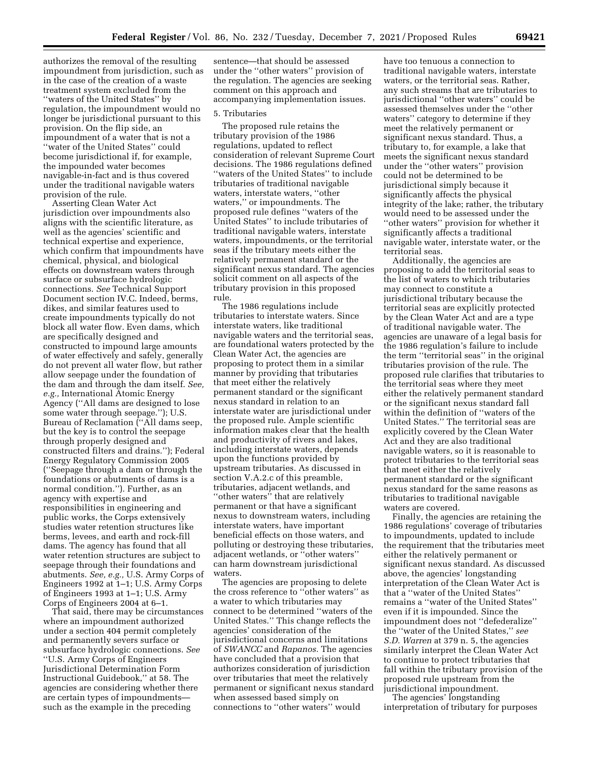authorizes the removal of the resulting impoundment from jurisdiction, such as in the case of the creation of a waste treatment system excluded from the ''waters of the United States'' by regulation, the impoundment would no longer be jurisdictional pursuant to this provision. On the flip side, an impoundment of a water that is not a ''water of the United States'' could become jurisdictional if, for example, the impounded water becomes navigable-in-fact and is thus covered under the traditional navigable waters provision of the rule.

Asserting Clean Water Act jurisdiction over impoundments also aligns with the scientific literature, as well as the agencies' scientific and technical expertise and experience, which confirm that impoundments have chemical, physical, and biological effects on downstream waters through surface or subsurface hydrologic connections. *See* Technical Support Document section IV.C. Indeed, berms, dikes, and similar features used to create impoundments typically do not block all water flow. Even dams, which are specifically designed and constructed to impound large amounts of water effectively and safely, generally do not prevent all water flow, but rather allow seepage under the foundation of the dam and through the dam itself. *See, e.g.,* International Atomic Energy Agency (''All dams are designed to lose some water through seepage.''); U.S. Bureau of Reclamation (''All dams seep, but the key is to control the seepage through properly designed and constructed filters and drains.''); Federal Energy Regulatory Commission 2005 (''Seepage through a dam or through the foundations or abutments of dams is a normal condition.''). Further, as an agency with expertise and responsibilities in engineering and public works, the Corps extensively studies water retention structures like berms, levees, and earth and rock-fill dams. The agency has found that all water retention structures are subject to seepage through their foundations and abutments. *See, e.g.,* U.S. Army Corps of Engineers 1992 at 1–1; U.S. Army Corps of Engineers 1993 at 1–1; U.S. Army Corps of Engineers 2004 at 6–1.

That said, there may be circumstances where an impoundment authorized under a section 404 permit completely and permanently severs surface or subsurface hydrologic connections. *See*  ''U.S. Army Corps of Engineers Jurisdictional Determination Form Instructional Guidebook,'' at 58. The agencies are considering whether there are certain types of impoundments such as the example in the preceding

sentence—that should be assessed under the ''other waters'' provision of the regulation. The agencies are seeking comment on this approach and accompanying implementation issues.

#### 5. Tributaries

The proposed rule retains the tributary provision of the 1986 regulations, updated to reflect consideration of relevant Supreme Court decisions. The 1986 regulations defined ''waters of the United States'' to include tributaries of traditional navigable waters, interstate waters, ''other waters,'' or impoundments. The proposed rule defines ''waters of the United States'' to include tributaries of traditional navigable waters, interstate waters, impoundments, or the territorial seas if the tributary meets either the relatively permanent standard or the significant nexus standard. The agencies solicit comment on all aspects of the tributary provision in this proposed rule.

The 1986 regulations include tributaries to interstate waters. Since interstate waters, like traditional navigable waters and the territorial seas, are foundational waters protected by the Clean Water Act, the agencies are proposing to protect them in a similar manner by providing that tributaries that meet either the relatively permanent standard or the significant nexus standard in relation to an interstate water are jurisdictional under the proposed rule. Ample scientific information makes clear that the health and productivity of rivers and lakes, including interstate waters, depends upon the functions provided by upstream tributaries. As discussed in section V.A.2.c of this preamble, tributaries, adjacent wetlands, and ''other waters'' that are relatively permanent or that have a significant nexus to downstream waters, including interstate waters, have important beneficial effects on those waters, and polluting or destroying these tributaries, adjacent wetlands, or ''other waters'' can harm downstream jurisdictional waters.

The agencies are proposing to delete the cross reference to ''other waters'' as a water to which tributaries may connect to be determined ''waters of the United States.'' This change reflects the agencies' consideration of the jurisdictional concerns and limitations of *SWANCC* and *Rapanos.* The agencies have concluded that a provision that authorizes consideration of jurisdiction over tributaries that meet the relatively permanent or significant nexus standard when assessed based simply on connections to ''other waters'' would

have too tenuous a connection to traditional navigable waters, interstate waters, or the territorial seas. Rather, any such streams that are tributaries to jurisdictional ''other waters'' could be assessed themselves under the ''other waters'' category to determine if they meet the relatively permanent or significant nexus standard. Thus, a tributary to, for example, a lake that meets the significant nexus standard under the ''other waters'' provision could not be determined to be jurisdictional simply because it significantly affects the physical integrity of the lake; rather, the tributary would need to be assessed under the ''other waters'' provision for whether it significantly affects a traditional navigable water, interstate water, or the territorial seas.

Additionally, the agencies are proposing to add the territorial seas to the list of waters to which tributaries may connect to constitute a jurisdictional tributary because the territorial seas are explicitly protected by the Clean Water Act and are a type of traditional navigable water. The agencies are unaware of a legal basis for the 1986 regulation's failure to include the term ''territorial seas'' in the original tributaries provision of the rule. The proposed rule clarifies that tributaries to the territorial seas where they meet either the relatively permanent standard or the significant nexus standard fall within the definition of ''waters of the United States.'' The territorial seas are explicitly covered by the Clean Water Act and they are also traditional navigable waters, so it is reasonable to protect tributaries to the territorial seas that meet either the relatively permanent standard or the significant nexus standard for the same reasons as tributaries to traditional navigable waters are covered.

Finally, the agencies are retaining the 1986 regulations' coverage of tributaries to impoundments, updated to include the requirement that the tributaries meet either the relatively permanent or significant nexus standard. As discussed above, the agencies' longstanding interpretation of the Clean Water Act is that a ''water of the United States'' remains a ''water of the United States'' even if it is impounded. Since the impoundment does not ''defederalize'' the ''water of the United States,'' *see S.D. Warren* at 379 n. 5, the agencies similarly interpret the Clean Water Act to continue to protect tributaries that fall within the tributary provision of the proposed rule upstream from the jurisdictional impoundment.

The agencies' longstanding interpretation of tributary for purposes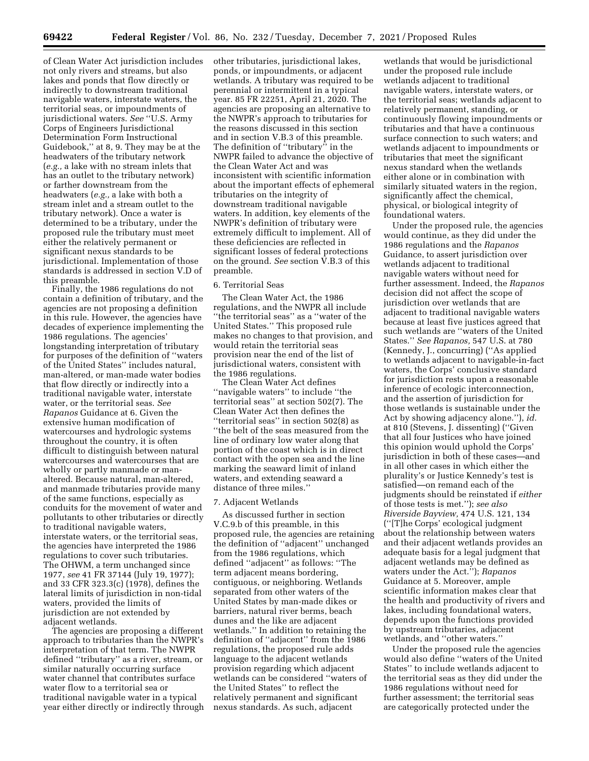of Clean Water Act jurisdiction includes not only rivers and streams, but also lakes and ponds that flow directly or indirectly to downstream traditional navigable waters, interstate waters, the territorial seas, or impoundments of jurisdictional waters. *See* ''U.S. Army Corps of Engineers Jurisdictional Determination Form Instructional Guidebook,'' at 8, 9. They may be at the headwaters of the tributary network (*e.g.,* a lake with no stream inlets that has an outlet to the tributary network) or farther downstream from the headwaters (*e.g.,* a lake with both a stream inlet and a stream outlet to the tributary network). Once a water is determined to be a tributary, under the proposed rule the tributary must meet either the relatively permanent or significant nexus standards to be jurisdictional. Implementation of those standards is addressed in section V.D of this preamble.

Finally, the 1986 regulations do not contain a definition of tributary, and the agencies are not proposing a definition in this rule. However, the agencies have decades of experience implementing the 1986 regulations. The agencies' longstanding interpretation of tributary for purposes of the definition of ''waters of the United States'' includes natural, man-altered, or man-made water bodies that flow directly or indirectly into a traditional navigable water, interstate water, or the territorial seas. *See Rapanos* Guidance at 6. Given the extensive human modification of watercourses and hydrologic systems throughout the country, it is often difficult to distinguish between natural watercourses and watercourses that are wholly or partly manmade or manaltered. Because natural, man-altered, and manmade tributaries provide many of the same functions, especially as conduits for the movement of water and pollutants to other tributaries or directly to traditional navigable waters, interstate waters, or the territorial seas, the agencies have interpreted the 1986 regulations to cover such tributaries. The OHWM, a term unchanged since 1977, *see* 41 FR 37144 (July 19, 1977); and 33 CFR 323.3(c) (1978), defines the lateral limits of jurisdiction in non-tidal waters, provided the limits of jurisdiction are not extended by adjacent wetlands.

The agencies are proposing a different approach to tributaries than the NWPR's interpretation of that term. The NWPR defined ''tributary'' as a river, stream, or similar naturally occurring surface water channel that contributes surface water flow to a territorial sea or traditional navigable water in a typical year either directly or indirectly through other tributaries, jurisdictional lakes, ponds, or impoundments, or adjacent wetlands. A tributary was required to be perennial or intermittent in a typical year. 85 FR 22251, April 21, 2020. The agencies are proposing an alternative to the NWPR's approach to tributaries for the reasons discussed in this section and in section V.B.3 of this preamble. The definition of ''tributary'' in the NWPR failed to advance the objective of the Clean Water Act and was inconsistent with scientific information about the important effects of ephemeral tributaries on the integrity of downstream traditional navigable waters. In addition, key elements of the NWPR's definition of tributary were extremely difficult to implement. All of these deficiencies are reflected in significant losses of federal protections on the ground. *See* section V.B.3 of this preamble.

## 6. Territorial Seas

The Clean Water Act, the 1986 regulations, and the NWPR all include ''the territorial seas'' as a ''water of the United States.'' This proposed rule makes no changes to that provision, and would retain the territorial seas provision near the end of the list of jurisdictional waters, consistent with the 1986 regulations.

The Clean Water Act defines ''navigable waters'' to include ''the territorial seas'' at section 502(7). The Clean Water Act then defines the ''territorial seas'' in section 502(8) as ''the belt of the seas measured from the line of ordinary low water along that portion of the coast which is in direct contact with the open sea and the line marking the seaward limit of inland waters, and extending seaward a distance of three miles.''

#### 7. Adjacent Wetlands

As discussed further in section V.C.9.b of this preamble, in this proposed rule, the agencies are retaining the definition of ''adjacent'' unchanged from the 1986 regulations, which defined ''adjacent'' as follows: ''The term adjacent means bordering, contiguous, or neighboring. Wetlands separated from other waters of the United States by man-made dikes or barriers, natural river berms, beach dunes and the like are adjacent wetlands.'' In addition to retaining the definition of ''adjacent'' from the 1986 regulations, the proposed rule adds language to the adjacent wetlands provision regarding which adjacent wetlands can be considered ''waters of the United States'' to reflect the relatively permanent and significant nexus standards. As such, adjacent

wetlands that would be jurisdictional under the proposed rule include wetlands adjacent to traditional navigable waters, interstate waters, or the territorial seas; wetlands adjacent to relatively permanent, standing, or continuously flowing impoundments or tributaries and that have a continuous surface connection to such waters; and wetlands adjacent to impoundments or tributaries that meet the significant nexus standard when the wetlands either alone or in combination with similarly situated waters in the region, significantly affect the chemical, physical, or biological integrity of foundational waters.

Under the proposed rule, the agencies would continue, as they did under the 1986 regulations and the *Rapanos*  Guidance, to assert jurisdiction over wetlands adjacent to traditional navigable waters without need for further assessment. Indeed, the *Rapanos*  decision did not affect the scope of jurisdiction over wetlands that are adjacent to traditional navigable waters because at least five justices agreed that such wetlands are ''waters of the United States.'' *See Rapanos,* 547 U.S. at 780 (Kennedy, J., concurring) (''As applied to wetlands adjacent to navigable-in-fact waters, the Corps' conclusive standard for jurisdiction rests upon a reasonable inference of ecologic interconnection, and the assertion of jurisdiction for those wetlands is sustainable under the Act by showing adjacency alone.''), *id.*  at 810 (Stevens, J. dissenting) (''Given that all four Justices who have joined this opinion would uphold the Corps' jurisdiction in both of these cases—and in all other cases in which either the plurality's or Justice Kennedy's test is satisfied—on remand each of the judgments should be reinstated if *either*  of those tests is met.''); *see also Riverside Bayview,* 474 U.S. 121, 134 (''[T]he Corps' ecological judgment about the relationship between waters and their adjacent wetlands provides an adequate basis for a legal judgment that adjacent wetlands may be defined as waters under the Act.''); *Rapanos*  Guidance at 5. Moreover, ample scientific information makes clear that the health and productivity of rivers and lakes, including foundational waters, depends upon the functions provided by upstream tributaries, adjacent wetlands, and ''other waters.''

Under the proposed rule the agencies would also define ''waters of the United States'' to include wetlands adjacent to the territorial seas as they did under the 1986 regulations without need for further assessment; the territorial seas are categorically protected under the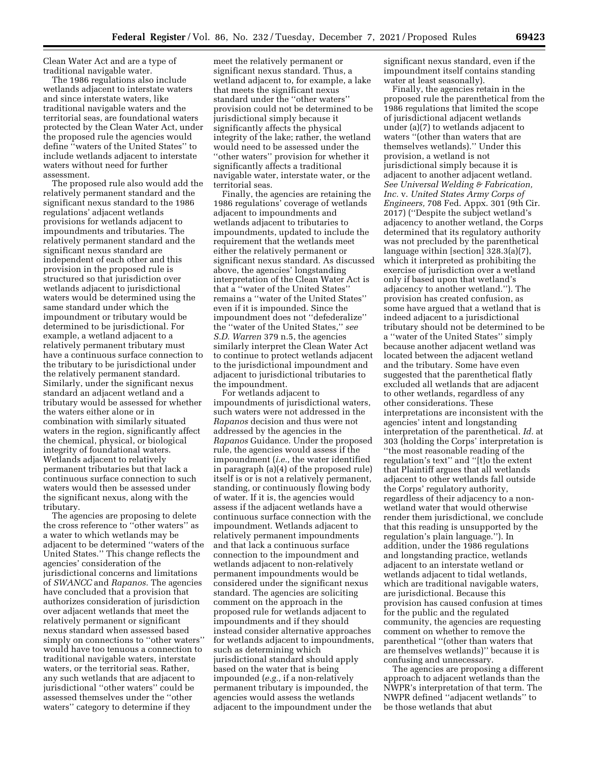Clean Water Act and are a type of traditional navigable water.

The 1986 regulations also include wetlands adjacent to interstate waters and since interstate waters, like traditional navigable waters and the territorial seas, are foundational waters protected by the Clean Water Act, under the proposed rule the agencies would define ''waters of the United States'' to include wetlands adjacent to interstate waters without need for further assessment.

The proposed rule also would add the relatively permanent standard and the significant nexus standard to the 1986 regulations' adjacent wetlands provisions for wetlands adjacent to impoundments and tributaries. The relatively permanent standard and the significant nexus standard are independent of each other and this provision in the proposed rule is structured so that jurisdiction over wetlands adjacent to jurisdictional waters would be determined using the same standard under which the impoundment or tributary would be determined to be jurisdictional. For example, a wetland adjacent to a relatively permanent tributary must have a continuous surface connection to the tributary to be jurisdictional under the relatively permanent standard. Similarly, under the significant nexus standard an adjacent wetland and a tributary would be assessed for whether the waters either alone or in combination with similarly situated waters in the region, significantly affect the chemical, physical, or biological integrity of foundational waters. Wetlands adjacent to relatively permanent tributaries but that lack a continuous surface connection to such waters would then be assessed under the significant nexus, along with the tributary.

The agencies are proposing to delete the cross reference to ''other waters'' as a water to which wetlands may be adjacent to be determined ''waters of the United States.'' This change reflects the agencies' consideration of the jurisdictional concerns and limitations of *SWANCC* and *Rapanos.* The agencies have concluded that a provision that authorizes consideration of jurisdiction over adjacent wetlands that meet the relatively permanent or significant nexus standard when assessed based simply on connections to ''other waters'' would have too tenuous a connection to traditional navigable waters, interstate waters, or the territorial seas. Rather, any such wetlands that are adjacent to jurisdictional ''other waters'' could be assessed themselves under the ''other waters'' category to determine if they

meet the relatively permanent or significant nexus standard. Thus, a wetland adjacent to, for example, a lake that meets the significant nexus standard under the ''other waters'' provision could not be determined to be jurisdictional simply because it significantly affects the physical integrity of the lake; rather, the wetland would need to be assessed under the ''other waters'' provision for whether it significantly affects a traditional navigable water, interstate water, or the territorial seas.

Finally, the agencies are retaining the 1986 regulations' coverage of wetlands adjacent to impoundments and wetlands adjacent to tributaries to impoundments, updated to include the requirement that the wetlands meet either the relatively permanent or significant nexus standard. As discussed above, the agencies' longstanding interpretation of the Clean Water Act is that a ''water of the United States'' remains a ''water of the United States'' even if it is impounded. Since the impoundment does not ''defederalize'' the ''water of the United States,'' *see S.D. Warren* 379 n.5, the agencies similarly interpret the Clean Water Act to continue to protect wetlands adjacent to the jurisdictional impoundment and adjacent to jurisdictional tributaries to the impoundment.

For wetlands adjacent to impoundments of jurisdictional waters, such waters were not addressed in the *Rapanos* decision and thus were not addressed by the agencies in the *Rapanos* Guidance. Under the proposed rule, the agencies would assess if the impoundment (*i.e.,* the water identified in paragraph (a)(4) of the proposed rule) itself is or is not a relatively permanent, standing, or continuously flowing body of water. If it is, the agencies would assess if the adjacent wetlands have a continuous surface connection with the impoundment. Wetlands adjacent to relatively permanent impoundments and that lack a continuous surface connection to the impoundment and wetlands adjacent to non-relatively permanent impoundments would be considered under the significant nexus standard. The agencies are soliciting comment on the approach in the proposed rule for wetlands adjacent to impoundments and if they should instead consider alternative approaches for wetlands adjacent to impoundments, such as determining which jurisdictional standard should apply based on the water that is being impounded (*e.g.,* if a non-relatively permanent tributary is impounded, the agencies would assess the wetlands adjacent to the impoundment under the

significant nexus standard, even if the impoundment itself contains standing water at least seasonally).

Finally, the agencies retain in the proposed rule the parenthetical from the 1986 regulations that limited the scope of jurisdictional adjacent wetlands under (a)(7) to wetlands adjacent to waters ''(other than waters that are themselves wetlands).'' Under this provision, a wetland is not jurisdictional simply because it is adjacent to another adjacent wetland. *See Universal Welding & Fabrication, Inc.* v. *United States Army Corps of Engineers,* 708 Fed. Appx. 301 (9th Cir. 2017) (''Despite the subject wetland's adjacency to another wetland, the Corps determined that its regulatory authority was not precluded by the parenthetical language within [section] 328.3(a)(7), which it interpreted as prohibiting the exercise of jurisdiction over a wetland only if based upon that wetland's adjacency to another wetland.''). The provision has created confusion, as some have argued that a wetland that is indeed adjacent to a jurisdictional tributary should not be determined to be a ''water of the United States'' simply because another adjacent wetland was located between the adjacent wetland and the tributary. Some have even suggested that the parenthetical flatly excluded all wetlands that are adjacent to other wetlands, regardless of any other considerations. These interpretations are inconsistent with the agencies' intent and longstanding interpretation of the parenthetical. *Id.* at 303 (holding the Corps' interpretation is ''the most reasonable reading of the regulation's text'' and ''[t]o the extent that Plaintiff argues that all wetlands adjacent to other wetlands fall outside the Corps' regulatory authority, regardless of their adjacency to a nonwetland water that would otherwise render them jurisdictional, we conclude that this reading is unsupported by the regulation's plain language.''). In addition, under the 1986 regulations and longstanding practice, wetlands adjacent to an interstate wetland or wetlands adjacent to tidal wetlands, which are traditional navigable waters, are jurisdictional. Because this provision has caused confusion at times for the public and the regulated community, the agencies are requesting comment on whether to remove the parenthetical ''(other than waters that are themselves wetlands)'' because it is confusing and unnecessary.

The agencies are proposing a different approach to adjacent wetlands than the NWPR's interpretation of that term. The NWPR defined ''adjacent wetlands'' to be those wetlands that abut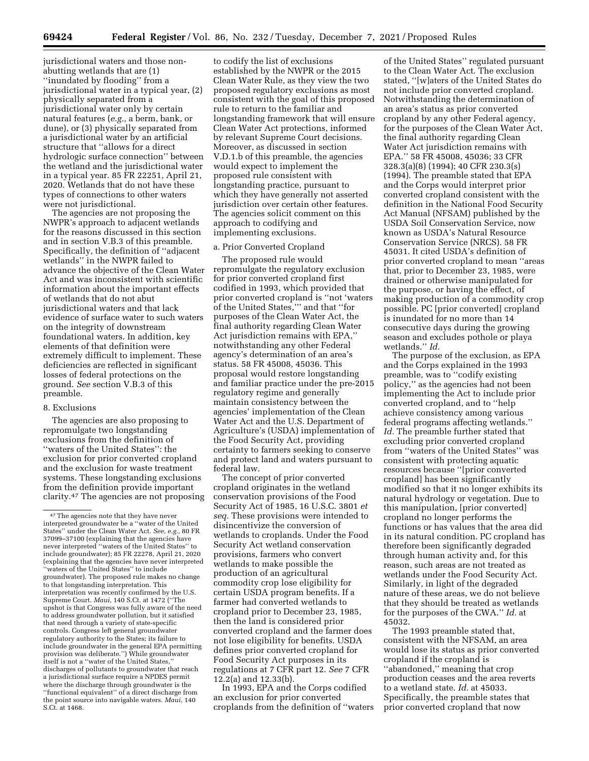jurisdictional waters and those nonabutting wetlands that are (1) ''inundated by flooding'' from a jurisdictional water in a typical year, (2) physically separated from a jurisdictional water only by certain natural features (*e.g.,* a berm, bank, or dune), or (3) physically separated from a jurisdictional water by an artificial structure that ''allows for a direct hydrologic surface connection'' between the wetland and the jurisdictional water in a typical year. 85 FR 22251, April 21, 2020. Wetlands that do not have these types of connections to other waters were not jurisdictional.

The agencies are not proposing the NWPR's approach to adjacent wetlands for the reasons discussed in this section and in section V.B.3 of this preamble. Specifically, the definition of ''adjacent wetlands'' in the NWPR failed to advance the objective of the Clean Water Act and was inconsistent with scientific information about the important effects of wetlands that do not abut jurisdictional waters and that lack evidence of surface water to such waters on the integrity of downstream foundational waters. In addition, key elements of that definition were extremely difficult to implement. These deficiencies are reflected in significant losses of federal protections on the ground. *See* section V.B.3 of this preamble.

#### 8. Exclusions

The agencies are also proposing to repromulgate two longstanding exclusions from the definition of ''waters of the United States'': the exclusion for prior converted cropland and the exclusion for waste treatment systems. These longstanding exclusions from the definition provide important clarity.47 The agencies are not proposing

to codify the list of exclusions established by the NWPR or the 2015 Clean Water Rule, as they view the two proposed regulatory exclusions as most consistent with the goal of this proposed rule to return to the familiar and longstanding framework that will ensure Clean Water Act protections, informed by relevant Supreme Court decisions. Moreover, as discussed in section V.D.1.b of this preamble, the agencies would expect to implement the proposed rule consistent with longstanding practice, pursuant to which they have generally not asserted jurisdiction over certain other features. The agencies solicit comment on this approach to codifying and implementing exclusions.

### a. Prior Converted Cropland

The proposed rule would repromulgate the regulatory exclusion for prior converted cropland first codified in 1993, which provided that prior converted cropland is ''not 'waters of the United States,''' and that ''for purposes of the Clean Water Act, the final authority regarding Clean Water Act jurisdiction remains with EPA,'' notwithstanding any other Federal agency's determination of an area's status. 58 FR 45008, 45036. This proposal would restore longstanding and familiar practice under the pre-2015 regulatory regime and generally maintain consistency between the agencies' implementation of the Clean Water Act and the U.S. Department of Agriculture's (USDA) implementation of the Food Security Act, providing certainty to farmers seeking to conserve and protect land and waters pursuant to federal law.

The concept of prior converted cropland originates in the wetland conservation provisions of the Food Security Act of 1985, 16 U.S.C. 3801 *et seq.* These provisions were intended to disincentivize the conversion of wetlands to croplands. Under the Food Security Act wetland conservation provisions, farmers who convert wetlands to make possible the production of an agricultural commodity crop lose eligibility for certain USDA program benefits. If a farmer had converted wetlands to cropland prior to December 23, 1985, then the land is considered prior converted cropland and the farmer does not lose eligibility for benefits. USDA defines prior converted cropland for Food Security Act purposes in its regulations at 7 CFR part 12. *See* 7 CFR 12.2(a) and 12.33(b).

In 1993, EPA and the Corps codified an exclusion for prior converted croplands from the definition of ''waters

of the United States'' regulated pursuant to the Clean Water Act. The exclusion stated, ''[w]aters of the United States do not include prior converted cropland. Notwithstanding the determination of an area's status as prior converted cropland by any other Federal agency, for the purposes of the Clean Water Act, the final authority regarding Clean Water Act jurisdiction remains with EPA.'' 58 FR 45008, 45036; 33 CFR 328.3(a)(8) (1994); 40 CFR 230.3(s) (1994). The preamble stated that EPA and the Corps would interpret prior converted cropland consistent with the definition in the National Food Security Act Manual (NFSAM) published by the USDA Soil Conservation Service, now known as USDA's Natural Resource Conservation Service (NRCS). 58 FR 45031. It cited USDA's definition of prior converted cropland to mean ''areas that, prior to December 23, 1985, were drained or otherwise manipulated for the purpose, or having the effect, of making production of a commodity crop possible. PC [prior converted] cropland is inundated for no more than 14 consecutive days during the growing season and excludes pothole or playa wetlands.'' *Id.* 

The purpose of the exclusion, as EPA and the Corps explained in the 1993 preamble, was to ''codify existing policy,'' as the agencies had not been implementing the Act to include prior converted cropland, and to ''help achieve consistency among various federal programs affecting wetlands.'' *Id.* The preamble further stated that excluding prior converted cropland from ''waters of the United States'' was consistent with protecting aquatic resources because ''[prior converted cropland] has been significantly modified so that it no longer exhibits its natural hydrology or vegetation. Due to this manipulation, [prior converted] cropland no longer performs the functions or has values that the area did in its natural condition. PC cropland has therefore been significantly degraded through human activity and, for this reason, such areas are not treated as wetlands under the Food Security Act. Similarly, in light of the degraded nature of these areas, we do not believe that they should be treated as wetlands for the purposes of the CWA.'' *Id.* at 45032.

The 1993 preamble stated that, consistent with the NFSAM, an area would lose its status as prior converted cropland if the cropland is ''abandoned,'' meaning that crop production ceases and the area reverts to a wetland state. *Id.* at 45033. Specifically, the preamble states that prior converted cropland that now

<sup>47</sup>The agencies note that they have never interpreted groundwater be a ''water of the United States'' under the Clean Water Act. *See, e.g.,* 80 FR 37099–37100 (explaining that the agencies have never interpreted ''waters of the United States'' to include groundwater); 85 FR 22278, April 21, 2020 (explaining that the agencies have never interpreted ''waters of the United States'' to include groundwater). The proposed rule makes no change to that longstanding interpretation. This interpretation was recently confirmed by the U.S. Supreme Court. *Maui,* 140 S.Ct. at 1472 (''The upshot is that Congress was fully aware of the need to address groundwater pollution, but it satisfied that need through a variety of state-specific controls. Congress left general groundwater regulatory authority to the States; its failure to include groundwater in the general EPA permitting provision was deliberate.'') While groundwater itself is not a "water of the United States, discharges of pollutants to groundwater that reach a jurisdictional surface require a NPDES permit where the discharge through groundwater is the ''functional equivalent'' of a direct discharge from the point source into navigable waters. *Maui,* 140 S.Ct. at 1468.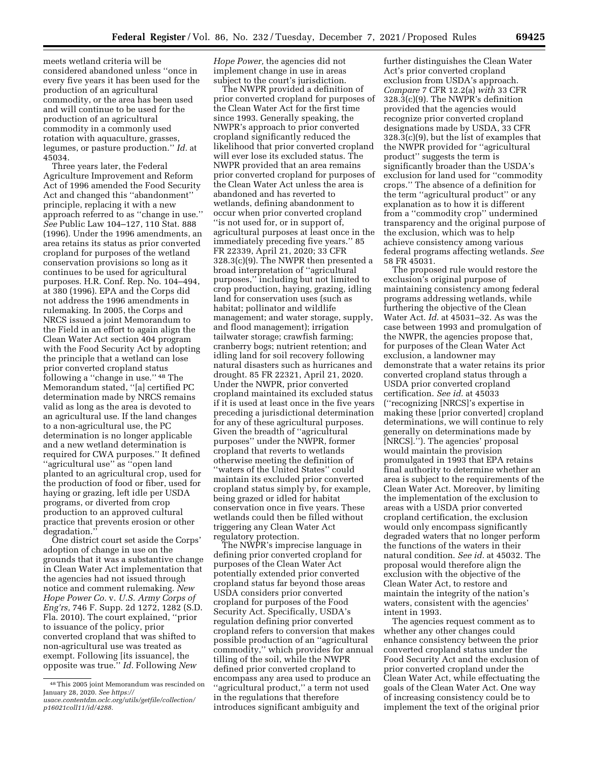meets wetland criteria will be considered abandoned unless ''once in every five years it has been used for the production of an agricultural commodity, or the area has been used and will continue to be used for the production of an agricultural commodity in a commonly used rotation with aquaculture, grasses, legumes, or pasture production.'' *Id.* at 45034.

Three years later, the Federal Agriculture Improvement and Reform Act of 1996 amended the Food Security Act and changed this ''abandonment'' principle, replacing it with a new approach referred to as ''change in use.'' *See* Public Law 104–127, 110 Stat. 888 (1996). Under the 1996 amendments, an area retains its status as prior converted cropland for purposes of the wetland conservation provisions so long as it continues to be used for agricultural purposes. H.R. Conf. Rep. No. 104–494, at 380 (1996). EPA and the Corps did not address the 1996 amendments in rulemaking. In 2005, the Corps and NRCS issued a joint Memorandum to the Field in an effort to again align the Clean Water Act section 404 program with the Food Security Act by adopting the principle that a wetland can lose prior converted cropland status following a ''change in use.'' 48 The Memorandum stated, ''[a] certified PC determination made by NRCS remains valid as long as the area is devoted to an agricultural use. If the land changes to a non-agricultural use, the PC determination is no longer applicable and a new wetland determination is required for CWA purposes.'' It defined ''agricultural use'' as ''open land planted to an agricultural crop, used for the production of food or fiber, used for haying or grazing, left idle per USDA programs, or diverted from crop production to an approved cultural practice that prevents erosion or other degradation.''

One district court set aside the Corps' adoption of change in use on the grounds that it was a substantive change in Clean Water Act implementation that the agencies had not issued through notice and comment rulemaking. *New Hope Power Co.* v. *U.S. Army Corps of Eng'rs,* 746 F. Supp. 2d 1272, 1282 (S.D. Fla. 2010). The court explained, ''prior to issuance of the policy, prior converted cropland that was shifted to non-agricultural use was treated as exempt. Following [its issuance], the opposite was true.'' *Id.* Following *New* 

*Hope Power,* the agencies did not implement change in use in areas subject to the court's jurisdiction.

The NWPR provided a definition of prior converted cropland for purposes of the Clean Water Act for the first time since 1993. Generally speaking, the NWPR's approach to prior converted cropland significantly reduced the likelihood that prior converted cropland will ever lose its excluded status. The NWPR provided that an area remains prior converted cropland for purposes of the Clean Water Act unless the area is abandoned and has reverted to wetlands, defining abandonment to occur when prior converted cropland ''is not used for, or in support of, agricultural purposes at least once in the immediately preceding five years.'' 85 FR 22339, April 21, 2020; 33 CFR 328.3(c)(9). The NWPR then presented a broad interpretation of ''agricultural purposes,'' including but not limited to crop production, haying, grazing, idling land for conservation uses (such as habitat; pollinator and wildlife management; and water storage, supply, and flood management); irrigation tailwater storage; crawfish farming; cranberry bogs; nutrient retention; and idling land for soil recovery following natural disasters such as hurricanes and drought. 85 FR 22321, April 21, 2020. Under the NWPR, prior converted cropland maintained its excluded status if it is used at least once in the five years preceding a jurisdictional determination for any of these agricultural purposes. Given the breadth of ''agricultural purposes'' under the NWPR, former cropland that reverts to wetlands otherwise meeting the definition of ''waters of the United States'' could maintain its excluded prior converted cropland status simply by, for example, being grazed or idled for habitat conservation once in five years. These wetlands could then be filled without triggering any Clean Water Act regulatory protection.

The NWPR's imprecise language in defining prior converted cropland for purposes of the Clean Water Act potentially extended prior converted cropland status far beyond those areas USDA considers prior converted cropland for purposes of the Food Security Act. Specifically, USDA's regulation defining prior converted cropland refers to conversion that makes possible production of an ''agricultural commodity,'' which provides for annual tilling of the soil, while the NWPR defined prior converted cropland to encompass any area used to produce an ''agricultural product,'' a term not used in the regulations that therefore introduces significant ambiguity and

further distinguishes the Clean Water Act's prior converted cropland exclusion from USDA's approach. *Compare* 7 CFR 12.2(a) *with* 33 CFR 328.3(c)(9). The NWPR's definition provided that the agencies would recognize prior converted cropland designations made by USDA, 33 CFR 328.3(c)(9), but the list of examples that the NWPR provided for ''agricultural product'' suggests the term is significantly broader than the USDA's exclusion for land used for ''commodity crops.'' The absence of a definition for the term ''agricultural product'' or any explanation as to how it is different from a ''commodity crop'' undermined transparency and the original purpose of the exclusion, which was to help achieve consistency among various federal programs affecting wetlands. *See*  58 FR 45031.

The proposed rule would restore the exclusion's original purpose of maintaining consistency among federal programs addressing wetlands, while furthering the objective of the Clean Water Act. *Id.* at 45031–32. As was the case between 1993 and promulgation of the NWPR, the agencies propose that, for purposes of the Clean Water Act exclusion, a landowner may demonstrate that a water retains its prior converted cropland status through a USDA prior converted cropland certification. *See id.* at 45033 (''recognizing [NRCS]'s expertise in making these [prior converted] cropland determinations, we will continue to rely generally on determinations made by [NRCS].''). The agencies' proposal would maintain the provision promulgated in 1993 that EPA retains final authority to determine whether an area is subject to the requirements of the Clean Water Act. Moreover, by limiting the implementation of the exclusion to areas with a USDA prior converted cropland certification, the exclusion would only encompass significantly degraded waters that no longer perform the functions of the waters in their natural condition. *See id.* at 45032. The proposal would therefore align the exclusion with the objective of the Clean Water Act, to restore and maintain the integrity of the nation's waters, consistent with the agencies' intent in 1993.

The agencies request comment as to whether any other changes could enhance consistency between the prior converted cropland status under the Food Security Act and the exclusion of prior converted cropland under the Clean Water Act, while effectuating the goals of the Clean Water Act. One way of increasing consistency could be to implement the text of the original prior

<sup>48</sup>This 2005 joint Memorandum was rescinded on January 28, 2020. *See [https://](https://usace.contentdm.oclc.org/utils/getfile/collection/p16021coll11/id/4288) [usace.contentdm.oclc.org/utils/getfile/collection/](https://usace.contentdm.oclc.org/utils/getfile/collection/p16021coll11/id/4288) [p16021coll11/id/4288.](https://usace.contentdm.oclc.org/utils/getfile/collection/p16021coll11/id/4288)*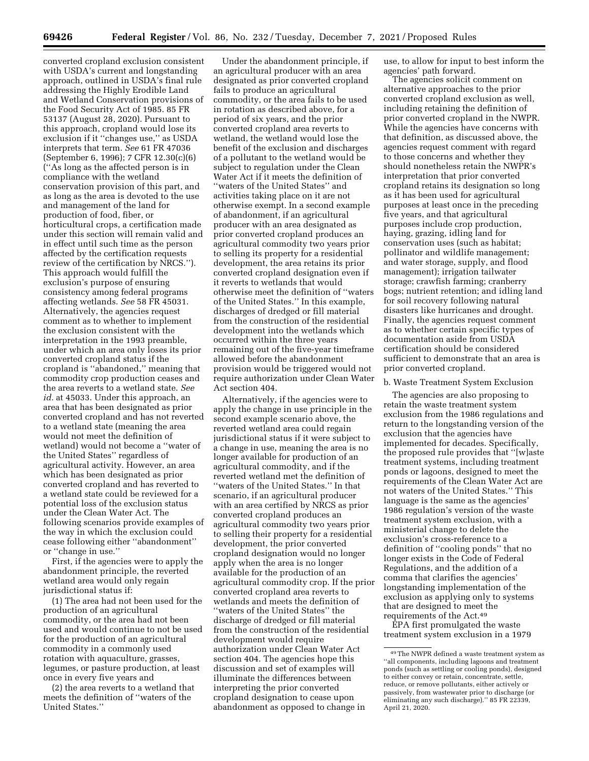converted cropland exclusion consistent with USDA's current and longstanding approach, outlined in USDA's final rule addressing the Highly Erodible Land and Wetland Conservation provisions of the Food Security Act of 1985. 85 FR 53137 (August 28, 2020). Pursuant to this approach, cropland would lose its exclusion if it ''changes use,'' as USDA interprets that term. *See* 61 FR 47036 (September 6, 1996); 7 CFR 12.30(c)(6) (''As long as the affected person is in compliance with the wetland conservation provision of this part, and as long as the area is devoted to the use and management of the land for production of food, fiber, or horticultural crops, a certification made under this section will remain valid and in effect until such time as the person affected by the certification requests review of the certification by NRCS.''). This approach would fulfill the exclusion's purpose of ensuring consistency among federal programs affecting wetlands. *See* 58 FR 45031. Alternatively, the agencies request comment as to whether to implement the exclusion consistent with the interpretation in the 1993 preamble, under which an area only loses its prior converted cropland status if the cropland is ''abandoned,'' meaning that commodity crop production ceases and the area reverts to a wetland state. *See id.* at 45033. Under this approach, an area that has been designated as prior converted cropland and has not reverted to a wetland state (meaning the area would not meet the definition of wetland) would not become a ''water of the United States'' regardless of agricultural activity. However, an area which has been designated as prior converted cropland and has reverted to a wetland state could be reviewed for a potential loss of the exclusion status under the Clean Water Act. The following scenarios provide examples of the way in which the exclusion could cease following either ''abandonment'' or ''change in use.''

First, if the agencies were to apply the abandonment principle, the reverted wetland area would only regain jurisdictional status if:

(1) The area had not been used for the production of an agricultural commodity, or the area had not been used and would continue to not be used for the production of an agricultural commodity in a commonly used rotation with aquaculture, grasses, legumes, or pasture production, at least once in every five years and

(2) the area reverts to a wetland that meets the definition of ''waters of the United States.''

Under the abandonment principle, if an agricultural producer with an area designated as prior converted cropland fails to produce an agricultural commodity, or the area fails to be used in rotation as described above, for a period of six years, and the prior converted cropland area reverts to wetland, the wetland would lose the benefit of the exclusion and discharges of a pollutant to the wetland would be subject to regulation under the Clean Water Act if it meets the definition of ''waters of the United States'' and activities taking place on it are not otherwise exempt. In a second example of abandonment, if an agricultural producer with an area designated as prior converted cropland produces an agricultural commodity two years prior to selling its property for a residential development, the area retains its prior converted cropland designation even if it reverts to wetlands that would otherwise meet the definition of ''waters of the United States.'' In this example, discharges of dredged or fill material from the construction of the residential development into the wetlands which occurred within the three years remaining out of the five-year timeframe allowed before the abandonment provision would be triggered would not require authorization under Clean Water Act section 404.

Alternatively, if the agencies were to apply the change in use principle in the second example scenario above, the reverted wetland area could regain jurisdictional status if it were subject to a change in use, meaning the area is no longer available for production of an agricultural commodity, and if the reverted wetland met the definition of ''waters of the United States.'' In that scenario, if an agricultural producer with an area certified by NRCS as prior converted cropland produces an agricultural commodity two years prior to selling their property for a residential development, the prior converted cropland designation would no longer apply when the area is no longer available for the production of an agricultural commodity crop. If the prior converted cropland area reverts to wetlands and meets the definition of ''waters of the United States'' the discharge of dredged or fill material from the construction of the residential development would require authorization under Clean Water Act section 404. The agencies hope this discussion and set of examples will illuminate the differences between interpreting the prior converted cropland designation to cease upon abandonment as opposed to change in

use, to allow for input to best inform the agencies' path forward.

The agencies solicit comment on alternative approaches to the prior converted cropland exclusion as well, including retaining the definition of prior converted cropland in the NWPR. While the agencies have concerns with that definition, as discussed above, the agencies request comment with regard to those concerns and whether they should nonetheless retain the NWPR's interpretation that prior converted cropland retains its designation so long as it has been used for agricultural purposes at least once in the preceding five years, and that agricultural purposes include crop production, haying, grazing, idling land for conservation uses (such as habitat; pollinator and wildlife management; and water storage, supply, and flood management); irrigation tailwater storage; crawfish farming; cranberry bogs; nutrient retention; and idling land for soil recovery following natural disasters like hurricanes and drought. Finally, the agencies request comment as to whether certain specific types of documentation aside from USDA certification should be considered sufficient to demonstrate that an area is prior converted cropland.

#### b. Waste Treatment System Exclusion

The agencies are also proposing to retain the waste treatment system exclusion from the 1986 regulations and return to the longstanding version of the exclusion that the agencies have implemented for decades. Specifically, the proposed rule provides that ''[w]aste treatment systems, including treatment ponds or lagoons, designed to meet the requirements of the Clean Water Act are not waters of the United States.'' This language is the same as the agencies' 1986 regulation's version of the waste treatment system exclusion, with a ministerial change to delete the exclusion's cross-reference to a definition of ''cooling ponds'' that no longer exists in the Code of Federal Regulations, and the addition of a comma that clarifies the agencies' longstanding implementation of the exclusion as applying only to systems that are designed to meet the requirements of the Act.49

EPA first promulgated the waste treatment system exclusion in a 1979

<sup>49</sup>The NWPR defined a waste treatment system as ''all components, including lagoons and treatment ponds (such as settling or cooling ponds), designed to either convey or retain, concentrate, settle, reduce, or remove pollutants, either actively or passively, from wastewater prior to discharge (or eliminating any such discharge).'' 85 FR 22339, April 21, 2020.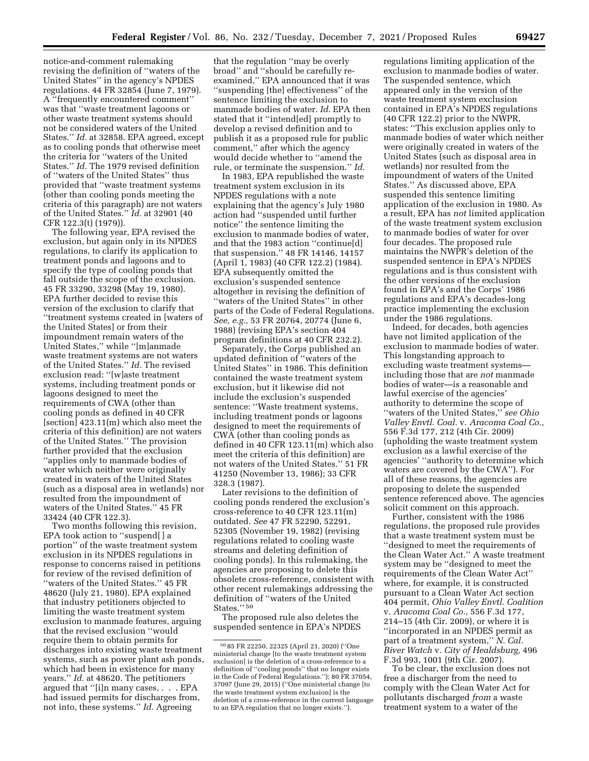notice-and-comment rulemaking revising the definition of ''waters of the United States'' in the agency's NPDES regulations. 44 FR 32854 (June 7, 1979). A ''frequently encountered comment'' was that ''waste treatment lagoons or other waste treatment systems should not be considered waters of the United States.'' *Id.* at 32858. EPA agreed, except as to cooling ponds that otherwise meet the criteria for ''waters of the United States.'' *Id.* The 1979 revised definition of ''waters of the United States'' thus provided that ''waste treatment systems (other than cooling ponds meeting the criteria of this paragraph) are not waters of the United States.'' *Id.* at 32901 (40

CFR 122.3(t) (1979)). The following year, EPA revised the exclusion, but again only in its NPDES regulations, to clarify its application to treatment ponds and lagoons and to specify the type of cooling ponds that fall outside the scope of the exclusion. 45 FR 33290, 33298 (May 19, 1980). EPA further decided to revise this version of the exclusion to clarify that ''treatment systems created in [waters of the United States] or from their impoundment remain waters of the United States,'' while ''[m]anmade waste treatment systems are not waters of the United States.'' *Id.* The revised exclusion read: ''[w]aste treatment systems, including treatment ponds or lagoons designed to meet the requirements of CWA (other than cooling ponds as defined in 40 CFR [section] 423.11(m) which also meet the criteria of this definition) are not waters of the United States.'' The provision further provided that the exclusion ''applies only to manmade bodies of water which neither were originally created in waters of the United States (such as a disposal area in wetlands) nor resulted from the impoundment of waters of the United States.'' 45 FR 33424 (40 CFR 122.3).

Two months following this revision, EPA took action to ''suspend[ ] a portion'' of the waste treatment system exclusion in its NPDES regulations in response to concerns raised in petitions for review of the revised definition of ''waters of the United States.'' 45 FR 48620 (July 21, 1980). EPA explained that industry petitioners objected to limiting the waste treatment system exclusion to manmade features, arguing that the revised exclusion ''would require them to obtain permits for discharges into existing waste treatment systems, such as power plant ash ponds, which had been in existence for many years.'' *Id.* at 48620. The petitioners argued that ''[i]n many cases, . . . EPA had issued permits for discharges from, not into, these systems.'' *Id.* Agreeing

that the regulation ''may be overly broad'' and ''should be carefully reexamined,'' EPA announced that it was ''suspending [the] effectiveness'' of the sentence limiting the exclusion to manmade bodies of water. *Id.* EPA then stated that it ''intend[ed] promptly to develop a revised definition and to publish it as a proposed rule for public comment,'' after which the agency would decide whether to ''amend the rule, or terminate the suspension.'' *Id.* 

In 1983, EPA republished the waste treatment system exclusion in its NPDES regulations with a note explaining that the agency's July 1980 action had ''suspended until further notice'' the sentence limiting the exclusion to manmade bodies of water, and that the 1983 action ''continue[d] that suspension.'' 48 FR 14146, 14157 (April 1, 1983) (40 CFR 122.2) (1984). EPA subsequently omitted the exclusion's suspended sentence altogether in revising the definition of ''waters of the United States'' in other parts of the Code of Federal Regulations. *See, e.g.,* 53 FR 20764, 20774 (June 6, 1988) (revising EPA's section 404 program definitions at 40 CFR 232.2).

Separately, the Corps published an updated definition of ''waters of the United States'' in 1986. This definition contained the waste treatment system exclusion, but it likewise did not include the exclusion's suspended sentence: ''Waste treatment systems, including treatment ponds or lagoons designed to meet the requirements of CWA (other than cooling ponds as defined in 40 CFR 123.11(m) which also meet the criteria of this definition) are not waters of the United States.'' 51 FR 41250 (November 13, 1986); 33 CFR 328.3 (1987).

Later revisions to the definition of cooling ponds rendered the exclusion's cross-reference to 40 CFR 123.11(m) outdated. *See* 47 FR 52290, 52291, 52305 (November 19, 1982) (revising regulations related to cooling waste streams and deleting definition of cooling ponds). In this rulemaking, the agencies are proposing to delete this obsolete cross-reference, consistent with other recent rulemakings addressing the definition of ''waters of the United States."<sup>50</sup>

The proposed rule also deletes the suspended sentence in EPA's NPDES regulations limiting application of the exclusion to manmade bodies of water. The suspended sentence, which appeared only in the version of the waste treatment system exclusion contained in EPA's NPDES regulations (40 CFR 122.2) prior to the NWPR, states: ''This exclusion applies only to manmade bodies of water which neither were originally created in waters of the United States (such as disposal area in wetlands) nor resulted from the impoundment of waters of the United States.'' As discussed above, EPA suspended this sentence limiting application of the exclusion in 1980. As a result, EPA has *not* limited application of the waste treatment system exclusion to manmade bodies of water for over four decades. The proposed rule maintains the NWPR's deletion of the suspended sentence in EPA's NPDES regulations and is thus consistent with the other versions of the exclusion found in EPA's and the Corps' 1986 regulations and EPA's decades-long practice implementing the exclusion under the 1986 regulations.

Indeed, for decades, both agencies have not limited application of the exclusion to manmade bodies of water. This longstanding approach to excluding waste treatment systems including those that are *not* manmade bodies of water—is a reasonable and lawful exercise of the agencies' authority to determine the scope of ''waters of the United States,'' *see Ohio Valley Envtl. Coal.* v. *Aracoma Coal Co.,*  556 F.3d 177, 212 (4th Cir. 2009) (upholding the waste treatment system exclusion as a lawful exercise of the agencies' ''authority to determine which waters are covered by the CWA''). For all of these reasons, the agencies are proposing to delete the suspended sentence referenced above. The agencies solicit comment on this approach.

Further, consistent with the 1986 regulations, the proposed rule provides that a waste treatment system must be ''designed to meet the requirements of the Clean Water Act.'' A waste treatment system may be ''designed to meet the requirements of the Clean Water Act'' where, for example, it is constructed pursuant to a Clean Water Act section 404 permit, *Ohio Valley Envtl. Coalition*  v. *Aracoma Coal Co.,* 556 F.3d 177, 214–15 (4th Cir. 2009), or where it is ''incorporated in an NPDES permit as part of a treatment system,'' *N. Cal. River Watch* v. *City of Healdsburg,* 496 F.3d 993, 1001 (9th Cir. 2007).

To be clear, the exclusion does not free a discharger from the need to comply with the Clean Water Act for pollutants discharged *from* a waste treatment system to a water of the

<sup>50</sup> 85 FR 22250, 22325 (April 21, 2020) (''One ministerial change [to the waste treatment system exclusion] is the deletion of a cross-reference to a definition of ''cooling ponds'' that no longer exists in the Code of Federal Regulations.''); 80 FR 37054, 37097 (June 29, 2015) (''One ministerial change [to the waste treatment system exclusion] is the deletion of a cross-reference in the current language to an EPA regulation that no longer exists.'').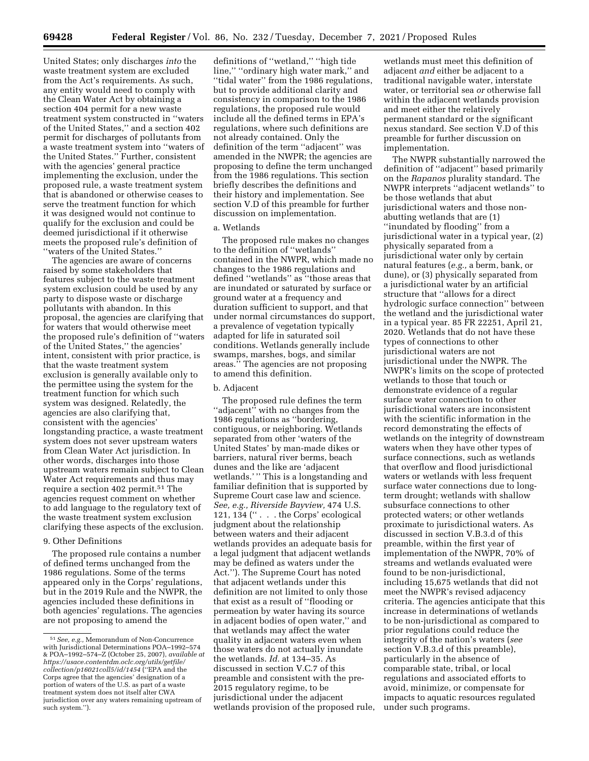United States; only discharges *into* the waste treatment system are excluded from the Act's requirements. As such, any entity would need to comply with the Clean Water Act by obtaining a section 404 permit for a new waste treatment system constructed in ''waters of the United States,'' and a section 402 permit for discharges of pollutants from a waste treatment system into ''waters of the United States.'' Further, consistent with the agencies' general practice implementing the exclusion, under the proposed rule, a waste treatment system that is abandoned or otherwise ceases to serve the treatment function for which it was designed would not continue to qualify for the exclusion and could be deemed jurisdictional if it otherwise meets the proposed rule's definition of ''waters of the United States.''

The agencies are aware of concerns raised by some stakeholders that features subject to the waste treatment system exclusion could be used by any party to dispose waste or discharge pollutants with abandon. In this proposal, the agencies are clarifying that for waters that would otherwise meet the proposed rule's definition of ''waters of the United States,'' the agencies' intent, consistent with prior practice, is that the waste treatment system exclusion is generally available only to the permittee using the system for the treatment function for which such system was designed. Relatedly, the agencies are also clarifying that, consistent with the agencies' longstanding practice, a waste treatment system does not sever upstream waters from Clean Water Act jurisdiction. In other words, discharges into those upstream waters remain subject to Clean Water Act requirements and thus may require a section 402 permit.51 The agencies request comment on whether to add language to the regulatory text of the waste treatment system exclusion clarifying these aspects of the exclusion.

## 9. Other Definitions

The proposed rule contains a number of defined terms unchanged from the 1986 regulations. Some of the terms appeared only in the Corps' regulations, but in the 2019 Rule and the NWPR, the agencies included these definitions in both agencies' regulations. The agencies are not proposing to amend the

definitions of ''wetland,'' ''high tide line," "ordinary high water mark," and ''tidal water'' from the 1986 regulations, but to provide additional clarity and consistency in comparison to the 1986 regulations, the proposed rule would include all the defined terms in EPA's regulations, where such definitions are not already contained. Only the definition of the term ''adjacent'' was amended in the NWPR; the agencies are proposing to define the term unchanged from the 1986 regulations. This section briefly describes the definitions and their history and implementation. See section V.D of this preamble for further discussion on implementation.

## a. Wetlands

The proposed rule makes no changes to the definition of ''wetlands'' contained in the NWPR, which made no changes to the 1986 regulations and defined ''wetlands'' as ''those areas that are inundated or saturated by surface or ground water at a frequency and duration sufficient to support, and that under normal circumstances do support, a prevalence of vegetation typically adapted for life in saturated soil conditions. Wetlands generally include swamps, marshes, bogs, and similar areas.'' The agencies are not proposing to amend this definition.

## b. Adjacent

The proposed rule defines the term "adjacent" with no changes from the 1986 regulations as ''bordering, contiguous, or neighboring. Wetlands separated from other 'waters of the United States' by man-made dikes or barriers, natural river berms, beach dunes and the like are 'adjacent wetlands.' '' This is a longstanding and familiar definition that is supported by Supreme Court case law and science. *See, e.g., Riverside Bayview,* 474 U.S. 121, 134 ('' . . . the Corps' ecological judgment about the relationship between waters and their adjacent wetlands provides an adequate basis for a legal judgment that adjacent wetlands may be defined as waters under the Act.''). The Supreme Court has noted that adjacent wetlands under this definition are not limited to only those that exist as a result of ''flooding or permeation by water having its source in adjacent bodies of open water,'' and that wetlands may affect the water quality in adjacent waters even when those waters do not actually inundate the wetlands. *Id.* at 134–35. As discussed in section V.C.7 of this preamble and consistent with the pre-2015 regulatory regime, to be jurisdictional under the adjacent wetlands provision of the proposed rule,

wetlands must meet this definition of adjacent *and* either be adjacent to a traditional navigable water, interstate water, or territorial sea *or* otherwise fall within the adjacent wetlands provision and meet either the relatively permanent standard or the significant nexus standard. See section V.D of this preamble for further discussion on implementation.

The NWPR substantially narrowed the definition of ''adjacent'' based primarily on the *Rapanos* plurality standard. The NWPR interprets ''adjacent wetlands'' to be those wetlands that abut jurisdictional waters and those nonabutting wetlands that are (1) ''inundated by flooding'' from a jurisdictional water in a typical year, (2) physically separated from a jurisdictional water only by certain natural features (*e.g.,* a berm, bank, or dune), or (3) physically separated from a jurisdictional water by an artificial structure that ''allows for a direct hydrologic surface connection'' between the wetland and the jurisdictional water in a typical year. 85 FR 22251, April 21, 2020. Wetlands that do not have these types of connections to other jurisdictional waters are not jurisdictional under the NWPR. The NWPR's limits on the scope of protected wetlands to those that touch or demonstrate evidence of a regular surface water connection to other jurisdictional waters are inconsistent with the scientific information in the record demonstrating the effects of wetlands on the integrity of downstream waters when they have other types of surface connections, such as wetlands that overflow and flood jurisdictional waters or wetlands with less frequent surface water connections due to longterm drought; wetlands with shallow subsurface connections to other protected waters; or other wetlands proximate to jurisdictional waters. As discussed in section V.B.3.d of this preamble, within the first year of implementation of the NWPR, 70% of streams and wetlands evaluated were found to be non-jurisdictional, including 15,675 wetlands that did not meet the NWPR's revised adjacency criteria. The agencies anticipate that this increase in determinations of wetlands to be non-jurisdictional as compared to prior regulations could reduce the integrity of the nation's waters (*see*  section V.B.3.d of this preamble), particularly in the absence of comparable state, tribal, or local regulations and associated efforts to avoid, minimize, or compensate for impacts to aquatic resources regulated under such programs.

<sup>51</sup>*See, e.g.,* Memorandum of Non-Concurrence with Jurisdictional Determinations POA–1992–574 & POA–1992–574–Z (October 25, 2007), *available at [https://usace.contentdm.oclc.org/utils/getfile/](https://usace.contentdm.oclc.org/utils/getfile/collection/p16021coll5/id/1454)  [collection/p16021coll5/id/1454](https://usace.contentdm.oclc.org/utils/getfile/collection/p16021coll5/id/1454)* (''EPA and the Corps agree that the agencies' designation of a portion of waters of the U.S. as part of a waste treatment system does not itself alter CWA jurisdiction over any waters remaining upstream of such system.'').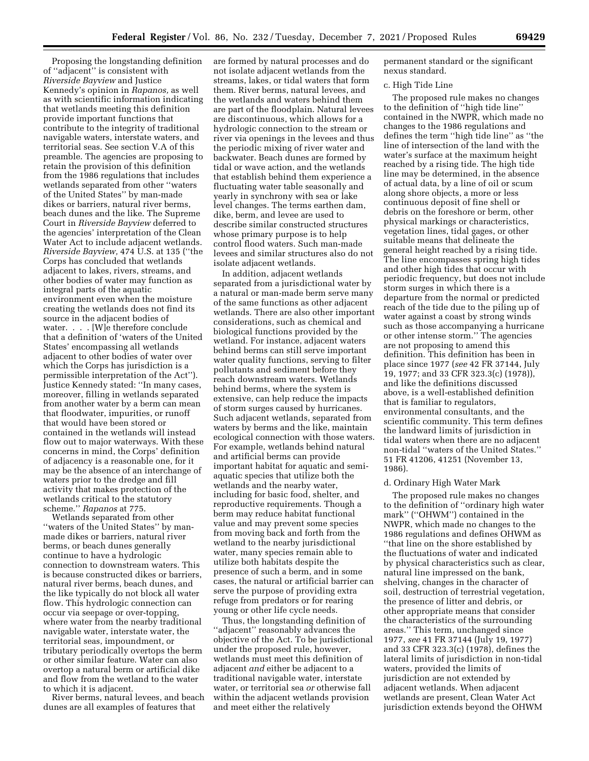Proposing the longstanding definition of ''adjacent'' is consistent with *Riverside Bayview* and Justice Kennedy's opinion in *Rapanos,* as well as with scientific information indicating that wetlands meeting this definition provide important functions that contribute to the integrity of traditional navigable waters, interstate waters, and territorial seas. See section V.A of this preamble. The agencies are proposing to retain the provision of this definition from the 1986 regulations that includes wetlands separated from other ''waters of the United States'' by man-made dikes or barriers, natural river berms, beach dunes and the like. The Supreme Court in *Riverside Bayview* deferred to the agencies' interpretation of the Clean Water Act to include adjacent wetlands. *Riverside Bayview,* 474 U.S. at 135 (''the Corps has concluded that wetlands adjacent to lakes, rivers, streams, and other bodies of water may function as integral parts of the aquatic environment even when the moisture creating the wetlands does not find its source in the adjacent bodies of water. . . . [W]e therefore conclude that a definition of 'waters of the United States' encompassing all wetlands adjacent to other bodies of water over which the Corps has jurisdiction is a permissible interpretation of the Act''). Justice Kennedy stated: ''In many cases, moreover, filling in wetlands separated from another water by a berm can mean that floodwater, impurities, or runoff that would have been stored or contained in the wetlands will instead flow out to major waterways. With these concerns in mind, the Corps' definition of adjacency is a reasonable one, for it may be the absence of an interchange of waters prior to the dredge and fill activity that makes protection of the wetlands critical to the statutory scheme.'' *Rapanos* at 775.

Wetlands separated from other ''waters of the United States'' by manmade dikes or barriers, natural river berms, or beach dunes generally continue to have a hydrologic connection to downstream waters. This is because constructed dikes or barriers, natural river berms, beach dunes, and the like typically do not block all water flow. This hydrologic connection can occur via seepage or over-topping, where water from the nearby traditional navigable water, interstate water, the territorial seas, impoundment, or tributary periodically overtops the berm or other similar feature. Water can also overtop a natural berm or artificial dike and flow from the wetland to the water to which it is adjacent.

River berms, natural levees, and beach dunes are all examples of features that

are formed by natural processes and do not isolate adjacent wetlands from the streams, lakes, or tidal waters that form them. River berms, natural levees, and the wetlands and waters behind them are part of the floodplain. Natural levees are discontinuous, which allows for a hydrologic connection to the stream or river via openings in the levees and thus the periodic mixing of river water and backwater. Beach dunes are formed by tidal or wave action, and the wetlands that establish behind them experience a fluctuating water table seasonally and yearly in synchrony with sea or lake level changes. The terms earthen dam, dike, berm, and levee are used to describe similar constructed structures whose primary purpose is to help control flood waters. Such man-made levees and similar structures also do not isolate adjacent wetlands.

In addition, adjacent wetlands separated from a jurisdictional water by a natural or man-made berm serve many of the same functions as other adjacent wetlands. There are also other important considerations, such as chemical and biological functions provided by the wetland. For instance, adjacent waters behind berms can still serve important water quality functions, serving to filter pollutants and sediment before they reach downstream waters. Wetlands behind berms, where the system is extensive, can help reduce the impacts of storm surges caused by hurricanes. Such adjacent wetlands, separated from waters by berms and the like, maintain ecological connection with those waters. For example, wetlands behind natural and artificial berms can provide important habitat for aquatic and semiaquatic species that utilize both the wetlands and the nearby water, including for basic food, shelter, and reproductive requirements. Though a berm may reduce habitat functional value and may prevent some species from moving back and forth from the wetland to the nearby jurisdictional water, many species remain able to utilize both habitats despite the presence of such a berm, and in some cases, the natural or artificial barrier can serve the purpose of providing extra refuge from predators or for rearing young or other life cycle needs.

Thus, the longstanding definition of ''adjacent'' reasonably advances the objective of the Act. To be jurisdictional under the proposed rule, however, wetlands must meet this definition of adjacent *and* either be adjacent to a traditional navigable water, interstate water, or territorial sea *or* otherwise fall within the adjacent wetlands provision and meet either the relatively

permanent standard or the significant nexus standard.

#### c. High Tide Line

The proposed rule makes no changes to the definition of ''high tide line'' contained in the NWPR, which made no changes to the 1986 regulations and defines the term ''high tide line'' as ''the line of intersection of the land with the water's surface at the maximum height reached by a rising tide. The high tide line may be determined, in the absence of actual data, by a line of oil or scum along shore objects, a more or less continuous deposit of fine shell or debris on the foreshore or berm, other physical markings or characteristics, vegetation lines, tidal gages, or other suitable means that delineate the general height reached by a rising tide. The line encompasses spring high tides and other high tides that occur with periodic frequency, but does not include storm surges in which there is a departure from the normal or predicted reach of the tide due to the piling up of water against a coast by strong winds such as those accompanying a hurricane or other intense storm.'' The agencies are not proposing to amend this definition. This definition has been in place since 1977 (*see* 42 FR 37144, July 19, 1977; and 33 CFR 323.3(c) (1978)), and like the definitions discussed above, is a well-established definition that is familiar to regulators, environmental consultants, and the scientific community. This term defines the landward limits of jurisdiction in tidal waters when there are no adjacent non-tidal ''waters of the United States.'' 51 FR 41206, 41251 (November 13, 1986).

### d. Ordinary High Water Mark

The proposed rule makes no changes to the definition of ''ordinary high water mark'' (''OHWM'') contained in the NWPR, which made no changes to the 1986 regulations and defines OHWM as ''that line on the shore established by the fluctuations of water and indicated by physical characteristics such as clear, natural line impressed on the bank, shelving, changes in the character of soil, destruction of terrestrial vegetation, the presence of litter and debris, or other appropriate means that consider the characteristics of the surrounding areas.'' This term, unchanged since 1977, *see* 41 FR 37144 (July 19, 1977) and 33 CFR 323.3(c) (1978), defines the lateral limits of jurisdiction in non-tidal waters, provided the limits of jurisdiction are not extended by adjacent wetlands. When adjacent wetlands are present, Clean Water Act jurisdiction extends beyond the OHWM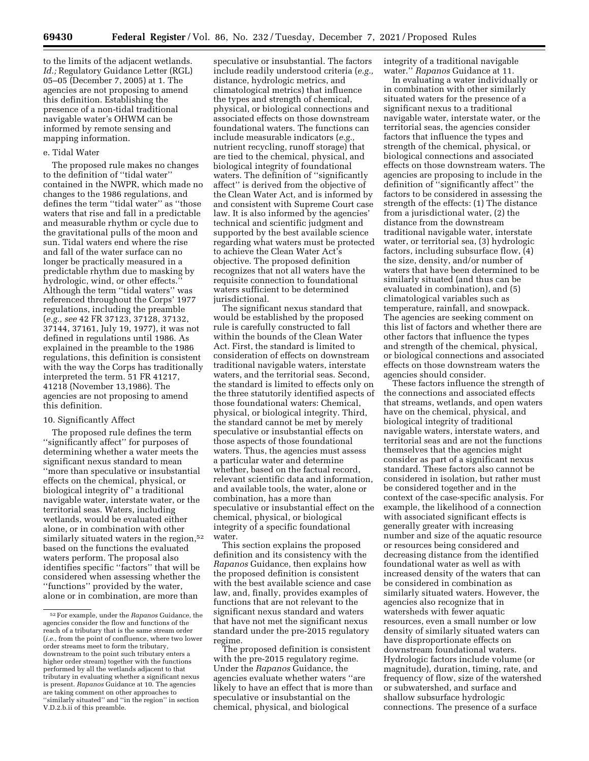to the limits of the adjacent wetlands. *Id.;* Regulatory Guidance Letter (RGL) 05–05 (December 7, 2005) at 1. The agencies are not proposing to amend this definition. Establishing the presence of a non-tidal traditional navigable water's OHWM can be informed by remote sensing and mapping information.

### e. Tidal Water

The proposed rule makes no changes to the definition of ''tidal water'' contained in the NWPR, which made no changes to the 1986 regulations, and defines the term ''tidal water'' as ''those waters that rise and fall in a predictable and measurable rhythm or cycle due to the gravitational pulls of the moon and sun. Tidal waters end where the rise and fall of the water surface can no longer be practically measured in a predictable rhythm due to masking by hydrologic, wind, or other effects.'' Although the term ''tidal waters'' was referenced throughout the Corps' 1977 regulations, including the preamble (*e.g., see* 42 FR 37123, 37128, 37132, 37144, 37161, July 19, 1977), it was not defined in regulations until 1986. As explained in the preamble to the 1986 regulations, this definition is consistent with the way the Corps has traditionally interpreted the term. 51 FR 41217, 41218 (November 13,1986). The agencies are not proposing to amend this definition.

#### 10. Significantly Affect

The proposed rule defines the term ''significantly affect'' for purposes of determining whether a water meets the significant nexus standard to mean ''more than speculative or insubstantial effects on the chemical, physical, or biological integrity of'' a traditional navigable water, interstate water, or the territorial seas. Waters, including wetlands, would be evaluated either alone, or in combination with other similarly situated waters in the region,<sup>52</sup> based on the functions the evaluated waters perform. The proposal also identifies specific ''factors'' that will be considered when assessing whether the ''functions'' provided by the water, alone or in combination, are more than

speculative or insubstantial. The factors include readily understood criteria (*e.g.,*  distance, hydrologic metrics, and climatological metrics) that influence the types and strength of chemical, physical, or biological connections and associated effects on those downstream foundational waters. The functions can include measurable indicators (*e.g.,*  nutrient recycling, runoff storage) that are tied to the chemical, physical, and biological integrity of foundational waters. The definition of ''significantly affect'' is derived from the objective of the Clean Water Act, and is informed by and consistent with Supreme Court case law. It is also informed by the agencies' technical and scientific judgment and supported by the best available science regarding what waters must be protected to achieve the Clean Water Act's objective. The proposed definition recognizes that not all waters have the requisite connection to foundational waters sufficient to be determined jurisdictional.

The significant nexus standard that would be established by the proposed rule is carefully constructed to fall within the bounds of the Clean Water Act. First, the standard is limited to consideration of effects on downstream traditional navigable waters, interstate waters, and the territorial seas. Second, the standard is limited to effects only on the three statutorily identified aspects of those foundational waters: Chemical, physical, or biological integrity. Third, the standard cannot be met by merely speculative or insubstantial effects on those aspects of those foundational waters. Thus, the agencies must assess a particular water and determine whether, based on the factual record, relevant scientific data and information, and available tools, the water, alone or combination, has a more than speculative or insubstantial effect on the chemical, physical, or biological integrity of a specific foundational water.

This section explains the proposed definition and its consistency with the *Rapanos* Guidance, then explains how the proposed definition is consistent with the best available science and case law, and, finally, provides examples of functions that are not relevant to the significant nexus standard and waters that have not met the significant nexus standard under the pre-2015 regulatory regime.

The proposed definition is consistent with the pre-2015 regulatory regime. Under the *Rapanos* Guidance, the agencies evaluate whether waters ''are likely to have an effect that is more than speculative or insubstantial on the chemical, physical, and biological

integrity of a traditional navigable water.'' *Rapanos* Guidance at 11.

In evaluating a water individually or in combination with other similarly situated waters for the presence of a significant nexus to a traditional navigable water, interstate water, or the territorial seas, the agencies consider factors that influence the types and strength of the chemical, physical, or biological connections and associated effects on those downstream waters. The agencies are proposing to include in the definition of ''significantly affect'' the factors to be considered in assessing the strength of the effects: (1) The distance from a jurisdictional water, (2) the distance from the downstream traditional navigable water, interstate water, or territorial sea, (3) hydrologic factors, including subsurface flow, (4) the size, density, and/or number of waters that have been determined to be similarly situated (and thus can be evaluated in combination), and (5) climatological variables such as temperature, rainfall, and snowpack. The agencies are seeking comment on this list of factors and whether there are other factors that influence the types and strength of the chemical, physical, or biological connections and associated effects on those downstream waters the agencies should consider.

These factors influence the strength of the connections and associated effects that streams, wetlands, and open waters have on the chemical, physical, and biological integrity of traditional navigable waters, interstate waters, and territorial seas and are not the functions themselves that the agencies might consider as part of a significant nexus standard. These factors also cannot be considered in isolation, but rather must be considered together and in the context of the case-specific analysis. For example, the likelihood of a connection with associated significant effects is generally greater with increasing number and size of the aquatic resource or resources being considered and decreasing distance from the identified foundational water as well as with increased density of the waters that can be considered in combination as similarly situated waters. However, the agencies also recognize that in watersheds with fewer aquatic resources, even a small number or low density of similarly situated waters can have disproportionate effects on downstream foundational waters. Hydrologic factors include volume (or magnitude), duration, timing, rate, and frequency of flow, size of the watershed or subwatershed, and surface and shallow subsurface hydrologic connections. The presence of a surface

<sup>52</sup>For example, under the *Rapanos* Guidance, the agencies consider the flow and functions of the reach of a tributary that is the same stream order (*i.e.,* from the point of confluence, where two lower order streams meet to form the tributary, downstream to the point such tributary enters a higher order stream) together with the functions performed by all the wetlands adjacent to that tributary in evaluating whether a significant nexus is present. *Rapanos* Guidance at 10. The agencies are taking comment on other approaches to 'similarly situated" and "in the region" in section V.D.2.b.ii of this preamble.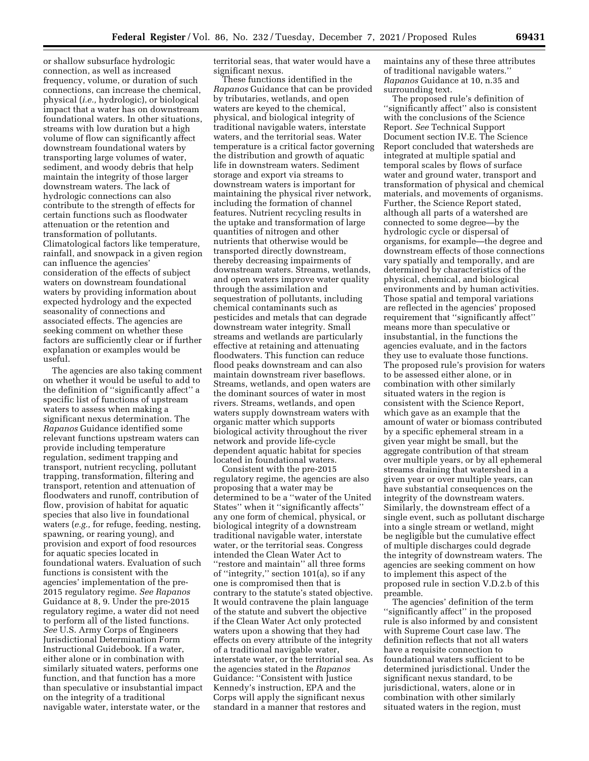or shallow subsurface hydrologic connection, as well as increased frequency, volume, or duration of such connections, can increase the chemical, physical (*i.e.,* hydrologic), or biological impact that a water has on downstream foundational waters. In other situations, streams with low duration but a high volume of flow can significantly affect downstream foundational waters by transporting large volumes of water, sediment, and woody debris that help maintain the integrity of those larger downstream waters. The lack of hydrologic connections can also contribute to the strength of effects for certain functions such as floodwater attenuation or the retention and transformation of pollutants. Climatological factors like temperature, rainfall, and snowpack in a given region can influence the agencies' consideration of the effects of subject waters on downstream foundational waters by providing information about expected hydrology and the expected seasonality of connections and associated effects. The agencies are seeking comment on whether these factors are sufficiently clear or if further explanation or examples would be useful.

The agencies are also taking comment on whether it would be useful to add to the definition of ''significantly affect'' a specific list of functions of upstream waters to assess when making a significant nexus determination. The *Rapanos* Guidance identified some relevant functions upstream waters can provide including temperature regulation, sediment trapping and transport, nutrient recycling, pollutant trapping, transformation, filtering and transport, retention and attenuation of floodwaters and runoff, contribution of flow, provision of habitat for aquatic species that also live in foundational waters (*e.g.,* for refuge, feeding, nesting, spawning, or rearing young), and provision and export of food resources for aquatic species located in foundational waters. Evaluation of such functions is consistent with the agencies' implementation of the pre-2015 regulatory regime. *See Rapanos*  Guidance at 8, 9. Under the pre-2015 regulatory regime, a water did not need to perform all of the listed functions. *See* U.S. Army Corps of Engineers Jurisdictional Determination Form Instructional Guidebook. If a water, either alone or in combination with similarly situated waters, performs one function, and that function has a more than speculative or insubstantial impact on the integrity of a traditional navigable water, interstate water, or the

territorial seas, that water would have a significant nexus.

These functions identified in the *Rapanos* Guidance that can be provided by tributaries, wetlands, and open waters are keyed to the chemical, physical, and biological integrity of traditional navigable waters, interstate waters, and the territorial seas. Water temperature is a critical factor governing the distribution and growth of aquatic life in downstream waters. Sediment storage and export via streams to downstream waters is important for maintaining the physical river network, including the formation of channel features. Nutrient recycling results in the uptake and transformation of large quantities of nitrogen and other nutrients that otherwise would be transported directly downstream, thereby decreasing impairments of downstream waters. Streams, wetlands, and open waters improve water quality through the assimilation and sequestration of pollutants, including chemical contaminants such as pesticides and metals that can degrade downstream water integrity. Small streams and wetlands are particularly effective at retaining and attenuating floodwaters. This function can reduce flood peaks downstream and can also maintain downstream river baseflows. Streams, wetlands, and open waters are the dominant sources of water in most rivers. Streams, wetlands, and open waters supply downstream waters with organic matter which supports biological activity throughout the river network and provide life-cycle dependent aquatic habitat for species located in foundational waters.

Consistent with the pre-2015 regulatory regime, the agencies are also proposing that a water may be determined to be a ''water of the United States'' when it ''significantly affects'' any one form of chemical, physical, or biological integrity of a downstream traditional navigable water, interstate water, or the territorial seas. Congress intended the Clean Water Act to ''restore and maintain'' all three forms of ''integrity,'' section 101(a), so if any one is compromised then that is contrary to the statute's stated objective. It would contravene the plain language of the statute and subvert the objective if the Clean Water Act only protected waters upon a showing that they had effects on every attribute of the integrity of a traditional navigable water, interstate water, or the territorial sea. As the agencies stated in the *Rapanos*  Guidance: ''Consistent with Justice Kennedy's instruction, EPA and the Corps will apply the significant nexus standard in a manner that restores and

maintains any of these three attributes of traditional navigable waters.'' *Rapanos* Guidance at 10, n.35 and surrounding text.

The proposed rule's definition of ''significantly affect'' also is consistent with the conclusions of the Science Report. *See* Technical Support Document section IV.E. The Science Report concluded that watersheds are integrated at multiple spatial and temporal scales by flows of surface water and ground water, transport and transformation of physical and chemical materials, and movements of organisms. Further, the Science Report stated, although all parts of a watershed are connected to some degree—by the hydrologic cycle or dispersal of organisms, for example—the degree and downstream effects of those connections vary spatially and temporally, and are determined by characteristics of the physical, chemical, and biological environments and by human activities. Those spatial and temporal variations are reflected in the agencies' proposed requirement that ''significantly affect'' means more than speculative or insubstantial, in the functions the agencies evaluate, and in the factors they use to evaluate those functions. The proposed rule's provision for waters to be assessed either alone, or in combination with other similarly situated waters in the region is consistent with the Science Report, which gave as an example that the amount of water or biomass contributed by a specific ephemeral stream in a given year might be small, but the aggregate contribution of that stream over multiple years, or by all ephemeral streams draining that watershed in a given year or over multiple years, can have substantial consequences on the integrity of the downstream waters. Similarly, the downstream effect of a single event, such as pollutant discharge into a single stream or wetland, might be negligible but the cumulative effect of multiple discharges could degrade the integrity of downstream waters. The agencies are seeking comment on how to implement this aspect of the proposed rule in section V.D.2.b of this preamble.

The agencies' definition of the term ''significantly affect'' in the proposed rule is also informed by and consistent with Supreme Court case law. The definition reflects that not all waters have a requisite connection to foundational waters sufficient to be determined jurisdictional. Under the significant nexus standard, to be jurisdictional, waters, alone or in combination with other similarly situated waters in the region, must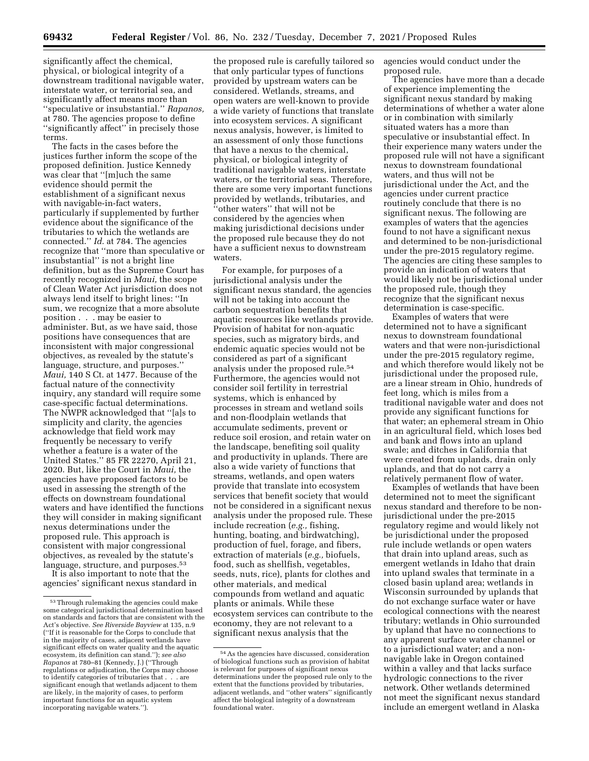significantly affect the chemical, physical, or biological integrity of a downstream traditional navigable water, interstate water, or territorial sea, and significantly affect means more than ''speculative or insubstantial.'' *Rapanos,*  at 780. The agencies propose to define ''significantly affect'' in precisely those terms.

The facts in the cases before the justices further inform the scope of the proposed definition. Justice Kennedy was clear that ''[m]uch the same evidence should permit the establishment of a significant nexus with navigable-in-fact waters, particularly if supplemented by further evidence about the significance of the tributaries to which the wetlands are connected.'' *Id.* at 784. The agencies recognize that ''more than speculative or insubstantial'' is not a bright line definition, but as the Supreme Court has recently recognized in *Maui,* the scope of Clean Water Act jurisdiction does not always lend itself to bright lines: ''In sum, we recognize that a more absolute position . . . may be easier to administer. But, as we have said, those positions have consequences that are inconsistent with major congressional objectives, as revealed by the statute's language, structure, and purposes.'' *Maui,* 140 S Ct. at 1477. Because of the factual nature of the connectivity inquiry, any standard will require some case-specific factual determinations. The NWPR acknowledged that ''[a]s to simplicity and clarity, the agencies acknowledge that field work may frequently be necessary to verify whether a feature is a water of the United States.'' 85 FR 22270, April 21, 2020. But, like the Court in *Maui,* the agencies have proposed factors to be used in assessing the strength of the effects on downstream foundational waters and have identified the functions they will consider in making significant nexus determinations under the proposed rule. This approach is consistent with major congressional objectives, as revealed by the statute's language, structure, and purposes.<sup>53</sup>

It is also important to note that the agencies' significant nexus standard in

the proposed rule is carefully tailored so that only particular types of functions provided by upstream waters can be considered. Wetlands, streams, and open waters are well-known to provide a wide variety of functions that translate into ecosystem services. A significant nexus analysis, however, is limited to an assessment of only those functions that have a nexus to the chemical, physical, or biological integrity of traditional navigable waters, interstate waters, or the territorial seas. Therefore, there are some very important functions provided by wetlands, tributaries, and ''other waters'' that will not be considered by the agencies when making jurisdictional decisions under the proposed rule because they do not have a sufficient nexus to downstream waters.

For example, for purposes of a jurisdictional analysis under the significant nexus standard, the agencies will not be taking into account the carbon sequestration benefits that aquatic resources like wetlands provide. Provision of habitat for non-aquatic species, such as migratory birds, and endemic aquatic species would not be considered as part of a significant analysis under the proposed rule.54 Furthermore, the agencies would not consider soil fertility in terrestrial systems, which is enhanced by processes in stream and wetland soils and non-floodplain wetlands that accumulate sediments, prevent or reduce soil erosion, and retain water on the landscape, benefiting soil quality and productivity in uplands. There are also a wide variety of functions that streams, wetlands, and open waters provide that translate into ecosystem services that benefit society that would not be considered in a significant nexus analysis under the proposed rule. These include recreation (*e.g.,* fishing, hunting, boating, and birdwatching), production of fuel, forage, and fibers, extraction of materials (*e.g.,* biofuels, food, such as shellfish, vegetables, seeds, nuts, rice), plants for clothes and other materials, and medical compounds from wetland and aquatic plants or animals. While these ecosystem services can contribute to the economy, they are not relevant to a significant nexus analysis that the

agencies would conduct under the proposed rule.

The agencies have more than a decade of experience implementing the significant nexus standard by making determinations of whether a water alone or in combination with similarly situated waters has a more than speculative or insubstantial effect. In their experience many waters under the proposed rule will not have a significant nexus to downstream foundational waters, and thus will not be jurisdictional under the Act, and the agencies under current practice routinely conclude that there is no significant nexus. The following are examples of waters that the agencies found to not have a significant nexus and determined to be non-jurisdictional under the pre-2015 regulatory regime. The agencies are citing these samples to provide an indication of waters that would likely not be jurisdictional under the proposed rule, though they recognize that the significant nexus determination is case-specific.

Examples of waters that were determined not to have a significant nexus to downstream foundational waters and that were non-jurisdictional under the pre-2015 regulatory regime, and which therefore would likely not be jurisdictional under the proposed rule, are a linear stream in Ohio, hundreds of feet long, which is miles from a traditional navigable water and does not provide any significant functions for that water; an ephemeral stream in Ohio in an agricultural field, which loses bed and bank and flows into an upland swale; and ditches in California that were created from uplands, drain only uplands, and that do not carry a relatively permanent flow of water.

Examples of wetlands that have been determined not to meet the significant nexus standard and therefore to be nonjurisdictional under the pre-2015 regulatory regime and would likely not be jurisdictional under the proposed rule include wetlands or open waters that drain into upland areas, such as emergent wetlands in Idaho that drain into upland swales that terminate in a closed basin upland area; wetlands in Wisconsin surrounded by uplands that do not exchange surface water or have ecological connections with the nearest tributary; wetlands in Ohio surrounded by upland that have no connections to any apparent surface water channel or to a jurisdictional water; and a nonnavigable lake in Oregon contained within a valley and that lacks surface hydrologic connections to the river network. Other wetlands determined not meet the significant nexus standard include an emergent wetland in Alaska

<sup>53</sup>Through rulemaking the agencies could make some categorical jurisdictional determination based on standards and factors that are consistent with the Act's objective. *See Riverside Bayview* at 135, n.9 (''If it is reasonable for the Corps to conclude that in the majority of cases, adjacent wetlands have significant effects on water quality and the aquatic ecosystem, its definition can stand.''); *see also Rapanos* at 780–81 (Kennedy, J.) (''Through regulations or adjudication, the Corps may choose to identify categories of tributaries that . . . are significant enough that wetlands adjacent to them are likely, in the majority of cases, to perform important functions for an aquatic system incorporating navigable waters.'').

<sup>54</sup>As the agencies have discussed, consideration of biological functions such as provision of habitat is relevant for purposes of significant nexus determinations under the proposed rule only to the extent that the functions provided by tributaries, adjacent wetlands, and ''other waters'' significantly affect the biological integrity of a downstream foundational water.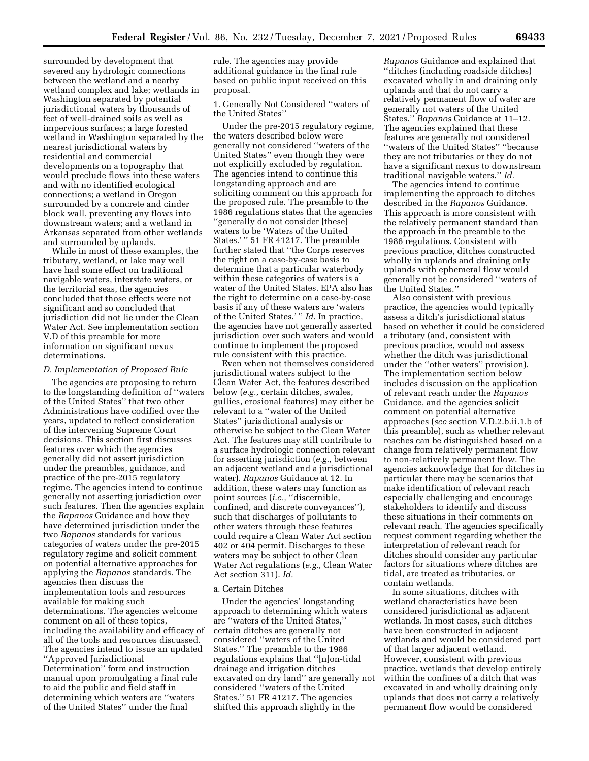surrounded by development that severed any hydrologic connections between the wetland and a nearby wetland complex and lake; wetlands in Washington separated by potential jurisdictional waters by thousands of feet of well-drained soils as well as impervious surfaces; a large forested wetland in Washington separated by the nearest jurisdictional waters by residential and commercial developments on a topography that would preclude flows into these waters and with no identified ecological connections; a wetland in Oregon surrounded by a concrete and cinder block wall, preventing any flows into downstream waters; and a wetland in Arkansas separated from other wetlands and surrounded by uplands.

While in most of these examples, the tributary, wetland, or lake may well have had some effect on traditional navigable waters, interstate waters, or the territorial seas, the agencies concluded that those effects were not significant and so concluded that jurisdiction did not lie under the Clean Water Act. See implementation section V.D of this preamble for more information on significant nexus determinations.

### *D. Implementation of Proposed Rule*

The agencies are proposing to return to the longstanding definition of ''waters of the United States'' that two other Administrations have codified over the years, updated to reflect consideration of the intervening Supreme Court decisions. This section first discusses features over which the agencies generally did not assert jurisdiction under the preambles, guidance, and practice of the pre-2015 regulatory regime. The agencies intend to continue generally not asserting jurisdiction over such features. Then the agencies explain the *Rapanos* Guidance and how they have determined jurisdiction under the two *Rapanos* standards for various categories of waters under the pre-2015 regulatory regime and solicit comment on potential alternative approaches for applying the *Rapanos* standards. The agencies then discuss the implementation tools and resources available for making such determinations. The agencies welcome comment on all of these topics, including the availability and efficacy of all of the tools and resources discussed. The agencies intend to issue an updated ''Approved Jurisdictional Determination'' form and instruction manual upon promulgating a final rule to aid the public and field staff in determining which waters are ''waters of the United States'' under the final

rule. The agencies may provide additional guidance in the final rule based on public input received on this proposal.

1. Generally Not Considered ''waters of the United States''

Under the pre-2015 regulatory regime, the waters described below were generally not considered ''waters of the United States'' even though they were not explicitly excluded by regulation. The agencies intend to continue this longstanding approach and are soliciting comment on this approach for the proposed rule. The preamble to the 1986 regulations states that the agencies ''generally do not consider [these] waters to be 'Waters of the United States.' '' 51 FR 41217. The preamble further stated that ''the Corps reserves the right on a case-by-case basis to determine that a particular waterbody within these categories of waters is a water of the United States. EPA also has the right to determine on a case-by-case basis if any of these waters are 'waters of the United States.' '' *Id.* In practice, the agencies have not generally asserted jurisdiction over such waters and would continue to implement the proposed rule consistent with this practice.

Even when not themselves considered jurisdictional waters subject to the Clean Water Act, the features described below (*e.g.,* certain ditches, swales, gullies, erosional features) may either be relevant to a ''water of the United States'' jurisdictional analysis or otherwise be subject to the Clean Water Act. The features may still contribute to a surface hydrologic connection relevant for asserting jurisdiction (*e.g.,* between an adjacent wetland and a jurisdictional water). *Rapanos* Guidance at 12. In addition, these waters may function as point sources (*i.e.*, "discernible, confined, and discrete conveyances''), such that discharges of pollutants to other waters through these features could require a Clean Water Act section 402 or 404 permit. Discharges to these waters may be subject to other Clean Water Act regulations (*e.g.,* Clean Water Act section 311). *Id.* 

### a. Certain Ditches

Under the agencies' longstanding approach to determining which waters are ''waters of the United States,'' certain ditches are generally not considered ''waters of the United States.'' The preamble to the 1986 regulations explains that ''[n]on-tidal drainage and irrigation ditches excavated on dry land'' are generally not considered ''waters of the United States.'' 51 FR 41217. The agencies shifted this approach slightly in the

*Rapanos* Guidance and explained that ''ditches (including roadside ditches) excavated wholly in and draining only uplands and that do not carry a relatively permanent flow of water are generally not waters of the United States.'' *Rapanos* Guidance at 11–12. The agencies explained that these features are generally not considered ''waters of the United States'' ''because they are not tributaries or they do not have a significant nexus to downstream traditional navigable waters.'' *Id.* 

The agencies intend to continue implementing the approach to ditches described in the *Rapanos* Guidance. This approach is more consistent with the relatively permanent standard than the approach in the preamble to the 1986 regulations. Consistent with previous practice, ditches constructed wholly in uplands and draining only uplands with ephemeral flow would generally not be considered ''waters of the United States.''

Also consistent with previous practice, the agencies would typically assess a ditch's jurisdictional status based on whether it could be considered a tributary (and, consistent with previous practice, would not assess whether the ditch was jurisdictional under the ''other waters'' provision). The implementation section below includes discussion on the application of relevant reach under the *Rapanos*  Guidance, and the agencies solicit comment on potential alternative approaches (*see* section V.D.2.b.ii.1.b of this preamble), such as whether relevant reaches can be distinguished based on a change from relatively permanent flow to non-relatively permanent flow. The agencies acknowledge that for ditches in particular there may be scenarios that make identification of relevant reach especially challenging and encourage stakeholders to identify and discuss these situations in their comments on relevant reach. The agencies specifically request comment regarding whether the interpretation of relevant reach for ditches should consider any particular factors for situations where ditches are tidal, are treated as tributaries, or contain wetlands.

In some situations, ditches with wetland characteristics have been considered jurisdictional as adjacent wetlands. In most cases, such ditches have been constructed in adjacent wetlands and would be considered part of that larger adjacent wetland. However, consistent with previous practice, wetlands that develop entirely within the confines of a ditch that was excavated in and wholly draining only uplands that does not carry a relatively permanent flow would be considered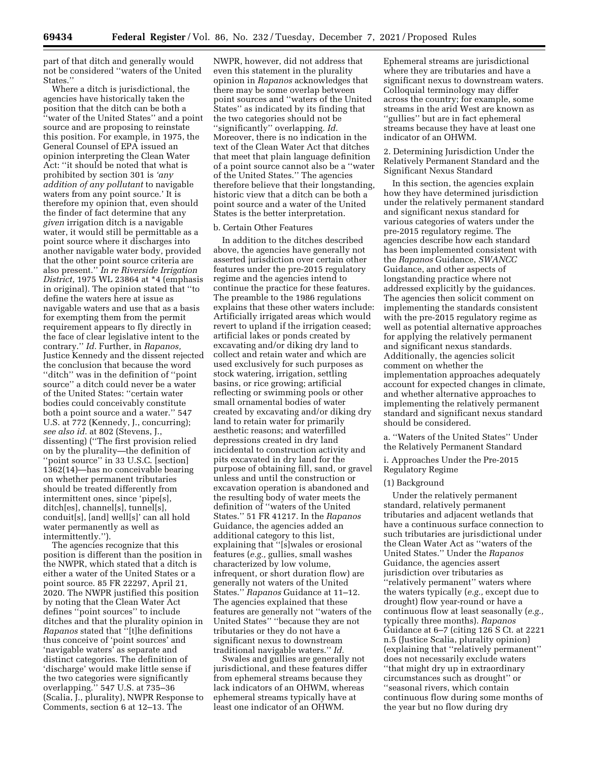part of that ditch and generally would not be considered ''waters of the United States.''

Where a ditch is jurisdictional, the agencies have historically taken the position that the ditch can be both a ''water of the United States'' and a point source and are proposing to reinstate this position. For example, in 1975, the General Counsel of EPA issued an opinion interpreting the Clean Water Act: ''it should be noted that what is prohibited by section 301 is *'any addition of any pollutant* to navigable waters from any point source.' It is therefore my opinion that, even should the finder of fact determine that any *given* irrigation ditch is a navigable water, it would still be permittable as a point source where it discharges into another navigable water body, provided that the other point source criteria are also present.'' *In re Riverside Irrigation District,* 1975 WL 23864 at \*4 (emphasis in original). The opinion stated that ''to define the waters here at issue as navigable waters and use that as a basis for exempting them from the permit requirement appears to fly directly in the face of clear legislative intent to the contrary.'' *Id.* Further, in *Rapanos,*  Justice Kennedy and the dissent rejected the conclusion that because the word ''ditch'' was in the definition of ''point source'' a ditch could never be a water of the United States: ''certain water bodies could conceivably constitute both a point source and a water.'' 547 U.S. at 772 (Kennedy, J., concurring); *see also id.* at 802 (Stevens, J., dissenting) (''The first provision relied on by the plurality—the definition of "point source" in 33 U.S.C. [section] 1362(14)—has no conceivable bearing on whether permanent tributaries should be treated differently from intermittent ones, since 'pipe[s], ditch[es], channel[s], tunnel[s], conduit[s], [and] well[s]' can all hold water permanently as well as intermittently.'').

The agencies recognize that this position is different than the position in the NWPR, which stated that a ditch is either a water of the United States or a point source. 85 FR 22297, April 21, 2020. The NWPR justified this position by noting that the Clean Water Act defines ''point sources'' to include ditches and that the plurality opinion in *Rapanos* stated that ''[t]he definitions thus conceive of 'point sources' and 'navigable waters' as separate and distinct categories. The definition of 'discharge' would make little sense if the two categories were significantly overlapping.'' 547 U.S. at 735–36 (Scalia, J., plurality), NWPR Response to Comments, section 6 at 12–13. The

NWPR, however, did not address that even this statement in the plurality opinion in *Rapanos* acknowledges that there may be some overlap between point sources and ''waters of the United States'' as indicated by its finding that the two categories should not be ''significantly'' overlapping. *Id.*  Moreover, there is no indication in the text of the Clean Water Act that ditches that meet that plain language definition of a point source cannot also be a ''water of the United States.'' The agencies therefore believe that their longstanding, historic view that a ditch can be both a point source and a water of the United States is the better interpretation.

## b. Certain Other Features

In addition to the ditches described above, the agencies have generally not asserted jurisdiction over certain other features under the pre-2015 regulatory regime and the agencies intend to continue the practice for these features. The preamble to the 1986 regulations explains that these other waters include: Artificially irrigated areas which would revert to upland if the irrigation ceased; artificial lakes or ponds created by excavating and/or diking dry land to collect and retain water and which are used exclusively for such purposes as stock watering, irrigation, settling basins, or rice growing; artificial reflecting or swimming pools or other small ornamental bodies of water created by excavating and/or diking dry land to retain water for primarily aesthetic reasons; and waterfilled depressions created in dry land incidental to construction activity and pits excavated in dry land for the purpose of obtaining fill, sand, or gravel unless and until the construction or excavation operation is abandoned and the resulting body of water meets the definition of ''waters of the United States.'' 51 FR 41217. In the *Rapanos*  Guidance, the agencies added an additional category to this list, explaining that ''[s]wales or erosional features (*e.g.,* gullies, small washes characterized by low volume, infrequent, or short duration flow) are generally not waters of the United States.'' *Rapanos* Guidance at 11–12. The agencies explained that these features are generally not ''waters of the United States'' ''because they are not tributaries or they do not have a significant nexus to downstream traditional navigable waters.'' *Id.* 

Swales and gullies are generally not jurisdictional, and these features differ from ephemeral streams because they lack indicators of an OHWM, whereas ephemeral streams typically have at least one indicator of an OHWM.

Ephemeral streams are jurisdictional where they are tributaries and have a significant nexus to downstream waters. Colloquial terminology may differ across the country; for example, some streams in the arid West are known as ''gullies'' but are in fact ephemeral streams because they have at least one indicator of an OHWM.

## 2. Determining Jurisdiction Under the Relatively Permanent Standard and the Significant Nexus Standard

In this section, the agencies explain how they have determined jurisdiction under the relatively permanent standard and significant nexus standard for various categories of waters under the pre-2015 regulatory regime. The agencies describe how each standard has been implemented consistent with the *Rapanos* Guidance, *SWANCC*  Guidance, and other aspects of longstanding practice where not addressed explicitly by the guidances. The agencies then solicit comment on implementing the standards consistent with the pre-2015 regulatory regime as well as potential alternative approaches for applying the relatively permanent and significant nexus standards. Additionally, the agencies solicit comment on whether the implementation approaches adequately account for expected changes in climate, and whether alternative approaches to implementing the relatively permanent standard and significant nexus standard should be considered.

a. ''Waters of the United States'' Under the Relatively Permanent Standard

# i. Approaches Under the Pre-2015 Regulatory Regime

### (1) Background

Under the relatively permanent standard, relatively permanent tributaries and adjacent wetlands that have a continuous surface connection to such tributaries are jurisdictional under the Clean Water Act as ''waters of the United States.'' Under the *Rapanos*  Guidance, the agencies assert jurisdiction over tributaries as ''relatively permanent'' waters where the waters typically (*e.g.,* except due to drought) flow year-round or have a continuous flow at least seasonally (*e.g.,*  typically three months). *Rapanos*  Guidance at 6–7 (citing 126 S Ct. at 2221 n.5 (Justice Scalia, plurality opinion) (explaining that ''relatively permanent'' does not necessarily exclude waters ''that might dry up in extraordinary circumstances such as drought'' or ''seasonal rivers, which contain continuous flow during some months of the year but no flow during dry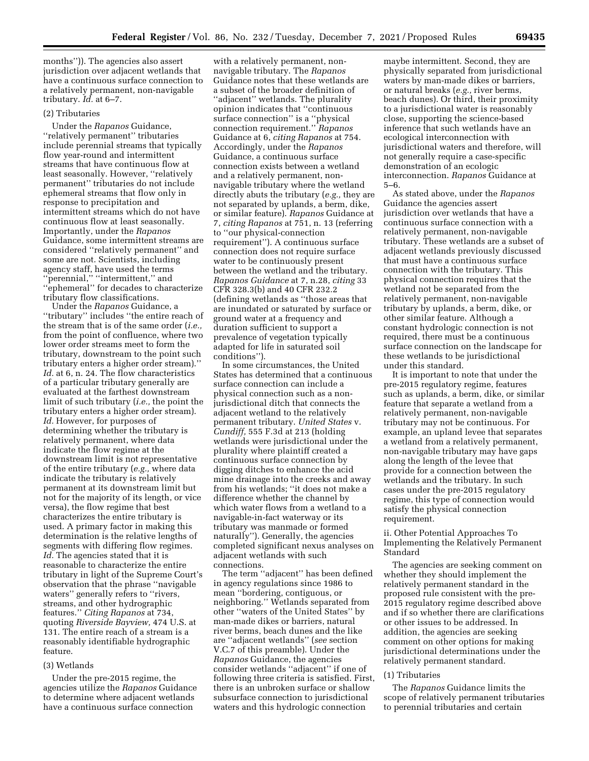months'')). The agencies also assert jurisdiction over adjacent wetlands that have a continuous surface connection to a relatively permanent, non-navigable tributary. *Id.* at 6–7.

## (2) Tributaries

Under the *Rapanos* Guidance, ''relatively permanent'' tributaries include perennial streams that typically flow year-round and intermittent streams that have continuous flow at least seasonally. However, ''relatively permanent'' tributaries do not include ephemeral streams that flow only in response to precipitation and intermittent streams which do not have continuous flow at least seasonally. Importantly, under the *Rapanos*  Guidance, some intermittent streams are considered ''relatively permanent'' and some are not. Scientists, including agency staff, have used the terms ''perennial,'' ''intermittent,'' and ''ephemeral'' for decades to characterize tributary flow classifications.

Under the *Rapanos* Guidance, a ''tributary'' includes ''the entire reach of the stream that is of the same order (*i.e.,*  from the point of confluence, where two lower order streams meet to form the tributary, downstream to the point such tributary enters a higher order stream).'' *Id.* at 6, n. 24. The flow characteristics of a particular tributary generally are evaluated at the farthest downstream limit of such tributary (*i.e.,* the point the tributary enters a higher order stream). *Id.* However, for purposes of determining whether the tributary is relatively permanent, where data indicate the flow regime at the downstream limit is not representative of the entire tributary (*e.g.,* where data indicate the tributary is relatively permanent at its downstream limit but not for the majority of its length, or vice versa), the flow regime that best characterizes the entire tributary is used. A primary factor in making this determination is the relative lengths of segments with differing flow regimes. *Id.* The agencies stated that it is reasonable to characterize the entire tributary in light of the Supreme Court's observation that the phrase ''navigable waters" generally refers to "rivers, streams, and other hydrographic features.'' *Citing Rapanos* at 734, quoting *Riverside Bayview,* 474 U.S. at 131. The entire reach of a stream is a reasonably identifiable hydrographic feature.

#### (3) Wetlands

Under the pre-2015 regime, the agencies utilize the *Rapanos* Guidance to determine where adjacent wetlands have a continuous surface connection

with a relatively permanent, nonnavigable tributary. The *Rapanos*  Guidance notes that these wetlands are a subset of the broader definition of ''adjacent'' wetlands. The plurality opinion indicates that ''continuous surface connection'' is a ''physical connection requirement.'' *Rapanos*  Guidance at 6, *citing Rapanos* at 754. Accordingly, under the *Rapanos*  Guidance, a continuous surface connection exists between a wetland and a relatively permanent, nonnavigable tributary where the wetland directly abuts the tributary (*e.g.,* they are not separated by uplands, a berm, dike, or similar feature). *Rapanos* Guidance at 7, *citing Rapanos* at 751, n. 13 (referring to ''our physical-connection requirement''). A continuous surface connection does not require surface water to be continuously present between the wetland and the tributary. *Rapanos Guidance* at 7, n.28, *citing* 33 CFR 328.3(b) and 40 CFR 232.2 (defining wetlands as ''those areas that are inundated or saturated by surface or ground water at a frequency and duration sufficient to support a prevalence of vegetation typically adapted for life in saturated soil conditions'').

In some circumstances, the United States has determined that a continuous surface connection can include a physical connection such as a nonjurisdictional ditch that connects the adjacent wetland to the relatively permanent tributary. *United States* v. *Cundiff,* 555 F.3d at 213 (holding wetlands were jurisdictional under the plurality where plaintiff created a continuous surface connection by digging ditches to enhance the acid mine drainage into the creeks and away from his wetlands; ''it does not make a difference whether the channel by which water flows from a wetland to a navigable-in-fact waterway or its tributary was manmade or formed naturally''). Generally, the agencies completed significant nexus analyses on adjacent wetlands with such connections.

The term ''adjacent'' has been defined in agency regulations since 1986 to mean ''bordering, contiguous, or neighboring.'' Wetlands separated from other ''waters of the United States'' by man-made dikes or barriers, natural river berms, beach dunes and the like are ''adjacent wetlands'' (*see* section V.C.7 of this preamble). Under the *Rapanos* Guidance, the agencies consider wetlands ''adjacent'' if one of following three criteria is satisfied. First, there is an unbroken surface or shallow subsurface connection to jurisdictional waters and this hydrologic connection

maybe intermittent. Second, they are physically separated from jurisdictional waters by man-made dikes or barriers, or natural breaks (*e.g.,* river berms, beach dunes). Or third, their proximity to a jurisdictional water is reasonably close, supporting the science-based inference that such wetlands have an ecological interconnection with jurisdictional waters and therefore, will not generally require a case-specific demonstration of an ecologic interconnection. *Rapanos* Guidance at 5–6.

As stated above, under the *Rapanos*  Guidance the agencies assert jurisdiction over wetlands that have a continuous surface connection with a relatively permanent, non-navigable tributary. These wetlands are a subset of adjacent wetlands previously discussed that must have a continuous surface connection with the tributary. This physical connection requires that the wetland not be separated from the relatively permanent, non-navigable tributary by uplands, a berm, dike, or other similar feature. Although a constant hydrologic connection is not required, there must be a continuous surface connection on the landscape for these wetlands to be jurisdictional under this standard.

It is important to note that under the pre-2015 regulatory regime, features such as uplands, a berm, dike, or similar feature that separate a wetland from a relatively permanent, non-navigable tributary may not be continuous. For example, an upland levee that separates a wetland from a relatively permanent, non-navigable tributary may have gaps along the length of the levee that provide for a connection between the wetlands and the tributary. In such cases under the pre-2015 regulatory regime, this type of connection would satisfy the physical connection requirement.

## ii. Other Potential Approaches To Implementing the Relatively Permanent Standard

The agencies are seeking comment on whether they should implement the relatively permanent standard in the proposed rule consistent with the pre-2015 regulatory regime described above and if so whether there are clarifications or other issues to be addressed. In addition, the agencies are seeking comment on other options for making jurisdictional determinations under the relatively permanent standard.

# (1) Tributaries

The *Rapanos* Guidance limits the scope of relatively permanent tributaries to perennial tributaries and certain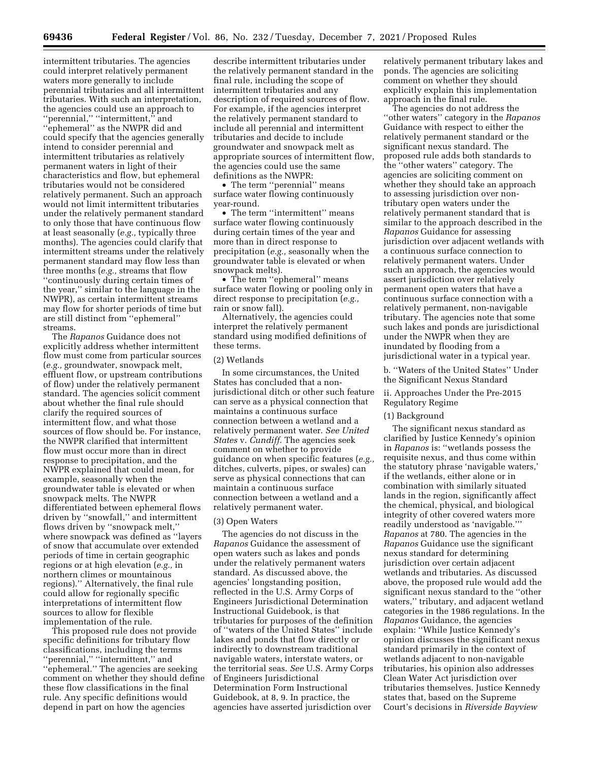intermittent tributaries. The agencies could interpret relatively permanent waters more generally to include perennial tributaries and all intermittent tributaries. With such an interpretation, the agencies could use an approach to ''perennial,'' ''intermittent,'' and ''ephemeral'' as the NWPR did and could specify that the agencies generally intend to consider perennial and intermittent tributaries as relatively permanent waters in light of their characteristics and flow, but ephemeral tributaries would not be considered relatively permanent. Such an approach would not limit intermittent tributaries under the relatively permanent standard to only those that have continuous flow at least seasonally (*e.g.,* typically three months). The agencies could clarify that intermittent streams under the relatively permanent standard may flow less than three months (*e.g.,* streams that flow ''continuously during certain times of the year,'' similar to the language in the NWPR), as certain intermittent streams may flow for shorter periods of time but are still distinct from ''ephemeral'' streams.

The *Rapanos* Guidance does not explicitly address whether intermittent flow must come from particular sources (*e.g.,* groundwater, snowpack melt, effluent flow, or upstream contributions of flow) under the relatively permanent standard. The agencies solicit comment about whether the final rule should clarify the required sources of intermittent flow, and what those sources of flow should be. For instance, the NWPR clarified that intermittent flow must occur more than in direct response to precipitation, and the NWPR explained that could mean, for example, seasonally when the groundwater table is elevated or when snowpack melts. The NWPR differentiated between ephemeral flows driven by ''snowfall,'' and intermittent flows driven by ''snowpack melt,'' where snowpack was defined as ''layers of snow that accumulate over extended periods of time in certain geographic regions or at high elevation (*e.g.,* in northern climes or mountainous regions).'' Alternatively, the final rule could allow for regionally specific interpretations of intermittent flow sources to allow for flexible implementation of the rule.

This proposed rule does not provide specific definitions for tributary flow classifications, including the terms ''perennial,'' ''intermittent,'' and ''ephemeral.'' The agencies are seeking comment on whether they should define these flow classifications in the final rule. Any specific definitions would depend in part on how the agencies

describe intermittent tributaries under the relatively permanent standard in the final rule, including the scope of intermittent tributaries and any description of required sources of flow. For example, if the agencies interpret the relatively permanent standard to include all perennial and intermittent tributaries and decide to include groundwater and snowpack melt as appropriate sources of intermittent flow, the agencies could use the same definitions as the NWPR:

• The term ''perennial'' means surface water flowing continuously year-round.

• The term "intermittent" means surface water flowing continuously during certain times of the year and more than in direct response to precipitation (*e.g.,* seasonally when the groundwater table is elevated or when snowpack melts).

• The term ''ephemeral'' means surface water flowing or pooling only in direct response to precipitation (*e.g.,*  rain or snow fall).

Alternatively, the agencies could interpret the relatively permanent standard using modified definitions of these terms.

## (2) Wetlands

In some circumstances, the United States has concluded that a nonjurisdictional ditch or other such feature can serve as a physical connection that maintains a continuous surface connection between a wetland and a relatively permanent water. *See United States* v. *Cundiff.* The agencies seek comment on whether to provide guidance on when specific features (*e.g.,*  ditches, culverts, pipes, or swales) can serve as physical connections that can maintain a continuous surface connection between a wetland and a relatively permanent water.

### (3) Open Waters

The agencies do not discuss in the *Rapanos* Guidance the assessment of open waters such as lakes and ponds under the relatively permanent waters standard. As discussed above, the agencies' longstanding position, reflected in the U.S. Army Corps of Engineers Jurisdictional Determination Instructional Guidebook, is that tributaries for purposes of the definition of ''waters of the United States'' include lakes and ponds that flow directly or indirectly to downstream traditional navigable waters, interstate waters, or the territorial seas. *See* U.S. Army Corps of Engineers Jurisdictional Determination Form Instructional Guidebook, at 8, 9. In practice, the agencies have asserted jurisdiction over

relatively permanent tributary lakes and ponds. The agencies are soliciting comment on whether they should explicitly explain this implementation approach in the final rule.

The agencies do not address the ''other waters'' category in the *Rapanos*  Guidance with respect to either the relatively permanent standard or the significant nexus standard. The proposed rule adds both standards to the ''other waters'' category. The agencies are soliciting comment on whether they should take an approach to assessing jurisdiction over nontributary open waters under the relatively permanent standard that is similar to the approach described in the *Rapanos* Guidance for assessing jurisdiction over adjacent wetlands with a continuous surface connection to relatively permanent waters. Under such an approach, the agencies would assert jurisdiction over relatively permanent open waters that have a continuous surface connection with a relatively permanent, non-navigable tributary. The agencies note that some such lakes and ponds are jurisdictional under the NWPR when they are inundated by flooding from a jurisdictional water in a typical year.

b. ''Waters of the United States'' Under the Significant Nexus Standard

ii. Approaches Under the Pre-2015 Regulatory Regime

### (1) Background

The significant nexus standard as clarified by Justice Kennedy's opinion in *Rapanos* is: ''wetlands possess the requisite nexus, and thus come within the statutory phrase 'navigable waters,' if the wetlands, either alone or in combination with similarly situated lands in the region, significantly affect the chemical, physical, and biological integrity of other covered waters more readily understood as 'navigable.''' *Rapanos* at 780. The agencies in the *Rapanos* Guidance use the significant nexus standard for determining jurisdiction over certain adjacent wetlands and tributaries. As discussed above, the proposed rule would add the significant nexus standard to the ''other waters,'' tributary, and adjacent wetland categories in the 1986 regulations. In the *Rapanos* Guidance, the agencies explain: ''While Justice Kennedy's opinion discusses the significant nexus standard primarily in the context of wetlands adjacent to non-navigable tributaries, his opinion also addresses Clean Water Act jurisdiction over tributaries themselves. Justice Kennedy states that, based on the Supreme Court's decisions in *Riverside Bayview*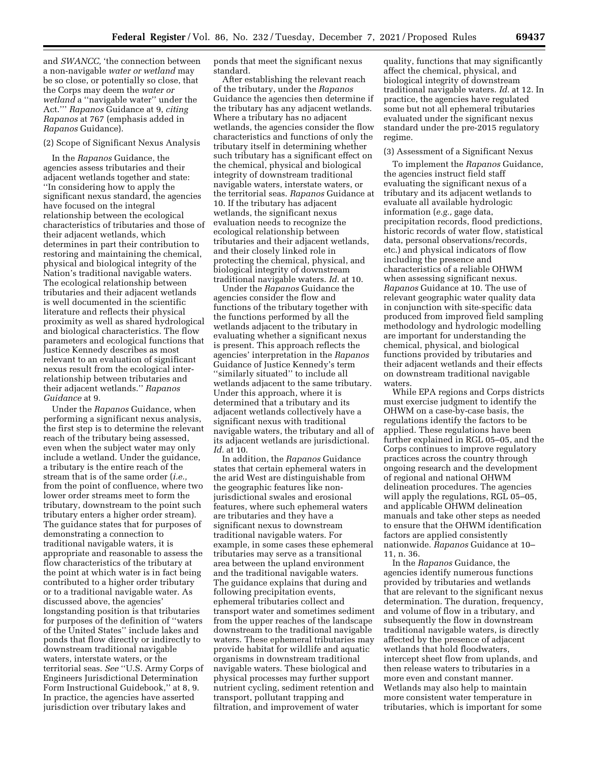and *SWANCC,* 'the connection between a non-navigable *water or wetland* may be so close, or potentially so close, that the Corps may deem the *water or wetland* a ''navigable water'' under the Act.''' *Rapanos* Guidance at 9, *citing Rapanos* at 767 (emphasis added in *Rapanos* Guidance).

#### (2) Scope of Significant Nexus Analysis

In the *Rapanos* Guidance, the agencies assess tributaries and their adjacent wetlands together and state: ''In considering how to apply the significant nexus standard, the agencies have focused on the integral relationship between the ecological characteristics of tributaries and those of their adjacent wetlands, which determines in part their contribution to restoring and maintaining the chemical, physical and biological integrity of the Nation's traditional navigable waters. The ecological relationship between tributaries and their adjacent wetlands is well documented in the scientific literature and reflects their physical proximity as well as shared hydrological and biological characteristics. The flow parameters and ecological functions that Justice Kennedy describes as most relevant to an evaluation of significant nexus result from the ecological interrelationship between tributaries and their adjacent wetlands.'' *Rapanos Guidance* at 9.

Under the *Rapanos* Guidance, when performing a significant nexus analysis, the first step is to determine the relevant reach of the tributary being assessed, even when the subject water may only include a wetland. Under the guidance, a tributary is the entire reach of the stream that is of the same order (*i.e.,*  from the point of confluence, where two lower order streams meet to form the tributary, downstream to the point such tributary enters a higher order stream). The guidance states that for purposes of demonstrating a connection to traditional navigable waters, it is appropriate and reasonable to assess the flow characteristics of the tributary at the point at which water is in fact being contributed to a higher order tributary or to a traditional navigable water. As discussed above, the agencies' longstanding position is that tributaries for purposes of the definition of ''waters of the United States'' include lakes and ponds that flow directly or indirectly to downstream traditional navigable waters, interstate waters, or the territorial seas. *See* ''U.S. Army Corps of Engineers Jurisdictional Determination Form Instructional Guidebook,'' at 8, 9. In practice, the agencies have asserted jurisdiction over tributary lakes and

ponds that meet the significant nexus standard.

After establishing the relevant reach of the tributary, under the *Rapanos*  Guidance the agencies then determine if the tributary has any adjacent wetlands. Where a tributary has no adjacent wetlands, the agencies consider the flow characteristics and functions of only the tributary itself in determining whether such tributary has a significant effect on the chemical, physical and biological integrity of downstream traditional navigable waters, interstate waters, or the territorial seas. *Rapanos* Guidance at 10. If the tributary has adjacent wetlands, the significant nexus evaluation needs to recognize the ecological relationship between tributaries and their adjacent wetlands, and their closely linked role in protecting the chemical, physical, and biological integrity of downstream traditional navigable waters. *Id.* at 10.

Under the *Rapanos* Guidance the agencies consider the flow and functions of the tributary together with the functions performed by all the wetlands adjacent to the tributary in evaluating whether a significant nexus is present. This approach reflects the agencies' interpretation in the *Rapanos*  Guidance of Justice Kennedy's term ''similarly situated'' to include all wetlands adjacent to the same tributary. Under this approach, where it is determined that a tributary and its adjacent wetlands collectively have a significant nexus with traditional navigable waters, the tributary and all of its adjacent wetlands are jurisdictional. *Id.* at 10.

In addition, the *Rapanos* Guidance states that certain ephemeral waters in the arid West are distinguishable from the geographic features like nonjurisdictional swales and erosional features, where such ephemeral waters are tributaries and they have a significant nexus to downstream traditional navigable waters. For example, in some cases these ephemeral tributaries may serve as a transitional area between the upland environment and the traditional navigable waters. The guidance explains that during and following precipitation events, ephemeral tributaries collect and transport water and sometimes sediment from the upper reaches of the landscape downstream to the traditional navigable waters. These ephemeral tributaries may provide habitat for wildlife and aquatic organisms in downstream traditional navigable waters. These biological and physical processes may further support nutrient cycling, sediment retention and transport, pollutant trapping and filtration, and improvement of water

quality, functions that may significantly affect the chemical, physical, and biological integrity of downstream traditional navigable waters. *Id.* at 12. In practice, the agencies have regulated some but not all ephemeral tributaries evaluated under the significant nexus standard under the pre-2015 regulatory regime.

### (3) Assessment of a Significant Nexus

To implement the *Rapanos* Guidance, the agencies instruct field staff evaluating the significant nexus of a tributary and its adjacent wetlands to evaluate all available hydrologic information (*e.g.,* gage data, precipitation records, flood predictions, historic records of water flow, statistical data, personal observations/records, etc.) and physical indicators of flow including the presence and characteristics of a reliable OHWM when assessing significant nexus. *Rapanos* Guidance at 10. The use of relevant geographic water quality data in conjunction with site-specific data produced from improved field sampling methodology and hydrologic modelling are important for understanding the chemical, physical, and biological functions provided by tributaries and their adjacent wetlands and their effects on downstream traditional navigable waters.

While EPA regions and Corps districts must exercise judgment to identify the OHWM on a case-by-case basis, the regulations identify the factors to be applied. These regulations have been further explained in RGL 05–05, and the Corps continues to improve regulatory practices across the country through ongoing research and the development of regional and national OHWM delineation procedures. The agencies will apply the regulations, RGL 05–05, and applicable OHWM delineation manuals and take other steps as needed to ensure that the OHWM identification factors are applied consistently nationwide. *Rapanos* Guidance at 10– 11, n. 36.

In the *Rapanos* Guidance, the agencies identify numerous functions provided by tributaries and wetlands that are relevant to the significant nexus determination. The duration, frequency, and volume of flow in a tributary, and subsequently the flow in downstream traditional navigable waters, is directly affected by the presence of adjacent wetlands that hold floodwaters, intercept sheet flow from uplands, and then release waters to tributaries in a more even and constant manner. Wetlands may also help to maintain more consistent water temperature in tributaries, which is important for some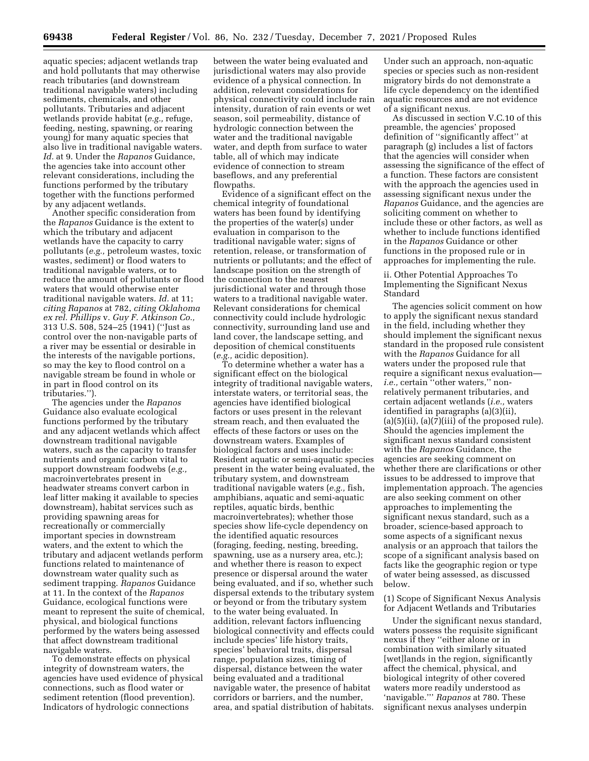aquatic species; adjacent wetlands trap and hold pollutants that may otherwise reach tributaries (and downstream traditional navigable waters) including sediments, chemicals, and other pollutants. Tributaries and adjacent wetlands provide habitat (*e.g.,* refuge, feeding, nesting, spawning, or rearing young) for many aquatic species that also live in traditional navigable waters. *Id.* at 9. Under the *Rapanos* Guidance, the agencies take into account other relevant considerations, including the functions performed by the tributary together with the functions performed by any adjacent wetlands.

Another specific consideration from the *Rapanos* Guidance is the extent to which the tributary and adjacent wetlands have the capacity to carry pollutants (*e.g.,* petroleum wastes, toxic wastes, sediment) or flood waters to traditional navigable waters, or to reduce the amount of pollutants or flood waters that would otherwise enter traditional navigable waters. *Id.* at 11; *citing Rapanos* at 782, *citing Oklahoma ex rel. Phillips* v. *Guy F. Atkinson Co.,*  313 U.S. 508, 524–25 (1941) (''Just as control over the non-navigable parts of a river may be essential or desirable in the interests of the navigable portions, so may the key to flood control on a navigable stream be found in whole or in part in flood control on its tributaries.'').

The agencies under the *Rapanos*  Guidance also evaluate ecological functions performed by the tributary and any adjacent wetlands which affect downstream traditional navigable waters, such as the capacity to transfer nutrients and organic carbon vital to support downstream foodwebs (*e.g.,*  macroinvertebrates present in headwater streams convert carbon in leaf litter making it available to species downstream), habitat services such as providing spawning areas for recreationally or commercially important species in downstream waters, and the extent to which the tributary and adjacent wetlands perform functions related to maintenance of downstream water quality such as sediment trapping. *Rapanos* Guidance at 11. In the context of the *Rapanos*  Guidance, ecological functions were meant to represent the suite of chemical, physical, and biological functions performed by the waters being assessed that affect downstream traditional navigable waters.

To demonstrate effects on physical integrity of downstream waters, the agencies have used evidence of physical connections, such as flood water or sediment retention (flood prevention). Indicators of hydrologic connections

between the water being evaluated and jurisdictional waters may also provide evidence of a physical connection. In addition, relevant considerations for physical connectivity could include rain intensity, duration of rain events or wet season, soil permeability, distance of hydrologic connection between the water and the traditional navigable water, and depth from surface to water table, all of which may indicate evidence of connection to stream baseflows, and any preferential flowpaths.

Evidence of a significant effect on the chemical integrity of foundational waters has been found by identifying the properties of the water(s) under evaluation in comparison to the traditional navigable water; signs of retention, release, or transformation of nutrients or pollutants; and the effect of landscape position on the strength of the connection to the nearest jurisdictional water and through those waters to a traditional navigable water. Relevant considerations for chemical connectivity could include hydrologic connectivity, surrounding land use and land cover, the landscape setting, and deposition of chemical constituents (*e.g.,* acidic deposition).

To determine whether a water has a significant effect on the biological integrity of traditional navigable waters, interstate waters, or territorial seas, the agencies have identified biological factors or uses present in the relevant stream reach, and then evaluated the effects of these factors or uses on the downstream waters. Examples of biological factors and uses include: Resident aquatic or semi-aquatic species present in the water being evaluated, the tributary system, and downstream traditional navigable waters (*e.g.,* fish, amphibians, aquatic and semi-aquatic reptiles, aquatic birds, benthic macroinvertebrates); whether those species show life-cycle dependency on the identified aquatic resources (foraging, feeding, nesting, breeding, spawning, use as a nursery area, etc.); and whether there is reason to expect presence or dispersal around the water being evaluated, and if so, whether such dispersal extends to the tributary system or beyond or from the tributary system to the water being evaluated. In addition, relevant factors influencing biological connectivity and effects could include species' life history traits, species' behavioral traits, dispersal range, population sizes, timing of dispersal, distance between the water being evaluated and a traditional navigable water, the presence of habitat corridors or barriers, and the number, area, and spatial distribution of habitats.

Under such an approach, non-aquatic species or species such as non-resident migratory birds do not demonstrate a life cycle dependency on the identified aquatic resources and are not evidence of a significant nexus.

As discussed in section V.C.10 of this preamble, the agencies' proposed definition of ''significantly affect'' at paragraph (g) includes a list of factors that the agencies will consider when assessing the significance of the effect of a function. These factors are consistent with the approach the agencies used in assessing significant nexus under the *Rapanos* Guidance, and the agencies are soliciting comment on whether to include these or other factors, as well as whether to include functions identified in the *Rapanos* Guidance or other functions in the proposed rule or in approaches for implementing the rule.

# ii. Other Potential Approaches To Implementing the Significant Nexus Standard

The agencies solicit comment on how to apply the significant nexus standard in the field, including whether they should implement the significant nexus standard in the proposed rule consistent with the *Rapanos* Guidance for all waters under the proposed rule that require a significant nexus evaluation *i.e.*, certain "other waters," nonrelatively permanent tributaries, and certain adjacent wetlands (*i.e.,* waters identified in paragraphs (a)(3)(ii),  $(a)(5)(ii)$ ,  $(a)(7)(iii)$  of the proposed rule). Should the agencies implement the significant nexus standard consistent with the *Rapanos* Guidance, the agencies are seeking comment on whether there are clarifications or other issues to be addressed to improve that implementation approach. The agencies are also seeking comment on other approaches to implementing the significant nexus standard, such as a broader, science-based approach to some aspects of a significant nexus analysis or an approach that tailors the scope of a significant analysis based on facts like the geographic region or type of water being assessed, as discussed below.

(1) Scope of Significant Nexus Analysis for Adjacent Wetlands and Tributaries

Under the significant nexus standard, waters possess the requisite significant nexus if they ''either alone or in combination with similarly situated [wet]lands in the region, significantly affect the chemical, physical, and biological integrity of other covered waters more readily understood as 'navigable.''' *Rapanos* at 780. These significant nexus analyses underpin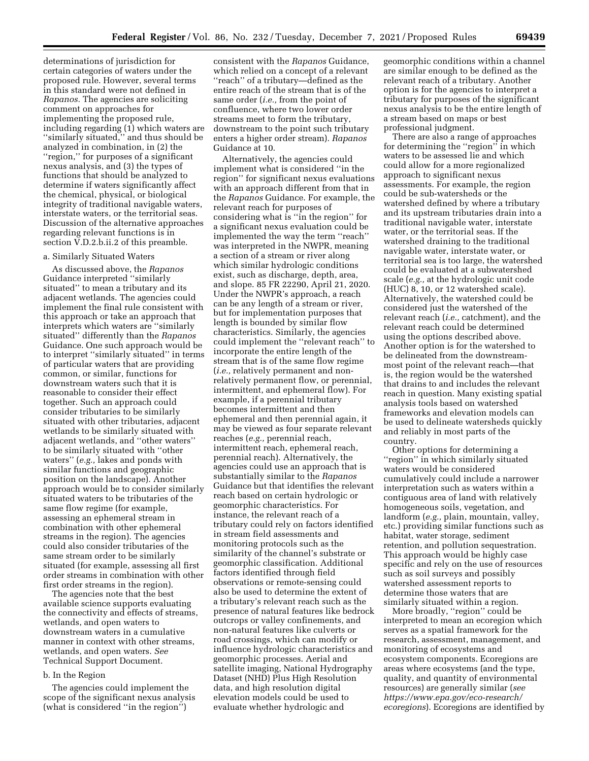determinations of jurisdiction for certain categories of waters under the proposed rule. However, several terms in this standard were not defined in *Rapanos.* The agencies are soliciting comment on approaches for implementing the proposed rule, including regarding (1) which waters are ''similarly situated,'' and thus should be analyzed in combination, in (2) the ''region,'' for purposes of a significant nexus analysis, and (3) the types of functions that should be analyzed to determine if waters significantly affect the chemical, physical, or biological integrity of traditional navigable waters, interstate waters, or the territorial seas. Discussion of the alternative approaches regarding relevant functions is in section V.D.2.b.ii.2 of this preamble.

# a. Similarly Situated Waters

As discussed above, the *Rapanos*  Guidance interpreted ''similarly situated'' to mean a tributary and its adjacent wetlands. The agencies could implement the final rule consistent with this approach or take an approach that interprets which waters are ''similarly situated'' differently than the *Rapanos*  Guidance. One such approach would be to interpret ''similarly situated'' in terms of particular waters that are providing common, or similar, functions for downstream waters such that it is reasonable to consider their effect together. Such an approach could consider tributaries to be similarly situated with other tributaries, adjacent wetlands to be similarly situated with adjacent wetlands, and ''other waters'' to be similarly situated with ''other waters'' (*e.g.,* lakes and ponds with similar functions and geographic position on the landscape). Another approach would be to consider similarly situated waters to be tributaries of the same flow regime (for example, assessing an ephemeral stream in combination with other ephemeral streams in the region). The agencies could also consider tributaries of the same stream order to be similarly situated (for example, assessing all first order streams in combination with other first order streams in the region).

The agencies note that the best available science supports evaluating the connectivity and effects of streams, wetlands, and open waters to downstream waters in a cumulative manner in context with other streams, wetlands, and open waters. *See*  Technical Support Document.

#### b. In the Region

The agencies could implement the scope of the significant nexus analysis (what is considered ''in the region'')

consistent with the *Rapanos* Guidance, which relied on a concept of a relevant ''reach'' of a tributary—defined as the entire reach of the stream that is of the same order (*i.e.,* from the point of confluence, where two lower order streams meet to form the tributary, downstream to the point such tributary enters a higher order stream). *Rapanos*  Guidance at 10.

Alternatively, the agencies could implement what is considered ''in the region'' for significant nexus evaluations with an approach different from that in the *Rapanos* Guidance. For example, the relevant reach for purposes of considering what is ''in the region'' for a significant nexus evaluation could be implemented the way the term ''reach'' was interpreted in the NWPR, meaning a section of a stream or river along which similar hydrologic conditions exist, such as discharge, depth, area, and slope. 85 FR 22290, April 21, 2020. Under the NWPR's approach, a reach can be any length of a stream or river, but for implementation purposes that length is bounded by similar flow characteristics. Similarly, the agencies could implement the ''relevant reach'' to incorporate the entire length of the stream that is of the same flow regime (*i.e.,* relatively permanent and nonrelatively permanent flow, or perennial, intermittent, and ephemeral flow). For example, if a perennial tributary becomes intermittent and then ephemeral and then perennial again, it may be viewed as four separate relevant reaches (*e.g.,* perennial reach, intermittent reach, ephemeral reach, perennial reach). Alternatively, the agencies could use an approach that is substantially similar to the *Rapanos*  Guidance but that identifies the relevant reach based on certain hydrologic or geomorphic characteristics. For instance, the relevant reach of a tributary could rely on factors identified in stream field assessments and monitoring protocols such as the similarity of the channel's substrate or geomorphic classification. Additional factors identified through field observations or remote-sensing could also be used to determine the extent of a tributary's relevant reach such as the presence of natural features like bedrock outcrops or valley confinements, and non-natural features like culverts or road crossings, which can modify or influence hydrologic characteristics and geomorphic processes. Aerial and satellite imaging, National Hydrography Dataset (NHD) Plus High Resolution data, and high resolution digital elevation models could be used to evaluate whether hydrologic and

geomorphic conditions within a channel are similar enough to be defined as the relevant reach of a tributary. Another option is for the agencies to interpret a tributary for purposes of the significant nexus analysis to be the entire length of a stream based on maps or best professional judgment.

There are also a range of approaches for determining the ''region'' in which waters to be assessed lie and which could allow for a more regionalized approach to significant nexus assessments. For example, the region could be sub-watersheds or the watershed defined by where a tributary and its upstream tributaries drain into a traditional navigable water, interstate water, or the territorial seas. If the watershed draining to the traditional navigable water, interstate water, or territorial sea is too large, the watershed could be evaluated at a subwatershed scale (*e.g.,* at the hydrologic unit code (HUC) 8, 10, or 12 watershed scale). Alternatively, the watershed could be considered just the watershed of the relevant reach (*i.e.,* catchment), and the relevant reach could be determined using the options described above. Another option is for the watershed to be delineated from the downstreammost point of the relevant reach—that is, the region would be the watershed that drains to and includes the relevant reach in question. Many existing spatial analysis tools based on watershed frameworks and elevation models can be used to delineate watersheds quickly and reliably in most parts of the country.

Other options for determining a ''region'' in which similarly situated waters would be considered cumulatively could include a narrower interpretation such as waters within a contiguous area of land with relatively homogeneous soils, vegetation, and landform (*e.g.,* plain, mountain, valley, etc.) providing similar functions such as habitat, water storage, sediment retention, and pollution sequestration. This approach would be highly case specific and rely on the use of resources such as soil surveys and possibly watershed assessment reports to determine those waters that are similarly situated within a region.

More broadly, ''region'' could be interpreted to mean an ecoregion which serves as a spatial framework for the research, assessment, management, and monitoring of ecosystems and ecosystem components. Ecoregions are areas where ecosystems (and the type, quality, and quantity of environmental resources) are generally similar (*see [https://www.epa.gov/eco-research/](https://www.epa.gov/eco-research/ecoregions) [ecoregions](https://www.epa.gov/eco-research/ecoregions)*). Ecoregions are identified by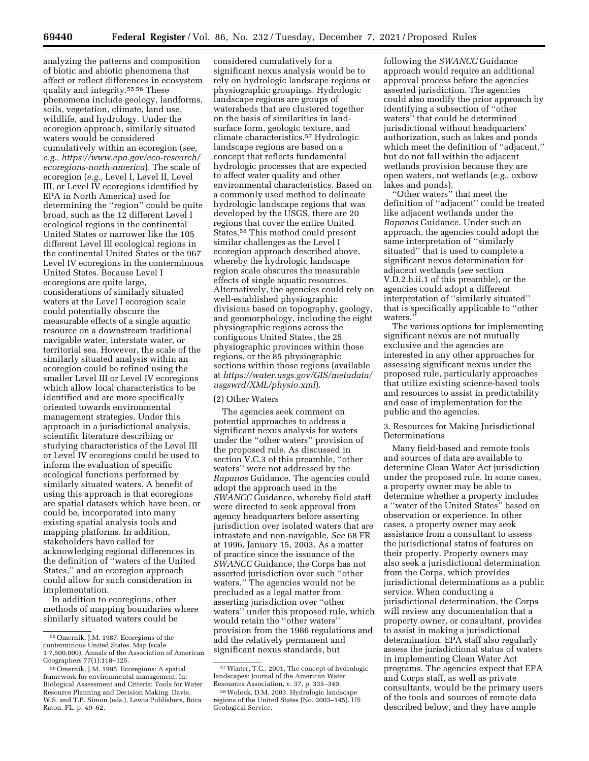analyzing the patterns and composition of biotic and abiotic phenomena that affect or reflect differences in ecosystem quality and integrity.55 56 These phenomena include geology, landforms, soils, vegetation, climate, land use, wildlife, and hydrology. Under the ecoregion approach, similarly situated waters would be considered cumulatively within an ecoregion (*see, e.g., [https://www.epa.gov/eco-research/](https://www.epa.gov/eco-research/ecoregions-north-america) [ecoregions-north-america](https://www.epa.gov/eco-research/ecoregions-north-america)*). The scale of ecoregion (*e.g.,* Level I, Level II, Level III, or Level IV ecoregions identified by EPA in North America) used for determining the ''region'' could be quite broad, such as the 12 different Level I ecological regions in the continental United States or narrower like the 105 different Level III ecological regions in the continental United States or the 967 Level IV ecoregions in the conterminous United States. Because Level I ecoregions are quite large, considerations of similarly situated waters at the Level I ecoregion scale could potentially obscure the measurable effects of a single aquatic resource on a downstream traditional navigable water, interstate water, or territorial sea. However, the scale of the similarly situated analysis within an ecoregion could be refined using the smaller Level III or Level IV ecoregions which allow local characteristics to be identified and are more specifically oriented towards environmental management strategies. Under this approach in a jurisdictional analysis, scientific literature describing or studying characteristics of the Level III or Level IV ecoregions could be used to inform the evaluation of specific ecological functions performed by similarly situated waters. A benefit of using this approach is that ecoregions are spatial datasets which have been, or could be, incorporated into many existing spatial analysis tools and mapping platforms. In addition, stakeholders have called for acknowledging regional differences in the definition of ''waters of the United States,'' and an ecoregion approach could allow for such consideration in implementation.

In addition to ecoregions, other methods of mapping boundaries where similarly situated waters could be

considered cumulatively for a significant nexus analysis would be to rely on hydrologic landscape regions or physiographic groupings. Hydrologic landscape regions are groups of watersheds that are clustered together on the basis of similarities in landsurface form, geologic texture, and climate characteristics.57 Hydrologic landscape regions are based on a concept that reflects fundamental hydrologic processes that are expected to affect water quality and other environmental characteristics. Based on a commonly used method to delineate hydrologic landscape regions that was developed by the USGS, there are 20 regions that cover the entire United States.58 This method could present similar challenges as the Level I ecoregion approach described above, whereby the hydrologic landscape region scale obscures the measurable effects of single aquatic resources. Alternatively, the agencies could rely on well-established physiographic divisions based on topography, geology, and geomorphology, including the eight physiographic regions across the contiguous United States, the 25 physiographic provinces within those regions, or the 85 physiographic sections within those regions (available at *[https://water.usgs.gov/GIS/metadata/](https://water.usgs.gov/GIS/metadata/usgswrd/XML/physio.xml)  [usgswrd/XML/physio.xml](https://water.usgs.gov/GIS/metadata/usgswrd/XML/physio.xml)*).

#### (2) Other Waters

The agencies seek comment on potential approaches to address a significant nexus analysis for waters under the ''other waters'' provision of the proposed rule. As discussed in section V.C.3 of this preamble, ''other waters'' were not addressed by the *Rapanos* Guidance. The agencies could adopt the approach used in the *SWANCC* Guidance, whereby field staff were directed to seek approval from agency headquarters before asserting jurisdiction over isolated waters that are intrastate and non-navigable. *See* 68 FR at 1996, January 15, 2003. As a matter of practice since the issuance of the *SWANCC* Guidance, the Corps has not asserted jurisdiction over such ''other waters.'' The agencies would not be precluded as a legal matter from asserting jurisdiction over ''other waters'' under this proposed rule, which would retain the ''other waters'' provision from the 1986 regulations and add the relatively permanent and significant nexus standards, but

following the *SWANCC* Guidance approach would require an additional approval process before the agencies asserted jurisdiction. The agencies could also modify the prior approach by identifying a subsection of ''other waters'' that could be determined jurisdictional without headquarters' authorization, such as lakes and ponds which meet the definition of ''adjacent,'' but do not fall within the adjacent wetlands provision because they are open waters, not wetlands (*e.g.,* oxbow lakes and ponds).

''Other waters'' that meet the definition of ''adjacent'' could be treated like adjacent wetlands under the *Rapanos* Guidance. Under such an approach, the agencies could adopt the same interpretation of ''similarly situated'' that is used to complete a significant nexus determination for adjacent wetlands (*see* section V.D.2.b.ii.1 of this preamble), or the agencies could adopt a different interpretation of ''similarly situated'' that is specifically applicable to ''other waters.''

The various options for implementing significant nexus are not mutually exclusive and the agencies are interested in any other approaches for assessing significant nexus under the proposed rule, particularly approaches that utilize existing science-based tools and resources to assist in predictability and ease of implementation for the public and the agencies.

# 3. Resources for Making Jurisdictional Determinations

Many field-based and remote tools and sources of data are available to determine Clean Water Act jurisdiction under the proposed rule. In some cases, a property owner may be able to determine whether a property includes a ''water of the United States'' based on observation or experience. In other cases, a property owner may seek assistance from a consultant to assess the jurisdictional status of features on their property. Property owners may also seek a jurisdictional determination from the Corps, which provides jurisdictional determinations as a public service. When conducting a jurisdictional determination, the Corps will review any documentation that a property owner, or consultant, provides to assist in making a jurisdictional determination. EPA staff also regularly assess the jurisdictional status of waters in implementing Clean Water Act programs. The agencies expect that EPA and Corps staff, as well as private consultants, would be the primary users of the tools and sources of remote data described below, and they have ample

<sup>55</sup>Omernik, J.M. 1987. Ecoregions of the conterminous United States. Map (scale 1:7,500,000). Annals of the Association of American Geographers 77(1):118–125.

<sup>56</sup>Omernik, J.M. 1995. Ecoregions: A spatial framework for environmental management. In: Biological Assessment and Criteria: Tools for Water Resource Planning and Decision Making. Davis, W.S. and T.P. Simon (eds.), Lewis Publishers, Boca Raton, FL. p. 49–62.

<sup>57</sup>Winter, T.C., 2001. The concept of hydrologic landscapes: Journal of the American Water Resources Association, v. 37, p. 335–349.

<sup>58</sup>Wolock, D.M. 2003. Hydrologic landscape regions of the United States (No. 2003–145). US Geological Service.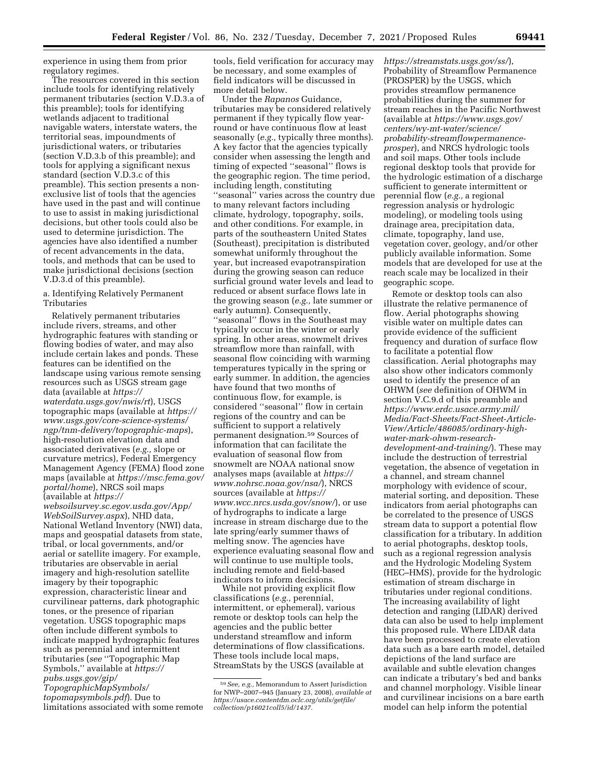experience in using them from prior regulatory regimes.

The resources covered in this section include tools for identifying relatively permanent tributaries (section V.D.3.a of this preamble); tools for identifying wetlands adjacent to traditional navigable waters, interstate waters, the territorial seas, impoundments of jurisdictional waters, or tributaries (section V.D.3.b of this preamble); and tools for applying a significant nexus standard (section V.D.3.c of this preamble). This section presents a nonexclusive list of tools that the agencies have used in the past and will continue to use to assist in making jurisdictional decisions, but other tools could also be used to determine jurisdiction. The agencies have also identified a number of recent advancements in the data, tools, and methods that can be used to make jurisdictional decisions (section V.D.3.d of this preamble).

a. Identifying Relatively Permanent Tributaries

Relatively permanent tributaries include rivers, streams, and other hydrographic features with standing or flowing bodies of water, and may also include certain lakes and ponds. These features can be identified on the landscape using various remote sensing resources such as USGS stream gage data (available at *[https://](https://waterdata.usgs.gov/nwis/rt) [waterdata.usgs.gov/nwis/rt](https://waterdata.usgs.gov/nwis/rt)*), USGS topographic maps (available at *[https://](https://www.usgs.gov/core-science-systems/ngp/tnm-delivery/topographic-maps) [www.usgs.gov/core-science-systems/](https://www.usgs.gov/core-science-systems/ngp/tnm-delivery/topographic-maps)  [ngp/tnm-delivery/topographic-maps](https://www.usgs.gov/core-science-systems/ngp/tnm-delivery/topographic-maps)*), high-resolution elevation data and associated derivatives (*e.g.,* slope or curvature metrics), Federal Emergency Management Agency (FEMA) flood zone maps (available at *[https://msc.fema.gov/](https://msc.fema.gov/portal/home) [portal/home](https://msc.fema.gov/portal/home)*), NRCS soil maps (available at *[https://](https://websoilsurvey.sc.egov.usda.gov/App/WebSoilSurvey.aspx)*

*[websoilsurvey.sc.egov.usda.gov/App/](https://websoilsurvey.sc.egov.usda.gov/App/WebSoilSurvey.aspx) [WebSoilSurvey.aspx](https://websoilsurvey.sc.egov.usda.gov/App/WebSoilSurvey.aspx)*), NHD data, National Wetland Inventory (NWI) data, maps and geospatial datasets from state, tribal, or local governments, and/or aerial or satellite imagery. For example, tributaries are observable in aerial imagery and high-resolution satellite imagery by their topographic expression, characteristic linear and curvilinear patterns, dark photographic tones, or the presence of riparian vegetation. USGS topographic maps often include different symbols to indicate mapped hydrographic features such as perennial and intermittent tributaries (*see* ''Topographic Map Symbols,'' available at *[https://](https://pubs.usgs.gov/gip/TopographicMapSymbols/topomapsymbols.pdf) [pubs.usgs.gov/gip/](https://pubs.usgs.gov/gip/TopographicMapSymbols/topomapsymbols.pdf)* 

*[TopographicMapSymbols/](https://pubs.usgs.gov/gip/TopographicMapSymbols/topomapsymbols.pdf)  [topomapsymbols.pdf](https://pubs.usgs.gov/gip/TopographicMapSymbols/topomapsymbols.pdf)*). Due to limitations associated with some remote

tools, field verification for accuracy may be necessary, and some examples of field indicators will be discussed in more detail below.

Under the *Rapanos* Guidance, tributaries may be considered relatively permanent if they typically flow yearround or have continuous flow at least seasonally (*e.g.,* typically three months). A key factor that the agencies typically consider when assessing the length and timing of expected ''seasonal'' flows is the geographic region. The time period, including length, constituting ''seasonal'' varies across the country due to many relevant factors including climate, hydrology, topography, soils, and other conditions. For example, in parts of the southeastern United States (Southeast), precipitation is distributed somewhat uniformly throughout the year, but increased evapotranspiration during the growing season can reduce surficial ground water levels and lead to reduced or absent surface flows late in the growing season (*e.g.,* late summer or early autumn). Consequently, ''seasonal'' flows in the Southeast may typically occur in the winter or early spring. In other areas, snowmelt drives streamflow more than rainfall, with seasonal flow coinciding with warming temperatures typically in the spring or early summer. In addition, the agencies have found that two months of continuous flow, for example, is considered ''seasonal'' flow in certain regions of the country and can be sufficient to support a relatively permanent designation.59 Sources of information that can facilitate the evaluation of seasonal flow from snowmelt are NOAA national snow analyses maps (available at *[https://](https://www.nohrsc.noaa.gov/nsa/) [www.nohrsc.noaa.gov/nsa/](https://www.nohrsc.noaa.gov/nsa/)*), NRCS sources (available at *[https://](https://www.wcc.nrcs.usda.gov/snow/) [www.wcc.nrcs.usda.gov/snow/](https://www.wcc.nrcs.usda.gov/snow/)*), or use of hydrographs to indicate a large increase in stream discharge due to the late spring/early summer thaws of melting snow. The agencies have experience evaluating seasonal flow and will continue to use multiple tools, including remote and field-based indicators to inform decisions.

While not providing explicit flow classifications (*e.g.,* perennial, intermittent, or ephemeral), various remote or desktop tools can help the agencies and the public better understand streamflow and inform determinations of flow classifications. These tools include local maps, StreamStats by the USGS (available at *<https://streamstats.usgs.gov/ss/>*), Probability of Streamflow Permanence (PROSPER) by the USGS, which provides streamflow permanence probabilities during the summer for stream reaches in the Pacific Northwest (available at *[https://www.usgs.gov/](https://www.usgs.gov/centers/wy-mt-water/science/probability-streamflowpermanence-prosper)  [centers/wy-mt-water/science/](https://www.usgs.gov/centers/wy-mt-water/science/probability-streamflowpermanence-prosper)  [probability-streamflowpermanence](https://www.usgs.gov/centers/wy-mt-water/science/probability-streamflowpermanence-prosper)[prosper](https://www.usgs.gov/centers/wy-mt-water/science/probability-streamflowpermanence-prosper)*), and NRCS hydrologic tools and soil maps. Other tools include regional desktop tools that provide for the hydrologic estimation of a discharge sufficient to generate intermittent or perennial flow (*e.g.,* a regional regression analysis or hydrologic modeling), or modeling tools using drainage area, precipitation data, climate, topography, land use, vegetation cover, geology, and/or other publicly available information. Some models that are developed for use at the reach scale may be localized in their geographic scope.

Remote or desktop tools can also illustrate the relative permanence of flow. Aerial photographs showing visible water on multiple dates can provide evidence of the sufficient frequency and duration of surface flow to facilitate a potential flow classification. Aerial photographs may also show other indicators commonly used to identify the presence of an OHWM (*see* definition of OHWM in section V.C.9.d of this preamble and *[https://www.erdc.usace.army.mil/](https://www.erdc.usace.army.mil/Media/Fact-Sheets/Fact-Sheet-Article-View/Article/486085/ordinary-high-water-mark-ohwm-research-development-and-training/)  [Media/Fact-Sheets/Fact-Sheet-Article-](https://www.erdc.usace.army.mil/Media/Fact-Sheets/Fact-Sheet-Article-View/Article/486085/ordinary-high-water-mark-ohwm-research-development-and-training/)[View/Article/486085/ordinary-high](https://www.erdc.usace.army.mil/Media/Fact-Sheets/Fact-Sheet-Article-View/Article/486085/ordinary-high-water-mark-ohwm-research-development-and-training/)[water-mark-ohwm-research](https://www.erdc.usace.army.mil/Media/Fact-Sheets/Fact-Sheet-Article-View/Article/486085/ordinary-high-water-mark-ohwm-research-development-and-training/)[development-and-training/](https://www.erdc.usace.army.mil/Media/Fact-Sheets/Fact-Sheet-Article-View/Article/486085/ordinary-high-water-mark-ohwm-research-development-and-training/)*). These may include the destruction of terrestrial vegetation, the absence of vegetation in a channel, and stream channel morphology with evidence of scour, material sorting, and deposition. These indicators from aerial photographs can be correlated to the presence of USGS stream data to support a potential flow classification for a tributary. In addition to aerial photographs, desktop tools, such as a regional regression analysis and the Hydrologic Modeling System (HEC–HMS), provide for the hydrologic estimation of stream discharge in tributaries under regional conditions. The increasing availability of light detection and ranging (LIDAR) derived data can also be used to help implement this proposed rule. Where LIDAR data have been processed to create elevation data such as a bare earth model, detailed depictions of the land surface are available and subtle elevation changes can indicate a tributary's bed and banks and channel morphology. Visible linear and curvilinear incisions on a bare earth model can help inform the potential

<sup>59</sup>*See, e.g.,* Memorandum to Assert Jurisdiction for NWP–2007–945 (January 23, 2008), *available at [https://usace.contentdm.oclc.org/utils/getfile/](https://usace.contentdm.oclc.org/utils/getfile/collection/p16021coll5/id/1437)  [collection/p16021coll5/id/1437.](https://usace.contentdm.oclc.org/utils/getfile/collection/p16021coll5/id/1437)*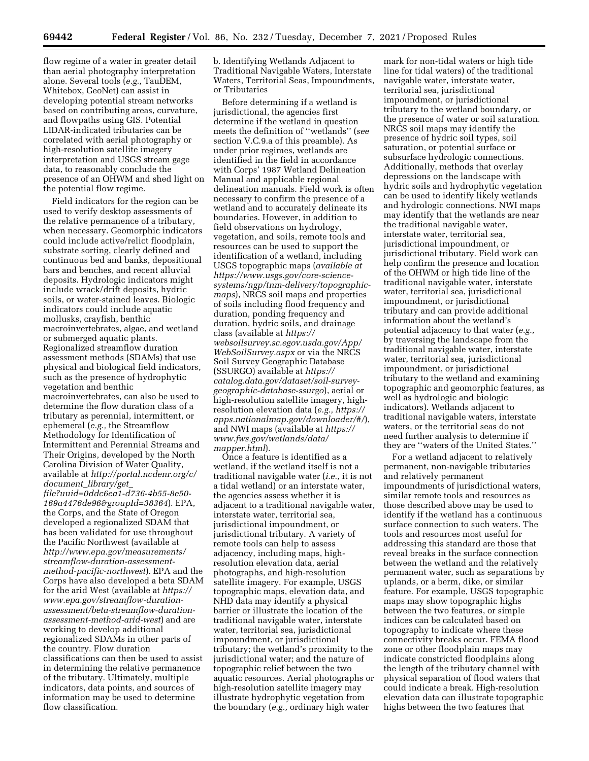flow regime of a water in greater detail than aerial photography interpretation alone. Several tools (*e.g.,* TauDEM, Whitebox, GeoNet) can assist in developing potential stream networks based on contributing areas, curvature, and flowpaths using GIS. Potential LIDAR-indicated tributaries can be correlated with aerial photography or high-resolution satellite imagery interpretation and USGS stream gage data, to reasonably conclude the presence of an OHWM and shed light on the potential flow regime.

Field indicators for the region can be used to verify desktop assessments of the relative permanence of a tributary, when necessary. Geomorphic indicators could include active/relict floodplain, substrate sorting, clearly defined and continuous bed and banks, depositional bars and benches, and recent alluvial deposits. Hydrologic indicators might include wrack/drift deposits, hydric soils, or water-stained leaves. Biologic indicators could include aquatic mollusks, crayfish, benthic macroinvertebrates, algae, and wetland or submerged aquatic plants. Regionalized streamflow duration assessment methods (SDAMs) that use physical and biological field indicators, such as the presence of hydrophytic vegetation and benthic macroinvertebrates, can also be used to determine the flow duration class of a tributary as perennial, intermittent, or ephemeral (*e.g.,* the Streamflow Methodology for Identification of Intermittent and Perennial Streams and Their Origins, developed by the North Carolina Division of Water Quality, available at *[http://portal.ncdenr.org/c/](http://portal.ncdenr.org/c/document_library/get_file?uuid=0ddc6ea1-d736-4b55-8e50-169a4476de96&groupId=38364) document*\_*[library/get](http://portal.ncdenr.org/c/document_library/get_file?uuid=0ddc6ea1-d736-4b55-8e50-169a4476de96&groupId=38364)*\_ *[file?uuid=0ddc6ea1-d736-4b55-8e50-](http://portal.ncdenr.org/c/document_library/get_file?uuid=0ddc6ea1-d736-4b55-8e50-169a4476de96&groupId=38364)  [169a4476de96&groupId=38364](http://portal.ncdenr.org/c/document_library/get_file?uuid=0ddc6ea1-d736-4b55-8e50-169a4476de96&groupId=38364)*). EPA, the Corps, and the State of Oregon developed a regionalized SDAM that has been validated for use throughout the Pacific Northwest (available at *[http://www.epa.gov/measurements/](http://www.epa.gov/measurements/streamflow-duration-assessment-method-pacific-northwest) [streamflow-duration-assessment](http://www.epa.gov/measurements/streamflow-duration-assessment-method-pacific-northwest)[method-pacific-northwest](http://www.epa.gov/measurements/streamflow-duration-assessment-method-pacific-northwest)*). EPA and the Corps have also developed a beta SDAM for the arid West (available at *[https://](https://www.epa.gov/streamflow-duration-assessment/beta-streamflow-duration-assessment-method-arid-west) [www.epa.gov/streamflow-duration](https://www.epa.gov/streamflow-duration-assessment/beta-streamflow-duration-assessment-method-arid-west)[assessment/beta-streamflow-duration](https://www.epa.gov/streamflow-duration-assessment/beta-streamflow-duration-assessment-method-arid-west)[assessment-method-arid-west](https://www.epa.gov/streamflow-duration-assessment/beta-streamflow-duration-assessment-method-arid-west)*) and are working to develop additional regionalized SDAMs in other parts of the country. Flow duration classifications can then be used to assist in determining the relative permanence of the tributary. Ultimately, multiple indicators, data points, and sources of information may be used to determine flow classification.

b. Identifying Wetlands Adjacent to Traditional Navigable Waters, Interstate Waters, Territorial Seas, Impoundments, or Tributaries

Before determining if a wetland is jurisdictional, the agencies first determine if the wetland in question meets the definition of ''wetlands'' (*see*  section V.C.9.a of this preamble). As under prior regimes, wetlands are identified in the field in accordance with Corps' 1987 Wetland Delineation Manual and applicable regional delineation manuals. Field work is often necessary to confirm the presence of a wetland and to accurately delineate its boundaries. However, in addition to field observations on hydrology, vegetation, and soils, remote tools and resources can be used to support the identification of a wetland, including USGS topographic maps (*available at [https://www.usgs.gov/core-science](https://www.usgs.gov/core-science-systems/ngp/tnm-delivery/topographic-maps)[systems/ngp/tnm-delivery/topographic](https://www.usgs.gov/core-science-systems/ngp/tnm-delivery/topographic-maps)[maps](https://www.usgs.gov/core-science-systems/ngp/tnm-delivery/topographic-maps)*), NRCS soil maps and properties of soils including flood frequency and duration, ponding frequency and duration, hydric soils, and drainage class (available at *[https://](https://websoilsurvey.sc.egov.usda.gov/App/WebSoilSurvey.aspx) [websoilsurvey.sc.egov.usda.gov/App/](https://websoilsurvey.sc.egov.usda.gov/App/WebSoilSurvey.aspx) [WebSoilSurvey.aspx](https://websoilsurvey.sc.egov.usda.gov/App/WebSoilSurvey.aspx)* or via the NRCS Soil Survey Geographic Database (SSURGO) available at *[https://](https://catalog.data.gov/dataset/soil-survey-geographic-database-ssurgo) [catalog.data.gov/dataset/soil-survey](https://catalog.data.gov/dataset/soil-survey-geographic-database-ssurgo)[geographic-database-ssurgo](https://catalog.data.gov/dataset/soil-survey-geographic-database-ssurgo)*), aerial or high-resolution satellite imagery, highresolution elevation data (*e.g., [https://](https://apps.nationalmap.gov/downloader/#/) [apps.nationalmap.gov/downloader/#/](https://apps.nationalmap.gov/downloader/#/)*), and NWI maps (available at *[https://](https://www.fws.gov/wetlands/data/mapper.html) [www.fws.gov/wetlands/data/](https://www.fws.gov/wetlands/data/mapper.html)  [mapper.html](https://www.fws.gov/wetlands/data/mapper.html)*).

Once a feature is identified as a wetland, if the wetland itself is not a traditional navigable water (*i.e.,* it is not a tidal wetland) or an interstate water, the agencies assess whether it is adjacent to a traditional navigable water, interstate water, territorial sea, jurisdictional impoundment, or jurisdictional tributary. A variety of remote tools can help to assess adjacency, including maps, highresolution elevation data, aerial photographs, and high-resolution satellite imagery. For example, USGS topographic maps, elevation data, and NHD data may identify a physical barrier or illustrate the location of the traditional navigable water, interstate water, territorial sea, jurisdictional impoundment, or jurisdictional tributary; the wetland's proximity to the jurisdictional water; and the nature of topographic relief between the two aquatic resources. Aerial photographs or high-resolution satellite imagery may illustrate hydrophytic vegetation from the boundary (*e.g.,* ordinary high water

mark for non-tidal waters or high tide line for tidal waters) of the traditional navigable water, interstate water, territorial sea, jurisdictional impoundment, or jurisdictional tributary to the wetland boundary, or the presence of water or soil saturation. NRCS soil maps may identify the presence of hydric soil types, soil saturation, or potential surface or subsurface hydrologic connections. Additionally, methods that overlay depressions on the landscape with hydric soils and hydrophytic vegetation can be used to identify likely wetlands and hydrologic connections. NWI maps may identify that the wetlands are near the traditional navigable water, interstate water, territorial sea, jurisdictional impoundment, or jurisdictional tributary. Field work can help confirm the presence and location of the OHWM or high tide line of the traditional navigable water, interstate water, territorial sea, jurisdictional impoundment, or jurisdictional tributary and can provide additional information about the wetland's potential adjacency to that water (*e.g.,*  by traversing the landscape from the traditional navigable water, interstate water, territorial sea, jurisdictional impoundment, or jurisdictional tributary to the wetland and examining topographic and geomorphic features, as well as hydrologic and biologic indicators). Wetlands adjacent to traditional navigable waters, interstate waters, or the territorial seas do not need further analysis to determine if they are ''waters of the United States.''

For a wetland adjacent to relatively permanent, non-navigable tributaries and relatively permanent impoundments of jurisdictional waters, similar remote tools and resources as those described above may be used to identify if the wetland has a continuous surface connection to such waters. The tools and resources most useful for addressing this standard are those that reveal breaks in the surface connection between the wetland and the relatively permanent water, such as separations by uplands, or a berm, dike, or similar feature. For example, USGS topographic maps may show topographic highs between the two features, or simple indices can be calculated based on topography to indicate where these connectivity breaks occur. FEMA flood zone or other floodplain maps may indicate constricted floodplains along the length of the tributary channel with physical separation of flood waters that could indicate a break. High-resolution elevation data can illustrate topographic highs between the two features that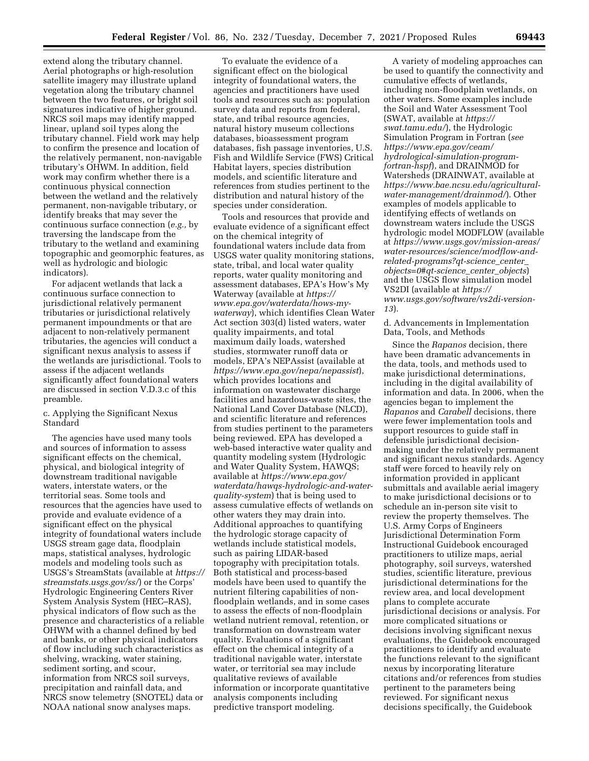extend along the tributary channel. Aerial photographs or high-resolution satellite imagery may illustrate upland vegetation along the tributary channel between the two features, or bright soil signatures indicative of higher ground. NRCS soil maps may identify mapped linear, upland soil types along the tributary channel. Field work may help to confirm the presence and location of the relatively permanent, non-navigable tributary's OHWM. In addition, field work may confirm whether there is a continuous physical connection between the wetland and the relatively permanent, non-navigable tributary, or identify breaks that may sever the continuous surface connection (*e.g.,* by traversing the landscape from the tributary to the wetland and examining topographic and geomorphic features, as well as hydrologic and biologic indicators).

For adjacent wetlands that lack a continuous surface connection to jurisdictional relatively permanent tributaries or jurisdictional relatively permanent impoundments or that are adjacent to non-relatively permanent tributaries, the agencies will conduct a significant nexus analysis to assess if the wetlands are jurisdictional. Tools to assess if the adjacent wetlands significantly affect foundational waters are discussed in section V.D.3.c of this preamble.

## c. Applying the Significant Nexus Standard

The agencies have used many tools and sources of information to assess significant effects on the chemical, physical, and biological integrity of downstream traditional navigable waters, interstate waters, or the territorial seas. Some tools and resources that the agencies have used to provide and evaluate evidence of a significant effect on the physical integrity of foundational waters include USGS stream gage data, floodplain maps, statistical analyses, hydrologic models and modeling tools such as USGS's StreamStats (available at *[https://](https://streamstats.usgs.gov/ss/)  [streamstats.usgs.gov/ss/](https://streamstats.usgs.gov/ss/)*) or the Corps' Hydrologic Engineering Centers River System Analysis System (HEC–RAS), physical indicators of flow such as the presence and characteristics of a reliable OHWM with a channel defined by bed and banks, or other physical indicators of flow including such characteristics as shelving, wracking, water staining, sediment sorting, and scour, information from NRCS soil surveys, precipitation and rainfall data, and NRCS snow telemetry (SNOTEL) data or NOAA national snow analyses maps.

To evaluate the evidence of a significant effect on the biological integrity of foundational waters, the agencies and practitioners have used tools and resources such as: population survey data and reports from federal, state, and tribal resource agencies, natural history museum collections databases, bioassessment program databases, fish passage inventories, U.S. Fish and Wildlife Service (FWS) Critical Habitat layers, species distribution models, and scientific literature and references from studies pertinent to the distribution and natural history of the species under consideration.

Tools and resources that provide and evaluate evidence of a significant effect on the chemical integrity of foundational waters include data from USGS water quality monitoring stations, state, tribal, and local water quality reports, water quality monitoring and assessment databases, EPA's How's My Waterway (available at *[https://](https://www.epa.gov/waterdata/hows-my-waterway) [www.epa.gov/waterdata/hows-my](https://www.epa.gov/waterdata/hows-my-waterway)[waterway](https://www.epa.gov/waterdata/hows-my-waterway)*), which identifies Clean Water Act section 303(d) listed waters, water quality impairments, and total maximum daily loads, watershed studies, stormwater runoff data or models, EPA's NEPAssist (available at *<https://www.epa.gov/nepa/nepassist>*), which provides locations and information on wastewater discharge facilities and hazardous-waste sites, the National Land Cover Database (NLCD), and scientific literature and references from studies pertinent to the parameters being reviewed. EPA has developed a web-based interactive water quality and quantity modeling system (Hydrologic and Water Quality System, HAWQS; available at *[https://www.epa.gov/](https://www.epa.gov/waterdata/hawqs-hydrologic-and-water-quality-system) [waterdata/hawqs-hydrologic-and-water](https://www.epa.gov/waterdata/hawqs-hydrologic-and-water-quality-system)[quality-system](https://www.epa.gov/waterdata/hawqs-hydrologic-and-water-quality-system)*) that is being used to assess cumulative effects of wetlands on other waters they may drain into. Additional approaches to quantifying the hydrologic storage capacity of wetlands include statistical models, such as pairing LIDAR-based topography with precipitation totals. Both statistical and process-based models have been used to quantify the nutrient filtering capabilities of nonfloodplain wetlands, and in some cases to assess the effects of non-floodplain wetland nutrient removal, retention, or transformation on downstream water quality. Evaluations of a significant effect on the chemical integrity of a traditional navigable water, interstate water, or territorial sea may include qualitative reviews of available information or incorporate quantitative analysis components including predictive transport modeling.

A variety of modeling approaches can be used to quantify the connectivity and cumulative effects of wetlands, including non-floodplain wetlands, on other waters. Some examples include the Soil and Water Assessment Tool (SWAT, available at *[https://](https://swat.tamu.edu/) [swat.tamu.edu/](https://swat.tamu.edu/)*), the Hydrologic Simulation Program in Fortran (*see [https://www.epa.gov/ceam/](https://www.epa.gov/ceam/hydrological-simulation-program-fortran-hspf) [hydrological-simulation-program](https://www.epa.gov/ceam/hydrological-simulation-program-fortran-hspf)[fortran-hspf](https://www.epa.gov/ceam/hydrological-simulation-program-fortran-hspf)*), and DRAINMOD for Watersheds (DRAINWAT, available at *[https://www.bae.ncsu.edu/agricultural](https://www.bae.ncsu.edu/agricultural-water-management/drainmod/)[water-management/drainmod/](https://www.bae.ncsu.edu/agricultural-water-management/drainmod/)*). Other examples of models applicable to identifying effects of wetlands on downstream waters include the USGS hydrologic model MODFLOW (available at *[https://www.usgs.gov/mission-areas/](https://www.usgs.gov/mission-areas/water-resources/science/modflow-and-related-programs?qt-science_center_objects=0#qt-science_center_objects) [water-resources/science/modflow-and](https://www.usgs.gov/mission-areas/water-resources/science/modflow-and-related-programs?qt-science_center_objects=0#qt-science_center_objects)[related-programs?qt-science](https://www.usgs.gov/mission-areas/water-resources/science/modflow-and-related-programs?qt-science_center_objects=0#qt-science_center_objects)*\_*center*\_ *[objects=0#qt-science](https://www.usgs.gov/mission-areas/water-resources/science/modflow-and-related-programs?qt-science_center_objects=0#qt-science_center_objects)*\_*center*\_*objects*) and the USGS flow simulation model VS2DI (available at *[https://](https://www.usgs.gov/software/vs2di-version-13) [www.usgs.gov/software/vs2di-version-](https://www.usgs.gov/software/vs2di-version-13)[13](https://www.usgs.gov/software/vs2di-version-13)*).

d. Advancements in Implementation Data, Tools, and Methods

Since the *Rapanos* decision, there have been dramatic advancements in the data, tools, and methods used to make jurisdictional determinations, including in the digital availability of information and data. In 2006, when the agencies began to implement the *Rapanos* and *Carabell* decisions, there were fewer implementation tools and support resources to guide staff in defensible jurisdictional decisionmaking under the relatively permanent and significant nexus standards. Agency staff were forced to heavily rely on information provided in applicant submittals and available aerial imagery to make jurisdictional decisions or to schedule an in-person site visit to review the property themselves. The U.S. Army Corps of Engineers Jurisdictional Determination Form Instructional Guidebook encouraged practitioners to utilize maps, aerial photography, soil surveys, watershed studies, scientific literature, previous jurisdictional determinations for the review area, and local development plans to complete accurate jurisdictional decisions or analysis. For more complicated situations or decisions involving significant nexus evaluations, the Guidebook encouraged practitioners to identify and evaluate the functions relevant to the significant nexus by incorporating literature citations and/or references from studies pertinent to the parameters being reviewed. For significant nexus decisions specifically, the Guidebook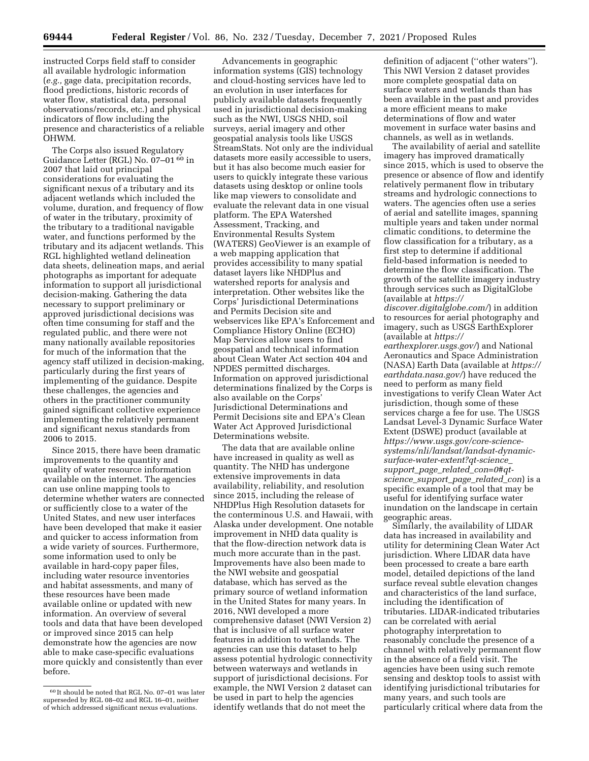instructed Corps field staff to consider all available hydrologic information (*e.g.,* gage data, precipitation records, flood predictions, historic records of water flow, statistical data, personal observations/records, etc.) and physical indicators of flow including the presence and characteristics of a reliable OHWM.

The Corps also issued Regulatory Guidance Letter (RGL) No. 07–01 60 in 2007 that laid out principal considerations for evaluating the significant nexus of a tributary and its adjacent wetlands which included the volume, duration, and frequency of flow of water in the tributary, proximity of the tributary to a traditional navigable water, and functions performed by the tributary and its adjacent wetlands. This RGL highlighted wetland delineation data sheets, delineation maps, and aerial photographs as important for adequate information to support all jurisdictional decision-making. Gathering the data necessary to support preliminary or approved jurisdictional decisions was often time consuming for staff and the regulated public, and there were not many nationally available repositories for much of the information that the agency staff utilized in decision-making, particularly during the first years of implementing of the guidance. Despite these challenges, the agencies and others in the practitioner community gained significant collective experience implementing the relatively permanent and significant nexus standards from 2006 to 2015.

Since 2015, there have been dramatic improvements to the quantity and quality of water resource information available on the internet. The agencies can use online mapping tools to determine whether waters are connected or sufficiently close to a water of the United States, and new user interfaces have been developed that make it easier and quicker to access information from a wide variety of sources. Furthermore, some information used to only be available in hard-copy paper files, including water resource inventories and habitat assessments, and many of these resources have been made available online or updated with new information. An overview of several tools and data that have been developed or improved since 2015 can help demonstrate how the agencies are now able to make case-specific evaluations more quickly and consistently than ever before.

Advancements in geographic information systems (GIS) technology and cloud-hosting services have led to an evolution in user interfaces for publicly available datasets frequently used in jurisdictional decision-making such as the NWI, USGS NHD, soil surveys, aerial imagery and other geospatial analysis tools like USGS StreamStats. Not only are the individual datasets more easily accessible to users, but it has also become much easier for users to quickly integrate these various datasets using desktop or online tools like map viewers to consolidate and evaluate the relevant data in one visual platform. The EPA Watershed Assessment, Tracking, and Environmental Results System (WATERS) GeoViewer is an example of a web mapping application that provides accessibility to many spatial dataset layers like NHDPlus and watershed reports for analysis and interpretation. Other websites like the Corps' Jurisdictional Determinations and Permits Decision site and webservices like EPA's Enforcement and Compliance History Online (ECHO) Map Services allow users to find geospatial and technical information about Clean Water Act section 404 and NPDES permitted discharges. Information on approved jurisdictional determinations finalized by the Corps is also available on the Corps' Jurisdictional Determinations and Permit Decisions site and EPA's Clean Water Act Approved Jurisdictional Determinations website.

The data that are available online have increased in quality as well as quantity. The NHD has undergone extensive improvements in data availability, reliability, and resolution since 2015, including the release of NHDPlus High Resolution datasets for the conterminous U.S. and Hawaii, with Alaska under development. One notable improvement in NHD data quality is that the flow-direction network data is much more accurate than in the past. Improvements have also been made to the NWI website and geospatial database, which has served as the primary source of wetland information in the United States for many years. In 2016, NWI developed a more comprehensive dataset (NWI Version 2) that is inclusive of all surface water features in addition to wetlands. The agencies can use this dataset to help assess potential hydrologic connectivity between waterways and wetlands in support of jurisdictional decisions. For example, the NWI Version 2 dataset can be used in part to help the agencies identify wetlands that do not meet the

definition of adjacent (''other waters''). This NWI Version 2 dataset provides more complete geospatial data on surface waters and wetlands than has been available in the past and provides a more efficient means to make determinations of flow and water movement in surface water basins and channels, as well as in wetlands.

The availability of aerial and satellite imagery has improved dramatically since 2015, which is used to observe the presence or absence of flow and identify relatively permanent flow in tributary streams and hydrologic connections to waters. The agencies often use a series of aerial and satellite images, spanning multiple years and taken under normal climatic conditions, to determine the flow classification for a tributary, as a first step to determine if additional field-based information is needed to determine the flow classification. The growth of the satellite imagery industry through services such as DigitalGlobe (available at *[https://](https://discover.digitalglobe.com/) [discover.digitalglobe.com/](https://discover.digitalglobe.com/)*) in addition to resources for aerial photography and imagery, such as USGS EarthExplorer (available at *[https://](https://earthexplorer.usgs.gov/) [earthexplorer.usgs.gov/](https://earthexplorer.usgs.gov/)*) and National Aeronautics and Space Administration (NASA) Earth Data (available at *[https://](https://earthdata.nasa.gov/) [earthdata.nasa.gov/](https://earthdata.nasa.gov/)*) have reduced the

need to perform as many field investigations to verify Clean Water Act jurisdiction, though some of these services charge a fee for use. The USGS Landsat Level-3 Dynamic Surface Water Extent (DSWE) product (available at *[https://www.usgs.gov/core-science](https://www.usgs.gov/core-science-systems/nli/landsat/landsat-dynamic-surface-water-extent?qt-science_support_page_related_con=0#qt-science_support_page_related_con)[systems/nli/landsat/landsat-dynamic](https://www.usgs.gov/core-science-systems/nli/landsat/landsat-dynamic-surface-water-extent?qt-science_support_page_related_con=0#qt-science_support_page_related_con)[surface-water-extent?qt-science](https://www.usgs.gov/core-science-systems/nli/landsat/landsat-dynamic-surface-water-extent?qt-science_support_page_related_con=0#qt-science_support_page_related_con)*\_ *support*\_*page*\_*related*\_*[con=0#qt](https://www.usgs.gov/core-science-systems/nli/landsat/landsat-dynamic-surface-water-extent?qt-science_support_page_related_con=0#qt-science_support_page_related_con)science*\_*[support](https://www.usgs.gov/core-science-systems/nli/landsat/landsat-dynamic-surface-water-extent?qt-science_support_page_related_con=0#qt-science_support_page_related_con)*\_*page*\_*related*\_*con*) is a specific example of a tool that may be useful for identifying surface water inundation on the landscape in certain geographic areas.

Similarly, the availability of LIDAR data has increased in availability and utility for determining Clean Water Act jurisdiction. Where LIDAR data have been processed to create a bare earth model, detailed depictions of the land surface reveal subtle elevation changes and characteristics of the land surface, including the identification of tributaries. LIDAR-indicated tributaries can be correlated with aerial photography interpretation to reasonably conclude the presence of a channel with relatively permanent flow in the absence of a field visit. The agencies have been using such remote sensing and desktop tools to assist with identifying jurisdictional tributaries for many years, and such tools are particularly critical where data from the

<sup>60</sup> It should be noted that RGL No. 07–01 was later superseded by RGL 08–02 and RGL 16–01, neither of which addressed significant nexus evaluations.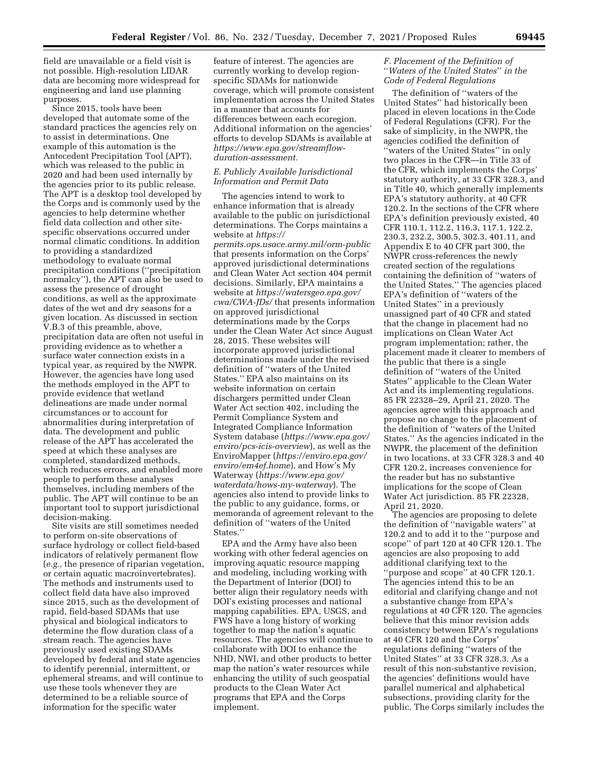field are unavailable or a field visit is not possible. High-resolution LIDAR data are becoming more widespread for engineering and land use planning purposes.

Since 2015, tools have been developed that automate some of the standard practices the agencies rely on to assist in determinations. One example of this automation is the Antecedent Precipitation Tool (APT), which was released to the public in 2020 and had been used internally by the agencies prior to its public release. The APT is a desktop tool developed by the Corps and is commonly used by the agencies to help determine whether field data collection and other sitespecific observations occurred under normal climatic conditions. In addition to providing a standardized methodology to evaluate normal precipitation conditions (''precipitation normalcy''), the APT can also be used to assess the presence of drought conditions, as well as the approximate dates of the wet and dry seasons for a given location. As discussed in section V.B.3 of this preamble, above, precipitation data are often not useful in providing evidence as to whether a surface water connection exists in a typical year, as required by the NWPR. However, the agencies have long used the methods employed in the APT to provide evidence that wetland delineations are made under normal circumstances or to account for abnormalities during interpretation of data. The development and public release of the APT has accelerated the speed at which these analyses are completed, standardized methods, which reduces errors, and enabled more people to perform these analyses themselves, including members of the public. The APT will continue to be an important tool to support jurisdictional decision-making.

Site visits are still sometimes needed to perform on-site observations of surface hydrology or collect field-based indicators of relatively permanent flow (*e.g.,* the presence of riparian vegetation, or certain aquatic macroinvertebrates). The methods and instruments used to collect field data have also improved since 2015, such as the development of rapid, field-based SDAMs that use physical and biological indicators to determine the flow duration class of a stream reach. The agencies have previously used existing SDAMs developed by federal and state agencies to identify perennial, intermittent, or ephemeral streams, and will continue to use these tools whenever they are determined to be a reliable source of information for the specific water

feature of interest. The agencies are currently working to develop regionspecific SDAMs for nationwide coverage, which will promote consistent implementation across the United States in a manner that accounts for differences between each ecoregion. Additional information on the agencies' efforts to develop SDAMs is available at *[https://www.epa.gov/streamflow](https://www.epa.gov/streamflow-duration-assessment)[duration-assessment.](https://www.epa.gov/streamflow-duration-assessment)* 

## *E. Publicly Available Jurisdictional Information and Permit Data*

The agencies intend to work to enhance information that is already available to the public on jurisdictional determinations. The Corps maintains a website at *[https://](https://permits.ops.usace.army.mil/orm-public) [permits.ops.usace.army.mil/orm-public](https://permits.ops.usace.army.mil/orm-public)*  that presents information on the Corps' approved jurisdictional determinations and Clean Water Act section 404 permit decisions. Similarly, EPA maintains a website at *[https://watersgeo.epa.gov/](https://watersgeo.epa.gov/cwa/CWA-JDs/)  [cwa/CWA-JDs/](https://watersgeo.epa.gov/cwa/CWA-JDs/)* that presents information on approved jurisdictional determinations made by the Corps under the Clean Water Act since August 28, 2015. These websites will incorporate approved jurisdictional determinations made under the revised definition of ''waters of the United States.'' EPA also maintains on its website information on certain dischargers permitted under Clean Water Act section 402, including the Permit Compliance System and Integrated Compliance Information System database (*[https://www.epa.gov/](https://www.epa.gov/enviro/pcs-icis-overview) [enviro/pcs-icis-overview](https://www.epa.gov/enviro/pcs-icis-overview)*), as well as the EnviroMapper (*[https://enviro.epa.gov/](https://enviro.epa.gov/enviro/em4ef.home) [enviro/em4ef.home](https://enviro.epa.gov/enviro/em4ef.home)*), and How's My Waterway (*[https://www.epa.gov/](https://www.epa.gov/waterdata/hows-my-waterway)  [waterdata/hows-my-waterway](https://www.epa.gov/waterdata/hows-my-waterway)*). The agencies also intend to provide links to the public to any guidance, forms, or memoranda of agreement relevant to the definition of ''waters of the United States.''

EPA and the Army have also been working with other federal agencies on improving aquatic resource mapping and modeling, including working with the Department of Interior (DOI) to better align their regulatory needs with DOI's existing processes and national mapping capabilities. EPA, USGS, and FWS have a long history of working together to map the nation's aquatic resources. The agencies will continue to collaborate with DOI to enhance the NHD, NWI, and other products to better map the nation's water resources while enhancing the utility of such geospatial products to the Clean Water Act programs that EPA and the Corps implement.

# *F. Placement of the Definition of*  ''*Waters of the United States*'' *in the Code of Federal Regulations*

The definition of ''waters of the United States'' had historically been placed in eleven locations in the Code of Federal Regulations (CFR). For the sake of simplicity, in the NWPR, the agencies codified the definition of ''waters of the United States'' in only two places in the CFR—in Title 33 of the CFR, which implements the Corps' statutory authority, at 33 CFR 328.3, and in Title 40, which generally implements EPA's statutory authority, at 40 CFR 120.2. In the sections of the CFR where EPA's definition previously existed, 40 CFR 110.1, 112.2, 116.3, 117.1, 122.2, 230.3, 232.2, 300.5, 302.3, 401.11, and Appendix E to 40 CFR part 300, the NWPR cross-references the newly created section of the regulations containing the definition of ''waters of the United States.'' The agencies placed EPA's definition of ''waters of the United States'' in a previously unassigned part of 40 CFR and stated that the change in placement had no implications on Clean Water Act program implementation; rather, the placement made it clearer to members of the public that there is a single definition of ''waters of the United States'' applicable to the Clean Water Act and its implementing regulations. 85 FR 22328–29, April 21, 2020. The agencies agree with this approach and propose no change to the placement of the definition of ''waters of the United States.'' As the agencies indicated in the NWPR, the placement of the definition in two locations, at 33 CFR 328.3 and 40 CFR 120.2, increases convenience for the reader but has no substantive implications for the scope of Clean Water Act jurisdiction. 85 FR 22328, April 21, 2020.

The agencies are proposing to delete the definition of ''navigable waters'' at 120.2 and to add it to the ''purpose and scope'' of part 120 at 40 CFR 120.1. The agencies are also proposing to add additional clarifying text to the ''purpose and scope'' at 40 CFR 120.1. The agencies intend this to be an editorial and clarifying change and not a substantive change from EPA's regulations at 40 CFR 120. The agencies believe that this minor revision adds consistency between EPA's regulations at 40 CFR 120 and the Corps' regulations defining ''waters of the United States'' at 33 CFR 328.3. As a result of this non-substantive revision, the agencies' definitions would have parallel numerical and alphabetical subsections, providing clarity for the public. The Corps similarly includes the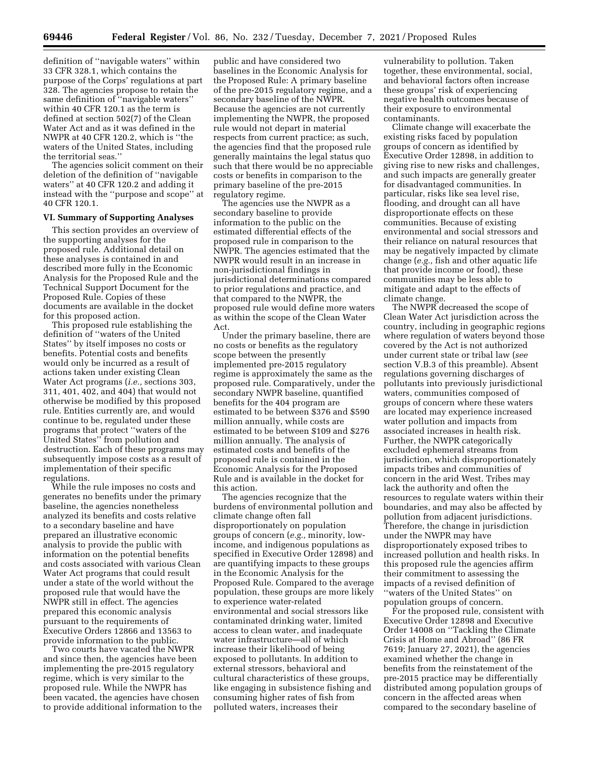definition of ''navigable waters'' within 33 CFR 328.1, which contains the purpose of the Corps' regulations at part 328. The agencies propose to retain the same definition of ''navigable waters'' within 40 CFR 120.1 as the term is defined at section 502(7) of the Clean Water Act and as it was defined in the NWPR at 40 CFR 120.2, which is ''the waters of the United States, including the territorial seas.''

The agencies solicit comment on their deletion of the definition of ''navigable waters'' at 40 CFR 120.2 and adding it instead with the ''purpose and scope'' at 40 CFR 120.1.

### **VI. Summary of Supporting Analyses**

This section provides an overview of the supporting analyses for the proposed rule. Additional detail on these analyses is contained in and described more fully in the Economic Analysis for the Proposed Rule and the Technical Support Document for the Proposed Rule. Copies of these documents are available in the docket for this proposed action.

This proposed rule establishing the definition of ''waters of the United States'' by itself imposes no costs or benefits. Potential costs and benefits would only be incurred as a result of actions taken under existing Clean Water Act programs (*i.e.,* sections 303, 311, 401, 402, and 404) that would not otherwise be modified by this proposed rule. Entities currently are, and would continue to be, regulated under these programs that protect ''waters of the United States'' from pollution and destruction. Each of these programs may subsequently impose costs as a result of implementation of their specific regulations.

While the rule imposes no costs and generates no benefits under the primary baseline, the agencies nonetheless analyzed its benefits and costs relative to a secondary baseline and have prepared an illustrative economic analysis to provide the public with information on the potential benefits and costs associated with various Clean Water Act programs that could result under a state of the world without the proposed rule that would have the NWPR still in effect. The agencies prepared this economic analysis pursuant to the requirements of Executive Orders 12866 and 13563 to provide information to the public.

Two courts have vacated the NWPR and since then, the agencies have been implementing the pre-2015 regulatory regime, which is very similar to the proposed rule. While the NWPR has been vacated, the agencies have chosen to provide additional information to the

public and have considered two baselines in the Economic Analysis for the Proposed Rule: A primary baseline of the pre-2015 regulatory regime, and a secondary baseline of the NWPR. Because the agencies are not currently implementing the NWPR, the proposed rule would not depart in material respects from current practice; as such, the agencies find that the proposed rule generally maintains the legal status quo such that there would be no appreciable costs or benefits in comparison to the primary baseline of the pre-2015 regulatory regime.

The agencies use the NWPR as a secondary baseline to provide information to the public on the estimated differential effects of the proposed rule in comparison to the NWPR. The agencies estimated that the NWPR would result in an increase in non-jurisdictional findings in jurisdictional determinations compared to prior regulations and practice, and that compared to the NWPR, the proposed rule would define more waters as within the scope of the Clean Water Act.

Under the primary baseline, there are no costs or benefits as the regulatory scope between the presently implemented pre-2015 regulatory regime is approximately the same as the proposed rule. Comparatively, under the secondary NWPR baseline, quantified benefits for the 404 program are estimated to be between \$376 and \$590 million annually, while costs are estimated to be between \$109 and \$276 million annually. The analysis of estimated costs and benefits of the proposed rule is contained in the Economic Analysis for the Proposed Rule and is available in the docket for this action.

The agencies recognize that the burdens of environmental pollution and climate change often fall disproportionately on population groups of concern (*e.g.,* minority, lowincome, and indigenous populations as specified in Executive Order 12898) and are quantifying impacts to these groups in the Economic Analysis for the Proposed Rule. Compared to the average population, these groups are more likely to experience water-related environmental and social stressors like contaminated drinking water, limited access to clean water, and inadequate water infrastructure—all of which increase their likelihood of being exposed to pollutants. In addition to external stressors, behavioral and cultural characteristics of these groups, like engaging in subsistence fishing and consuming higher rates of fish from polluted waters, increases their

vulnerability to pollution. Taken together, these environmental, social, and behavioral factors often increase these groups' risk of experiencing negative health outcomes because of their exposure to environmental contaminants.

Climate change will exacerbate the existing risks faced by population groups of concern as identified by Executive Order 12898, in addition to giving rise to new risks and challenges, and such impacts are generally greater for disadvantaged communities. In particular, risks like sea level rise, flooding, and drought can all have disproportionate effects on these communities. Because of existing environmental and social stressors and their reliance on natural resources that may be negatively impacted by climate change (*e.g.,* fish and other aquatic life that provide income or food), these communities may be less able to mitigate and adapt to the effects of climate change.

The NWPR decreased the scope of Clean Water Act jurisdiction across the country, including in geographic regions where regulation of waters beyond those covered by the Act is not authorized under current state or tribal law (*see*  section V.B.3 of this preamble). Absent regulations governing discharges of pollutants into previously jurisdictional waters, communities composed of groups of concern where these waters are located may experience increased water pollution and impacts from associated increases in health risk. Further, the NWPR categorically excluded ephemeral streams from jurisdiction, which disproportionately impacts tribes and communities of concern in the arid West. Tribes may lack the authority and often the resources to regulate waters within their boundaries, and may also be affected by pollution from adjacent jurisdictions. Therefore, the change in jurisdiction under the NWPR may have disproportionately exposed tribes to increased pollution and health risks. In this proposed rule the agencies affirm their commitment to assessing the impacts of a revised definition of ''waters of the United States'' on population groups of concern.

For the proposed rule, consistent with Executive Order 12898 and Executive Order 14008 on ''Tackling the Climate Crisis at Home and Abroad'' (86 FR 7619; January 27, 2021), the agencies examined whether the change in benefits from the reinstatement of the pre-2015 practice may be differentially distributed among population groups of concern in the affected areas when compared to the secondary baseline of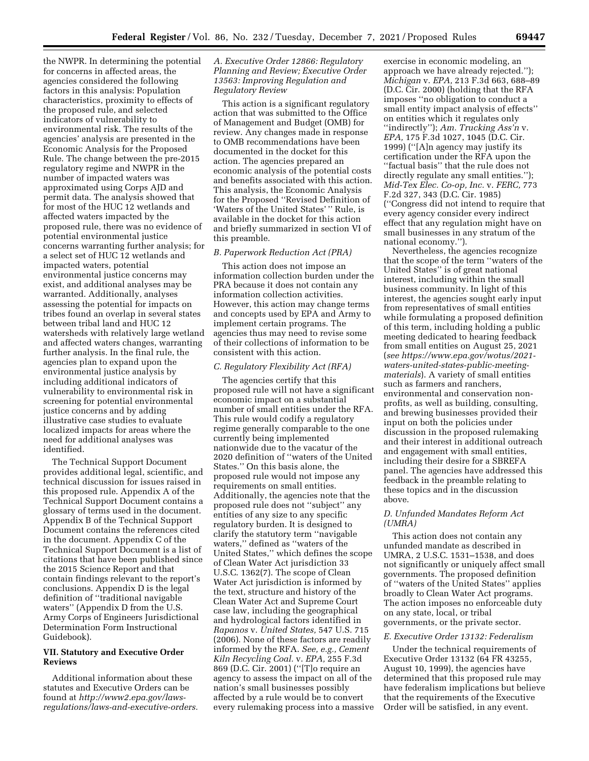the NWPR. In determining the potential for concerns in affected areas, the agencies considered the following factors in this analysis: Population characteristics, proximity to effects of the proposed rule, and selected indicators of vulnerability to environmental risk. The results of the agencies' analysis are presented in the Economic Analysis for the Proposed Rule. The change between the pre-2015 regulatory regime and NWPR in the number of impacted waters was approximated using Corps AJD and permit data. The analysis showed that for most of the HUC 12 wetlands and affected waters impacted by the proposed rule, there was no evidence of potential environmental justice concerns warranting further analysis; for a select set of HUC 12 wetlands and impacted waters, potential environmental justice concerns may exist, and additional analyses may be warranted. Additionally, analyses assessing the potential for impacts on tribes found an overlap in several states between tribal land and HUC 12 watersheds with relatively large wetland and affected waters changes, warranting further analysis. In the final rule, the agencies plan to expand upon the environmental justice analysis by including additional indicators of vulnerability to environmental risk in screening for potential environmental justice concerns and by adding illustrative case studies to evaluate localized impacts for areas where the need for additional analyses was identified.

The Technical Support Document provides additional legal, scientific, and technical discussion for issues raised in this proposed rule. Appendix A of the Technical Support Document contains a glossary of terms used in the document. Appendix B of the Technical Support Document contains the references cited in the document. Appendix C of the Technical Support Document is a list of citations that have been published since the 2015 Science Report and that contain findings relevant to the report's conclusions. Appendix D is the legal definition of ''traditional navigable waters'' (Appendix D from the U.S. Army Corps of Engineers Jurisdictional Determination Form Instructional Guidebook).

## **VII. Statutory and Executive Order Reviews**

Additional information about these statutes and Executive Orders can be found at *[http://www2.epa.gov/laws](http://www2.epa.gov/laws-regulations/laws-and-executive-orders)[regulations/laws-and-executive-orders.](http://www2.epa.gov/laws-regulations/laws-and-executive-orders)* 

## *A. Executive Order 12866: Regulatory Planning and Review; Executive Order 13563: Improving Regulation and Regulatory Review*

This action is a significant regulatory action that was submitted to the Office of Management and Budget (OMB) for review. Any changes made in response to OMB recommendations have been documented in the docket for this action. The agencies prepared an economic analysis of the potential costs and benefits associated with this action. This analysis, the Economic Analysis for the Proposed ''Revised Definition of 'Waters of the United States'" Rule, is available in the docket for this action and briefly summarized in section VI of this preamble.

## *B. Paperwork Reduction Act (PRA)*

This action does not impose an information collection burden under the PRA because it does not contain any information collection activities. However, this action may change terms and concepts used by EPA and Army to implement certain programs. The agencies thus may need to revise some of their collections of information to be consistent with this action.

### *C. Regulatory Flexibility Act (RFA)*

The agencies certify that this proposed rule will not have a significant economic impact on a substantial number of small entities under the RFA. This rule would codify a regulatory regime generally comparable to the one currently being implemented nationwide due to the vacatur of the 2020 definition of ''waters of the United States.'' On this basis alone, the proposed rule would not impose any requirements on small entities. Additionally, the agencies note that the proposed rule does not ''subject'' any entities of any size to any specific regulatory burden. It is designed to clarify the statutory term ''navigable waters,'' defined as ''waters of the United States,'' which defines the scope of Clean Water Act jurisdiction 33 U.S.C. 1362(7). The scope of Clean Water Act jurisdiction is informed by the text, structure and history of the Clean Water Act and Supreme Court case law, including the geographical and hydrological factors identified in *Rapanos* v. *United States,* 547 U.S. 715 (2006). None of these factors are readily informed by the RFA. *See, e.g., Cement Kiln Recycling Coal.* v. *EPA,* 255 F.3d 869 (D.C. Cir. 2001) (''[T]o require an agency to assess the impact on all of the nation's small businesses possibly affected by a rule would be to convert every rulemaking process into a massive

exercise in economic modeling, an approach we have already rejected.''); *Michigan* v. *EPA,* 213 F.3d 663, 688–89 (D.C. Cir. 2000) (holding that the RFA imposes ''no obligation to conduct a small entity impact analysis of effects'' on entities which it regulates only ''indirectly''); *Am. Trucking Ass'n* v. *EPA,* 175 F.3d 1027, 1045 (D.C. Cir. 1999) (''[A]n agency may justify its certification under the RFA upon the ''factual basis'' that the rule does not directly regulate any small entities.''); *Mid-Tex Elec. Co-op, Inc.* v. *FERC,* 773 F.2d 327, 343 (D.C. Cir. 1985) (''Congress did not intend to require that every agency consider every indirect effect that any regulation might have on small businesses in any stratum of the national economy.'').

Nevertheless, the agencies recognize that the scope of the term ''waters of the United States'' is of great national interest, including within the small business community. In light of this interest, the agencies sought early input from representatives of small entities while formulating a proposed definition of this term, including holding a public meeting dedicated to hearing feedback from small entities on August 25, 2021 (*see [https://www.epa.gov/wotus/2021](https://www.epa.gov/wotus/2021-waters-united-states-public-meeting-materials)  wat[ers-united-states-public-meeting](https://www.epa.gov/wotus/2021-waters-united-states-public-meeting-materials)[materials](https://www.epa.gov/wotus/2021-waters-united-states-public-meeting-materials)*). A variety of small entities such as farmers and ranchers, environmental and conservation nonprofits, as well as building, consulting, and brewing businesses provided their input on both the policies under discussion in the proposed rulemaking and their interest in additional outreach and engagement with small entities, including their desire for a SBREFA panel. The agencies have addressed this feedback in the preamble relating to these topics and in the discussion above.

### *D. Unfunded Mandates Reform Act (UMRA)*

This action does not contain any unfunded mandate as described in UMRA, 2 U.S.C. 1531–1538, and does not significantly or uniquely affect small governments. The proposed definition of ''waters of the United States'' applies broadly to Clean Water Act programs. The action imposes no enforceable duty on any state, local, or tribal governments, or the private sector.

### *E. Executive Order 13132: Federalism*

Under the technical requirements of Executive Order 13132 (64 FR 43255, August 10, 1999), the agencies have determined that this proposed rule may have federalism implications but believe that the requirements of the Executive Order will be satisfied, in any event.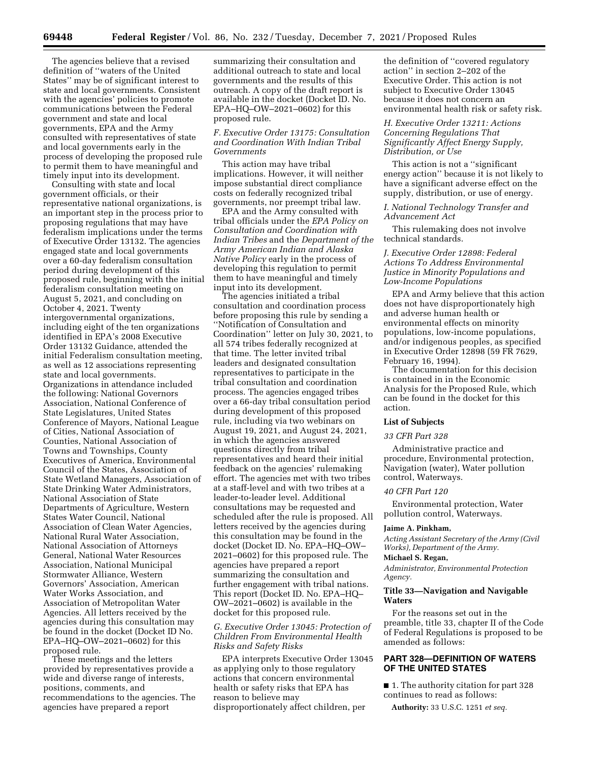The agencies believe that a revised definition of ''waters of the United States'' may be of significant interest to state and local governments. Consistent with the agencies' policies to promote communications between the Federal government and state and local governments, EPA and the Army consulted with representatives of state and local governments early in the process of developing the proposed rule to permit them to have meaningful and timely input into its development.

Consulting with state and local government officials, or their representative national organizations, is an important step in the process prior to proposing regulations that may have federalism implications under the terms of Executive Order 13132. The agencies engaged state and local governments over a 60-day federalism consultation period during development of this proposed rule, beginning with the initial federalism consultation meeting on August 5, 2021, and concluding on October 4, 2021. Twenty intergovernmental organizations, including eight of the ten organizations identified in EPA's 2008 Executive Order 13132 Guidance, attended the initial Federalism consultation meeting, as well as 12 associations representing state and local governments. Organizations in attendance included the following: National Governors Association, National Conference of State Legislatures, United States Conference of Mayors, National League of Cities, National Association of Counties, National Association of Towns and Townships, County Executives of America, Environmental Council of the States, Association of State Wetland Managers, Association of State Drinking Water Administrators, National Association of State Departments of Agriculture, Western States Water Council, National Association of Clean Water Agencies, National Rural Water Association, National Association of Attorneys General, National Water Resources Association, National Municipal Stormwater Alliance, Western Governors' Association, American Water Works Association, and Association of Metropolitan Water Agencies. All letters received by the agencies during this consultation may be found in the docket (Docket ID No. EPA–HQ–OW–2021–0602) for this proposed rule.

These meetings and the letters provided by representatives provide a wide and diverse range of interests, positions, comments, and recommendations to the agencies. The agencies have prepared a report

summarizing their consultation and additional outreach to state and local governments and the results of this outreach. A copy of the draft report is available in the docket (Docket ID. No. EPA–HQ–OW–2021–0602) for this proposed rule.

## *F. Executive Order 13175: Consultation and Coordination With Indian Tribal Governments*

This action may have tribal implications. However, it will neither impose substantial direct compliance costs on federally recognized tribal governments, nor preempt tribal law.

EPA and the Army consulted with tribal officials under the *EPA Policy on Consultation and Coordination with Indian Tribes* and the *Department of the Army American Indian and Alaska Native Policy* early in the process of developing this regulation to permit them to have meaningful and timely input into its development.

The agencies initiated a tribal consultation and coordination process before proposing this rule by sending a ''Notification of Consultation and Coordination'' letter on July 30, 2021, to all 574 tribes federally recognized at that time. The letter invited tribal leaders and designated consultation representatives to participate in the tribal consultation and coordination process. The agencies engaged tribes over a 66-day tribal consultation period during development of this proposed rule, including via two webinars on August 19, 2021, and August 24, 2021, in which the agencies answered questions directly from tribal representatives and heard their initial feedback on the agencies' rulemaking effort. The agencies met with two tribes at a staff-level and with two tribes at a leader-to-leader level. Additional consultations may be requested and scheduled after the rule is proposed. All letters received by the agencies during this consultation may be found in the docket (Docket ID. No. EPA–HQ–OW– 2021–0602) for this proposed rule. The agencies have prepared a report summarizing the consultation and further engagement with tribal nations. This report (Docket ID. No. EPA–HQ– OW–2021–0602) is available in the docket for this proposed rule.

## *G. Executive Order 13045: Protection of Children From Environmental Health Risks and Safety Risks*

EPA interprets Executive Order 13045 as applying only to those regulatory actions that concern environmental health or safety risks that EPA has reason to believe may disproportionately affect children, per

the definition of ''covered regulatory action'' in section 2–202 of the Executive Order. This action is not subject to Executive Order 13045 because it does not concern an environmental health risk or safety risk.

## *H. Executive Order 13211: Actions Concerning Regulations That Significantly Affect Energy Supply, Distribution, or Use*

This action is not a ''significant energy action'' because it is not likely to have a significant adverse effect on the supply, distribution, or use of energy.

## *I. National Technology Transfer and Advancement Act*

This rulemaking does not involve technical standards.

## *J. Executive Order 12898: Federal Actions To Address Environmental Justice in Minority Populations and Low-Income Populations*

EPA and Army believe that this action does not have disproportionately high and adverse human health or environmental effects on minority populations, low-income populations, and/or indigenous peoples, as specified in Executive Order 12898 (59 FR 7629, February 16, 1994).

The documentation for this decision is contained in in the Economic Analysis for the Proposed Rule, which can be found in the docket for this action.

### **List of Subjects**

#### *33 CFR Part 328*

Administrative practice and procedure, Environmental protection, Navigation (water), Water pollution control, Waterways.

### *40 CFR Part 120*

Environmental protection, Water pollution control, Waterways.

#### **Jaime A. Pinkham,**

*Acting Assistant Secretary of the Army (Civil Works), Department of the Army.* 

### **Michael S. Regan,**

*Administrator, Environmental Protection Agency.* 

## **Title 33—Navigation and Navigable Waters**

For the reasons set out in the preamble, title 33, chapter II of the Code of Federal Regulations is proposed to be amended as follows:

# **PART 328—DEFINITION OF WATERS OF THE UNITED STATES**

■ 1. The authority citation for part 328 continues to read as follows:

**Authority:** 33 U.S.C. 1251 *et seq.*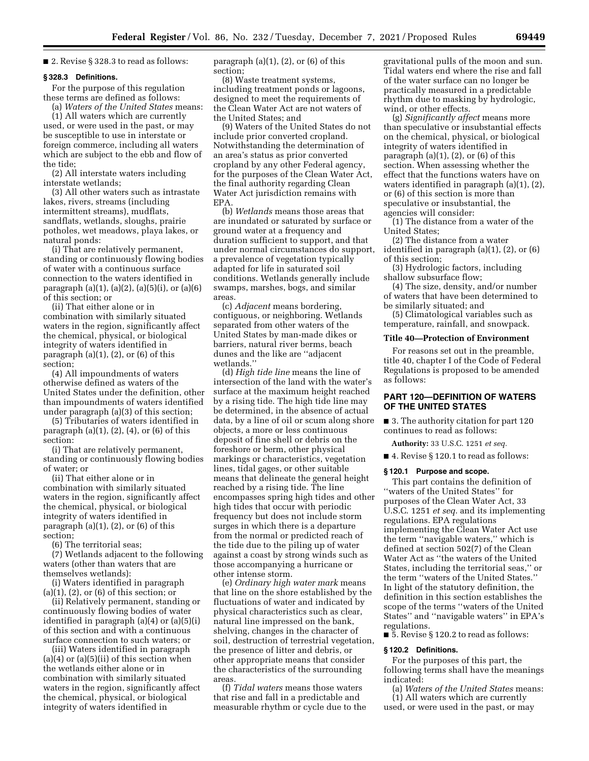■ 2. Revise § 328.3 to read as follows:

### **§ 328.3 Definitions.**

For the purpose of this regulation these terms are defined as follows:

(a) *Waters of the United States* means: (1) All waters which are currently used, or were used in the past, or may be susceptible to use in interstate or foreign commerce, including all waters which are subject to the ebb and flow of the tide;

(2) All interstate waters including interstate wetlands;

(3) All other waters such as intrastate lakes, rivers, streams (including intermittent streams), mudflats, sandflats, wetlands, sloughs, prairie potholes, wet meadows, playa lakes, or natural ponds:

(i) That are relatively permanent, standing or continuously flowing bodies of water with a continuous surface connection to the waters identified in paragraph  $(a)(1)$ ,  $(a)(2)$ ,  $(a)(5)(i)$ , or  $(a)(6)$ of this section; or

(ii) That either alone or in combination with similarly situated waters in the region, significantly affect the chemical, physical, or biological integrity of waters identified in paragraph  $(a)(1)$ ,  $(2)$ , or  $(6)$  of this section;

(4) All impoundments of waters otherwise defined as waters of the United States under the definition, other than impoundments of waters identified under paragraph (a)(3) of this section;

(5) Tributaries of waters identified in paragraph  $(a)(1)$ ,  $(2)$ ,  $(4)$ , or  $(6)$  of this section:

(i) That are relatively permanent, standing or continuously flowing bodies of water; or

(ii) That either alone or in combination with similarly situated waters in the region, significantly affect the chemical, physical, or biological integrity of waters identified in paragraph  $(a)(1)$ ,  $(2)$ , or  $(6)$  of this section;

(6) The territorial seas;

(7) Wetlands adjacent to the following waters (other than waters that are themselves wetlands):

(i) Waters identified in paragraph (a)(1), (2), or (6) of this section; or

(ii) Relatively permanent, standing or continuously flowing bodies of water identified in paragraph (a)(4) or (a)(5)(i) of this section and with a continuous surface connection to such waters; or

(iii) Waters identified in paragraph  $(a)(4)$  or  $(a)(5)(ii)$  of this section when the wetlands either alone or in combination with similarly situated waters in the region, significantly affect the chemical, physical, or biological integrity of waters identified in

paragraph  $(a)(1)$ ,  $(2)$ , or  $(6)$  of this section;

(8) Waste treatment systems, including treatment ponds or lagoons, designed to meet the requirements of the Clean Water Act are not waters of the United States; and

(9) Waters of the United States do not include prior converted cropland. Notwithstanding the determination of an area's status as prior converted cropland by any other Federal agency, for the purposes of the Clean Water Act, the final authority regarding Clean Water Act jurisdiction remains with EPA.

(b) *Wetlands* means those areas that are inundated or saturated by surface or ground water at a frequency and duration sufficient to support, and that under normal circumstances do support, a prevalence of vegetation typically adapted for life in saturated soil conditions. Wetlands generally include swamps, marshes, bogs, and similar areas.

(c) *Adjacent* means bordering, contiguous, or neighboring. Wetlands separated from other waters of the United States by man-made dikes or barriers, natural river berms, beach dunes and the like are ''adjacent wetlands.''

(d) *High tide line* means the line of intersection of the land with the water's surface at the maximum height reached by a rising tide. The high tide line may be determined, in the absence of actual data, by a line of oil or scum along shore objects, a more or less continuous deposit of fine shell or debris on the foreshore or berm, other physical markings or characteristics, vegetation lines, tidal gages, or other suitable means that delineate the general height reached by a rising tide. The line encompasses spring high tides and other high tides that occur with periodic frequency but does not include storm surges in which there is a departure from the normal or predicted reach of the tide due to the piling up of water against a coast by strong winds such as those accompanying a hurricane or other intense storm.

(e) *Ordinary high water mark* means that line on the shore established by the fluctuations of water and indicated by physical characteristics such as clear, natural line impressed on the bank, shelving, changes in the character of soil, destruction of terrestrial vegetation, the presence of litter and debris, or other appropriate means that consider the characteristics of the surrounding areas.

(f) *Tidal waters* means those waters that rise and fall in a predictable and measurable rhythm or cycle due to the

gravitational pulls of the moon and sun. Tidal waters end where the rise and fall of the water surface can no longer be practically measured in a predictable rhythm due to masking by hydrologic, wind, or other effects.

(g) *Significantly affect* means more than speculative or insubstantial effects on the chemical, physical, or biological integrity of waters identified in paragraph  $(a)(1)$ ,  $(2)$ , or  $(6)$  of this section. When assessing whether the effect that the functions waters have on waters identified in paragraph (a)(1), (2), or (6) of this section is more than speculative or insubstantial, the agencies will consider:

(1) The distance from a water of the United States;

(2) The distance from a water identified in paragraph (a)(1), (2), or (6) of this section;

(3) Hydrologic factors, including shallow subsurface flow;

(4) The size, density, and/or number of waters that have been determined to be similarly situated; and

(5) Climatological variables such as temperature, rainfall, and snowpack.

### **Title 40—Protection of Environment**

For reasons set out in the preamble, title 40, chapter I of the Code of Federal Regulations is proposed to be amended as follows:

## **PART 120—DEFINITION OF WATERS OF THE UNITED STATES**

■ 3. The authority citation for part 120 continues to read as follows:

**Authority:** 33 U.S.C. 1251 *et seq.* 

■ 4. Revise § 120.1 to read as follows:

### **§ 120.1 Purpose and scope.**

This part contains the definition of ''waters of the United States'' for purposes of the Clean Water Act, 33 U.S.C. 1251 *et seq.* and its implementing regulations. EPA regulations implementing the Clean Water Act use the term ''navigable waters,'' which is defined at section 502(7) of the Clean Water Act as ''the waters of the United States, including the territorial seas,'' or the term ''waters of the United States.'' In light of the statutory definition, the definition in this section establishes the scope of the terms ''waters of the United States'' and ''navigable waters'' in EPA's regulations.

■ 5. Revise § 120.2 to read as follows:

#### **§ 120.2 Definitions.**

For the purposes of this part, the following terms shall have the meanings indicated:

(a) *Waters of the United States* means: (1) All waters which are currently

used, or were used in the past, or may